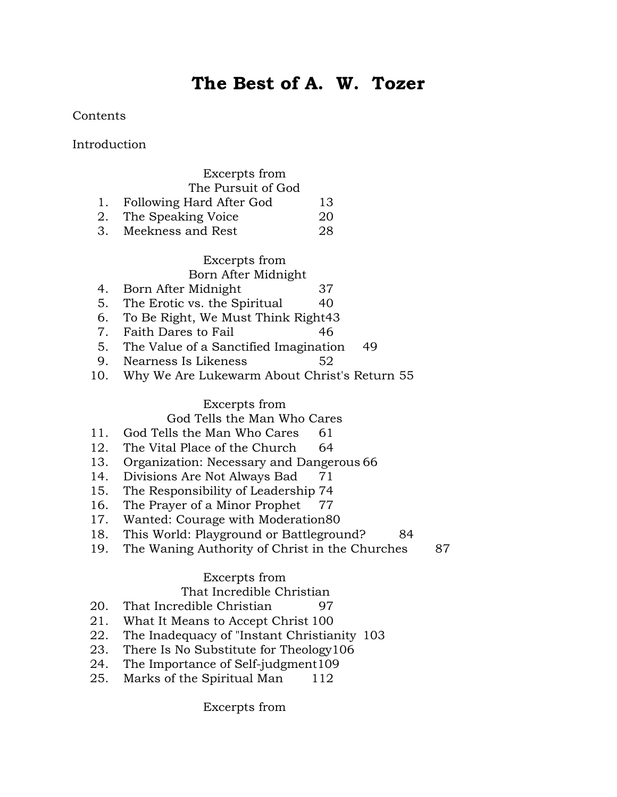# **The Best of A. W. Tozer**

# Contents

# Introduction

|         | Excerpts from            |    |
|---------|--------------------------|----|
|         | The Pursuit of God       |    |
|         | Following Hard After God | 13 |
| 2.      | The Speaking Voice       | 20 |
| $3_{-}$ | Meekness and Rest        | 28 |
|         |                          |    |

### Excerpts from Born After Midnight

- 4. Born After Midnight 37
- 5. The Erotic vs. the Spiritual 40
- 6. To Be Right, We Must Think Right43
- 7. Faith Dares to Fail 46
- 5. The Value of a Sanctified Imagination 49
- 9. Nearness Is Likeness 52
- 10. Why We Are Lukewarm About Christ's Return 55

# Excerpts from

# God Tells the Man Who Cares

- 11. God Tells the Man Who Cares 61
- 12. The Vital Place of the Church 64
- 13. Organization: Necessary and Dangerous 66
- 14. Divisions Are Not Always Bad 71
- 15. The Responsibility of Leadership 74
- 16. The Prayer of a Minor Prophet 77
- 17. Wanted: Courage with Moderation80
- 18. This World: Playground or Battleground? 84
- 19. The Waning Authority of Christ in the Churches 87

# Excerpts from

# That Incredible Christian

- 20. That Incredible Christian 97
- 21. What It Means to Accept Christ 100
- 22. The Inadequacy of "Instant Christianity 103
- 23. There Is No Substitute for Theology106
- 24. The Importance of Self-judgment109
- 25. Marks of the Spiritual Man 112

Excerpts from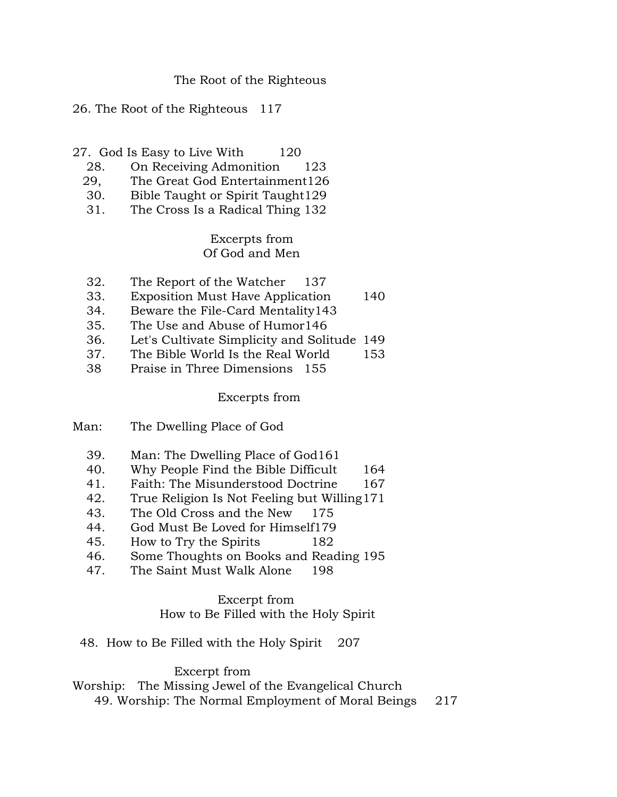# The Root of the Righteous

# 26. The Root of the Righteous 117

# 27. God Is Easy to Live With 120

- 28. On Receiving Admonition 123
- 29, The Great God Entertainment126
- 30. Bible Taught or Spirit Taught129
- 31. The Cross Is a Radical Thing 132

# Excerpts from Of God and Men

- 32. The Report of the Watcher 137
- 33. Exposition Must Have Application 140
- 34. Beware the File-Card Mentality143
- 35. The Use and Abuse of Humor146
- 36. Let's Cultivate Simplicity and Solitude 149
- 37. The Bible World Is the Real World 153
- 38 Praise in Three Dimensions 155

# Excerpts from

- Man: The Dwelling Place of God
	- 39. Man: The Dwelling Place of God161
	- 40. Why People Find the Bible Difficult 164
	- 41. Faith: The Misunderstood Doctrine 167
	- 42. True Religion Is Not Feeling but Willing 171
	- 43. The Old Cross and the New 175
	- 44. God Must Be Loved for Himself179
	- 45. How to Try the Spirits 182
	- 46. Some Thoughts on Books and Reading 195
	- 47. The Saint Must Walk Alone 198

# Excerpt from

# How to Be Filled with the Holy Spirit

48. How to Be Filled with the Holy Spirit 207

# Excerpt from

Worship: The Missing Jewel of the Evangelical Church 49. Worship: The Normal Employment of Moral Beings 217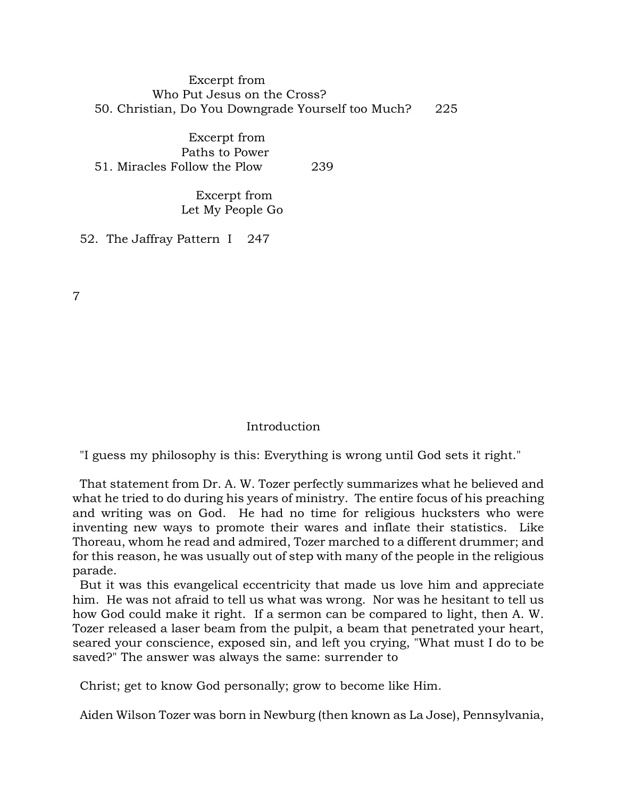### Excerpt from Who Put Jesus on the Cross? 50. Christian, Do You Downgrade Yourself too Much? 225

Excerpt from Paths to Power 51. Miracles Follow the Plow 239

> Excerpt from Let My People Go

52. The Jaffray Pattern I 247

7

### Introduction

"I guess my philosophy is this: Everything is wrong until God sets it right."

That statement from Dr. A. W. Tozer perfectly summarizes what he believed and what he tried to do during his years of ministry. The entire focus of his preaching and writing was on God. He had no time for religious hucksters who were inventing new ways to promote their wares and inflate their statistics. Like Thoreau, whom he read and admired, Tozer marched to a different drummer; and for this reason, he was usually out of step with many of the people in the religious parade.

But it was this evangelical eccentricity that made us love him and appreciate him. He was not afraid to tell us what was wrong. Nor was he hesitant to tell us how God could make it right. If a sermon can be compared to light, then A. W. Tozer released a laser beam from the pulpit, a beam that penetrated your heart, seared your conscience, exposed sin, and left you crying, "What must I do to be saved?" The answer was always the same: surrender to

Christ; get to know God personally; grow to become like Him.

Aiden Wilson Tozer was born in Newburg (then known as La Jose), Pennsylvania,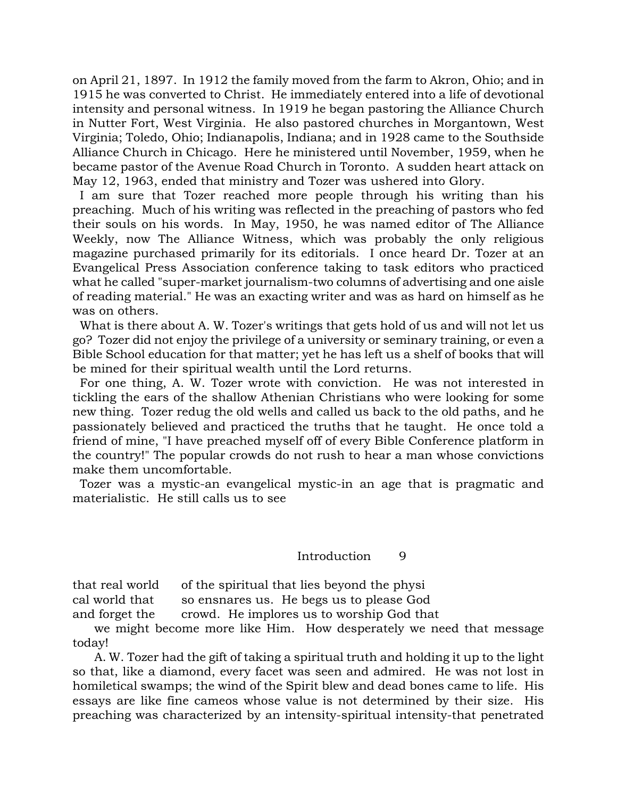on April 21, 1897. In 1912 the family moved from the farm to Akron, Ohio; and in 1915 he was converted to Christ. He immediately entered into a life of devotional intensity and personal witness. In 1919 he began pastoring the Alliance Church in Nutter Fort, West Virginia. He also pastored churches in Morgantown, West Virginia; Toledo, Ohio; Indianapolis, Indiana; and in 1928 came to the Southside Alliance Church in Chicago. Here he ministered until November, 1959, when he became pastor of the Avenue Road Church in Toronto. A sudden heart attack on May 12, 1963, ended that ministry and Tozer was ushered into Glory.

I am sure that Tozer reached more people through his writing than his preaching. Much of his writing was reflected in the preaching of pastors who fed their souls on his words. In May, 1950, he was named editor of The Alliance Weekly, now The Alliance Witness, which was probably the only religious magazine purchased primarily for its editorials. I once heard Dr. Tozer at an Evangelical Press Association conference taking to task editors who practiced what he called "super-market journalism-two columns of advertising and one aisle of reading material." He was an exacting writer and was as hard on himself as he was on others.

What is there about A. W. Tozer's writings that gets hold of us and will not let us go? Tozer did not enjoy the privilege of a university or seminary training, or even a Bible School education for that matter; yet he has left us a shelf of books that will be mined for their spiritual wealth until the Lord returns.

For one thing, A. W. Tozer wrote with conviction. He was not interested in tickling the ears of the shallow Athenian Christians who were looking for some new thing. Tozer redug the old wells and called us back to the old paths, and he passionately believed and practiced the truths that he taught. He once told a friend of mine, "I have preached myself off of every Bible Conference platform in the country!" The popular crowds do not rush to hear a man whose convictions make them uncomfortable.

Tozer was a mystic-an evangelical mystic-in an age that is pragmatic and materialistic. He still calls us to see

### Introduction 9

| that real world | of the spiritual that lies beyond the physi |
|-----------------|---------------------------------------------|
| cal world that  | so ensuares us. He begs us to please God    |

and forget the crowd. He implores us to worship God that

we might become more like Him. How desperately we need that message today!

A. W. Tozer had the gift of taking a spiritual truth and holding it up to the light so that, like a diamond, every facet was seen and admired. He was not lost in homiletical swamps; the wind of the Spirit blew and dead bones came to life. His essays are like fine cameos whose value is not determined by their size. His preaching was characterized by an intensity-spiritual intensity-that penetrated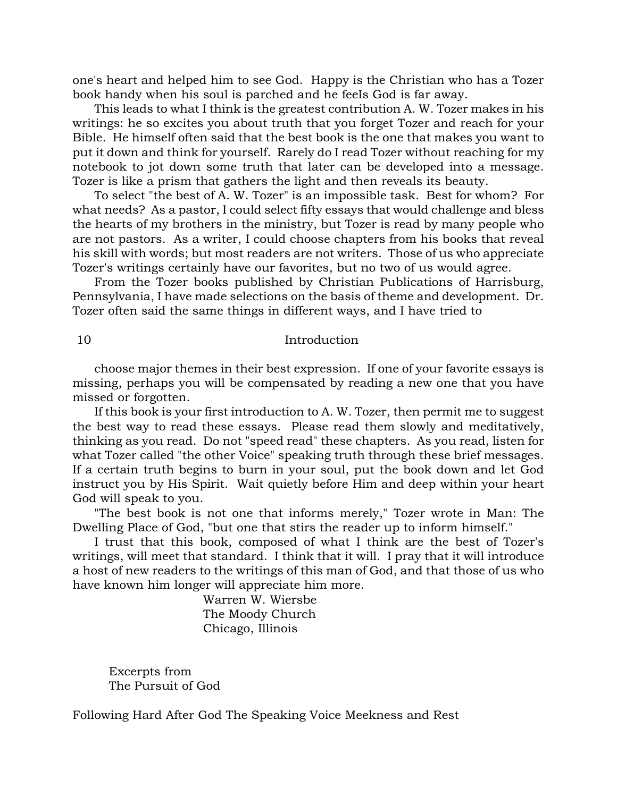one's heart and helped him to see God. Happy is the Christian who has a Tozer book handy when his soul is parched and he feeIs God is far away.

This leads to what I think is the greatest contribution A. W. Tozer makes in his writings: he so excites you about truth that you forget Tozer and reach for your Bible. He himself often said that the best book is the one that makes you want to put it down and think for yourself. Rarely do I read Tozer without reaching for my notebook to jot down some truth that later can be developed into a message. Tozer is like a prism that gathers the light and then reveals its beauty.

To select "the best of A. W. Tozer" is an impossible task. Best for whom? For what needs? As a pastor, I could select fifty essays that would challenge and bless the hearts of my brothers in the ministry, but Tozer is read by many people who are not pastors. As a writer, I could choose chapters from his books that reveal his skill with words; but most readers are not writers. Those of us who appreciate Tozer's writings certainly have our favorites, but no two of us would agree.

From the Tozer books published by Christian Publications of Harrisburg, Pennsylvania, I have made selections on the basis of theme and development. Dr. Tozer often said the same things in different ways, and I have tried to

### 10 Introduction

choose major themes in their best expression. If one of your favorite essays is missing, perhaps you will be compensated by reading a new one that you have missed or forgotten.

If this book is your first introduction to A. W. Tozer, then permit me to suggest the best way to read these essays. Please read them slowly and meditatively, thinking as you read. Do not "speed read" these chapters. As you read, listen for what Tozer called "the other Voice" speaking truth through these brief messages. If a certain truth begins to burn in your soul, put the book down and let God instruct you by His Spirit. Wait quietly before Him and deep within your heart God will speak to you.

"The best book is not one that informs merely," Tozer wrote in Man: The Dwelling Place of God, "but one that stirs the reader up to inform himself."

I trust that this book, composed of what I think are the best of Tozer's writings, will meet that standard. I think that it will. I pray that it will introduce a host of new readers to the writings of this man of God, and that those of us who have known him longer will appreciate him more.

> Warren W. Wiersbe The Moody Church Chicago, Illinois

Excerpts from The Pursuit of God

Following Hard After God The Speaking Voice Meekness and Rest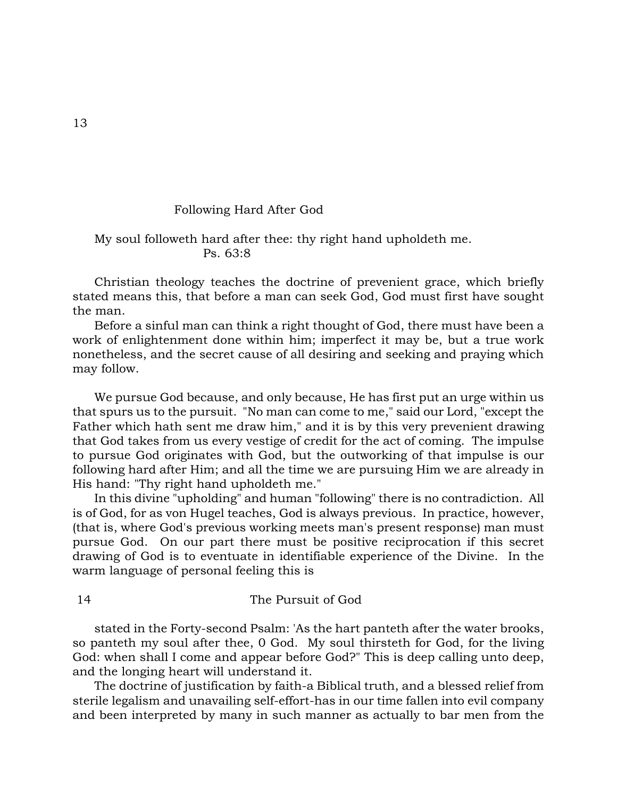### Following Hard After God

### My soul followeth hard after thee: thy right hand upholdeth me. Ps. 63:8

Christian theology teaches the doctrine of prevenient grace, which briefly stated means this, that before a man can seek God, God must first have sought the man.

Before a sinful man can think a right thought of God, there must have been a work of enlightenment done within him; imperfect it may be, but a true work nonetheless, and the secret cause of all desiring and seeking and praying which may follow.

We pursue God because, and only because, He has first put an urge within us that spurs us to the pursuit. "No man can come to me," said our Lord, "except the Father which hath sent me draw him," and it is by this very prevenient drawing that God takes from us every vestige of credit for the act of coming. The impulse to pursue God originates with God, but the outworking of that impulse is our following hard after Him; and all the time we are pursuing Him we are already in His hand: "Thy right hand upholdeth me."

In this divine "upholding" and human "following" there is no contradiction. All is of God, for as von Hugel teaches, God is always previous. In practice, however, (that is, where God's previous working meets man's present response) man must pursue God. On our part there must be positive reciprocation if this secret drawing of God is to eventuate in identifiable experience of the Divine. In the warm language of personal feeling this is

### 14 The Pursuit of God

stated in the Forty-second Psalm: 'As the hart panteth after the water brooks, so panteth my soul after thee, 0 God. My soul thirsteth for God, for the living God: when shall I come and appear before God?" This is deep calling unto deep, and the longing heart will understand it.

The doctrine of justification by faith-a Biblical truth, and a blessed relief from sterile legalism and unavailing self-effort-has in our time fallen into evil company and been interpreted by many in such manner as actually to bar men from the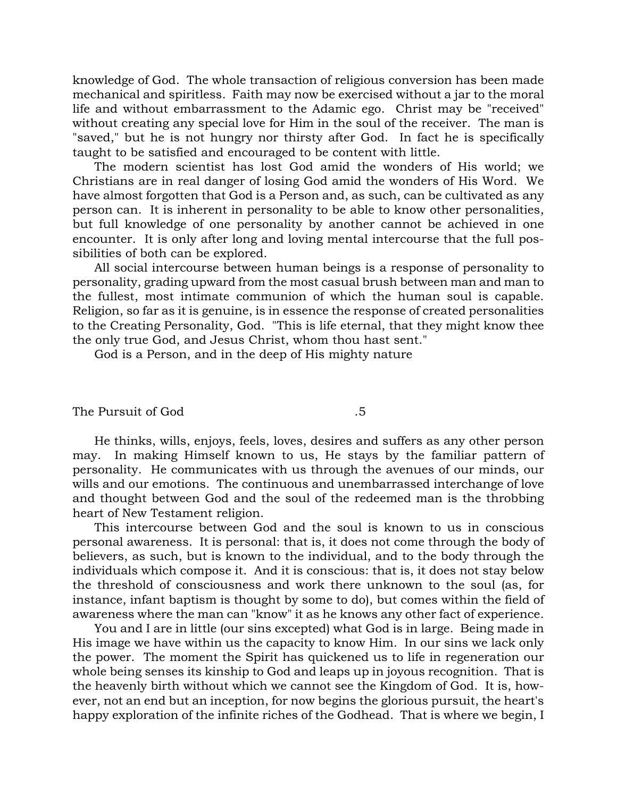knowledge of God. The whole transaction of religious conversion has been made mechanical and spiritless. Faith may now be exercised without a jar to the moral life and without embarrassment to the Adamic ego. Christ may be "received" without creating any special love for Him in the soul of the receiver. The man is "saved," but he is not hungry nor thirsty after God. In fact he is specifically taught to be satisfied and encouraged to be content with little.

The modern scientist has lost God amid the wonders of His world; we Christians are in real danger of losing God amid the wonders of His Word. We have almost forgotten that God is a Person and, as such, can be cultivated as any person can. It is inherent in personality to be able to know other personalities, but full knowledge of one personality by another cannot be achieved in one encounter. It is only after long and loving mental intercourse that the full possibilities of both can be explored.

All social intercourse between human beings is a response of personality to personality, grading upward from the most casual brush between man and man to the fullest, most intimate communion of which the human soul is capable. Religion, so far as it is genuine, is in essence the response of created personalities to the Creating Personality, God. "This is life eternal, that they might know thee the only true God, and Jesus Christ, whom thou hast sent."

God is a Person, and in the deep of His mighty nature

### The Pursuit of God ...

He thinks, wills, enjoys, feels, loves, desires and suffers as any other person may. In making Himself known to us, He stays by the familiar pattern of personality. He communicates with us through the avenues of our minds, our wills and our emotions. The continuous and unembarrassed interchange of love and thought between God and the soul of the redeemed man is the throbbing heart of New Testament religion.

This intercourse between God and the soul is known to us in conscious personal awareness. It is personal: that is, it does not come through the body of believers, as such, but is known to the individual, and to the body through the individuals which compose it. And it is conscious: that is, it does not stay below the threshold of consciousness and work there unknown to the soul (as, for instance, infant baptism is thought by some to do), but comes within the field of awareness where the man can "know" it as he knows any other fact of experience.

You and I are in little (our sins excepted) what God is in large. Being made in His image we have within us the capacity to know Him. In our sins we lack only the power. The moment the Spirit has quickened us to life in regeneration our whole being senses its kinship to God and leaps up in joyous recognition. That is the heavenly birth without which we cannot see the Kingdom of God. It is, however, not an end but an inception, for now begins the glorious pursuit, the heart's happy exploration of the infinite riches of the Godhead. That is where we begin, I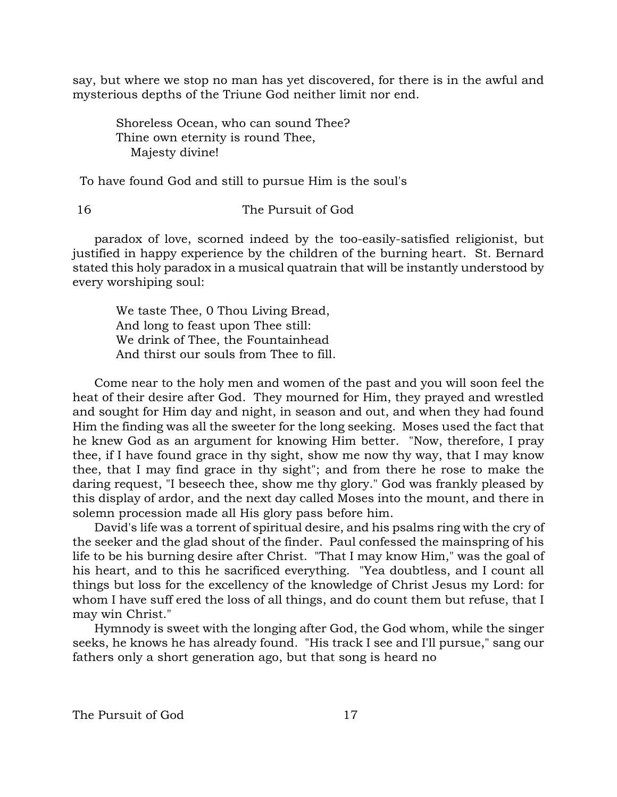say, but where we stop no man has yet discovered, for there is in the awful and mysterious depths of the Triune God neither limit nor end.

Shoreless Ocean, who can sound Thee? Thine own eternity is round Thee, Majesty divine!

To have found God and still to pursue Him is the soul's

16 The Pursuit of God

paradox of love, scorned indeed by the too-easily-satisfied religionist, but justified in happy experience by the children of the burning heart. St. Bernard stated this holy paradox in a musical quatrain that will be instantly understood by every worshiping soul:

We taste Thee, 0 Thou Living Bread, And long to feast upon Thee still: We drink of Thee, the Fountainhead And thirst our souls from Thee to fill.

Come near to the holy men and women of the past and you will soon feel the heat of their desire after God. They mourned for Him, they prayed and wrestled and sought for Him day and night, in season and out, and when they had found Him the finding was all the sweeter for the long seeking. Moses used the fact that he knew God as an argument for knowing Him better. "Now, therefore, I pray thee, if I have found grace in thy sight, show me now thy way, that I may know thee, that I may find grace in thy sight"; and from there he rose to make the daring request, "I beseech thee, show me thy glory." God was frankly pleased by this display of ardor, and the next day called Moses into the mount, and there in solemn procession made all His glory pass before him.

David's life was a torrent of spiritual desire, and his psalms ring with the cry of the seeker and the glad shout of the finder. Paul confessed the mainspring of his life to be his burning desire after Christ. "That I may know Him," was the goal of his heart, and to this he sacrificed everything. "Yea doubtless, and I count all things but loss for the excellency of the knowledge of Christ Jesus my Lord: for whom I have suff ered the loss of all things, and do count them but refuse, that I may win Christ."

Hymnody is sweet with the longing after God, the God whom, while the singer seeks, he knows he has already found. "His track I see and I'll pursue," sang our fathers only a short generation ago, but that song is heard no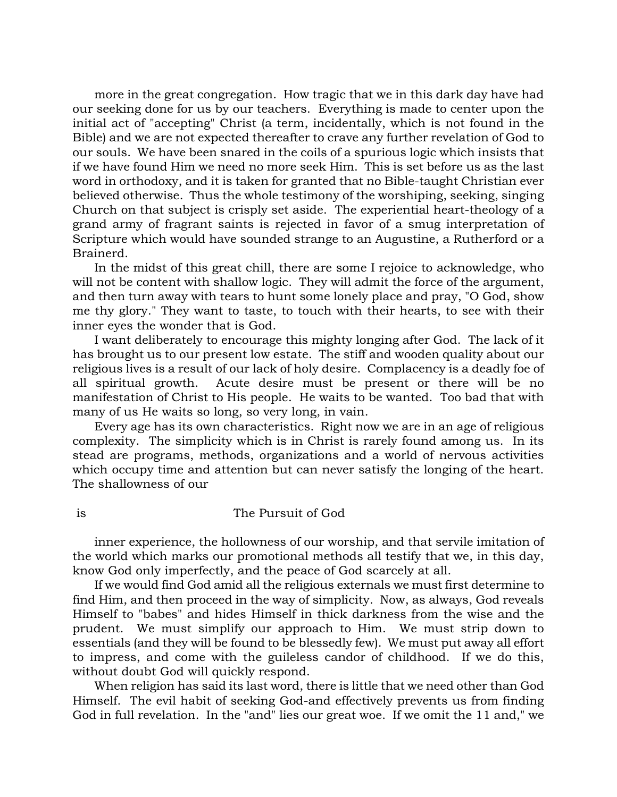more in the great congregation. How tragic that we in this dark day have had our seeking done for us by our teachers. Everything is made to center upon the initial act of "accepting" Christ (a term, incidentally, which is not found in the Bible) and we are not expected thereafter to crave any further revelation of God to our souls. We have been snared in the coils of a spurious logic which insists that if we have found Him we need no more seek Him. This is set before us as the last word in orthodoxy, and it is taken for granted that no Bible-taught Christian ever believed otherwise. Thus the whole testimony of the worshiping, seeking, singing Church on that subject is crisply set aside. The experiential heart-theology of a grand army of fragrant saints is rejected in favor of a smug interpretation of Scripture which would have sounded strange to an Augustine, a Rutherford or a Brainerd.

In the midst of this great chill, there are some I rejoice to acknowledge, who will not be content with shallow logic. They will admit the force of the argument, and then turn away with tears to hunt some lonely place and pray, "O God, show me thy glory." They want to taste, to touch with their hearts, to see with their inner eyes the wonder that is God.

I want deliberately to encourage this mighty longing after God. The lack of it has brought us to our present low estate. The stiff and wooden quality about our religious lives is a result of our lack of holy desire. Complacency is a deadly foe of all spiritual growth. Acute desire must be present or there will be no manifestation of Christ to His people. He waits to be wanted. Too bad that with many of us He waits so long, so very long, in vain.

Every age has its own characteristics. Right now we are in an age of religious complexity. The simplicity which is in Christ is rarely found among us. In its stead are programs, methods, organizations and a world of nervous activities which occupy time and attention but can never satisfy the longing of the heart. The shallowness of our

### is The Pursuit of God

inner experience, the hollowness of our worship, and that servile imitation of the world which marks our promotional methods all testify that we, in this day, know God only imperfectly, and the peace of God scarcely at all.

If we would find God amid all the religious externals we must first determine to find Him, and then proceed in the way of simplicity. Now, as always, God reveals Himself to "babes" and hides Himself in thick darkness from the wise and the prudent. We must simplify our approach to Him. We must strip down to essentials (and they will be found to be blessedly few). We must put away all effort to impress, and come with the guileless candor of childhood. If we do this, without doubt God will quickly respond.

When religion has said its last word, there is little that we need other than God Himself. The evil habit of seeking God-and effectively prevents us from finding God in full revelation. In the "and" lies our great woe. If we omit the 11 and," we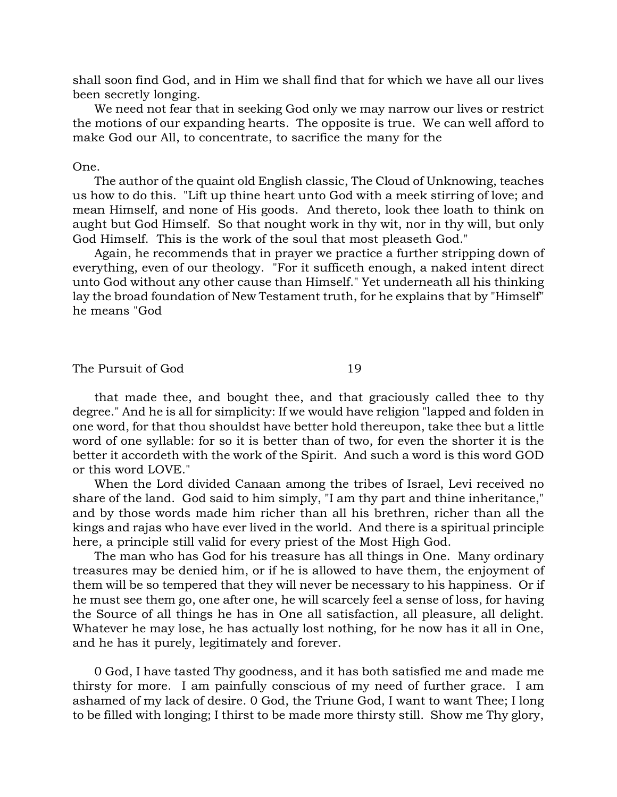shall soon find God, and in Him we shall find that for which we have all our lives been secretly longing.

We need not fear that in seeking God only we may narrow our lives or restrict the motions of our expanding hearts. The opposite is true. We can well afford to make God our All, to concentrate, to sacrifice the many for the

#### One.

The author of the quaint old English classic, The Cloud of Unknowing, teaches us how to do this. "Lift up thine heart unto God with a meek stirring of love; and mean Himself, and none of His goods. And thereto, look thee loath to think on aught but God Himself. So that nought work in thy wit, nor in thy will, but only God Himself. This is the work of the soul that most pleaseth God."

Again, he recommends that in prayer we practice a further stripping down of everything, even of our theology. "For it sufficeth enough, a naked intent direct unto God without any other cause than Himself." Yet underneath all his thinking lay the broad foundation of New Testament truth, for he explains that by "Himself" he means "God

The Pursuit of God 19

that made thee, and bought thee, and that graciously called thee to thy degree." And he is all for simplicity: If we would have religion "lapped and folden in one word, for that thou shouldst have better hold thereupon, take thee but a little word of one syllable: for so it is better than of two, for even the shorter it is the better it accordeth with the work of the Spirit. And such a word is this word GOD or this word LOVE."

When the Lord divided Canaan among the tribes of Israel, Levi received no share of the land. God said to him simply, "I am thy part and thine inheritance," and by those words made him richer than all his brethren, richer than all the kings and rajas who have ever lived in the world. And there is a spiritual principle here, a principle still valid for every priest of the Most High God.

The man who has God for his treasure has all things in One. Many ordinary treasures may be denied him, or if he is allowed to have them, the enjoyment of them will be so tempered that they will never be necessary to his happiness. Or if he must see them go, one after one, he will scarcely feel a sense of loss, for having the Source of all things he has in One all satisfaction, all pleasure, all delight. Whatever he may lose, he has actually lost nothing, for he now has it all in One, and he has it purely, legitimately and forever.

0 God, I have tasted Thy goodness, and it has both satisfied me and made me thirsty for more. I am painfully conscious of my need of further grace. I am ashamed of my lack of desire. 0 God, the Triune God, I want to want Thee; I long to be filled with longing; I thirst to be made more thirsty still. Show me Thy glory,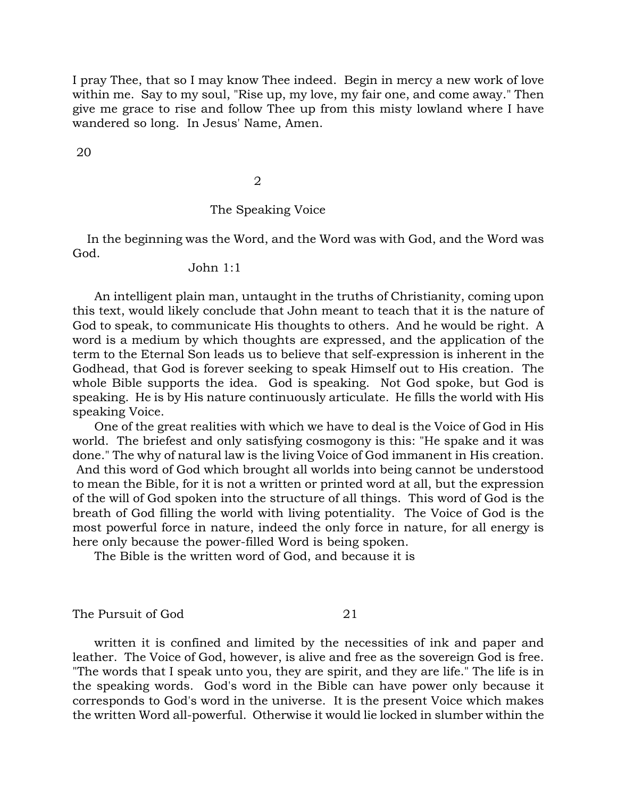I pray Thee, that so I may know Thee indeed. Begin in mercy a new work of love within me. Say to my soul, "Rise up, my love, my fair one, and come away." Then give me grace to rise and follow Thee up from this misty lowland where I have wandered so long. In Jesus' Name, Amen.

20

2

### The Speaking Voice

In the beginning was the Word, and the Word was with God, and the Word was God.

# John 1:1

An intelligent plain man, untaught in the truths of Christianity, coming upon this text, would likely conclude that John meant to teach that it is the nature of God to speak, to communicate His thoughts to others. And he would be right. A word is a medium by which thoughts are expressed, and the application of the term to the Eternal Son leads us to believe that self-expression is inherent in the Godhead, that God is forever seeking to speak Himself out to His creation. The whole Bible supports the idea. God is speaking. Not God spoke, but God is speaking. He is by His nature continuously articulate. He fills the world with His speaking Voice.

One of the great realities with which we have to deal is the Voice of God in His world. The briefest and only satisfying cosmogony is this: "He spake and it was done." The why of natural law is the living Voice of God immanent in His creation. And this word of God which brought all worlds into being cannot be understood to mean the Bible, for it is not a written or printed word at all, but the expression of the will of God spoken into the structure of all things. This word of God is the breath of God filling the world with living potentiality. The Voice of God is the most powerful force in nature, indeed the only force in nature, for all energy is here only because the power-filled Word is being spoken.

The Bible is the written word of God, and because it is

The Pursuit of God 21

written it is confined and limited by the necessities of ink and paper and leather. The Voice of God, however, is alive and free as the sovereign God is free. "The words that I speak unto you, they are spirit, and they are life." The life is in the speaking words. God's word in the Bible can have power only because it corresponds to God's word in the universe. It is the present Voice which makes the written Word all-powerful. Otherwise it would lie locked in slumber within the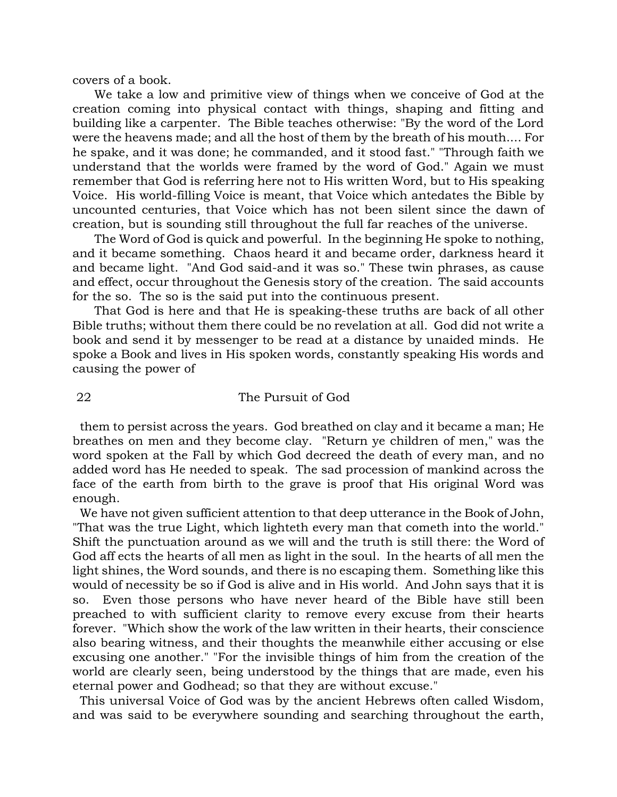covers of a book.

We take a low and primitive view of things when we conceive of God at the creation coming into physical contact with things, shaping and fitting and building like a carpenter. The Bible teaches otherwise: "By the word of the Lord were the heavens made; and all the host of them by the breath of his mouth.... For he spake, and it was done; he commanded, and it stood fast." "Through faith we understand that the worlds were framed by the word of God." Again we must remember that God is referring here not to His written Word, but to His speaking Voice. His world-filling Voice is meant, that Voice which antedates the Bible by uncounted centuries, that Voice which has not been silent since the dawn of creation, but is sounding still throughout the full far reaches of the universe.

The Word of God is quick and powerful. In the beginning He spoke to nothing, and it became something. Chaos heard it and became order, darkness heard it and became light. "And God said-and it was so." These twin phrases, as cause and effect, occur throughout the Genesis story of the creation. The said accounts for the so. The so is the said put into the continuous present.

That God is here and that He is speaking-these truths are back of all other Bible truths; without them there could be no revelation at all. God did not write a book and send it by messenger to be read at a distance by unaided minds. He spoke a Book and lives in His spoken words, constantly speaking His words and causing the power of

22 The Pursuit of God

them to persist across the years. God breathed on clay and it became a man; He breathes on men and they become clay. "Return ye children of men," was the word spoken at the Fall by which God decreed the death of every man, and no added word has He needed to speak. The sad procession of mankind across the face of the earth from birth to the grave is proof that His original Word was enough.

We have not given sufficient attention to that deep utterance in the Book of John, "That was the true Light, which lighteth every man that cometh into the world." Shift the punctuation around as we will and the truth is still there: the Word of God aff ects the hearts of all men as light in the soul. In the hearts of all men the light shines, the Word sounds, and there is no escaping them. Something like this would of necessity be so if God is alive and in His world. And John says that it is so. Even those persons who have never heard of the Bible have still been preached to with sufficient clarity to remove every excuse from their hearts forever. "Which show the work of the law written in their hearts, their conscience also bearing witness, and their thoughts the meanwhile either accusing or else excusing one another." "For the invisible things of him from the creation of the world are clearly seen, being understood by the things that are made, even his eternal power and Godhead; so that they are without excuse."

This universal Voice of God was by the ancient Hebrews often called Wisdom, and was said to be everywhere sounding and searching throughout the earth,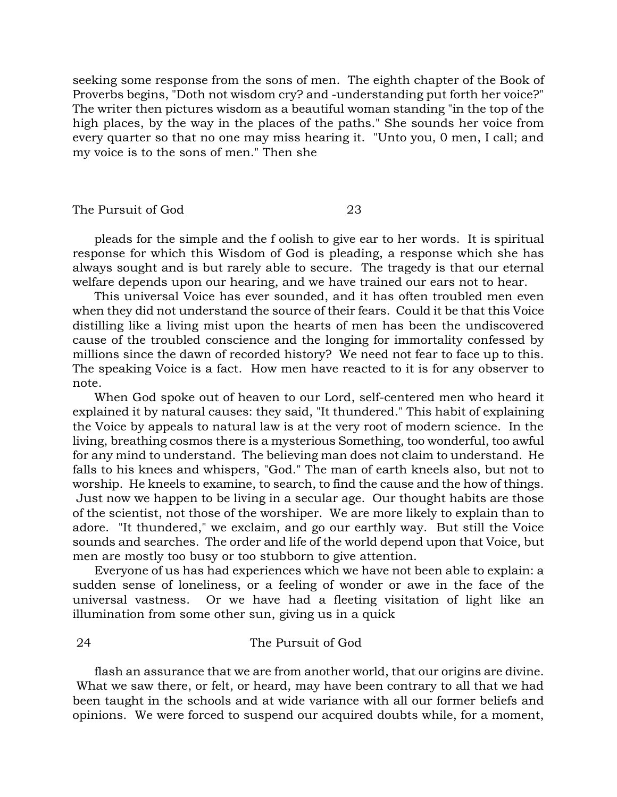seeking some response from the sons of men. The eighth chapter of the Book of Proverbs begins, "Doth not wisdom cry? and -understanding put forth her voice?" The writer then pictures wisdom as a beautiful woman standing "in the top of the high places, by the way in the places of the paths." She sounds her voice from every quarter so that no one may miss hearing it. "Unto you, 0 men, I call; and my voice is to the sons of men." Then she

#### The Pursuit of God 23

pleads for the simple and the f oolish to give ear to her words. It is spiritual response for which this Wisdom of God is pleading, a response which she has always sought and is but rarely able to secure. The tragedy is that our eternal welfare depends upon our hearing, and we have trained our ears not to hear.

This universal Voice has ever sounded, and it has often troubled men even when they did not understand the source of their fears. Could it be that this Voice distilling like a living mist upon the hearts of men has been the undiscovered cause of the troubled conscience and the longing for immortality confessed by millions since the dawn of recorded history? We need not fear to face up to this. The speaking Voice is a fact. How men have reacted to it is for any observer to note.

When God spoke out of heaven to our Lord, self-centered men who heard it explained it by natural causes: they said, "It thundered." This habit of explaining the Voice by appeals to natural law is at the very root of modern science. In the living, breathing cosmos there is a mysterious Something, too wonderful, too awful for any mind to understand. The believing man does not claim to understand. He falls to his knees and whispers, "God." The man of earth kneels also, but not to worship. He kneels to examine, to search, to find the cause and the how of things. Just now we happen to be living in a secular age. Our thought habits are those of the scientist, not those of the worshiper. We are more likely to explain than to adore. "It thundered," we exclaim, and go our earthly way. But still the Voice sounds and searches. The order and life of the world depend upon that Voice, but men are mostly too busy or too stubborn to give attention.

Everyone of us has had experiences which we have not been able to explain: a sudden sense of loneliness, or a feeling of wonder or awe in the face of the universal vastness. Or we have had a fleeting visitation of light like an illumination from some other sun, giving us in a quick

### 24 The Pursuit of God

flash an assurance that we are from another world, that our origins are divine. What we saw there, or felt, or heard, may have been contrary to all that we had been taught in the schools and at wide variance with all our former beliefs and opinions. We were forced to suspend our acquired doubts while, for a moment,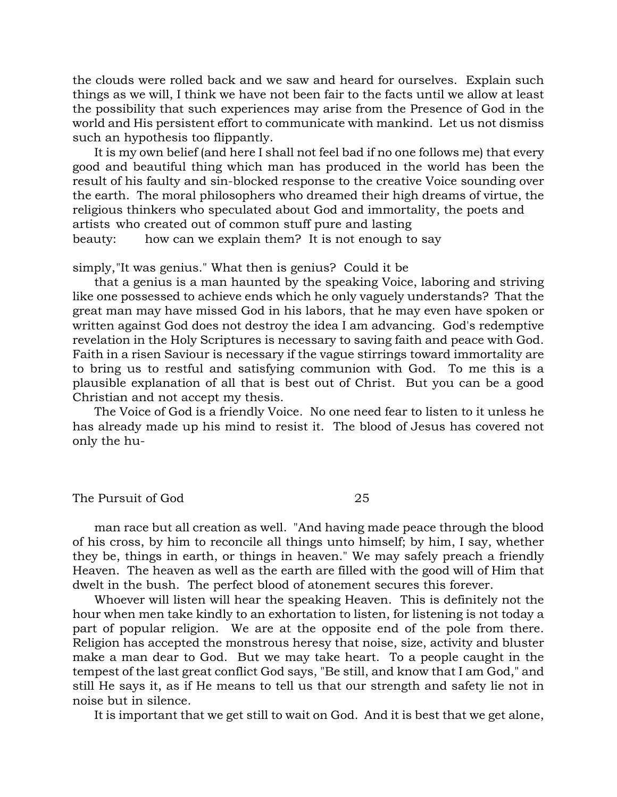the clouds were rolled back and we saw and heard for ourselves. Explain such things as we will, I think we have not been fair to the facts until we allow at least the possibility that such experiences may arise from the Presence of God in the world and His persistent effort to communicate with mankind. Let us not dismiss such an hypothesis too flippantly.

It is my own belief (and here I shall not feel bad if no one follows me) that every good and beautiful thing which man has produced in the world has been the result of his faulty and sin-blocked response to the creative Voice sounding over the earth. The moral philosophers who dreamed their high dreams of virtue, the religious thinkers who speculated about God and immortality, the poets and artists who created out of common stuff pure and lasting beauty: how can we explain them? It is not enough to say

simply, "It was genius." What then is genius? Could it be

that a genius is a man haunted by the speaking Voice, laboring and striving like one possessed to achieve ends which he only vaguely understands? That the great man may have missed God in his labors, that he may even have spoken or written against God does not destroy the idea I am advancing. God's redemptive revelation in the Holy Scriptures is necessary to saving faith and peace with God. Faith in a risen Saviour is necessary if the vague stirrings toward immortality are to bring us to restful and satisfying communion with God. To me this is a plausible explanation of all that is best out of Christ. But you can be a good Christian and not accept my thesis.

The Voice of God is a friendly Voice. No one need fear to listen to it unless he has already made up his mind to resist it. The blood of Jesus has covered not only the hu-

The Pursuit of God 25

man race but all creation as well. "And having made peace through the blood of his cross, by him to reconcile all things unto himself; by him, I say, whether they be, things in earth, or things in heaven." We may safely preach a friendly Heaven. The heaven as well as the earth are filled with the good will of Him that dwelt in the bush. The perfect blood of atonement secures this forever.

Whoever will listen will hear the speaking Heaven. This is definitely not the hour when men take kindly to an exhortation to listen, for listening is not today a part of popular religion. We are at the opposite end of the pole from there. Religion has accepted the monstrous heresy that noise, size, activity and bluster make a man dear to God. But we may take heart. To a people caught in the tempest of the last great conflict God says, "Be still, and know that I am God," and still He says it, as if He means to tell us that our strength and safety lie not in noise but in silence.

It is important that we get still to wait on God. And it is best that we get alone,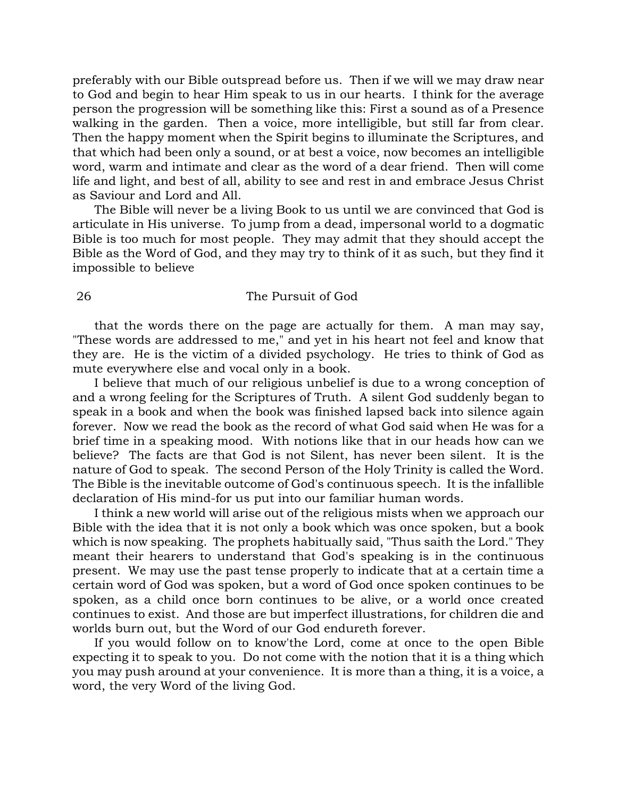preferably with our Bible outspread before us. Then if we will we may draw near to God and begin to hear Him speak to us in our hearts. I think for the average person the progression will be something like this: First a sound as of a Presence walking in the garden. Then a voice, more intelligible, but still far from clear. Then the happy moment when the Spirit begins to illuminate the Scriptures, and that which had been only a sound, or at best a voice, now becomes an intelligible word, warm and intimate and clear as the word of a dear friend. Then will come life and light, and best of all, ability to see and rest in and embrace Jesus Christ as Saviour and Lord and All.

The Bible will never be a living Book to us until we are convinced that God is articulate in His universe. To jump from a dead, impersonal world to a dogmatic Bible is too much for most people. They may admit that they should accept the Bible as the Word of God, and they may try to think of it as such, but they find it impossible to believe

### 26 The Pursuit of God

that the words there on the page are actually for them. A man may say, "These words are addressed to me," and yet in his heart not feel and know that they are. He is the victim of a divided psychology. He tries to think of God as mute everywhere else and vocal only in a book.

I believe that much of our religious unbelief is due to a wrong conception of and a wrong feeling for the Scriptures of Truth. A silent God suddenly began to speak in a book and when the book was finished lapsed back into silence again forever. Now we read the book as the record of what God said when He was for a brief time in a speaking mood. With notions like that in our heads how can we believe? The facts are that God is not Silent, has never been silent. It is the nature of God to speak. The second Person of the Holy Trinity is called the Word. The Bible is the inevitable outcome of God's continuous speech. It is the infallible declaration of His mind-for us put into our familiar human words.

I think a new world will arise out of the religious mists when we approach our Bible with the idea that it is not only a book which was once spoken, but a book which is now speaking. The prophets habitually said, "Thus saith the Lord." They meant their hearers to understand that God's speaking is in the continuous present. We may use the past tense properly to indicate that at a certain time a certain word of God was spoken, but a word of God once spoken continues to be spoken, as a child once born continues to be alive, or a world once created continues to exist. And those are but imperfect illustrations, for children die and worlds burn out, but the Word of our God endureth forever.

If you would follow on to know'the Lord, come at once to the open Bible expecting it to speak to you. Do not come with the notion that it is a thing which you may push around at your convenience. It is more than a thing, it is a voice, a word, the very Word of the living God.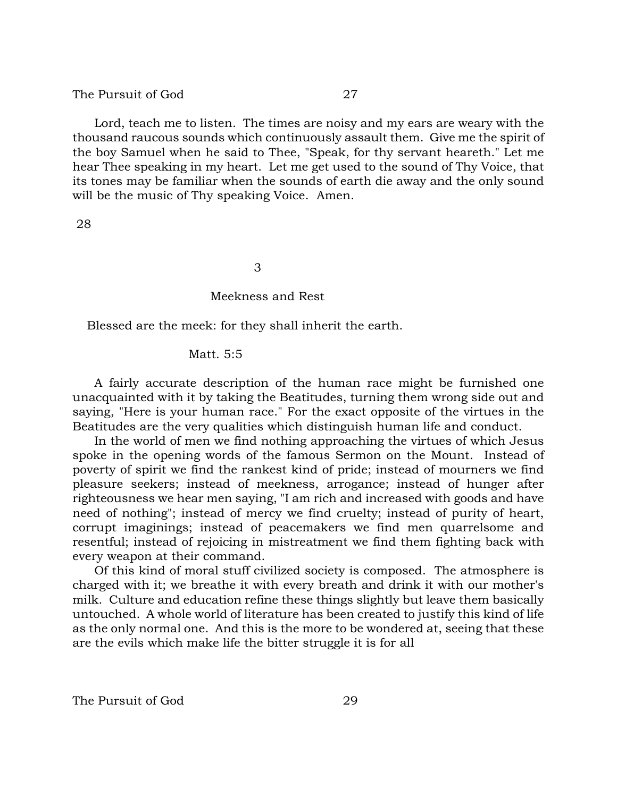The Pursuit of God 27

Lord, teach me to listen. The times are noisy and my ears are weary with the thousand raucous sounds which continuously assault them. Give me the spirit of the boy Samuel when he said to Thee, "Speak, for thy servant heareth." Let me hear Thee speaking in my heart. Let me get used to the sound of Thy Voice, that its tones may be familiar when the sounds of earth die away and the only sound will be the music of Thy speaking Voice. Amen.

28

3

### Meekness and Rest

Blessed are the meek: for they shall inherit the earth.

### Matt. 5:5

A fairly accurate description of the human race might be furnished one unacquainted with it by taking the Beatitudes, turning them wrong side out and saying, "Here is your human race." For the exact opposite of the virtues in the Beatitudes are the very qualities which distinguish human life and conduct.

In the world of men we find nothing approaching the virtues of which Jesus spoke in the opening words of the famous Sermon on the Mount. Instead of poverty of spirit we find the rankest kind of pride; instead of mourners we find pleasure seekers; instead of meekness, arrogance; instead of hunger after righteousness we hear men saying, "I am rich and increased with goods and have need of nothing"; instead of mercy we find cruelty; instead of purity of heart, corrupt imaginings; instead of peacemakers we find men quarrelsome and resentful; instead of rejoicing in mistreatment we find them fighting back with every weapon at their command.

Of this kind of moral stuff civilized society is composed. The atmosphere is charged with it; we breathe it with every breath and drink it with our mother's milk. Culture and education refine these things slightly but leave them basically untouched. A whole world of literature has been created to justify this kind of life as the only normal one. And this is the more to be wondered at, seeing that these are the evils which make life the bitter struggle it is for all

The Pursuit of God 29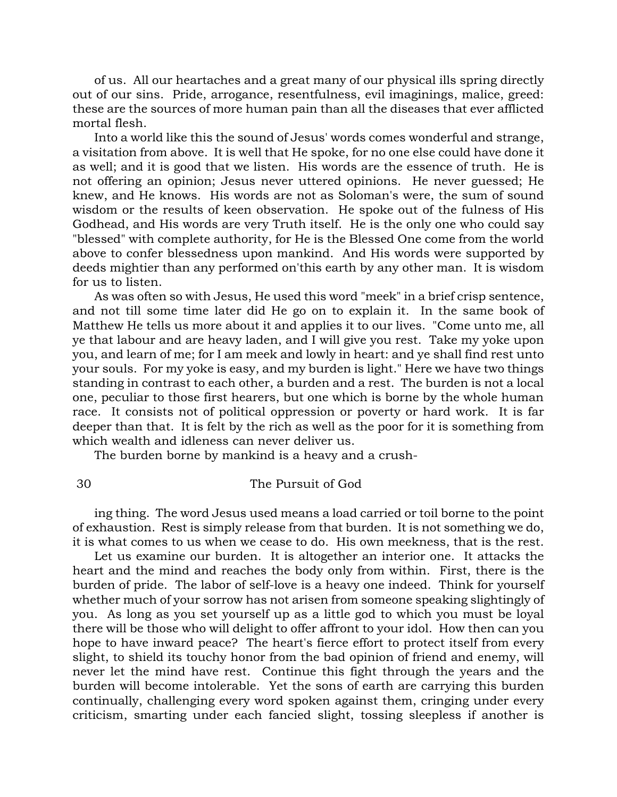of us. All our heartaches and a great many of our physical ills spring directly out of our sins. Pride, arrogance, resentfulness, evil imaginings, malice, greed: these are the sources of more human pain than all the diseases that ever afflicted mortal flesh.

Into a world like this the sound of Jesus' words comes wonderful and strange, a visitation from above. It is well that He spoke, for no one else could have done it as well; and it is good that we listen. His words are the essence of truth. He is not offering an opinion; Jesus never uttered opinions. He never guessed; He knew, and He knows. His words are not as Soloman's were, the sum of sound wisdom or the results of keen observation. He spoke out of the fulness of His Godhead, and His words are very Truth itself. He is the only one who could say "blessed" with complete authority, for He is the Blessed One come from the world above to confer blessedness upon mankind. And His words were supported by deeds mightier than any performed on'this earth by any other man. It is wisdom for us to listen.

As was often so with Jesus, He used this word "meek" in a brief crisp sentence, and not till some time later did He go on to explain it. In the same book of Matthew He tells us more about it and applies it to our lives. "Come unto me, all ye that labour and are heavy laden, and I will give you rest. Take my yoke upon you, and learn of me; for I am meek and lowly in heart: and ye shall find rest unto your souls. For my yoke is easy, and my burden is light." Here we have two things standing in contrast to each other, a burden and a rest. The burden is not a local one, peculiar to those first hearers, but one which is borne by the whole human race. It consists not of political oppression or poverty or hard work. It is far deeper than that. It is felt by the rich as well as the poor for it is something from which wealth and idleness can never deliver us.

The burden borne by mankind is a heavy and a crush-

### 30 The Pursuit of God

ing thing. The word Jesus used means a load carried or toil borne to the point of exhaustion. Rest is simply release from that burden. It is not something we do, it is what comes to us when we cease to do. His own meekness, that is the rest.

Let us examine our burden. It is altogether an interior one. It attacks the heart and the mind and reaches the body only from within. First, there is the burden of pride. The labor of self-love is a heavy one indeed. Think for yourself whether much of your sorrow has not arisen from someone speaking slightingly of you. As long as you set yourself up as a little god to which you must be loyal there will be those who will delight to offer affront to your idol. How then can you hope to have inward peace? The heart's fierce effort to protect itself from every slight, to shield its touchy honor from the bad opinion of friend and enemy, will never let the mind have rest. Continue this fight through the years and the burden will become intolerable. Yet the sons of earth are carrying this burden continually, challenging every word spoken against them, cringing under every criticism, smarting under each fancied slight, tossing sleepless if another is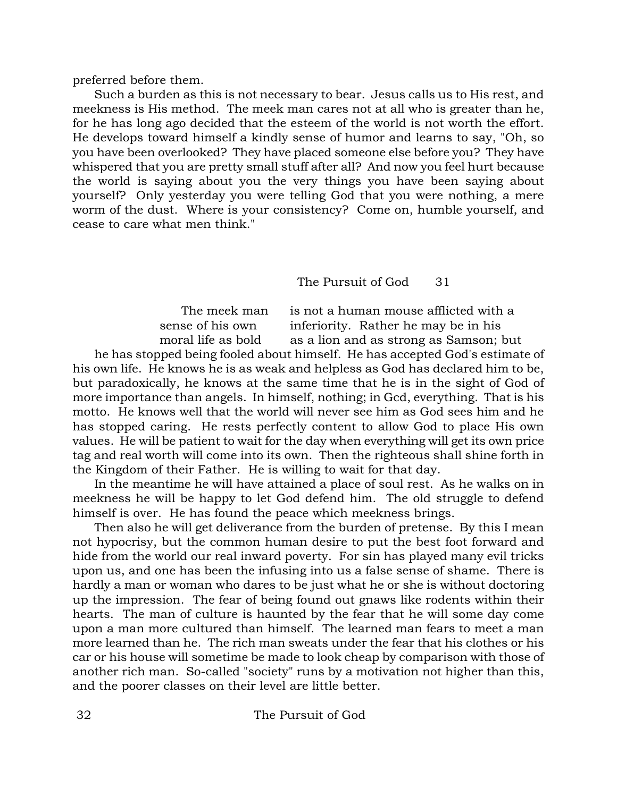preferred before them.

Such a burden as this is not necessary to bear. Jesus calls us to His rest, and meekness is His method. The meek man cares not at all who is greater than he, for he has long ago decided that the esteem of the world is not worth the effort. He develops toward himself a kindly sense of humor and learns to say, "Oh, so you have been overlooked? They have placed someone else before you? They have whispered that you are pretty small stuff after all? And now you feel hurt because the world is saying about you the very things you have been saying about yourself? Only yesterday you were telling God that you were nothing, a mere worm of the dust. Where is your consistency? Come on, humble yourself, and cease to care what men think."

### The Pursuit of God 31

The meek man is not a human mouse afflicted with a sense of his own inferiority. Rather he may be in his moral life as bold as a lion and as strong as Samson; but

he has stopped being fooled about himself. He has accepted God's estimate of his own life. He knows he is as weak and helpless as God has declared him to be, but paradoxically, he knows at the same time that he is in the sight of God of more importance than angels. In himself, nothing; in Gcd, everything. That is his motto. He knows well that the world will never see him as God sees him and he has stopped caring. He rests perfectly content to allow God to place His own values. He will be patient to wait for the day when everything will get its own price tag and real worth will come into its own. Then the righteous shall shine forth in the Kingdom of their Father. He is willing to wait for that day.

In the meantime he will have attained a place of soul rest. As he walks on in meekness he will be happy to let God defend him. The old struggle to defend himself is over. He has found the peace which meekness brings.

Then also he will get deliverance from the burden of pretense. By this I mean not hypocrisy, but the common human desire to put the best foot forward and hide from the world our real inward poverty. For sin has played many evil tricks upon us, and one has been the infusing into us a false sense of shame. There is hardly a man or woman who dares to be just what he or she is without doctoring up the impression. The fear of being found out gnaws like rodents within their hearts. The man of culture is haunted by the fear that he will some day come upon a man more cultured than himself. The learned man fears to meet a man more learned than he. The rich man sweats under the fear that his clothes or his car or his house will sometime be made to look cheap by comparison with those of another rich man. So-called "society" runs by a motivation not higher than this, and the poorer classes on their level are little better.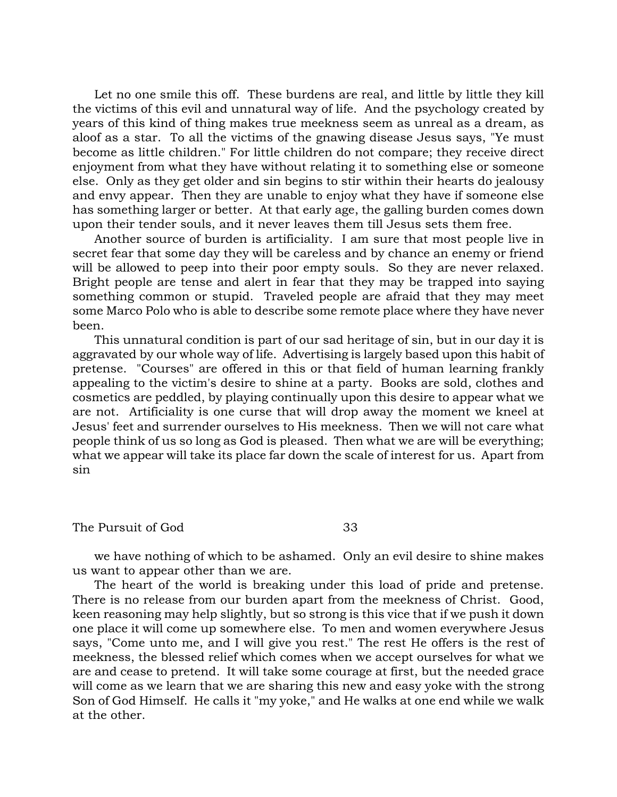Let no one smile this off. These burdens are real, and little by little they kill the victims of this evil and unnatural way of life. And the psychology created by years of this kind of thing makes true meekness seem as unreal as a dream, as aloof as a star. To all the victims of the gnawing disease Jesus says, "Ye must become as little children." For little children do not compare; they receive direct enjoyment from what they have without relating it to something else or someone else. Only as they get older and sin begins to stir within their hearts do jealousy and envy appear. Then they are unable to enjoy what they have if someone else has something larger or better. At that early age, the galling burden comes down upon their tender souls, and it never leaves them till Jesus sets them free.

Another source of burden is artificiality. I am sure that most people live in secret fear that some day they will be careless and by chance an enemy or friend will be allowed to peep into their poor empty souls. So they are never relaxed. Bright people are tense and alert in fear that they may be trapped into saying something common or stupid. Traveled people are afraid that they may meet some Marco Polo who is able to describe some remote place where they have never been.

This unnatural condition is part of our sad heritage of sin, but in our day it is aggravated by our whole way of life. Advertising is largely based upon this habit of pretense. "Courses" are offered in this or that field of human learning frankly appealing to the victim's desire to shine at a party. Books are sold, clothes and cosmetics are peddled, by playing continually upon this desire to appear what we are not. Artificiality is one curse that will drop away the moment we kneel at Jesus' feet and surrender ourselves to His meekness. Then we will not care what people think of us so long as God is pleased. Then what we are will be everything; what we appear will take its place far down the scale of interest for us. Apart from sin

### The Pursuit of God 33

we have nothing of which to be ashamed. Only an evil desire to shine makes us want to appear other than we are.

The heart of the world is breaking under this load of pride and pretense. There is no release from our burden apart from the meekness of Christ. Good, keen reasoning may help slightly, but so strong is this vice that if we push it down one place it will come up somewhere else. To men and women everywhere Jesus says, "Come unto me, and I will give you rest." The rest He offers is the rest of meekness, the blessed relief which comes when we accept ourselves for what we are and cease to pretend. It will take some courage at first, but the needed grace will come as we learn that we are sharing this new and easy yoke with the strong Son of God Himself. He calls it "my yoke," and He walks at one end while we walk at the other.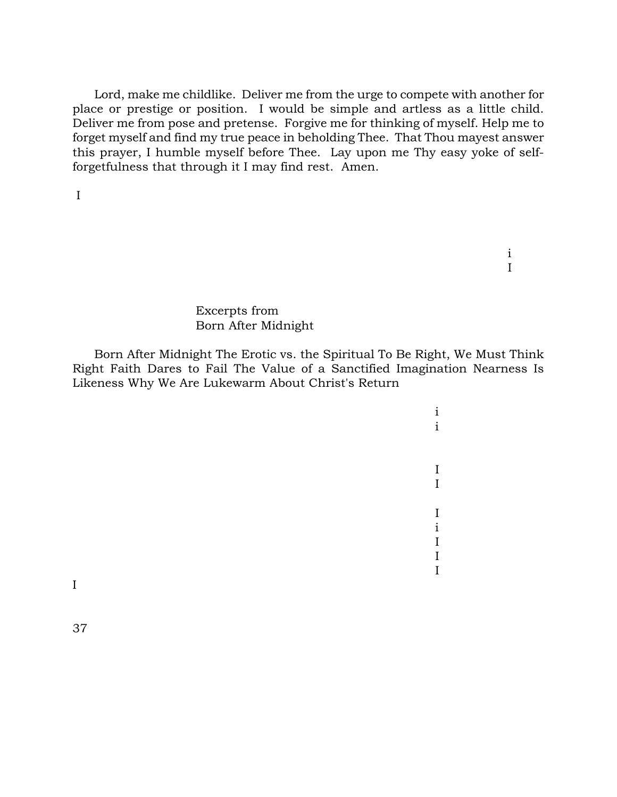Lord, make me childlike. Deliver me from the urge to compete with another for place or prestige or position. I would be simple and artless as a little child. Deliver me from pose and pretense. Forgive me for thinking of myself. Help me to forget myself and find my true peace in beholding Thee. That Thou mayest answer this prayer, I humble myself before Thee. Lay upon me Thy easy yoke of selfforgetfulness that through it I may find rest. Amen.

I

# Excerpts from Born After Midnight

Born After Midnight The Erotic vs. the Spiritual To Be Right, We Must Think Right Faith Dares to Fail The Value of a Sanctified Imagination Nearness Is Likeness Why We Are Lukewarm About Christ's Return

is a contract of the contract of the contract of  $\mathbf i$ 

i

I I

I i I I I i I

I

37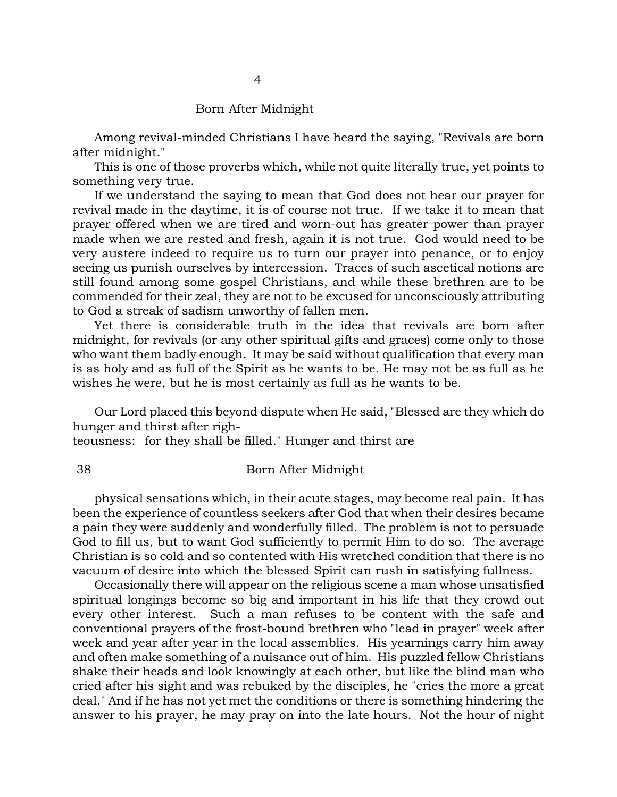#### Born After Midnight

Among revival-minded Christians I have heard the saying, "Revivals are born after midnight."

This is one of those proverbs which, while not quite literally true, yet points to something very true.

If we understand the saying to mean that God does not hear our prayer for revival made in the daytime, it is of course not true. If we take it to mean that prayer offered when we are tired and worn-out has greater power than prayer made when we are rested and fresh, again it is not true. God would need to be very austere indeed to require us to turn our prayer into penance, or to enjoy seeing us punish ourselves by intercession. Traces of such ascetical notions are still found among some gospel Christians, and while these brethren are to be commended for their zeal, they are not to be excused for unconsciously attributing to God a streak of sadism unworthy of fallen men.

Yet there is considerable truth in the idea that revivals are born after midnight, for revivals (or any other spiritual gifts and graces) come only to those who want them badly enough. It may be said without qualification that every man is as holy and as full of the Spirit as he wants to be. He may not be as full as he wishes he were, but he is most certainly as full as he wants to be.

Our Lord placed this beyond dispute when He said, "Blessed are they which do hunger and thirst after righ-

teousness: for they shall be filled." Hunger and thirst are

#### 38 Born After Midnight

physical sensations which, in their acute stages, may become real pain. It has been the experience of countless seekers after God that when their desires became a pain they were suddenly and wonderfully filled. The problem is not to persuade God to fill us, but to want God sufficiently to permit Him to do so. The average Christian is so cold and so contented with His wretched condition that there is no vacuum of desire into which the blessed Spirit can rush in satisfying fullness.

Occasionally there will appear on the religious scene a man whose unsatisfied spiritual longings become so big and important in his life that they crowd out every other interest. Such a man refuses to be content with the safe and conventional prayers of the frost-bound brethren who "lead in prayer" week after week and year after year in the local assemblies. His yearnings carry him away and often make something of a nuisance out of him. His puzzled fellow Christians shake their heads and look knowingly at each other, but like the blind man who cried after his sight and was rebuked by the disciples, he "cries the more a great deal." And if he has not yet met the conditions or there is something hindering the answer to his prayer, he may pray on into the late hours. Not the hour of night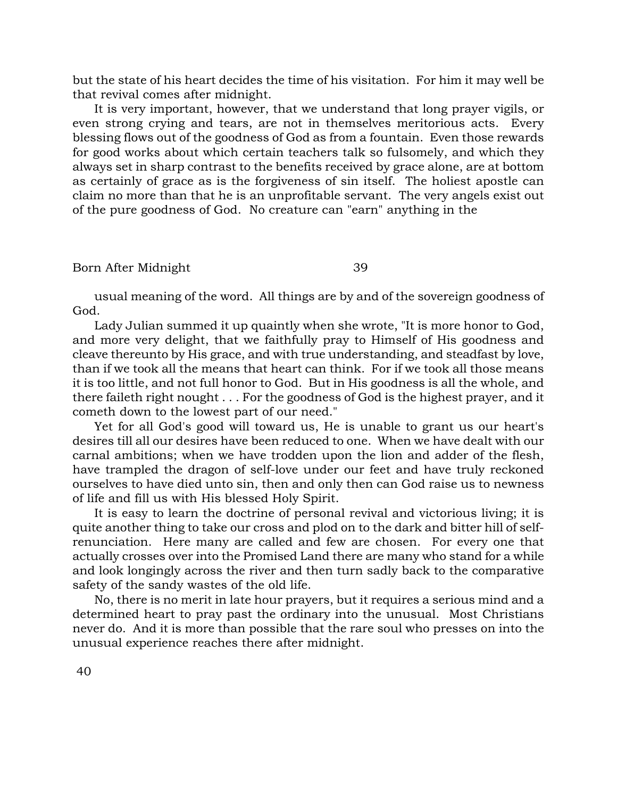but the state of his heart decides the time of his visitation. For him it may well be that revival comes after midnight.

It is very important, however, that we understand that long prayer vigils, or even strong crying and tears, are not in themselves meritorious acts. Every blessing flows out of the goodness of God as from a fountain. Even those rewards for good works about which certain teachers talk so fulsomely, and which they always set in sharp contrast to the benefits received by grace alone, are at bottom as certainly of grace as is the forgiveness of sin itself. The holiest apostle can claim no more than that he is an unprofitable servant. The very angels exist out of the pure goodness of God. No creature can "earn" anything in the

#### Born After Midnight 39

usual meaning of the word. All things are by and of the sovereign goodness of God.

Lady Julian summed it up quaintly when she wrote, "It is more honor to God, and more very delight, that we faithfully pray to Himself of His goodness and cleave thereunto by His grace, and with true understanding, and steadfast by love, than if we took all the means that heart can think. For if we took all those means it is too little, and not full honor to God. But in His goodness is all the whole, and there faileth right nought . . . For the goodness of God is the highest prayer, and it cometh down to the lowest part of our need."

Yet for all God's good will toward us, He is unable to grant us our heart's desires till all our desires have been reduced to one. When we have dealt with our carnal ambitions; when we have trodden upon the lion and adder of the flesh, have trampled the dragon of self-love under our feet and have truly reckoned ourselves to have died unto sin, then and only then can God raise us to newness of life and fill us with His blessed Holy Spirit.

It is easy to learn the doctrine of personal revival and victorious living; it is quite another thing to take our cross and plod on to the dark and bitter hill of selfrenunciation. Here many are called and few are chosen. For every one that actually crosses over into the Promised Land there are many who stand for a while and look longingly across the river and then turn sadly back to the comparative safety of the sandy wastes of the old life.

No, there is no merit in late hour prayers, but it requires a serious mind and a determined heart to pray past the ordinary into the unusual. Most Christians never do. And it is more than possible that the rare soul who presses on into the unusual experience reaches there after midnight.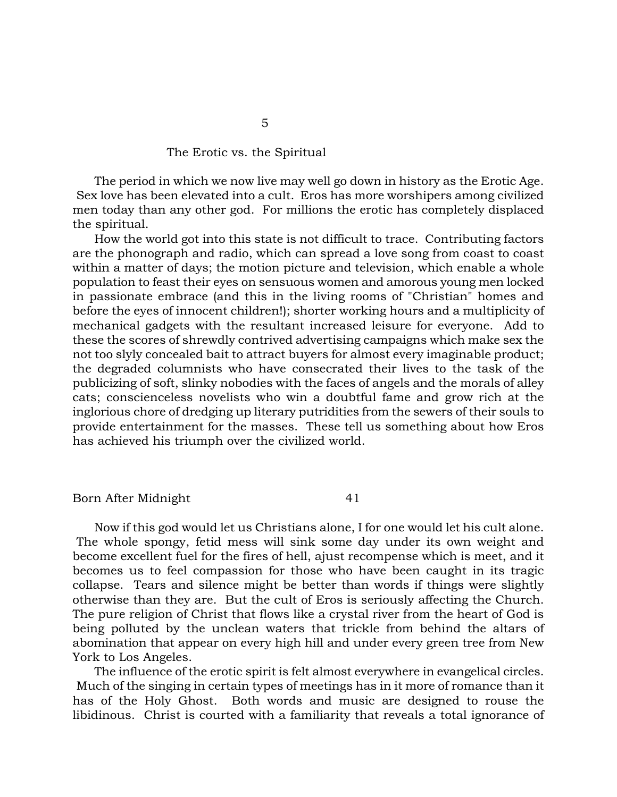#### The Erotic vs. the Spiritual

The period in which we now live may well go down in history as the Erotic Age. Sex love has been elevated into a cult. Eros has more worshipers among civilized men today than any other god. For millions the erotic has completely displaced the spiritual.

How the world got into this state is not difficult to trace. Contributing factors are the phonograph and radio, which can spread a love song from coast to coast within a matter of days; the motion picture and television, which enable a whole population to feast their eyes on sensuous women and amorous young men locked in passionate embrace (and this in the living rooms of "Christian" homes and before the eyes of innocent children!); shorter working hours and a multiplicity of mechanical gadgets with the resultant increased leisure for everyone. Add to these the scores of shrewdly contrived advertising campaigns which make sex the not too slyly concealed bait to attract buyers for almost every imaginable product; the degraded columnists who have consecrated their lives to the task of the publicizing of soft, slinky nobodies with the faces of angels and the morals of alley cats; conscienceless novelists who win a doubtful fame and grow rich at the inglorious chore of dredging up literary putridities from the sewers of their souls to provide entertainment for the masses. These tell us something about how Eros has achieved his triumph over the civilized world.

Born After Midnight 41

Now if this god would let us Christians alone, I for one would let his cult alone. The whole spongy, fetid mess will sink some day under its own weight and become excellent fuel for the fires of hell, ajust recompense which is meet, and it becomes us to feel compassion for those who have been caught in its tragic collapse. Tears and silence might be better than words if things were slightly otherwise than they are. But the cult of Eros is seriously affecting the Church. The pure religion of Christ that flows like a crystal river from the heart of God is being polluted by the unclean waters that trickle from behind the altars of abomination that appear on every high hill and under every green tree from New York to Los Angeles.

The influence of the erotic spirit is felt almost everywhere in evangelical circles. Much of the singing in certain types of meetings has in it more of romance than it has of the Holy Ghost. Both words and music are designed to rouse the libidinous. Christ is courted with a familiarity that reveals a total ignorance of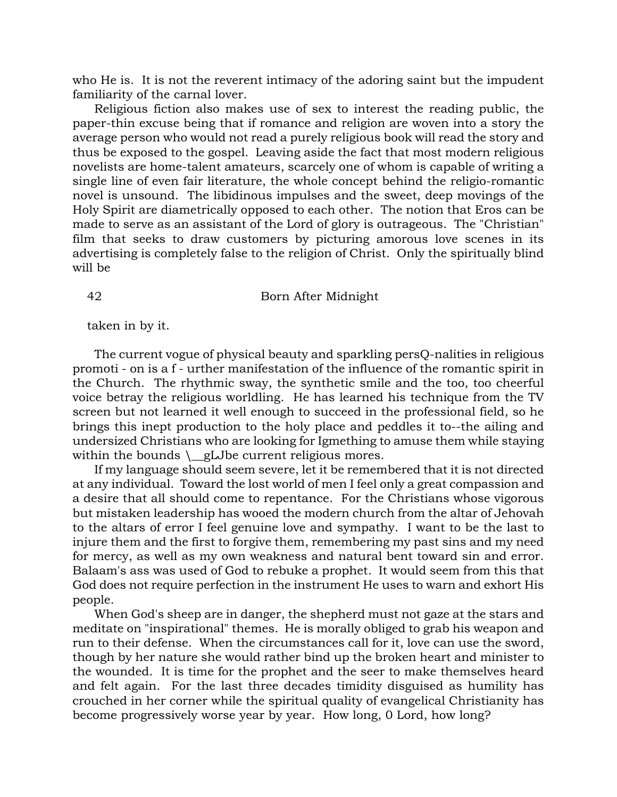who He is. It is not the reverent intimacy of the adoring saint but the impudent familiarity of the carnal lover.

Religious fiction also makes use of sex to interest the reading public, the paper-thin excuse being that if romance and religion are woven into a story the average person who would not read a purely religious book will read the story and thus be exposed to the gospel. Leaving aside the fact that most modern religious novelists are home-talent amateurs, scarcely one of whom is capable of writing a single line of even fair literature, the whole concept behind the religio-romantic novel is unsound. The libidinous impulses and the sweet, deep movings of the Holy Spirit are diametrically opposed to each other. The notion that Eros can be made to serve as an assistant of the Lord of glory is outrageous. The "Christian" film that seeks to draw customers by picturing amorous love scenes in its advertising is completely false to the religion of Christ. Only the spiritually blind will be

42 Born After Midnight

taken in by it.

The current vogue of physical beauty and sparkling persQ-nalities in religious promoti - on is a f - urther manifestation of the influence of the romantic spirit in the Church. The rhythmic sway, the synthetic smile and the too, too cheerful voice betray the religious worldling. He has learned his technique from the TV screen but not learned it well enough to succeed in the professional field, so he brings this inept production to the holy place and peddles it to--the ailing and undersized Christians who are looking for Igmething to amuse them while staying within the bounds \\_gLJbe current religious mores.

If my language should seem severe, let it be remembered that it is not directed at any individual. Toward the lost world of men I feel only a great compassion and a desire that all should come to repentance. For the Christians whose vigorous but mistaken leadership has wooed the modern church from the altar of Jehovah to the altars of error I feel genuine love and sympathy. I want to be the last to injure them and the first to forgive them, remembering my past sins and my need for mercy, as well as my own weakness and natural bent toward sin and error. Balaam's ass was used of God to rebuke a prophet. It would seem from this that God does not require perfection in the instrument He uses to warn and exhort His people.

When God's sheep are in danger, the shepherd must not gaze at the stars and meditate on "inspirational" themes. He is morally obliged to grab his weapon and run to their defense. When the circumstances call for it, love can use the sword, though by her nature she would rather bind up the broken heart and minister to the wounded. It is time for the prophet and the seer to make themselves heard and felt again. For the last three decades timidity disguised as humility has crouched in her corner while the spiritual quality of evangelical Christianity has become progressively worse year by year. How long, 0 Lord, how long?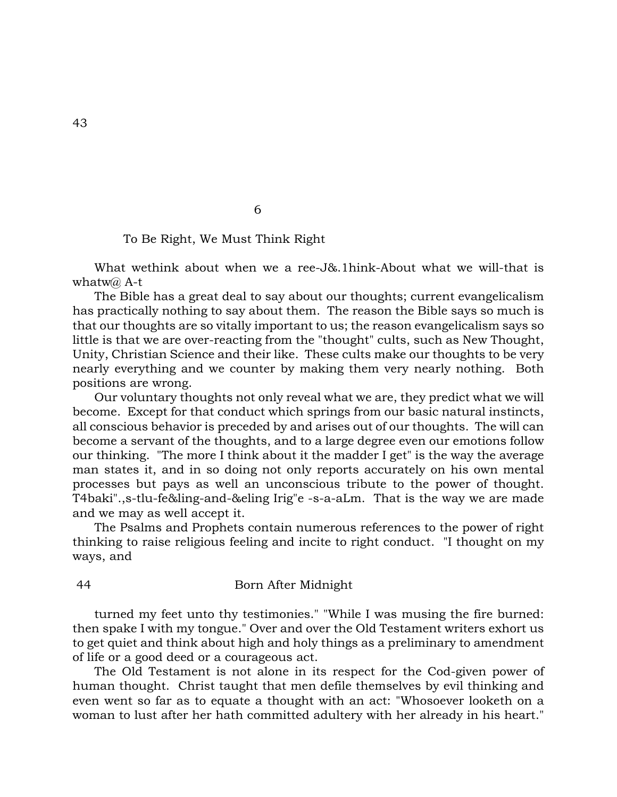6

### To Be Right, We Must Think Right

What wethink about when we a ree-J&.1hink-About what we will-that is whatw@ A-t

The Bible has a great deal to say about our thoughts; current evangelicalism has practically nothing to say about them. The reason the Bible says so much is that our thoughts are so vitally important to us; the reason evangelicalism says so little is that we are over-reacting from the "thought" cults, such as New Thought, Unity, Christian Science and their like. These cults make our thoughts to be very nearly everything and we counter by making them very nearly nothing. Both positions are wrong.

Our voluntary thoughts not only reveal what we are, they predict what we will become. Except for that conduct which springs from our basic natural instincts, all conscious behavior is preceded by and arises out of our thoughts. The will can become a servant of the thoughts, and to a large degree even our emotions follow our thinking. "The more I think about it the madder I get" is the way the average man states it, and in so doing not only reports accurately on his own mental processes but pays as well an unconscious tribute to the power of thought. T4baki".,s-tlu-fe&ling-and-&eling Irig"e -s-a-aLm. That is the way we are made and we may as well accept it.

The Psalms and Prophets contain numerous references to the power of right thinking to raise religious feeling and incite to right conduct. "I thought on my ways, and

#### 44 Born After Midnight

turned my feet unto thy testimonies." "While I was musing the fire burned: then spake I with my tongue." Over and over the Old Testament writers exhort us to get quiet and think about high and holy things as a preliminary to amendment of life or a good deed or a courageous act.

The Old Testament is not alone in its respect for the Cod-given power of human thought. Christ taught that men defile themselves by evil thinking and even went so far as to equate a thought with an act: "Whosoever looketh on a woman to lust after her hath committed adultery with her already in his heart."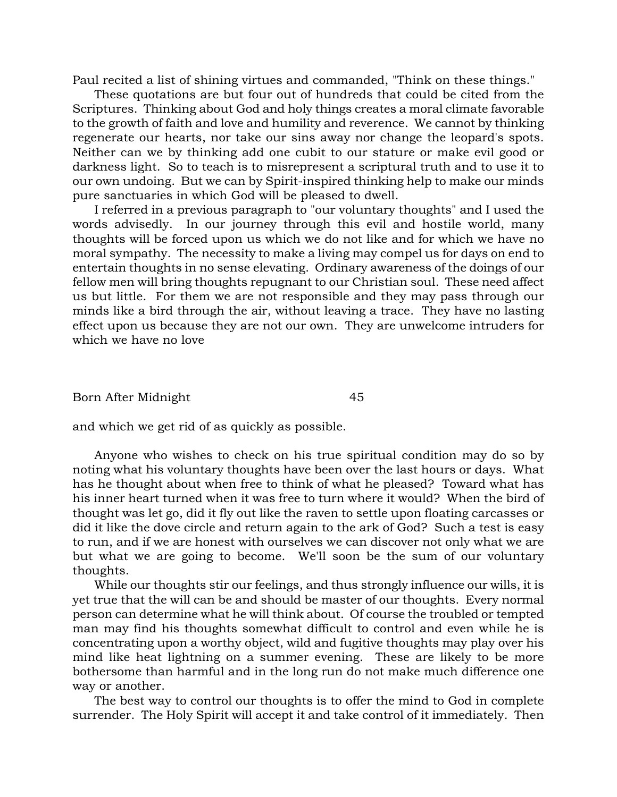Paul recited a list of shining virtues and commanded, "Think on these things."

These quotations are but four out of hundreds that could be cited from the Scriptures. Thinking about God and holy things creates a moral climate favorable to the growth of faith and love and humility and reverence. We cannot by thinking regenerate our hearts, nor take our sins away nor change the leopard's spots. Neither can we by thinking add one cubit to our stature or make evil good or darkness light. So to teach is to misrepresent a scriptural truth and to use it to our own undoing. But we can by Spirit-inspired thinking help to make our minds pure sanctuaries in which God will be pleased to dwell.

I referred in a previous paragraph to "our voluntary thoughts" and I used the words advisedly. In our journey through this evil and hostile world, many thoughts will be forced upon us which we do not like and for which we have no moral sympathy. The necessity to make a living may compel us for days on end to entertain thoughts in no sense elevating. Ordinary awareness of the doings of our fellow men will bring thoughts repugnant to our Christian soul. These need affect us but little. For them we are not responsible and they may pass through our minds like a bird through the air, without leaving a trace. They have no lasting effect upon us because they are not our own. They are unwelcome intruders for which we have no love

Born After Midnight 45

and which we get rid of as quickly as possible.

Anyone who wishes to check on his true spiritual condition may do so by noting what his voluntary thoughts have been over the last hours or days. What has he thought about when free to think of what he pleased? Toward what has his inner heart turned when it was free to turn where it would? When the bird of thought was let go, did it fly out like the raven to settle upon floating carcasses or did it like the dove circle and return again to the ark of God? Such a test is easy to run, and if we are honest with ourselves we can discover not only what we are but what we are going to become. We'll soon be the sum of our voluntary thoughts.

While our thoughts stir our feelings, and thus strongly influence our wills, it is yet true that the will can be and should be master of our thoughts. Every normal person can determine what he will think about. Of course the troubled or tempted man may find his thoughts somewhat difficult to control and even while he is concentrating upon a worthy object, wild and fugitive thoughts may play over his mind like heat lightning on a summer evening. These are likely to be more bothersome than harmful and in the long run do not make much difference one way or another.

The best way to control our thoughts is to offer the mind to God in complete surrender. The Holy Spirit will accept it and take control of it immediately. Then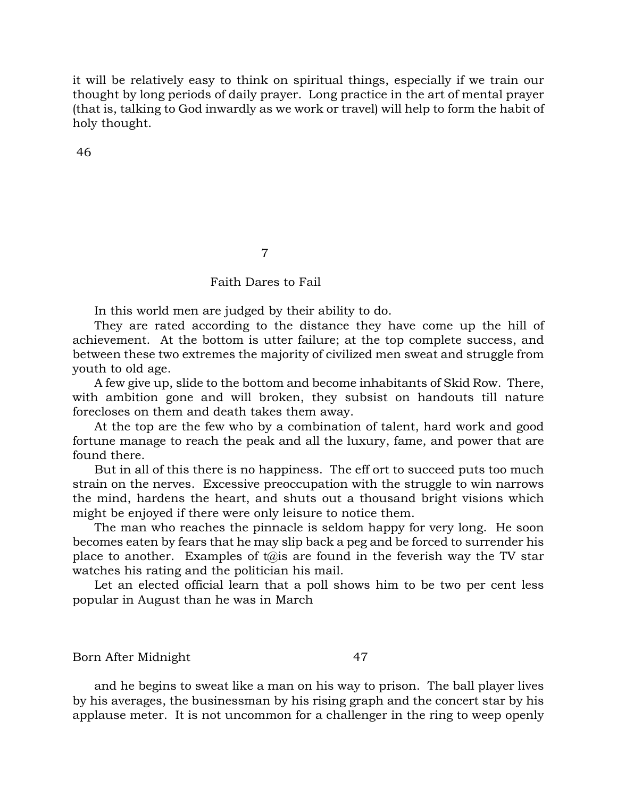it will be relatively easy to think on spiritual things, especially if we train our thought by long periods of daily prayer. Long practice in the art of mental prayer (that is, talking to God inwardly as we work or travel) will help to form the habit of holy thought.

46

7

Faith Dares to Fail

In this world men are judged by their ability to do.

They are rated according to the distance they have come up the hill of achievement. At the bottom is utter failure; at the top complete success, and between these two extremes the majority of civilized men sweat and struggle from youth to old age.

A few give up, slide to the bottom and become inhabitants of Skid Row. There, with ambition gone and will broken, they subsist on handouts till nature forecloses on them and death takes them away.

At the top are the few who by a combination of talent, hard work and good fortune manage to reach the peak and all the luxury, fame, and power that are found there.

But in all of this there is no happiness. The eff ort to succeed puts too much strain on the nerves. Excessive preoccupation with the struggle to win narrows the mind, hardens the heart, and shuts out a thousand bright visions which might be enjoyed if there were only leisure to notice them.

The man who reaches the pinnacle is seldom happy for very long. He soon becomes eaten by fears that he may slip back a peg and be forced to surrender his place to another. Examples of t@is are found in the feverish way the TV star watches his rating and the politician his mail.

Let an elected official learn that a poll shows him to be two per cent less popular in August than he was in March

Born After Midnight 47

and he begins to sweat like a man on his way to prison. The ball player lives by his averages, the businessman by his rising graph and the concert star by his applause meter. It is not uncommon for a challenger in the ring to weep openly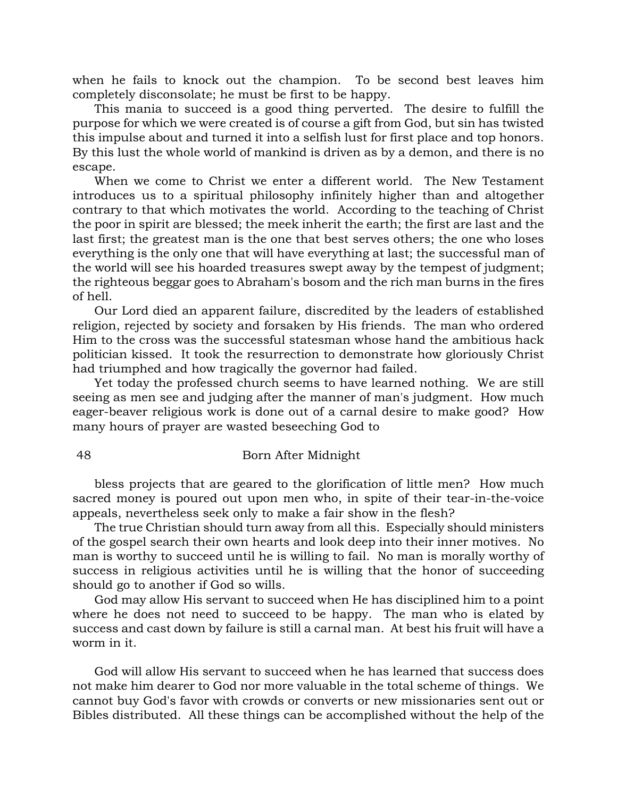when he fails to knock out the champion. To be second best leaves him completely disconsolate; he must be first to be happy.

This mania to succeed is a good thing perverted. The desire to fulfill the purpose for which we were created is of course a gift from God, but sin has twisted this impulse about and turned it into a selfish lust for first place and top honors. By this lust the whole world of mankind is driven as by a demon, and there is no escape.

When we come to Christ we enter a different world. The New Testament introduces us to a spiritual philosophy infinitely higher than and altogether contrary to that which motivates the world. According to the teaching of Christ the poor in spirit are blessed; the meek inherit the earth; the first are last and the last first; the greatest man is the one that best serves others; the one who loses everything is the only one that will have everything at last; the successful man of the world will see his hoarded treasures swept away by the tempest of judgment; the righteous beggar goes to Abraham's bosom and the rich man burns in the fires of hell.

Our Lord died an apparent failure, discredited by the leaders of established religion, rejected by society and forsaken by His friends. The man who ordered Him to the cross was the successful statesman whose hand the ambitious hack politician kissed. It took the resurrection to demonstrate how gloriously Christ had triumphed and how tragically the governor had failed.

Yet today the professed church seems to have learned nothing. We are still seeing as men see and judging after the manner of man's judgment. How much eager-beaver religious work is done out of a carnal desire to make good? How many hours of prayer are wasted beseeching God to

### 48 Born After Midnight

bless projects that are geared to the glorification of little men? How much sacred money is poured out upon men who, in spite of their tear-in-the-voice appeals, nevertheless seek only to make a fair show in the flesh?

The true Christian should turn away from all this. Especially should ministers of the gospel search their own hearts and look deep into their inner motives. No man is worthy to succeed until he is willing to fail. No man is morally worthy of success in religious activities until he is willing that the honor of succeeding should go to another if God so wills.

God may allow His servant to succeed when He has disciplined him to a point where he does not need to succeed to be happy. The man who is elated by success and cast down by failure is still a carnal man. At best his fruit will have a worm in it.

God will allow His servant to succeed when he has learned that success does not make him dearer to God nor more valuable in the total scheme of things. We cannot buy God's favor with crowds or converts or new missionaries sent out or Bibles distributed. All these things can be accomplished without the help of the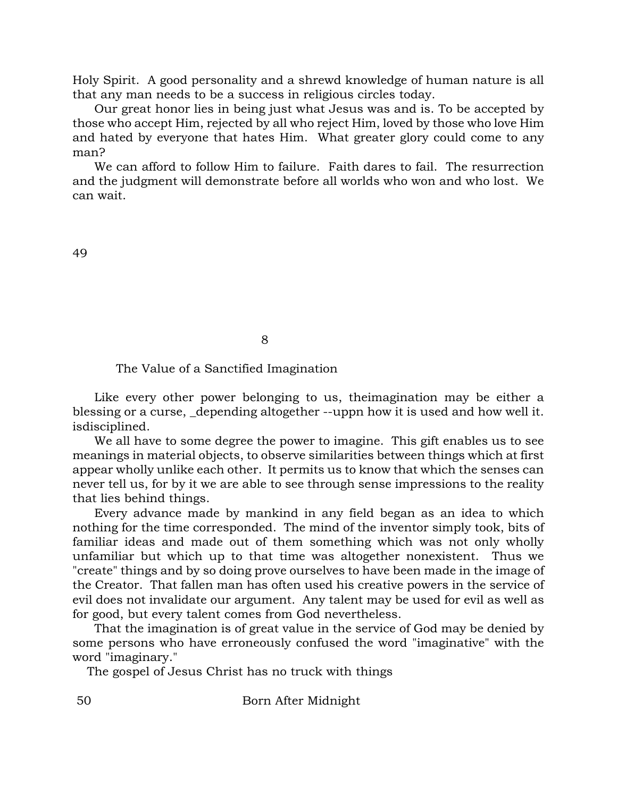Holy Spirit. A good personality and a shrewd knowledge of human nature is all that any man needs to be a success in religious circles today.

Our great honor lies in being just what Jesus was and is. To be accepted by those who accept Him, rejected by all who reject Him, loved by those who love Him and hated by everyone that hates Him. What greater glory could come to any man?

We can afford to follow Him to failure. Faith dares to fail. The resurrection and the judgment will demonstrate before all worlds who won and who lost. We can wait.

49

8

The Value of a Sanctified Imagination

Like every other power belonging to us, theimagination may be either a blessing or a curse, \_depending altogether --uppn how it is used and how well it. isdisciplined.

We all have to some degree the power to imagine. This gift enables us to see meanings in material objects, to observe similarities between things which at first appear wholly unlike each other. It permits us to know that which the senses can never tell us, for by it we are able to see through sense impressions to the reality that lies behind things.

Every advance made by mankind in any field began as an idea to which nothing for the time corresponded. The mind of the inventor simply took, bits of familiar ideas and made out of them something which was not only wholly unfamiliar but which up to that time was altogether nonexistent. Thus we "create" things and by so doing prove ourselves to have been made in the image of the Creator. That fallen man has often used his creative powers in the service of evil does not invalidate our argument. Any talent may be used for evil as well as for good, but every talent comes from God nevertheless.

That the imagination is of great value in the service of God may be denied by some persons who have erroneously confused the word "imaginative" with the word "imaginary."

The gospel of Jesus Christ has no truck with things

50 Born After Midnight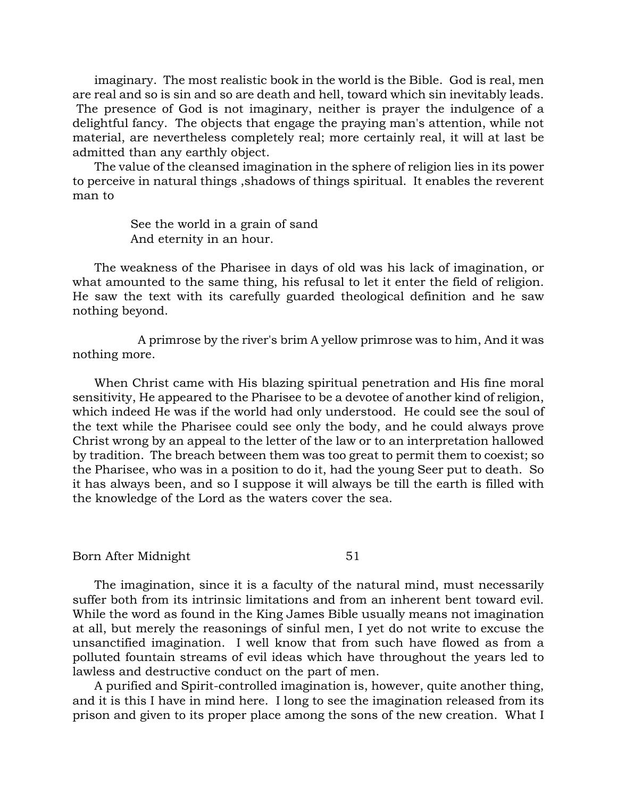imaginary. The most realistic book in the world is the Bible. God is real, men are real and so is sin and so are death and hell, toward which sin inevitably leads. The presence of God is not imaginary, neither is prayer the indulgence of a delightful fancy. The objects that engage the praying man's attention, while not material, are nevertheless completely real; more certainly real, it will at last be admitted than any earthly object.

The value of the cleansed imagination in the sphere of religion lies in its power to perceive in natural things ,shadows of things spiritual. It enables the reverent man to

> See the world in a grain of sand And eternity in an hour.

The weakness of the Pharisee in days of old was his lack of imagination, or what amounted to the same thing, his refusal to let it enter the field of religion. He saw the text with its carefully guarded theological definition and he saw nothing beyond.

A primrose by the river's brim A yellow primrose was to him, And it was nothing more.

When Christ came with His blazing spiritual penetration and His fine moral sensitivity, He appeared to the Pharisee to be a devotee of another kind of religion, which indeed He was if the world had only understood. He could see the soul of the text while the Pharisee could see only the body, and he could always prove Christ wrong by an appeal to the letter of the law or to an interpretation hallowed by tradition. The breach between them was too great to permit them to coexist; so the Pharisee, who was in a position to do it, had the young Seer put to death. So it has always been, and so I suppose it will always be till the earth is filled with the knowledge of the Lord as the waters cover the sea.

#### Born After Midnight 51

The imagination, since it is a faculty of the natural mind, must necessarily suffer both from its intrinsic limitations and from an inherent bent toward evil. While the word as found in the King James Bible usually means not imagination at all, but merely the reasonings of sinful men, I yet do not write to excuse the unsanctified imagination. I well know that from such have flowed as from a polluted fountain streams of evil ideas which have throughout the years led to lawless and destructive conduct on the part of men.

A purified and Spirit-controlled imagination is, however, quite another thing, and it is this I have in mind here. I long to see the imagination released from its prison and given to its proper place among the sons of the new creation. What I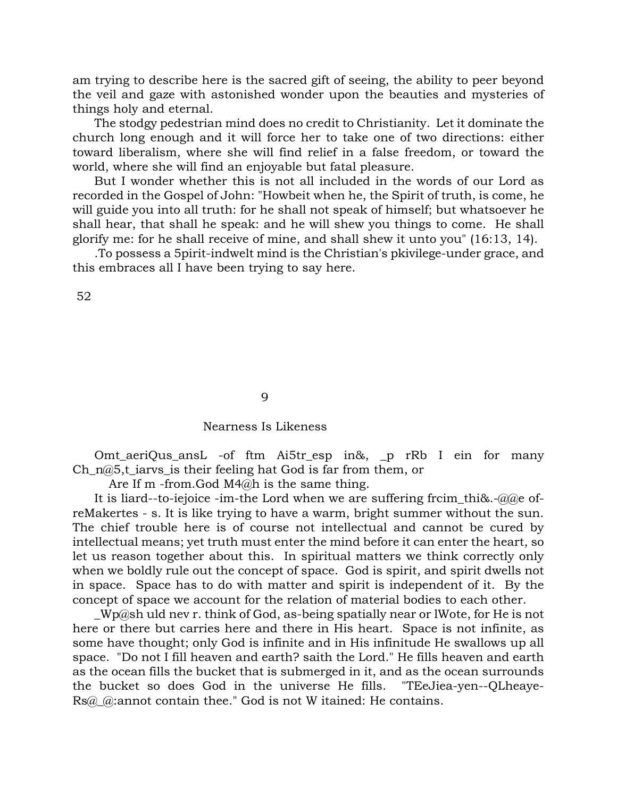am trying to describe here is the sacred gift of seeing, the ability to peer beyond the veil and gaze with astonished wonder upon the beauties and mysteries of things holy and eternal.

The stodgy pedestrian mind does no credit to Christianity. Let it dominate the church long enough and it will force her to take one of two directions: either toward liberalism, where she will find relief in a false freedom, or toward the world, where she will find an enjoyable but fatal pleasure.

But I wonder whether this is not all included in the words of our Lord as recorded in the Gospel of John: "Howbeit when he, the Spirit of truth, is come, he will guide you into all truth: for he shall not speak of himself; but whatsoever he shall hear, that shall he speak: and he will shew you things to come. He shall glorify me: for he shall receive of mine, and shall shew it unto you" (16:13, 14).

.To possess a 5pirit-indwelt mind is the Christian's pkivilege-under grace, and this embraces all I have been trying to say here.

52

#### 9

### Nearness Is Likeness

Omt\_aeriQus\_ansL -of ftm Ai5tr\_esp in&, \_p rRb I ein for many Ch\_n@5,t\_iarvs\_is their feeling hat God is far from them, or

Are If m -from. God M4@h is the same thing.

It is liard--to-iejoice -im-the Lord when we are suffering freim thi&.- $@@e$  ofreMakertes - s. It is like trying to have a warm, bright summer without the sun. The chief trouble here is of course not intellectual and cannot be cured by intellectual means; yet truth must enter the mind before it can enter the heart, so let us reason together about this. In spiritual matters we think correctly only when we boldly rule out the concept of space. God is spirit, and spirit dwells not in space. Space has to do with matter and spirit is independent of it. By the concept of space we account for the relation of material bodies to each other.

 $Wp@sh$  uld nev r. think of God, as-being spatially near or lWote, for He is not here or there but carries here and there in His heart. Space is not infinite, as some have thought; only God is infinite and in His infinitude He swallows up all space. "Do not I fill heaven and earth? saith the Lord." He fills heaven and earth as the ocean fills the bucket that is submerged in it, and as the ocean surrounds the bucket so does God in the universe He fills. "TEeJiea-yen--QLheaye-Rs@\_@:annot contain thee." God is not W itained: He contains.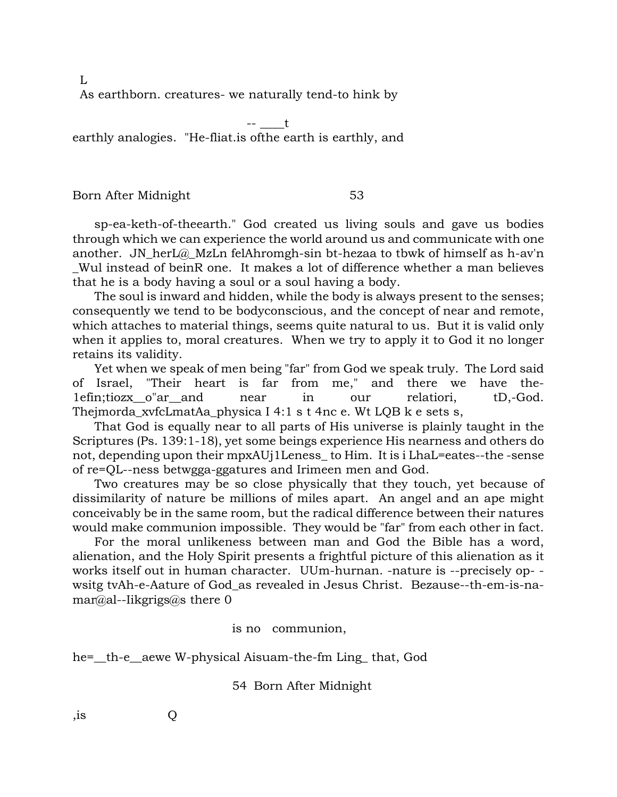$\mathbf{L}$ 

As earthborn. creatures- we naturally tend-to hink by

 $--$  t earthly analogies. "He-fliat.is ofthe earth is earthly, and

Born After Midnight 53

sp-ea-keth-of-theearth." God created us living souls and gave us bodies through which we can experience the world around us and communicate with one another. JN\_herL@\_MzLn felAhromgh-sin bt-hezaa to tbwk of himself as h-av'n \_Wul instead of beinR one. It makes a lot of difference whether a man believes that he is a body having a soul or a soul having a body.

The soul is inward and hidden, while the body is always present to the senses; consequently we tend to be bodyconscious, and the concept of near and remote, which attaches to material things, seems quite natural to us. But it is valid only when it applies to, moral creatures. When we try to apply it to God it no longer retains its validity.

Yet when we speak of men being "far" from God we speak truly. The Lord said of Israel, "Their heart is far from me," and there we have the-1efin;tiozx\_\_o"ar\_\_and near in our relatiori, tD,-God. Thejmorda\_xvfcLmatAa\_physica I 4:1 s t 4nc e. Wt LQB k e sets s,

That God is equally near to all parts of His universe is plainly taught in the Scriptures (Ps. 139:1-18), yet some beings experience His nearness and others do not, depending upon their mpxAUj1Leness\_ to Him. It is i LhaL=eates--the -sense of re=QL--ness betwgga-ggatures and Irimeen men and God.

Two creatures may be so close physically that they touch, yet because of dissimilarity of nature be millions of miles apart. An angel and an ape might conceivably be in the same room, but the radical difference between their natures would make communion impossible. They would be "far" from each other in fact.

For the moral unlikeness between man and God the Bible has a word, alienation, and the Holy Spirit presents a frightful picture of this alienation as it works itself out in human character. UUm-hurnan. -nature is --precisely op- wsitg tvAh-e-Aature of God\_as revealed in Jesus Christ. Bezause--th-em-is-na $mar@al$ -Iikgrigs@s there 0

is no communion,

he=\_\_th-e\_\_aewe W-physical Aisuam-the-fm Ling\_ that, God

54 Born After Midnight

 $\lambda$  is Q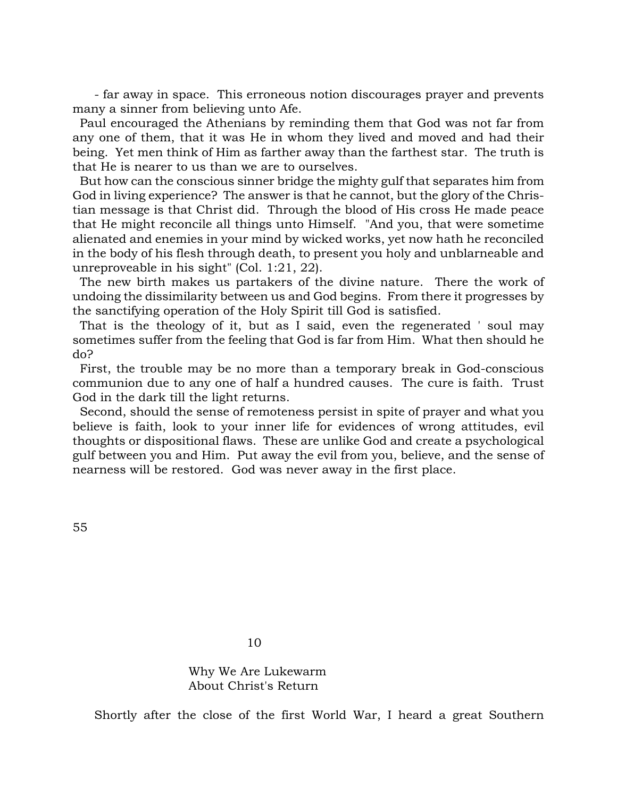- far away in space. This erroneous notion discourages prayer and prevents many a sinner from believing unto Afe.

Paul encouraged the Athenians by reminding them that God was not far from any one of them, that it was He in whom they lived and moved and had their being. Yet men think of Him as farther away than the farthest star. The truth is that He is nearer to us than we are to ourselves.

But how can the conscious sinner bridge the mighty gulf that separates him from God in living experience? The answer is that he cannot, but the glory of the Christian message is that Christ did. Through the blood of His cross He made peace that He might reconcile all things unto Himself. "And you, that were sometime alienated and enemies in your mind by wicked works, yet now hath he reconciled in the body of his flesh through death, to present you holy and unblarneable and unreproveable in his sight" (Col. 1:21, 22).

The new birth makes us partakers of the divine nature. There the work of undoing the dissimilarity between us and God begins. From there it progresses by the sanctifying operation of the Holy Spirit till God is satisfied.

That is the theology of it, but as I said, even the regenerated ' soul may sometimes suffer from the feeling that God is far from Him. What then should he do?

First, the trouble may be no more than a temporary break in God-conscious communion due to any one of half a hundred causes. The cure is faith. Trust God in the dark till the light returns.

Second, should the sense of remoteness persist in spite of prayer and what you believe is faith, look to your inner life for evidences of wrong attitudes, evil thoughts or dispositional flaws. These are unlike God and create a psychological gulf between you and Him. Put away the evil from you, believe, and the sense of nearness will be restored. God was never away in the first place.

55

Why We Are Lukewarm About Christ's Return

Shortly after the close of the first World War, I heard a great Southern

<sup>10</sup>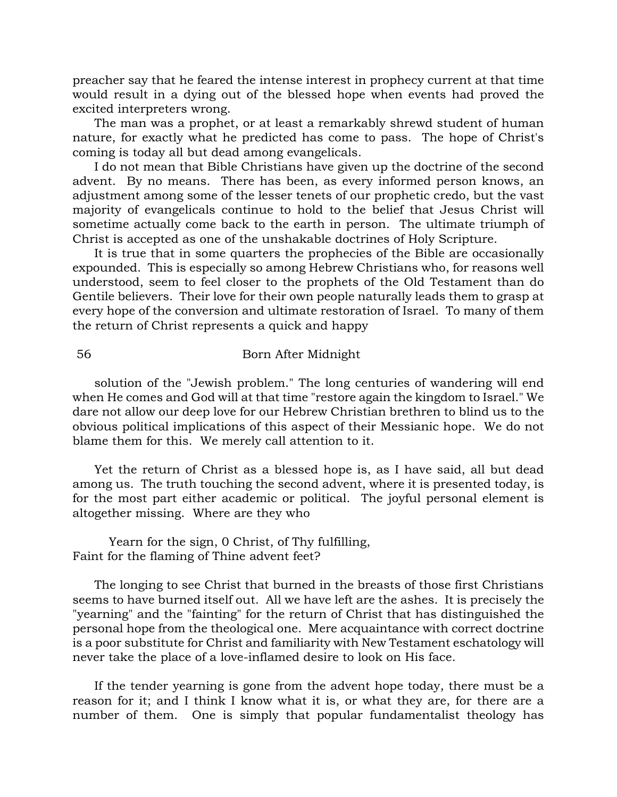preacher say that he feared the intense interest in prophecy current at that time would result in a dying out of the blessed hope when events had proved the excited interpreters wrong.

The man was a prophet, or at least a remarkably shrewd student of human nature, for exactly what he predicted has come to pass. The hope of Christ's coming is today all but dead among evangelicals.

I do not mean that Bible Christians have given up the doctrine of the second advent. By no means. There has been, as every informed person knows, an adjustment among some of the lesser tenets of our prophetic credo, but the vast majority of evangelicals continue to hold to the belief that Jesus Christ will sometime actually come back to the earth in person. The ultimate triumph of Christ is accepted as one of the unshakable doctrines of Holy Scripture.

It is true that in some quarters the prophecies of the Bible are occasionally expounded. This is especially so among Hebrew Christians who, for reasons well understood, seem to feel closer to the prophets of the Old Testament than do Gentile believers. Their love for their own people naturally leads them to grasp at every hope of the conversion and ultimate restoration of Israel. To many of them the return of Christ represents a quick and happy

### 56 Born After Midnight

solution of the "Jewish problem." The long centuries of wandering will end when He comes and God will at that time "restore again the kingdom to Israel." We dare not allow our deep love for our Hebrew Christian brethren to blind us to the obvious political implications of this aspect of their Messianic hope. We do not blame them for this. We merely call attention to it.

Yet the return of Christ as a blessed hope is, as I have said, all but dead among us. The truth touching the second advent, where it is presented today, is for the most part either academic or political. The joyful personal element is altogether missing. Where are they who

Yearn for the sign, 0 Christ, of Thy fulfilling, Faint for the flaming of Thine advent feet?

The longing to see Christ that burned in the breasts of those first Christians seems to have burned itself out. All we have left are the ashes. It is precisely the "yearning" and the "fainting" for the return of Christ that has distinguished the personal hope from the theological one. Mere acquaintance with correct doctrine is a poor substitute for Christ and familiarity with New Testament eschatology will never take the place of a love-inflamed desire to look on His face.

If the tender yearning is gone from the advent hope today, there must be a reason for it; and I think I know what it is, or what they are, for there are a number of them. One is simply that popular fundamentalist theology has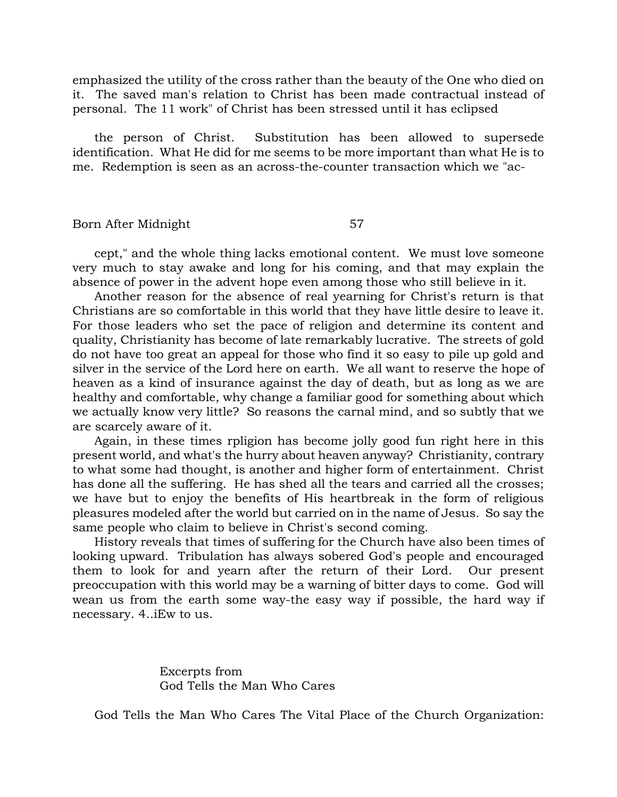emphasized the utility of the cross rather than the beauty of the One who died on it. The saved man's relation to Christ has been made contractual instead of personal. The 11 work" of Christ has been stressed until it has eclipsed

the person of Christ. Substitution has been allowed to supersede identification. What He did for me seems to be more important than what He is to me. Redemption is seen as an across-the-counter transaction which we "ac-

#### Born After Midnight 57

cept," and the whole thing lacks emotional content. We must love someone very much to stay awake and long for his coming, and that may explain the absence of power in the advent hope even among those who still believe in it.

Another reason for the absence of real yearning for Christ's return is that Christians are so comfortable in this world that they have little desire to leave it. For those leaders who set the pace of religion and determine its content and quality, Christianity has become of late remarkably lucrative. The streets of gold do not have too great an appeal for those who find it so easy to pile up gold and silver in the service of the Lord here on earth. We all want to reserve the hope of heaven as a kind of insurance against the day of death, but as long as we are healthy and comfortable, why change a familiar good for something about which we actually know very little? So reasons the carnal mind, and so subtly that we are scarcely aware of it.

Again, in these times rpligion has become jolly good fun right here in this present world, and what's the hurry about heaven anyway? Christianity, contrary to what some had thought, is another and higher form of entertainment. Christ has done all the suffering. He has shed all the tears and carried all the crosses; we have but to enjoy the benefits of His heartbreak in the form of religious pleasures modeled after the world but carried on in the name of Jesus. So say the same people who claim to believe in Christ's second coming.

History reveals that times of suffering for the Church have also been times of looking upward. Tribulation has always sobered God's people and encouraged them to look for and yearn after the return of their Lord. Our present preoccupation with this world may be a warning of bitter days to come. God will wean us from the earth some way-the easy way if possible, the hard way if necessary. 4..iEw to us.

> Excerpts from God Tells the Man Who Cares

God Tells the Man Who Cares The Vital Place of the Church Organization: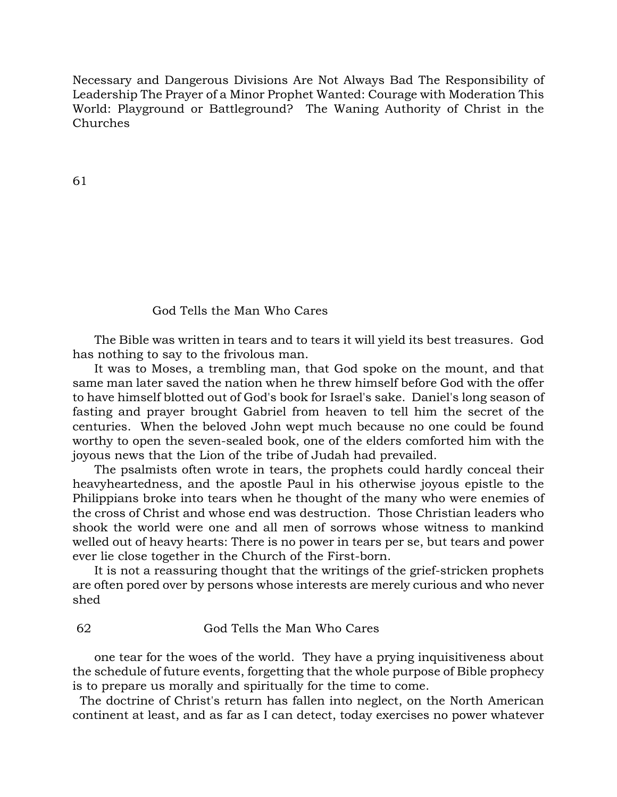Necessary and Dangerous Divisions Are Not Always Bad The Responsibility of Leadership The Prayer of a Minor Prophet Wanted: Courage with Moderation This World: Playground or Battleground? The Waning Authority of Christ in the Churches

61

### God Tells the Man Who Cares

The Bible was written in tears and to tears it will yield its best treasures. God has nothing to say to the frivolous man.

It was to Moses, a trembling man, that God spoke on the mount, and that same man later saved the nation when he threw himself before God with the offer to have himself blotted out of God's book for Israel's sake. Daniel's long season of fasting and prayer brought Gabriel from heaven to tell him the secret of the centuries. When the beloved John wept much because no one could be found worthy to open the seven-sealed book, one of the elders comforted him with the joyous news that the Lion of the tribe of Judah had prevailed.

The psalmists often wrote in tears, the prophets could hardly conceal their heavyheartedness, and the apostle Paul in his otherwise joyous epistle to the Philippians broke into tears when he thought of the many who were enemies of the cross of Christ and whose end was destruction. Those Christian leaders who shook the world were one and all men of sorrows whose witness to mankind welled out of heavy hearts: There is no power in tears per se, but tears and power ever lie close together in the Church of the First-born.

It is not a reassuring thought that the writings of the grief-stricken prophets are often pored over by persons whose interests are merely curious and who never shed

### 62 God Tells the Man Who Cares

one tear for the woes of the world. They have a prying inquisitiveness about the schedule of future events, forgetting that the whole purpose of Bible prophecy is to prepare us morally and spiritually for the time to come.

The doctrine of Christ's return has fallen into neglect, on the North American continent at least, and as far as I can detect, today exercises no power whatever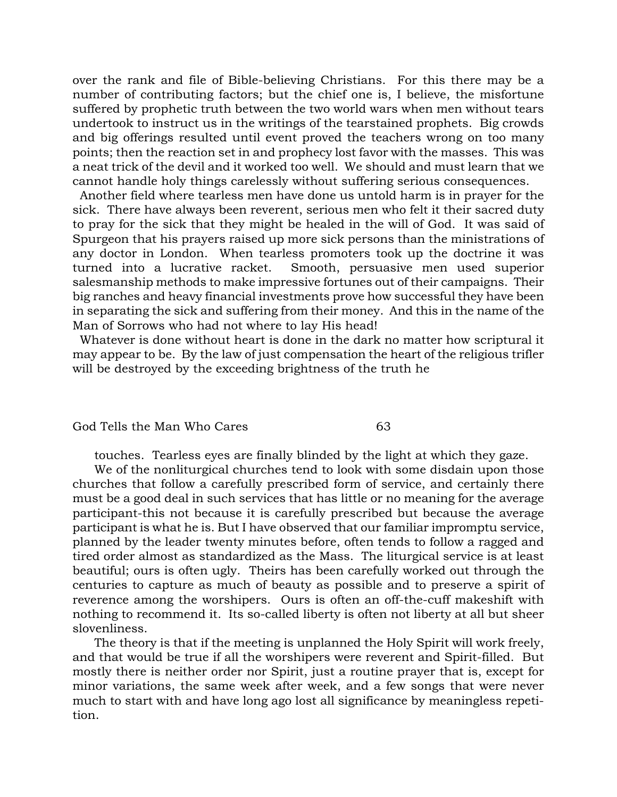over the rank and file of Bible-believing Christians. For this there may be a number of contributing factors; but the chief one is, I believe, the misfortune suffered by prophetic truth between the two world wars when men without tears undertook to instruct us in the writings of the tearstained prophets. Big crowds and big offerings resulted until event proved the teachers wrong on too many points; then the reaction set in and prophecy lost favor with the masses. This was a neat trick of the devil and it worked too well. We should and must learn that we cannot handle holy things carelessly without suffering serious consequences.

Another field where tearless men have done us untold harm is in prayer for the sick. There have always been reverent, serious men who felt it their sacred duty to pray for the sick that they might be healed in the will of God. It was said of Spurgeon that his prayers raised up more sick persons than the ministrations of any doctor in London. When tearless promoters took up the doctrine it was turned into a lucrative racket. Smooth, persuasive men used superior salesmanship methods to make impressive fortunes out of their campaigns. Their big ranches and heavy financial investments prove how successful they have been in separating the sick and suffering from their money. And this in the name of the Man of Sorrows who had not where to lay His head!

Whatever is done without heart is done in the dark no matter how scriptural it may appear to be. By the law of just compensation the heart of the religious trifler will be destroyed by the exceeding brightness of the truth he

God Tells the Man Who Cares 63

touches. Tearless eyes are finally blinded by the light at which they gaze.

We of the nonliturgical churches tend to look with some disdain upon those churches that follow a carefully prescribed form of service, and certainly there must be a good deal in such services that has little or no meaning for the average participant-this not because it is carefully prescribed but because the average participant is what he is. But I have observed that our familiar impromptu service, planned by the leader twenty minutes before, often tends to follow a ragged and tired order almost as standardized as the Mass. The liturgical service is at least beautiful; ours is often ugly. Theirs has been carefully worked out through the centuries to capture as much of beauty as possible and to preserve a spirit of reverence among the worshipers. Ours is often an off-the-cuff makeshift with nothing to recommend it. Its so-called liberty is often not liberty at all but sheer slovenliness.

The theory is that if the meeting is unplanned the Holy Spirit will work freely, and that would be true if all the worshipers were reverent and Spirit-filled. But mostly there is neither order nor Spirit, just a routine prayer that is, except for minor variations, the same week after week, and a few songs that were never much to start with and have long ago lost all significance by meaningless repetition.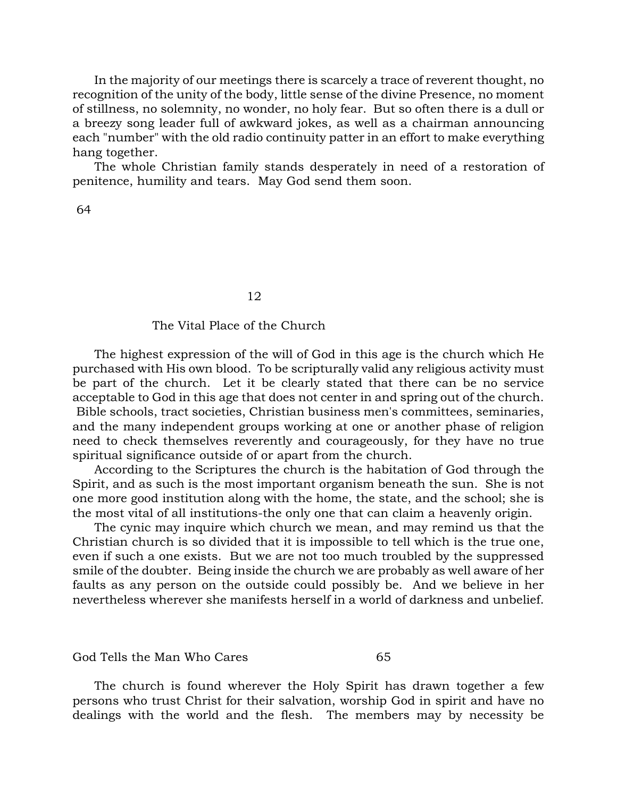In the majority of our meetings there is scarcely a trace of reverent thought, no recognition of the unity of the body, little sense of the divine Presence, no moment of stillness, no solemnity, no wonder, no holy fear. But so often there is a dull or a breezy song leader full of awkward jokes, as well as a chairman announcing each "number" with the old radio continuity patter in an effort to make everything hang together.

The whole Christian family stands desperately in need of a restoration of penitence, humility and tears. May God send them soon.

64

#### 12

#### The Vital Place of the Church

The highest expression of the will of God in this age is the church which He purchased with His own blood. To be scripturally valid any religious activity must be part of the church. Let it be clearly stated that there can be no service acceptable to God in this age that does not center in and spring out of the church. Bible schools, tract societies, Christian business men's committees, seminaries, and the many independent groups working at one or another phase of religion need to check themselves reverently and courageously, for they have no true spiritual significance outside of or apart from the church.

According to the Scriptures the church is the habitation of God through the Spirit, and as such is the most important organism beneath the sun. She is not one more good institution along with the home, the state, and the school; she is the most vital of all institutions-the only one that can claim a heavenly origin.

The cynic may inquire which church we mean, and may remind us that the Christian church is so divided that it is impossible to tell which is the true one, even if such a one exists. But we are not too much troubled by the suppressed smile of the doubter. Being inside the church we are probably as well aware of her faults as any person on the outside could possibly be. And we believe in her nevertheless wherever she manifests herself in a world of darkness and unbelief.

God Tells the Man Who Cares 65

The church is found wherever the Holy Spirit has drawn together a few persons who trust Christ for their salvation, worship God in spirit and have no dealings with the world and the flesh. The members may by necessity be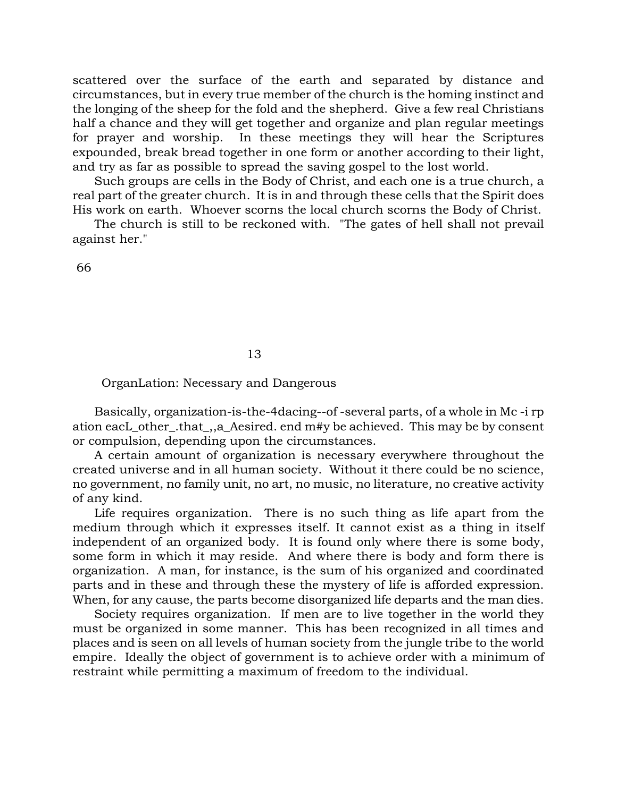scattered over the surface of the earth and separated by distance and circumstances, but in every true member of the church is the homing instinct and the longing of the sheep for the fold and the shepherd. Give a few real Christians half a chance and they will get together and organize and plan regular meetings for prayer and worship. In these meetings they will hear the Scriptures expounded, break bread together in one form or another according to their light, and try as far as possible to spread the saving gospel to the lost world.

Such groups are cells in the Body of Christ, and each one is a true church, a real part of the greater church. It is in and through these cells that the Spirit does His work on earth. Whoever scorns the local church scorns the Body of Christ.

The church is still to be reckoned with. "The gates of hell shall not prevail against her."

66

13

#### OrganLation: Necessary and Dangerous

Basically, organization-is-the-4dacing--of -several parts, of a whole in Mc -i rp ation eacL\_other\_.that\_,,a\_Aesired. end m#y be achieved. This may be by consent or compulsion, depending upon the circumstances.

A certain amount of organization is necessary everywhere throughout the created universe and in all human society. Without it there could be no science, no government, no family unit, no art, no music, no literature, no creative activity of any kind.

Life requires organization. There is no such thing as life apart from the medium through which it expresses itself. It cannot exist as a thing in itself independent of an organized body. It is found only where there is some body, some form in which it may reside. And where there is body and form there is organization. A man, for instance, is the sum of his organized and coordinated parts and in these and through these the mystery of life is afforded expression. When, for any cause, the parts become disorganized life departs and the man dies.

Society requires organization. If men are to live together in the world they must be organized in some manner. This has been recognized in all times and places and is seen on all levels of human society from the jungle tribe to the world empire. Ideally the object of government is to achieve order with a minimum of restraint while permitting a maximum of freedom to the individual.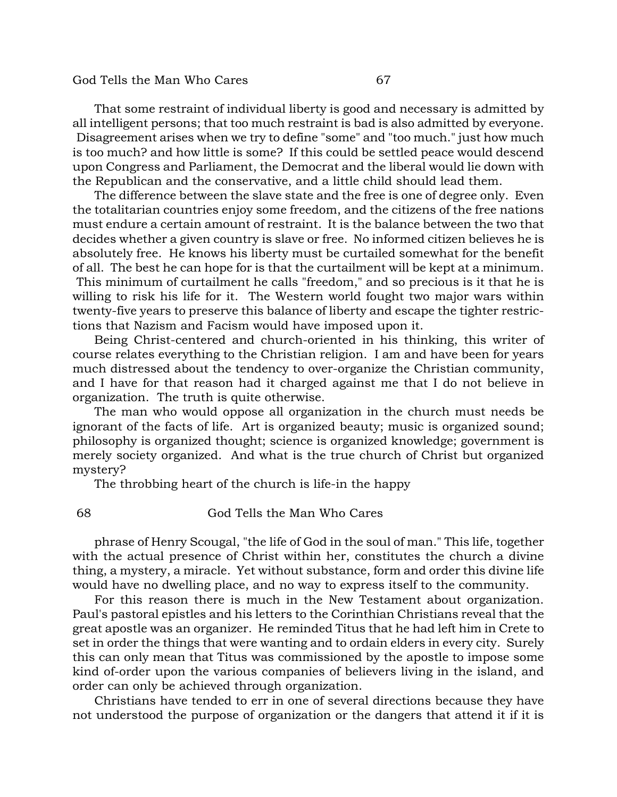That some restraint of individual liberty is good and necessary is admitted by all intelligent persons; that too much restraint is bad is also admitted by everyone. Disagreement arises when we try to define "some" and "too much." just how much

is too much? and how little is some? If this could be settled peace would descend upon Congress and Parliament, the Democrat and the liberal would lie down with the Republican and the conservative, and a little child should lead them.

The difference between the slave state and the free is one of degree only. Even the totalitarian countries enjoy some freedom, and the citizens of the free nations must endure a certain amount of restraint. It is the balance between the two that decides whether a given country is slave or free. No informed citizen believes he is absolutely free. He knows his liberty must be curtailed somewhat for the benefit of all. The best he can hope for is that the curtailment will be kept at a minimum. This minimum of curtailment he calls "freedom," and so precious is it that he is willing to risk his life for it. The Western world fought two major wars within twenty-five years to preserve this balance of liberty and escape the tighter restrictions that Nazism and Facism would have imposed upon it.

Being Christ-centered and church-oriented in his thinking, this writer of course relates everything to the Christian religion. I am and have been for years much distressed about the tendency to over-organize the Christian community, and I have for that reason had it charged against me that I do not believe in organization. The truth is quite otherwise.

The man who would oppose all organization in the church must needs be ignorant of the facts of life. Art is organized beauty; music is organized sound; philosophy is organized thought; science is organized knowledge; government is merely society organized. And what is the true church of Christ but organized mystery?

The throbbing heart of the church is life-in the happy

## 68 God Tells the Man Who Cares

phrase of Henry Scougal, "the life of God in the soul of man." This life, together with the actual presence of Christ within her, constitutes the church a divine thing, a mystery, a miracle. Yet without substance, form and order this divine life would have no dwelling place, and no way to express itself to the community.

For this reason there is much in the New Testament about organization. Paul's pastoral epistles and his letters to the Corinthian Christians reveal that the great apostle was an organizer. He reminded Titus that he had left him in Crete to set in order the things that were wanting and to ordain elders in every city. Surely this can only mean that Titus was commissioned by the apostle to impose some kind of-order upon the various companies of believers living in the island, and order can only be achieved through organization.

Christians have tended to err in one of several directions because they have not understood the purpose of organization or the dangers that attend it if it is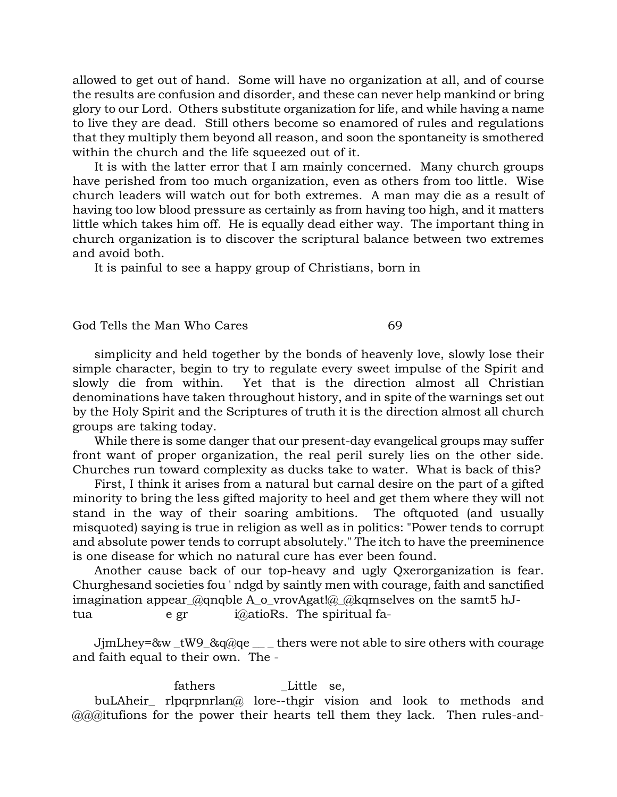allowed to get out of hand. Some will have no organization at all, and of course the results are confusion and disorder, and these can never help mankind or bring glory to our Lord. Others substitute organization for life, and while having a name to live they are dead. Still others become so enamored of rules and regulations that they multiply them beyond all reason, and soon the spontaneity is smothered within the church and the life squeezed out of it.

It is with the latter error that I am mainly concerned. Many church groups have perished from too much organization, even as others from too little. Wise church leaders will watch out for both extremes. A man may die as a result of having too low blood pressure as certainly as from having too high, and it matters little which takes him off. He is equally dead either way. The important thing in church organization is to discover the scriptural balance between two extremes and avoid both.

It is painful to see a happy group of Christians, born in

God Tells the Man Who Cares 69

simplicity and held together by the bonds of heavenly love, slowly lose their simple character, begin to try to regulate every sweet impulse of the Spirit and slowly die from within. Yet that is the direction almost all Christian denominations have taken throughout history, and in spite of the warnings set out by the Holy Spirit and the Scriptures of truth it is the direction almost all church groups are taking today.

While there is some danger that our present-day evangelical groups may suffer front want of proper organization, the real peril surely lies on the other side. Churches run toward complexity as ducks take to water. What is back of this?

First, I think it arises from a natural but carnal desire on the part of a gifted minority to bring the less gifted majority to heel and get them where they will not stand in the way of their soaring ambitions. The oftquoted (and usually misquoted) saying is true in religion as well as in politics: "Power tends to corrupt and absolute power tends to corrupt absolutely." The itch to have the preeminence is one disease for which no natural cure has ever been found.

Another cause back of our top-heavy and ugly Qxerorganization is fear. Churghesand societies fou ' ndgd by saintly men with courage, faith and sanctified imagination appear\_@qnqble A\_o\_vrovAgat!@\_@kqmselves on the samt5 hJtua e gr i@atioRs. The spiritual fa-

JjmLhey=&w\_tW9\_&q@qe  $\_\_$  thers were not able to sire others with courage and faith equal to their own. The -

fathers Little se, buLAheir\_ rlpqrpnrlan@ lore--thgir vision and look to methods and  $a\hat{a}a\hat{a}b$  itufions for the power their hearts tell them they lack. Then rules-and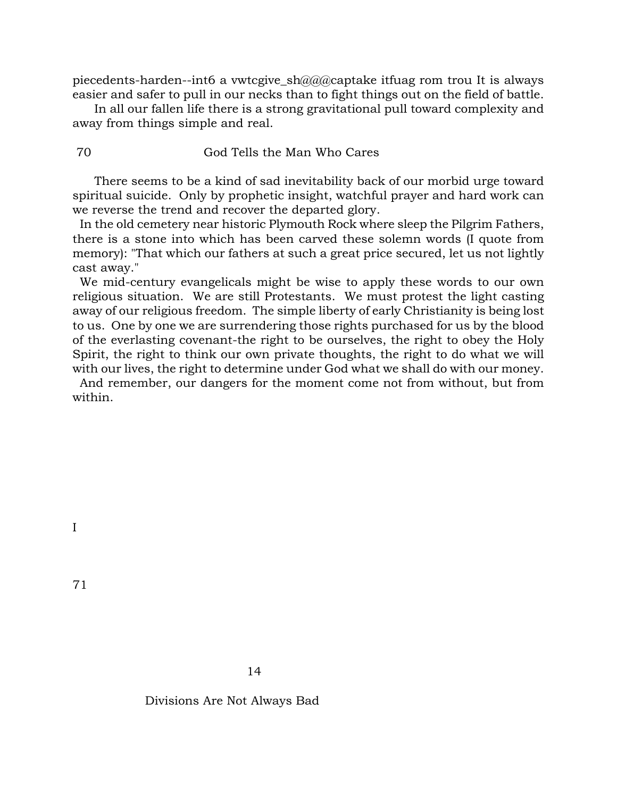piecedents-harden--int6 a vwtcgive\_sh $a\hat{a}a\hat{a}a$ captake itfuag rom trou It is always easier and safer to pull in our necks than to fight things out on the field of battle.

In all our fallen life there is a strong gravitational pull toward complexity and away from things simple and real.

70 God Tells the Man Who Cares

There seems to be a kind of sad inevitability back of our morbid urge toward spiritual suicide. Only by prophetic insight, watchful prayer and hard work can we reverse the trend and recover the departed glory.

In the old cemetery near historic Plymouth Rock where sleep the Pilgrim Fathers, there is a stone into which has been carved these solemn words (I quote from memory): "That which our fathers at such a great price secured, let us not lightly cast away."

We mid-century evangelicals might be wise to apply these words to our own religious situation. We are still Protestants. We must protest the light casting away of our religious freedom. The simple liberty of early Christianity is being lost to us. One by one we are surrendering those rights purchased for us by the blood of the everlasting covenant-the right to be ourselves, the right to obey the Holy Spirit, the right to think our own private thoughts, the right to do what we will with our lives, the right to determine under God what we shall do with our money.

And remember, our dangers for the moment come not from without, but from within.

I

71

Divisions Are Not Always Bad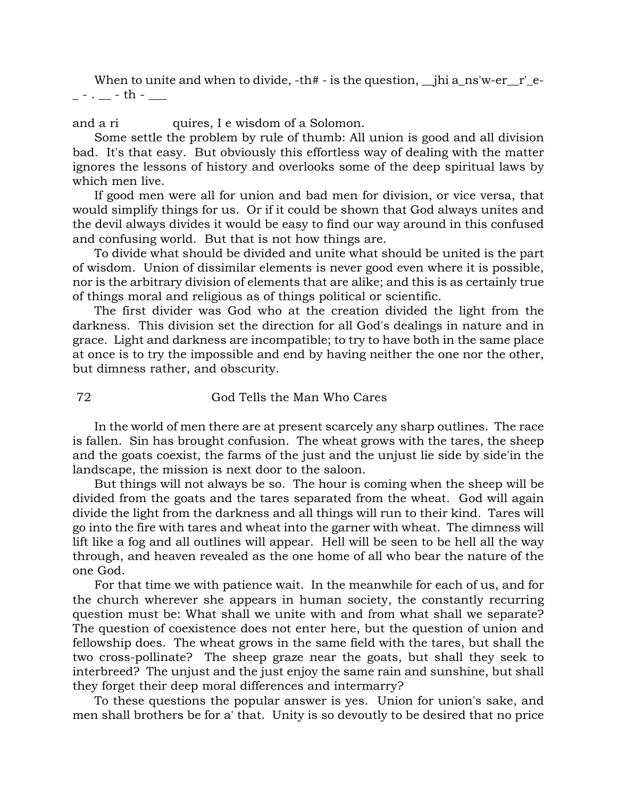When to unite and when to divide,  $-th#$  - is the question,  $\Box$  ini a\_ns'w-er\_r'\_e- $\_$  -  $\.$   $\_$  - th -  $\_$ 

and a ri quires, I e wisdom of a Solomon.

Some settle the problem by rule of thumb: All union is good and all division bad. It's that easy. But obviously this effortless way of dealing with the matter ignores the lessons of history and overlooks some of the deep spiritual laws by which men live.

If good men were all for union and bad men for division, or vice versa, that would simplify things for us. Or if it could be shown that God always unites and the devil always divides it would be easy to find our way around in this confused and confusing world. But that is not how things are.

To divide what should be divided and unite what should be united is the part of wisdom. Union of dissimilar elements is never good even where it is possible, nor is the arbitrary division of elements that are alike; and this is as certainly true of things moral and religious as of things political or scientific.

The first divider was God who at the creation divided the light from the darkness. This division set the direction for all God's dealings in nature and in grace. Light and darkness are incompatible; to try to have both in the same place at once is to try the impossible and end by having neither the one nor the other, but dimness rather, and obscurity.

72 God Tells the Man Who Cares

In the world of men there are at present scarcely any sharp outlines. The race is fallen. Sin has brought confusion. The wheat grows with the tares, the sheep and the goats coexist, the farms of the just and the unjust lie side by side'in the landscape, the mission is next door to the saloon.

But things will not always be so. The hour is coming when the sheep will be divided from the goats and the tares separated from the wheat. God will again divide the light from the darkness and all things will run to their kind. Tares will go into the fire with tares and wheat into the garner with wheat. The dimness will lift like a fog and all outlines will appear. Hell will be seen to be hell all the way through, and heaven revealed as the one home of all who bear the nature of the one God.

For that time we with patience wait. In the meanwhile for each of us, and for the church wherever she appears in human society, the constantly recurring question must be: What shall we unite with and from what shall we separate? The question of coexistence does not enter here, but the question of union and fellowship does. The wheat grows in the same field with the tares, but shall the two cross-pollinate? The sheep graze near the goats, but shall they seek to interbreed? The unjust and the just enjoy the same rain and sunshine, but shall they forget their deep moral differences and intermarry?

To these questions the popular answer is yes. Union for union's sake, and men shall brothers be for a' that. Unity is so devoutly to be desired that no price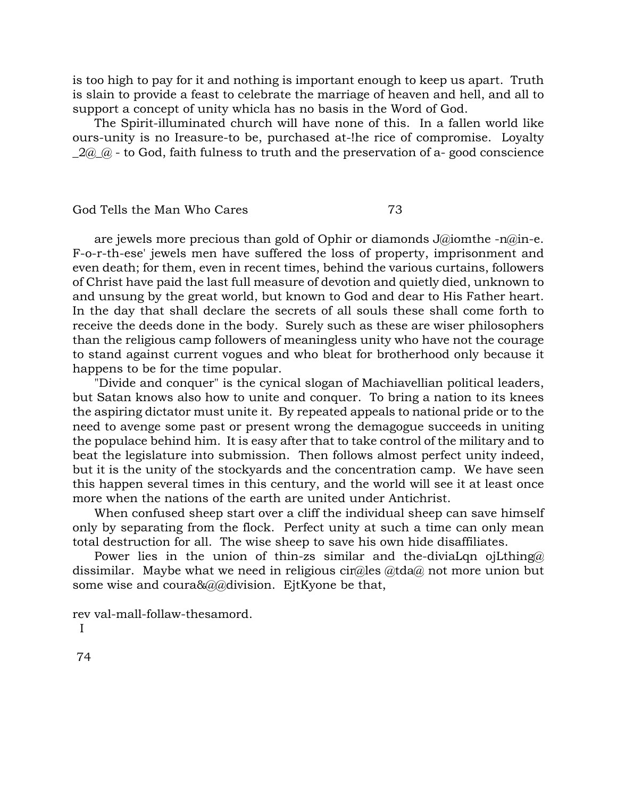is too high to pay for it and nothing is important enough to keep us apart. Truth is slain to provide a feast to celebrate the marriage of heaven and hell, and all to support a concept of unity whicla has no basis in the Word of God.

The Spirit-illuminated church will have none of this. In a fallen world like ours-unity is no Ireasure-to be, purchased at-!he rice of compromise. Loyalty  $\alpha$ <sub>2</sub>@  $\alpha$  - to God, faith fulness to truth and the preservation of a- good conscience

## God Tells the Man Who Cares 73

are jewels more precious than gold of Ophir or diamonds  $J(\hat{a})$  ionthe -n $\hat{a}$  in-e. F-o-r-th-ese' jewels men have suffered the loss of property, imprisonment and even death; for them, even in recent times, behind the various curtains, followers of Christ have paid the last full measure of devotion and quietly died, unknown to and unsung by the great world, but known to God and dear to His Father heart. In the day that shall declare the secrets of all souls these shall come forth to receive the deeds done in the body. Surely such as these are wiser philosophers than the religious camp followers of meaningless unity who have not the courage to stand against current vogues and who bleat for brotherhood only because it happens to be for the time popular.

"Divide and conquer" is the cynical slogan of Machiavellian political leaders, but Satan knows also how to unite and conquer. To bring a nation to its knees the aspiring dictator must unite it. By repeated appeals to national pride or to the need to avenge some past or present wrong the demagogue succeeds in uniting the populace behind him. It is easy after that to take control of the military and to beat the legislature into submission. Then follows almost perfect unity indeed, but it is the unity of the stockyards and the concentration camp. We have seen this happen several times in this century, and the world will see it at least once more when the nations of the earth are united under Antichrist.

When confused sheep start over a cliff the individual sheep can save himself only by separating from the flock. Perfect unity at such a time can only mean total destruction for all. The wise sheep to save his own hide disaffiliates.

Power lies in the union of thin-zs similar and the-diviaLqn ojLthing@ dissimilar. Maybe what we need in religious cir@les @tda@ not more union but some wise and coura&@@division. EjtKyone be that,

rev val-mall-follaw-thesamord.

I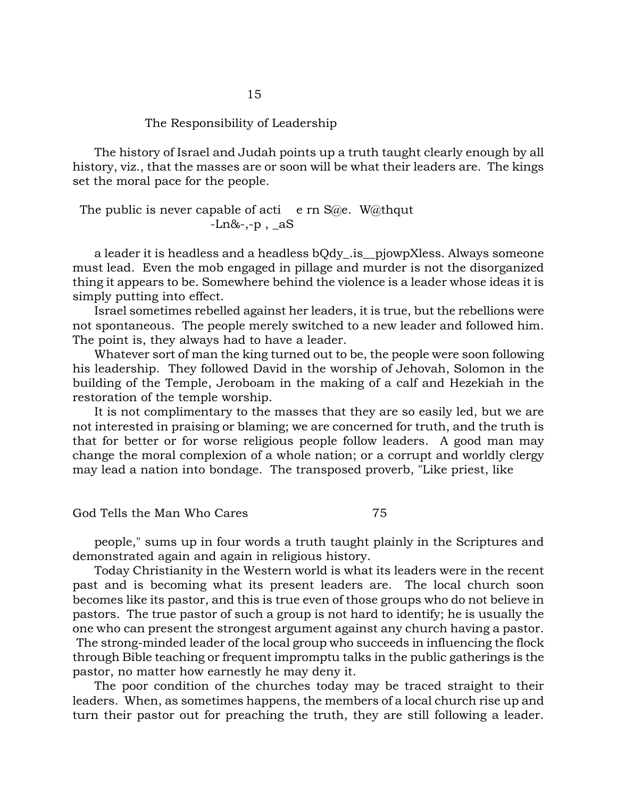#### The Responsibility of Leadership

The history of Israel and Judah points up a truth taught clearly enough by all history, viz., that the masses are or soon will be what their leaders are. The kings set the moral pace for the people.

The public is never capable of acti e rn  $\aleph a$ e. W@thqut  $-Ln\&-,-p$  ,  $\_aS$ 

a leader it is headless and a headless bQdy\_.is\_\_pjowpXless. Always someone must lead. Even the mob engaged in pillage and murder is not the disorganized thing it appears to be. Somewhere behind the violence is a leader whose ideas it is simply putting into effect.

Israel sometimes rebelled against her leaders, it is true, but the rebellions were not spontaneous. The people merely switched to a new leader and followed him. The point is, they always had to have a leader.

Whatever sort of man the king turned out to be, the people were soon following his leadership. They followed David in the worship of Jehovah, Solomon in the building of the Temple, Jeroboam in the making of a calf and Hezekiah in the restoration of the temple worship.

It is not complimentary to the masses that they are so easily led, but we are not interested in praising or blaming; we are concerned for truth, and the truth is that for better or for worse religious people follow leaders. A good man may change the moral complexion of a whole nation; or a corrupt and worldly clergy may lead a nation into bondage. The transposed proverb, "Like priest, like

God Tells the Man Who Cares 75

people," sums up in four words a truth taught plainly in the Scriptures and demonstrated again and again in religious history.

Today Christianity in the Western world is what its leaders were in the recent past and is becoming what its present leaders are. The local church soon becomes like its pastor, and this is true even of those groups who do not believe in pastors. The true pastor of such a group is not hard to identify; he is usually the one who can present the strongest argument against any church having a pastor. The strong-minded leader of the local group who succeeds in influencing the flock through Bible teaching or frequent impromptu talks in the public gatherings is the pastor, no matter how earnestly he may deny it.

The poor condition of the churches today may be traced straight to their leaders. When, as sometimes happens, the members of a local church rise up and turn their pastor out for preaching the truth, they are still following a leader.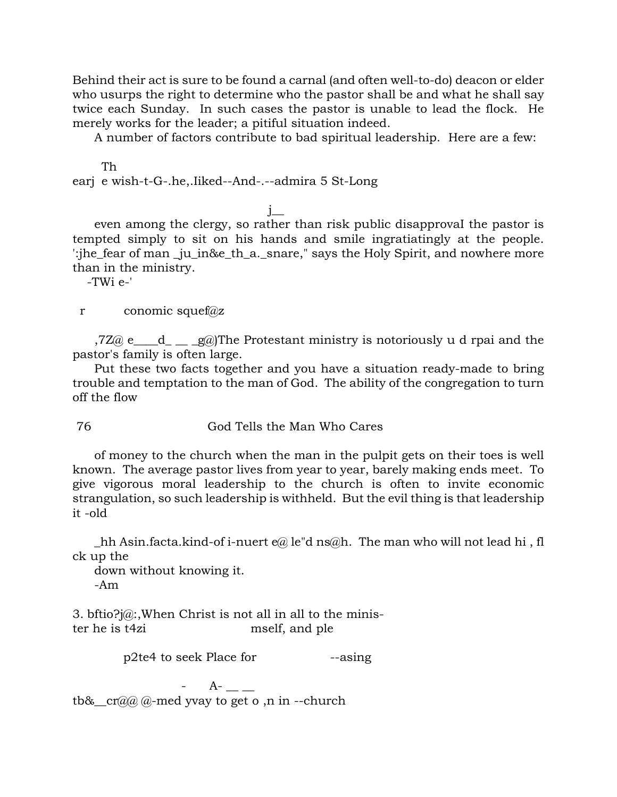Behind their act is sure to be found a carnal (and often well-to-do) deacon or elder who usurps the right to determine who the pastor shall be and what he shall say twice each Sunday. In such cases the pastor is unable to lead the flock. He merely works for the leader; a pitiful situation indeed.

A number of factors contribute to bad spiritual leadership. Here are a few:

Th earj e wish-t-G-.he,.Iiked--And-.--admira 5 St-Long

j\_\_

even among the clergy, so rather than risk public disapprovaI the pastor is tempted simply to sit on his hands and smile ingratiatingly at the people. ':jhe\_fear of man \_ju\_in&e\_th\_a.\_snare," says the Holy Spirit, and nowhere more than in the ministry.

-TWi e-'

r conomic squef@z

,7Z@ e\_\_\_\_d\_ \_\_ \_g@)The Protestant ministry is notoriously u d rpai and the pastor's family is often large.

Put these two facts together and you have a situation ready-made to bring trouble and temptation to the man of God. The ability of the congregation to turn off the flow

76 God Tells the Man Who Cares

of money to the church when the man in the pulpit gets on their toes is well known. The average pastor lives from year to year, barely making ends meet. To give vigorous moral leadership to the church is often to invite economic strangulation, so such leadership is withheld. But the evil thing is that leadership it -old

hh Asin.facta.kind-of i-nuert  $e@$  le"d ns $@h$ . The man who will not lead hi, fl ck up the

down without knowing it. -Am

3. bftio?j@:,When Christ is not all in all to the minister he is t4zi mself, and ple

p2te4 to seek Place for --asing

 $A-$  \_\_ \_\_ tb $\&$ \_cr@@ @-med yvay to get o ,n in --church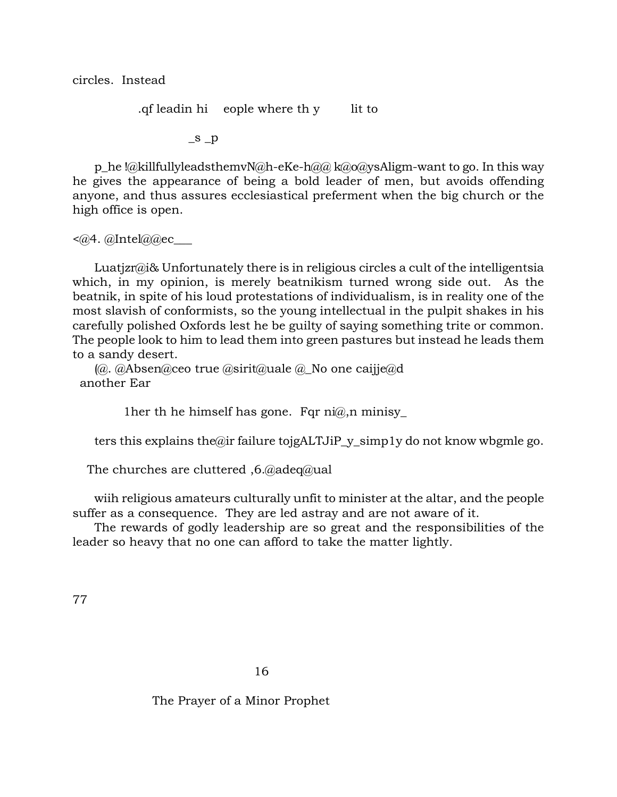circles. Instead

.qf leadin hi eople where thy lit to

 $S_p$ 

p\_he !@killfullyleadsthemvN@h-eKe-h@@ k@o@ysAligm-want to go. In this way he gives the appearance of being a bold leader of men, but avoids offending anyone, and thus assures ecclesiastical preferment when the big church or the high office is open.

<@4. @Intel@@ec\_\_\_

Luatjzr@i& Unfortunately there is in religious circles a cult of the intelligentsia which, in my opinion, is merely beatnikism turned wrong side out. As the beatnik, in spite of his loud protestations of individualism, is in reality one of the most slavish of conformists, so the young intellectual in the pulpit shakes in his carefully polished Oxfords lest he be guilty of saying something trite or common. The people look to him to lead them into green pastures but instead he leads them to a sandy desert.

 $(a)$ . @Absen@ceo true @sirit@uale @\_No one caijje@d another Ear

1her th he himself has gone. Fqr  $ni(a)$ , n minisy

ters this explains the  $\omega$ ir failure tojg ALTJiP\_y\_simp1y do not know wbgmle go.

The churches are cluttered ,6.@adeq@ual

wiih religious amateurs culturally unfit to minister at the altar, and the people suffer as a consequence. They are led astray and are not aware of it.

The rewards of godly leadership are so great and the responsibilities of the leader so heavy that no one can afford to take the matter lightly.

77

The Prayer of a Minor Prophet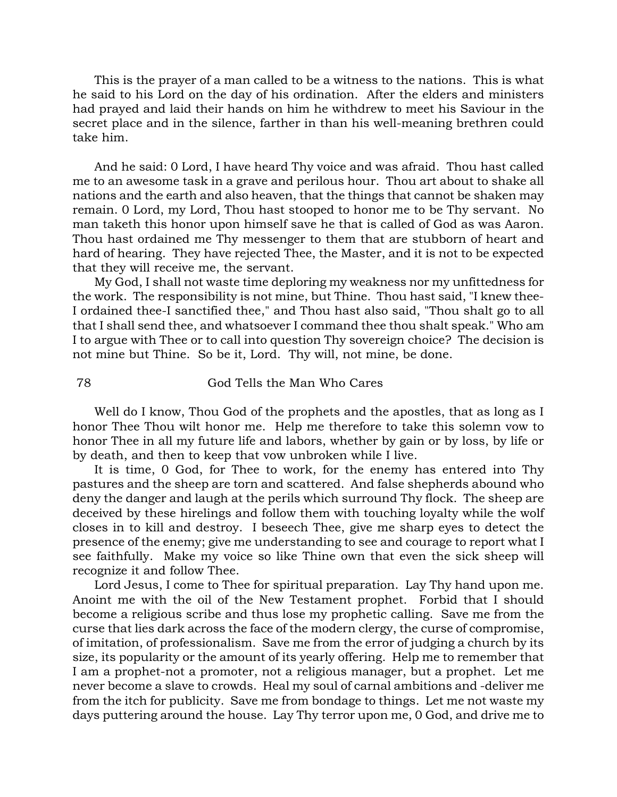This is the prayer of a man called to be a witness to the nations. This is what he said to his Lord on the day of his ordination. After the elders and ministers had prayed and laid their hands on him he withdrew to meet his Saviour in the secret place and in the silence, farther in than his well-meaning brethren could take him.

And he said: 0 Lord, I have heard Thy voice and was afraid. Thou hast called me to an awesome task in a grave and perilous hour. Thou art about to shake all nations and the earth and also heaven, that the things that cannot be shaken may remain. 0 Lord, my Lord, Thou hast stooped to honor me to be Thy servant. No man taketh this honor upon himself save he that is called of God as was Aaron. Thou hast ordained me Thy messenger to them that are stubborn of heart and hard of hearing. They have rejected Thee, the Master, and it is not to be expected that they will receive me, the servant.

My God, I shall not waste time deploring my weakness nor my unfittedness for the work. The responsibility is not mine, but Thine. Thou hast said, "I knew thee-I ordained thee-I sanctified thee," and Thou hast also said, "Thou shalt go to all that I shall send thee, and whatsoever I command thee thou shalt speak." Who am I to argue with Thee or to call into question Thy sovereign choice? The decision is not mine but Thine. So be it, Lord. Thy will, not mine, be done.

## 78 God Tells the Man Who Cares

Well do I know, Thou God of the prophets and the apostles, that as long as I honor Thee Thou wilt honor me. Help me therefore to take this solemn vow to honor Thee in all my future life and labors, whether by gain or by loss, by life or by death, and then to keep that vow unbroken while I live.

It is time, 0 God, for Thee to work, for the enemy has entered into Thy pastures and the sheep are torn and scattered. And false shepherds abound who deny the danger and laugh at the perils which surround Thy flock. The sheep are deceived by these hirelings and follow them with touching loyalty while the wolf closes in to kill and destroy. I beseech Thee, give me sharp eyes to detect the presence of the enemy; give me understanding to see and courage to report what I see faithfully. Make my voice so like Thine own that even the sick sheep will recognize it and follow Thee.

Lord Jesus, I come to Thee for spiritual preparation. Lay Thy hand upon me. Anoint me with the oil of the New Testament prophet. Forbid that I should become a religious scribe and thus lose my prophetic calling. Save me from the curse that lies dark across the face of the modern clergy, the curse of compromise, of imitation, of professionalism. Save me from the error of judging a church by its size, its popularity or the amount of its yearly offering. Help me to remember that I am a prophet-not a promoter, not a religious manager, but a prophet. Let me never become a slave to crowds. Heal my soul of carnal ambitions and -deliver me from the itch for publicity. Save me from bondage to things. Let me not waste my days puttering around the house. Lay Thy terror upon me, 0 God, and drive me to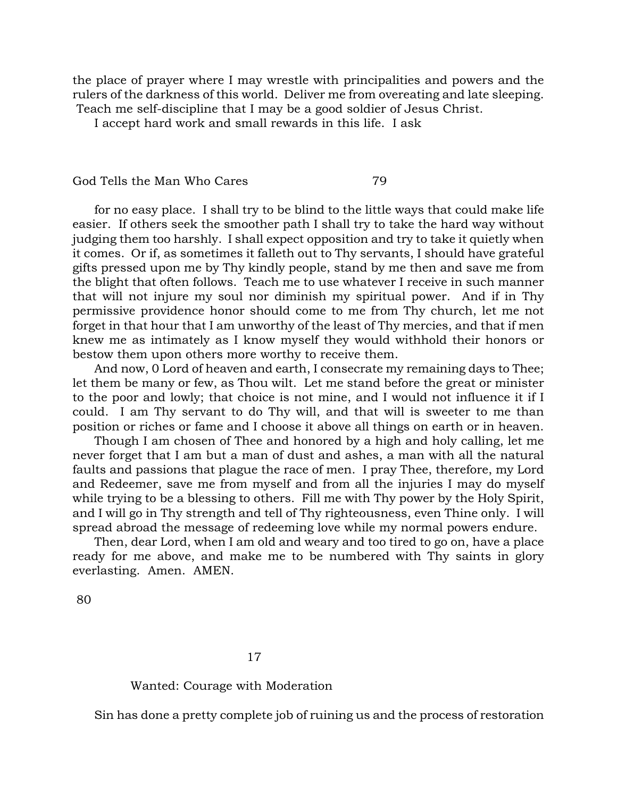the place of prayer where I may wrestle with principalities and powers and the rulers of the darkness of this world. Deliver me from overeating and late sleeping. Teach me self-discipline that I may be a good soldier of Jesus Christ.

I accept hard work and small rewards in this life. I ask

#### God Tells the Man Who Cares 79

for no easy place. I shall try to be blind to the little ways that could make life easier. If others seek the smoother path I shall try to take the hard way without judging them too harshly. I shall expect opposition and try to take it quietly when it comes. Or if, as sometimes it falleth out to Thy servants, I should have grateful gifts pressed upon me by Thy kindly people, stand by me then and save me from the blight that often follows. Teach me to use whatever I receive in such manner that will not injure my soul nor diminish my spiritual power. And if in Thy permissive providence honor should come to me from Thy church, let me not forget in that hour that I am unworthy of the least of Thy mercies, and that if men knew me as intimately as I know myself they would withhold their honors or bestow them upon others more worthy to receive them.

And now, 0 Lord of heaven and earth, I consecrate my remaining days to Thee; let them be many or few, as Thou wilt. Let me stand before the great or minister to the poor and lowly; that choice is not mine, and I would not influence it if I could. I am Thy servant to do Thy will, and that will is sweeter to me than position or riches or fame and I choose it above all things on earth or in heaven.

Though I am chosen of Thee and honored by a high and holy calling, let me never forget that I am but a man of dust and ashes, a man with all the natural faults and passions that plague the race of men. I pray Thee, therefore, my Lord and Redeemer, save me from myself and from all the injuries I may do myself while trying to be a blessing to others. Fill me with Thy power by the Holy Spirit, and I will go in Thy strength and tell of Thy righteousness, even Thine only. I will spread abroad the message of redeeming love while my normal powers endure.

Then, dear Lord, when I am old and weary and too tired to go on, have a place ready for me above, and make me to be numbered with Thy saints in glory everlasting. Amen. AMEN.

80

## 17

Wanted: Courage with Moderation

Sin has done a pretty complete job of ruining us and the process of restoration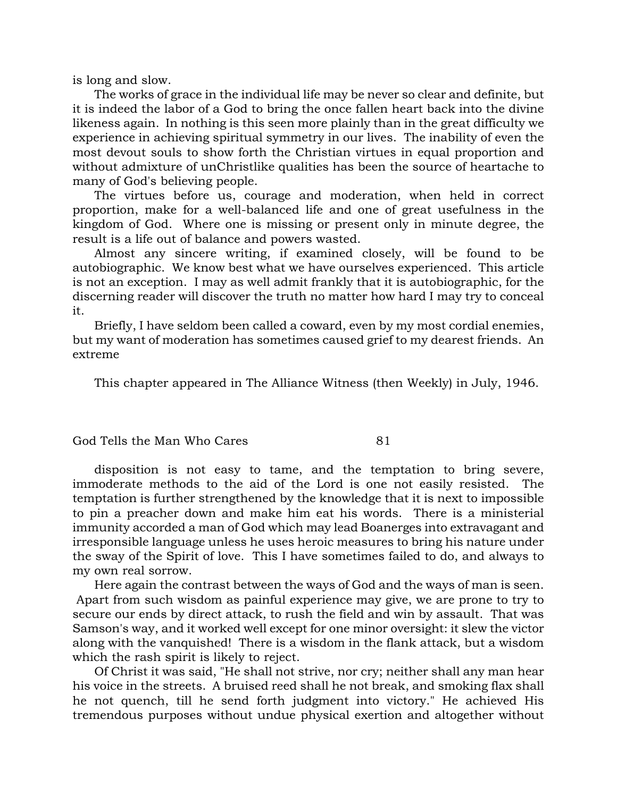is long and slow.

The works of grace in the individual life may be never so clear and definite, but it is indeed the labor of a God to bring the once fallen heart back into the divine likeness again. In nothing is this seen more plainly than in the great difficulty we experience in achieving spiritual symmetry in our lives. The inability of even the most devout souls to show forth the Christian virtues in equal proportion and without admixture of unChristlike qualities has been the source of heartache to many of God's believing people.

The virtues before us, courage and moderation, when held in correct proportion, make for a well-balanced life and one of great usefulness in the kingdom of God. Where one is missing or present only in minute degree, the result is a life out of balance and powers wasted.

Almost any sincere writing, if examined closely, will be found to be autobiographic. We know best what we have ourselves experienced. This article is not an exception. I may as well admit frankly that it is autobiographic, for the discerning reader will discover the truth no matter how hard I may try to conceal it.

Briefly, I have seldom been called a coward, even by my most cordial enemies, but my want of moderation has sometimes caused grief to my dearest friends. An extreme

This chapter appeared in The Alliance Witness (then Weekly) in July, 1946.

God Tells the Man Who Cares 61

disposition is not easy to tame, and the temptation to bring severe, immoderate methods to the aid of the Lord is one not easily resisted. The temptation is further strengthened by the knowledge that it is next to impossible to pin a preacher down and make him eat his words. There is a ministerial immunity accorded a man of God which may lead Boanerges into extravagant and irresponsible language unless he uses heroic measures to bring his nature under the sway of the Spirit of love. This I have sometimes failed to do, and always to my own real sorrow.

Here again the contrast between the ways of God and the ways of man is seen. Apart from such wisdom as painful experience may give, we are prone to try to secure our ends by direct attack, to rush the field and win by assault. That was Samson's way, and it worked well except for one minor oversight: it slew the victor along with the vanquished! There is a wisdom in the flank attack, but a wisdom which the rash spirit is likely to reject.

Of Christ it was said, "He shall not strive, nor cry; neither shall any man hear his voice in the streets. A bruised reed shall he not break, and smoking flax shall he not quench, till he send forth judgment into victory." He achieved His tremendous purposes without undue physical exertion and altogether without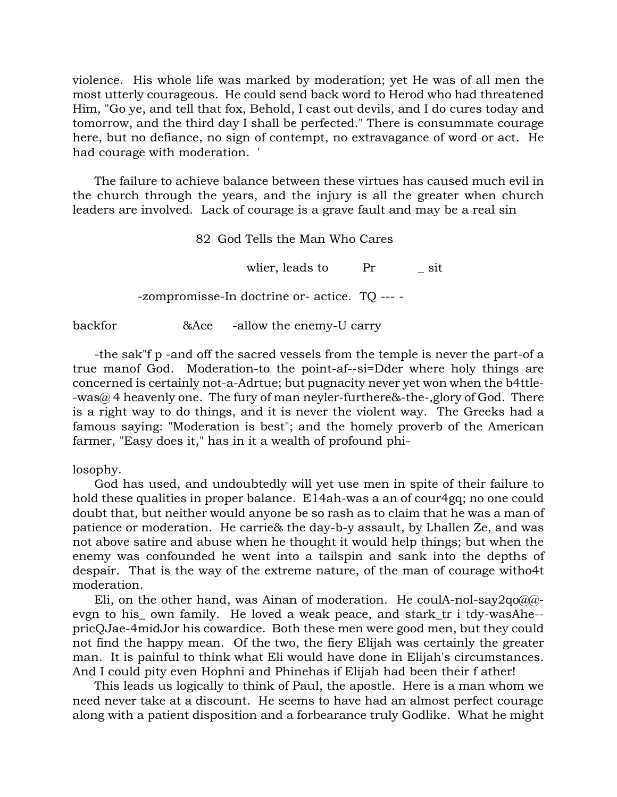violence. His whole life was marked by moderation; yet He was of all men the most utterly courageous. He could send back word to Herod who had threatened Him, "Go ye, and tell that fox, Behold, I cast out devils, and I do cures today and tomorrow, and the third day I shall be perfected." There is consummate courage here, but no defiance, no sign of contempt, no extravagance of word or act. He had courage with moderation. '

The failure to achieve balance between these virtues has caused much evil in the church through the years, and the injury is all the greater when church leaders are involved. Lack of courage is a grave fault and may be a real sin

82 God Tells the Man Who Cares

whier, leads to Pr sit -zompromisse-In doctrine or- actice. TQ --- backfor &Ace -allow the enemy-U carry

-the sak"f p -and off the sacred vessels from the temple is never the part-of a true manof God. Moderation-to the point-af--si=Dder where holy things are concerned is certainly not-a-Adrtue; but pugnacity never yet won when the b4ttle- -was $@$  4 heavenly one. The fury of man neyler-furthere&-the-, glory of God. There is a right way to do things, and it is never the violent way. The Greeks had a famous saying: "Moderation is best"; and the homely proverb of the American farmer, "Easy does it," has in it a wealth of profound phi-

losophy.

God has used, and undoubtedly will yet use men in spite of their failure to hold these qualities in proper balance. E14ah-was a an of cour4gq; no one could doubt that, but neither would anyone be so rash as to claim that he was a man of patience or moderation. He carrie& the day-b-y assault, by Lhallen Ze, and was not above satire and abuse when he thought it would help things; but when the enemy was confounded he went into a tailspin and sank into the depths of despair. That is the way of the extreme nature, of the man of courage witho4t moderation.

Eli, on the other hand, was Ainan of moderation. He coulA-nol-say  $2q_0 \ddot{\omega}$ evgn to his\_ own family. He loved a weak peace, and stark\_tr i tdy-wasAhe- pricQJae-4midJor his cowardice. Both these men were good men, but they could not find the happy mean. Of the two, the fiery Elijah was certainly the greater man. It is painful to think what Eli would have done in Elijah's circumstances. And I could pity even Hophni and Phinehas if Elijah had been their f ather!

This leads us logically to think of Paul, the apostle. Here is a man whom we need never take at a discount. He seems to have had an almost perfect courage along with a patient disposition and a forbearance truly Godlike. What he might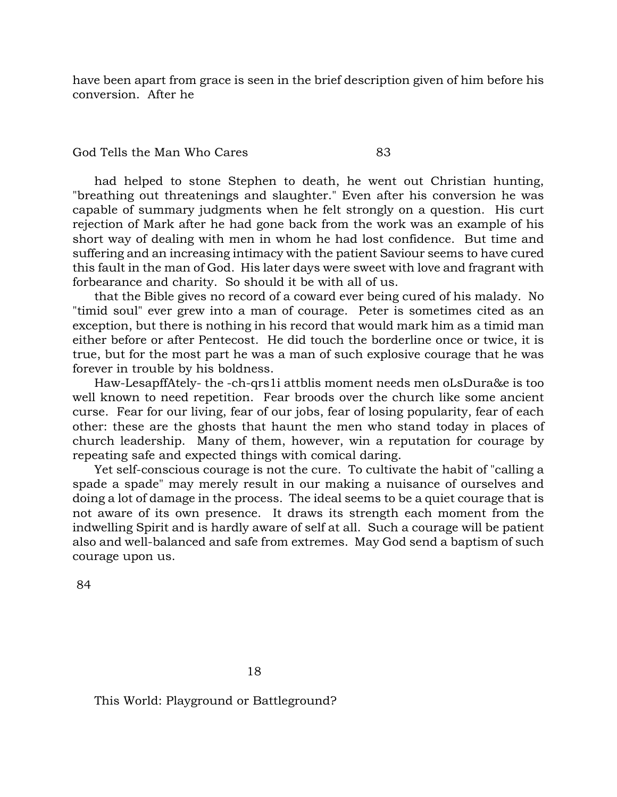have been apart from grace is seen in the brief description given of him before his conversion. After he

## God Tells the Man Who Cares 63

had helped to stone Stephen to death, he went out Christian hunting, "breathing out threatenings and slaughter." Even after his conversion he was capable of summary judgments when he felt strongly on a question. His curt rejection of Mark after he had gone back from the work was an example of his short way of dealing with men in whom he had lost confidence. But time and suffering and an increasing intimacy with the patient Saviour seems to have cured this fault in the man of God. His later days were sweet with love and fragrant with forbearance and charity. So should it be with all of us.

that the Bible gives no record of a coward ever being cured of his malady. No "timid soul" ever grew into a man of courage. Peter is sometimes cited as an exception, but there is nothing in his record that would mark him as a timid man either before or after Pentecost. He did touch the borderline once or twice, it is true, but for the most part he was a man of such explosive courage that he was forever in trouble by his boldness.

Haw-LesapffAtely- the -ch-qrs1i attblis moment needs men oLsDura&e is too well known to need repetition. Fear broods over the church like some ancient curse. Fear for our living, fear of our jobs, fear of losing popularity, fear of each other: these are the ghosts that haunt the men who stand today in places of church leadership. Many of them, however, win a reputation for courage by repeating safe and expected things with comical daring.

Yet self-conscious courage is not the cure. To cultivate the habit of "calling a spade a spade" may merely result in our making a nuisance of ourselves and doing a lot of damage in the process. The ideal seems to be a quiet courage that is not aware of its own presence. It draws its strength each moment from the indwelling Spirit and is hardly aware of self at all. Such a courage will be patient also and well-balanced and safe from extremes. May God send a baptism of such courage upon us.

84

This World: Playground or Battleground?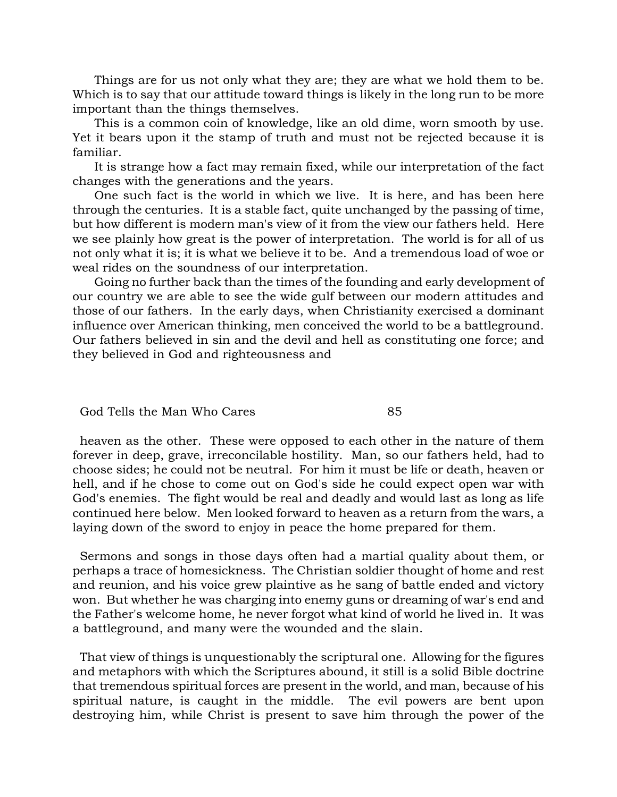Things are for us not only what they are; they are what we hold them to be. Which is to say that our attitude toward things is likely in the long run to be more important than the things themselves.

This is a common coin of knowledge, like an old dime, worn smooth by use. Yet it bears upon it the stamp of truth and must not be rejected because it is familiar.

It is strange how a fact may remain fixed, while our interpretation of the fact changes with the generations and the years.

One such fact is the world in which we live. It is here, and has been here through the centuries. It is a stable fact, quite unchanged by the passing of time, but how different is modern man's view of it from the view our fathers held. Here we see plainly how great is the power of interpretation. The world is for all of us not only what it is; it is what we believe it to be. And a tremendous load of woe or weal rides on the soundness of our interpretation.

Going no further back than the times of the founding and early development of our country we are able to see the wide gulf between our modern attitudes and those of our fathers. In the early days, when Christianity exercised a dominant influence over American thinking, men conceived the world to be a battleground. Our fathers believed in sin and the devil and hell as constituting one force; and they believed in God and righteousness and

God Tells the Man Who Cares 65

heaven as the other. These were opposed to each other in the nature of them forever in deep, grave, irreconcilable hostility. Man, so our fathers held, had to choose sides; he could not be neutral. For him it must be life or death, heaven or hell, and if he chose to come out on God's side he could expect open war with God's enemies. The fight would be real and deadly and would last as long as life continued here below. Men looked forward to heaven as a return from the wars, a laying down of the sword to enjoy in peace the home prepared for them.

Sermons and songs in those days often had a martial quality about them, or perhaps a trace of homesickness. The Christian soldier thought of home and rest and reunion, and his voice grew plaintive as he sang of battle ended and victory won. But whether he was charging into enemy guns or dreaming of war's end and the Father's welcome home, he never forgot what kind of world he lived in. It was a battleground, and many were the wounded and the slain.

That view of things is unquestionably the scriptural one. Allowing for the figures and metaphors with which the Scriptures abound, it still is a solid Bible doctrine that tremendous spiritual forces are present in the world, and man, because of his spiritual nature, is caught in the middle. The evil powers are bent upon destroying him, while Christ is present to save him through the power of the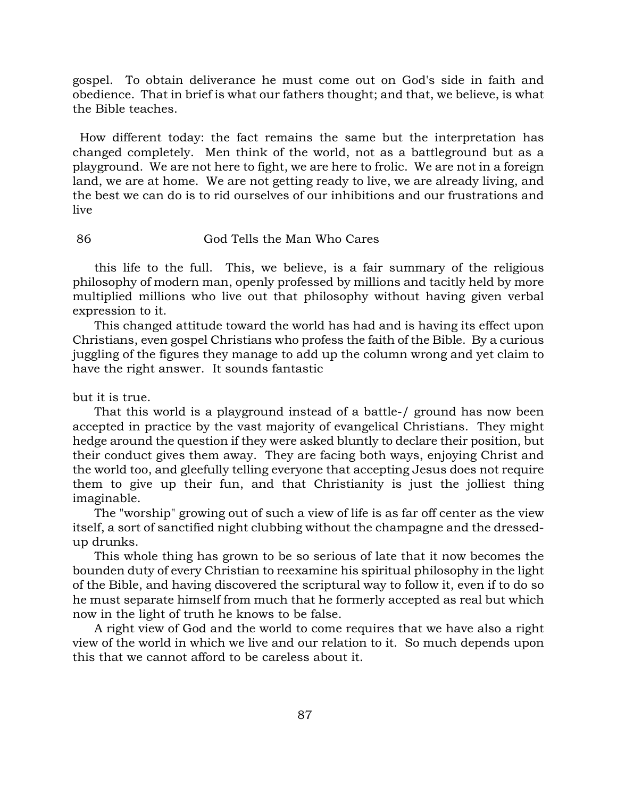gospel. To obtain deliverance he must come out on God's side in faith and obedience. That in brief is what our fathers thought; and that, we believe, is what the Bible teaches.

How different today: the fact remains the same but the interpretation has changed completely. Men think of the world, not as a battleground but as a playground. We are not here to fight, we are here to frolic. We are not in a foreign land, we are at home. We are not getting ready to live, we are already living, and the best we can do is to rid ourselves of our inhibitions and our frustrations and live

# 86 God Tells the Man Who Cares

this life to the full. This, we believe, is a fair summary of the religious philosophy of modern man, openly professed by millions and tacitly held by more multiplied millions who live out that philosophy without having given verbal expression to it.

This changed attitude toward the world has had and is having its effect upon Christians, even gospel Christians who profess the faith of the Bible. By a curious juggling of the figures they manage to add up the column wrong and yet claim to have the right answer. It sounds fantastic

but it is true.

That this world is a playground instead of a battle-/ ground has now been accepted in practice by the vast majority of evangelical Christians. They might hedge around the question if they were asked bluntly to declare their position, but their conduct gives them away. They are facing both ways, enjoying Christ and the world too, and gleefully telling everyone that accepting Jesus does not require them to give up their fun, and that Christianity is just the jolliest thing imaginable.

The "worship" growing out of such a view of life is as far off center as the view itself, a sort of sanctified night clubbing without the champagne and the dressedup drunks.

This whole thing has grown to be so serious of late that it now becomes the bounden duty of every Christian to reexamine his spiritual philosophy in the light of the Bible, and having discovered the scriptural way to follow it, even if to do so he must separate himself from much that he formerly accepted as real but which now in the light of truth he knows to be false.

A right view of God and the world to come requires that we have also a right view of the world in which we live and our relation to it. So much depends upon this that we cannot afford to be careless about it.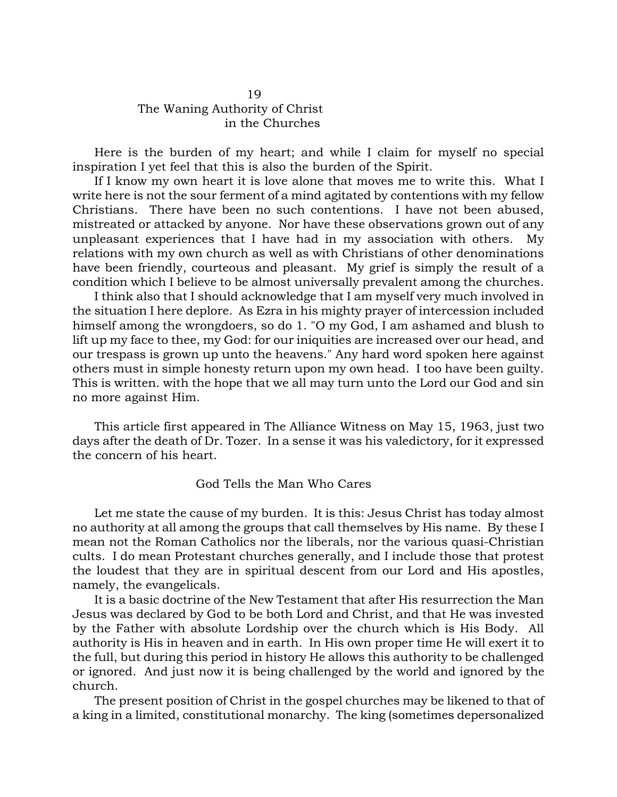## 19 The Waning Authority of Christ in the Churches

Here is the burden of my heart; and while I claim for myself no special inspiration I yet feel that this is also the burden of the Spirit.

If I know my own heart it is love alone that moves me to write this. What I write here is not the sour ferment of a mind agitated by contentions with my fellow Christians. There have been no such contentions. I have not been abused, mistreated or attacked by anyone. Nor have these observations grown out of any unpleasant experiences that I have had in my association with others. My relations with my own church as well as with Christians of other denominations have been friendly, courteous and pleasant. My grief is simply the result of a condition which I believe to be almost universally prevalent among the churches.

I think also that I should acknowledge that I am myself very much involved in the situation I here deplore. As Ezra in his mighty prayer of intercession included himself among the wrongdoers, so do 1. "O my God, I am ashamed and blush to lift up my face to thee, my God: for our iniquities are increased over our head, and our trespass is grown up unto the heavens." Any hard word spoken here against others must in simple honesty return upon my own head. I too have been guilty. This is written. with the hope that we all may turn unto the Lord our God and sin no more against Him.

This article first appeared in The Alliance Witness on May 15, 1963, just two days after the death of Dr. Tozer. In a sense it was his valedictory, for it expressed the concern of his heart.

## God Tells the Man Who Cares

Let me state the cause of my burden. It is this: Jesus Christ has today almost no authority at all among the groups that call themselves by His name. By these I mean not the Roman Catholics nor the liberals, nor the various quasi-Christian cults. I do mean Protestant churches generally, and I include those that protest the loudest that they are in spiritual descent from our Lord and His apostles, namely, the evangelicals.

It is a basic doctrine of the New Testament that after His resurrection the Man Jesus was declared by God to be both Lord and Christ, and that He was invested by the Father with absolute Lordship over the church which is His Body. All authority is His in heaven and in earth. In His own proper time He will exert it to the full, but during this period in history He allows this authority to be challenged or ignored. And just now it is being challenged by the world and ignored by the church.

The present position of Christ in the gospel churches may be likened to that of a king in a limited, constitutional monarchy. The king (sometimes depersonalized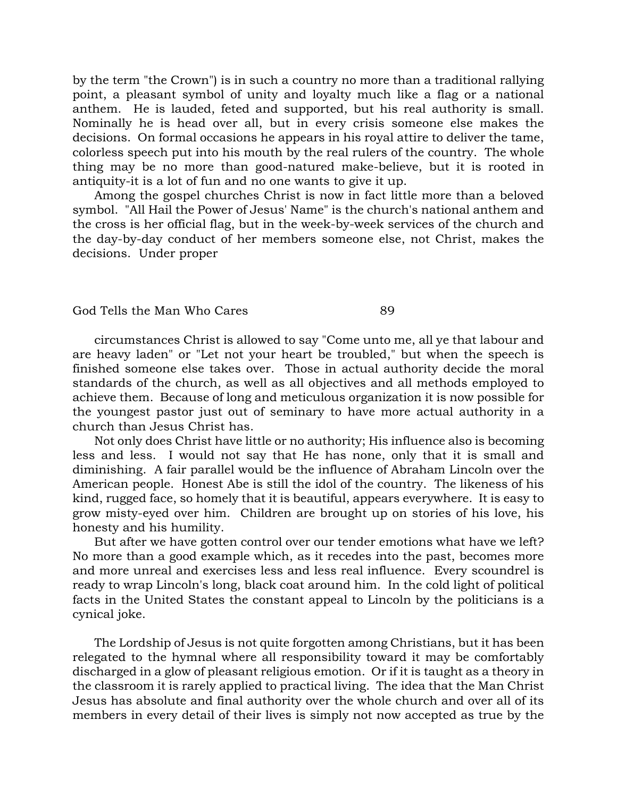by the term "the Crown") is in such a country no more than a traditional rallying point, a pleasant symbol of unity and loyalty much like a flag or a national anthem. He is lauded, feted and supported, but his real authority is small. Nominally he is head over all, but in every crisis someone else makes the decisions. On formal occasions he appears in his royal attire to deliver the tame, colorless speech put into his mouth by the real rulers of the country. The whole thing may be no more than good-natured make-believe, but it is rooted in antiquity-it is a lot of fun and no one wants to give it up.

Among the gospel churches Christ is now in fact little more than a beloved symbol. "All Hail the Power of Jesus' Name" is the church's national anthem and the cross is her official flag, but in the week-by-week services of the church and the day-by-day conduct of her members someone else, not Christ, makes the decisions. Under proper

#### God Tells the Man Who Cares 69

circumstances Christ is allowed to say "Come unto me, all ye that labour and are heavy laden" or "Let not your heart be troubled," but when the speech is finished someone else takes over. Those in actual authority decide the moral standards of the church, as well as all objectives and all methods employed to achieve them. Because of long and meticulous organization it is now possible for the youngest pastor just out of seminary to have more actual authority in a church than Jesus Christ has.

Not only does Christ have little or no authority; His influence also is becoming less and less. I would not say that He has none, only that it is small and diminishing. A fair parallel would be the influence of Abraham Lincoln over the American people. Honest Abe is still the idol of the country. The likeness of his kind, rugged face, so homely that it is beautiful, appears everywhere. It is easy to grow misty-eyed over him. Children are brought up on stories of his love, his honesty and his humility.

But after we have gotten control over our tender emotions what have we left? No more than a good example which, as it recedes into the past, becomes more and more unreal and exercises less and less real influence. Every scoundrel is ready to wrap Lincoln's long, black coat around him. In the cold light of political facts in the United States the constant appeal to Lincoln by the politicians is a cynical joke.

The Lordship of Jesus is not quite forgotten among Christians, but it has been relegated to the hymnal where all responsibility toward it may be comfortably discharged in a glow of pleasant religious emotion. Or if it is taught as a theory in the classroom it is rarely applied to practical living. The idea that the Man Christ Jesus has absolute and final authority over the whole church and over all of its members in every detail of their lives is simply not now accepted as true by the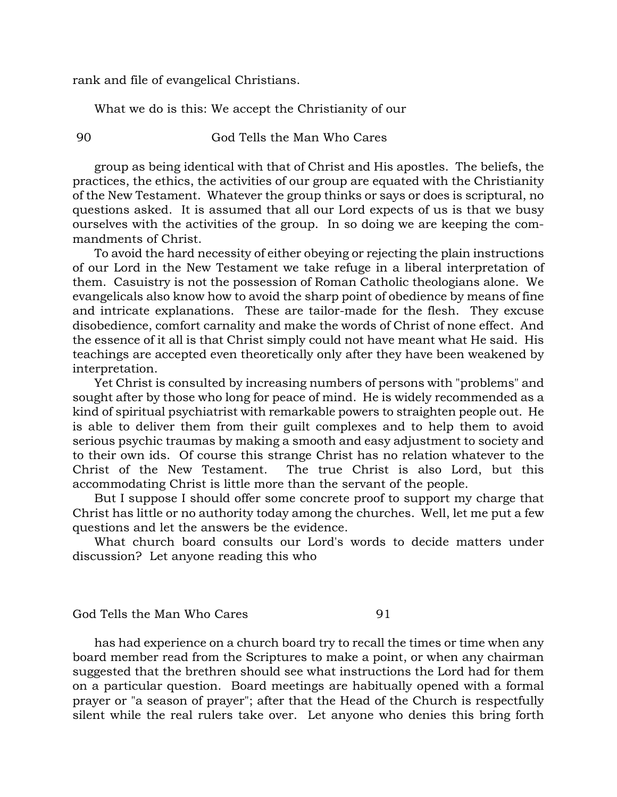rank and file of evangelical Christians.

What we do is this: We accept the Christianity of our

## 90 God Tells the Man Who Cares

group as being identical with that of Christ and His apostles. The beliefs, the practices, the ethics, the activities of our group are equated with the Christianity of the New Testament. Whatever the group thinks or says or does is scriptural, no questions asked. It is assumed that all our Lord expects of us is that we busy ourselves with the activities of the group. In so doing we are keeping the commandments of Christ.

To avoid the hard necessity of either obeying or rejecting the plain instructions of our Lord in the New Testament we take refuge in a liberal interpretation of them. Casuistry is not the possession of Roman Catholic theologians alone. We evangelicals also know how to avoid the sharp point of obedience by means of fine and intricate explanations. These are tailor-made for the flesh. They excuse disobedience, comfort carnality and make the words of Christ of none effect. And the essence of it all is that Christ simply could not have meant what He said. His teachings are accepted even theoretically only after they have been weakened by interpretation.

Yet Christ is consulted by increasing numbers of persons with "problems" and sought after by those who long for peace of mind. He is widely recommended as a kind of spiritual psychiatrist with remarkable powers to straighten people out. He is able to deliver them from their guilt complexes and to help them to avoid serious psychic traumas by making a smooth and easy adjustment to society and to their own ids. Of course this strange Christ has no relation whatever to the Christ of the New Testament. The true Christ is also Lord, but this accommodating Christ is little more than the servant of the people.

But I suppose I should offer some concrete proof to support my charge that Christ has little or no authority today among the churches. Well, let me put a few questions and let the answers be the evidence.

What church board consults our Lord's words to decide matters under discussion? Let anyone reading this who

God Tells the Man Who Cares 61

has had experience on a church board try to recall the times or time when any board member read from the Scriptures to make a point, or when any chairman suggested that the brethren should see what instructions the Lord had for them on a particular question. Board meetings are habitually opened with a formal prayer or "a season of prayer"; after that the Head of the Church is respectfully silent while the real rulers take over. Let anyone who denies this bring forth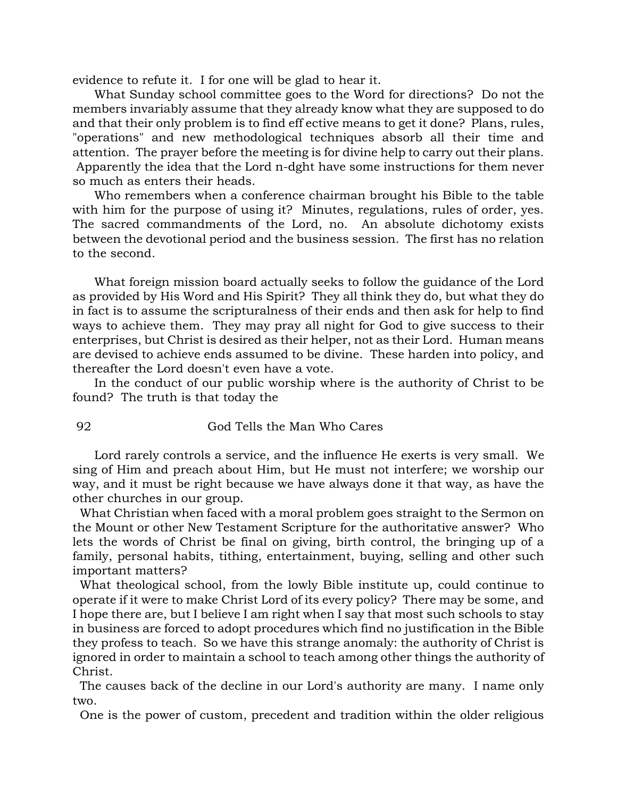evidence to refute it. I for one will be glad to hear it.

What Sunday school committee goes to the Word for directions? Do not the members invariably assume that they already know what they are supposed to do and that their only problem is to find eff ective means to get it done? Plans, rules, "operations" and new methodological techniques absorb all their time and attention. The prayer before the meeting is for divine help to carry out their plans. Apparently the idea that the Lord n-dght have some instructions for them never so much as enters their heads.

Who remembers when a conference chairman brought his Bible to the table with him for the purpose of using it? Minutes, regulations, rules of order, yes. The sacred commandments of the Lord, no. An absolute dichotomy exists between the devotional period and the business session. The first has no relation to the second.

What foreign mission board actually seeks to follow the guidance of the Lord as provided by His Word and His Spirit? They all think they do, but what they do in fact is to assume the scripturalness of their ends and then ask for help to find ways to achieve them. They may pray all night for God to give success to their enterprises, but Christ is desired as their helper, not as their Lord. Human means are devised to achieve ends assumed to be divine. These harden into policy, and thereafter the Lord doesn't even have a vote.

In the conduct of our public worship where is the authority of Christ to be found? The truth is that today the

92 God Tells the Man Who Cares

Lord rarely controls a service, and the influence He exerts is very small. We sing of Him and preach about Him, but He must not interfere; we worship our way, and it must be right because we have always done it that way, as have the other churches in our group.

What Christian when faced with a moral problem goes straight to the Sermon on the Mount or other New Testament Scripture for the authoritative answer? Who lets the words of Christ be final on giving, birth control, the bringing up of a family, personal habits, tithing, entertainment, buying, selling and other such important matters?

What theological school, from the lowly Bible institute up, could continue to operate if it were to make Christ Lord of its every policy? There may be some, and I hope there are, but I believe I am right when I say that most such schools to stay in business are forced to adopt procedures which find no justification in the Bible they profess to teach. So we have this strange anomaly: the authority of Christ is ignored in order to maintain a school to teach among other things the authority of Christ.

The causes back of the decline in our Lord's authority are many. I name only two.

One is the power of custom, precedent and tradition within the older religious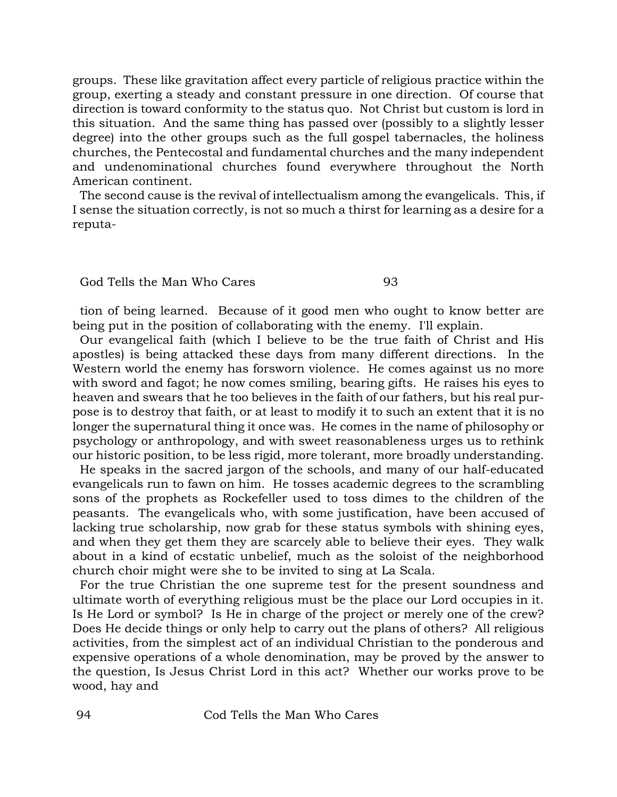groups. These like gravitation affect every particle of religious practice within the group, exerting a steady and constant pressure in one direction. Of course that direction is toward conformity to the status quo. Not Christ but custom is lord in this situation. And the same thing has passed over (possibly to a slightly lesser degree) into the other groups such as the full gospel tabernacles, the holiness churches, the Pentecostal and fundamental churches and the many independent and undenominational churches found everywhere throughout the North American continent.

The second cause is the revival of intellectualism among the evangelicals. This, if I sense the situation correctly, is not so much a thirst for learning as a desire for a reputa-

## God Tells the Man Who Cares 93

tion of being learned. Because of it good men who ought to know better are being put in the position of collaborating with the enemy. I'll explain.

Our evangelical faith (which I believe to be the true faith of Christ and His apostles) is being attacked these days from many different directions. In the Western world the enemy has forsworn violence. He comes against us no more with sword and fagot; he now comes smiling, bearing gifts. He raises his eyes to heaven and swears that he too believes in the faith of our fathers, but his real purpose is to destroy that faith, or at least to modify it to such an extent that it is no longer the supernatural thing it once was. He comes in the name of philosophy or psychology or anthropology, and with sweet reasonableness urges us to rethink our historic position, to be less rigid, more tolerant, more broadly understanding.

He speaks in the sacred jargon of the schools, and many of our half-educated evangelicals run to fawn on him. He tosses academic degrees to the scrambling sons of the prophets as Rockefeller used to toss dimes to the children of the peasants. The evangelicals who, with some justification, have been accused of lacking true scholarship, now grab for these status symbols with shining eyes, and when they get them they are scarcely able to believe their eyes. They walk about in a kind of ecstatic unbelief, much as the soloist of the neighborhood church choir might were she to be invited to sing at La Scala.

For the true Christian the one supreme test for the present soundness and ultimate worth of everything religious must be the place our Lord occupies in it. Is He Lord or symbol? Is He in charge of the project or merely one of the crew? Does He decide things or only help to carry out the plans of others? All religious activities, from the simplest act of an individual Christian to the ponderous and expensive operations of a whole denomination, may be proved by the answer to the question, Is Jesus Christ Lord in this act? Whether our works prove to be wood, hay and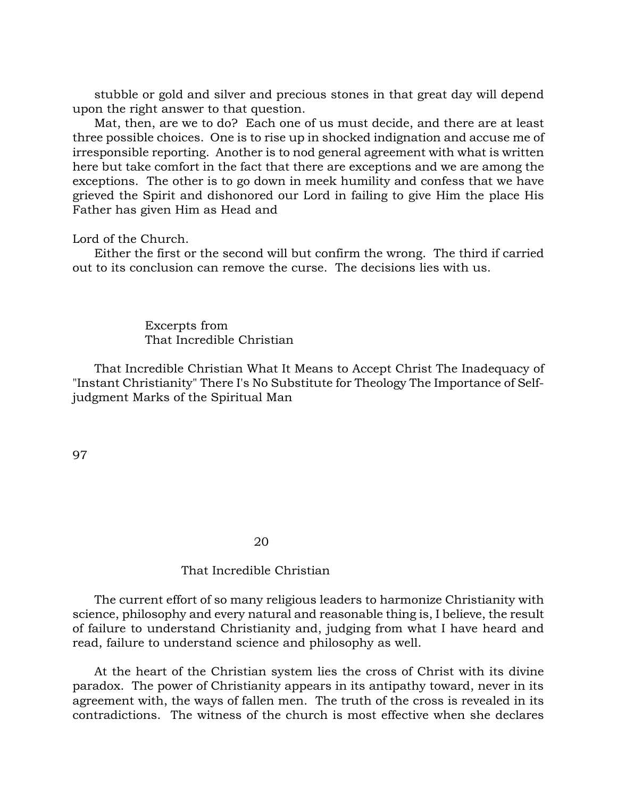stubble or gold and silver and precious stones in that great day will depend upon the right answer to that question.

Mat, then, are we to do? Each one of us must decide, and there are at least three possible choices. One is to rise up in shocked indignation and accuse me of irresponsible reporting. Another is to nod general agreement with what is written here but take comfort in the fact that there are exceptions and we are among the exceptions. The other is to go down in meek humility and confess that we have grieved the Spirit and dishonored our Lord in failing to give Him the place His Father has given Him as Head and

## Lord of the Church.

Either the first or the second will but confirm the wrong. The third if carried out to its conclusion can remove the curse. The decisions lies with us.

> Excerpts from That Incredible Christian

That Incredible Christian What It Means to Accept Christ The Inadequacy of "Instant Christianity" There I's No Substitute for Theology The Importance of Selfjudgment Marks of the Spiritual Man

97

#### 20

## That Incredible Christian

The current effort of so many religious leaders to harmonize Christianity with science, philosophy and every natural and reasonable thing is, I believe, the result of failure to understand Christianity and, judging from what I have heard and read, failure to understand science and philosophy as well.

At the heart of the Christian system lies the cross of Christ with its divine paradox. The power of Christianity appears in its antipathy toward, never in its agreement with, the ways of fallen men. The truth of the cross is revealed in its contradictions. The witness of the church is most effective when she declares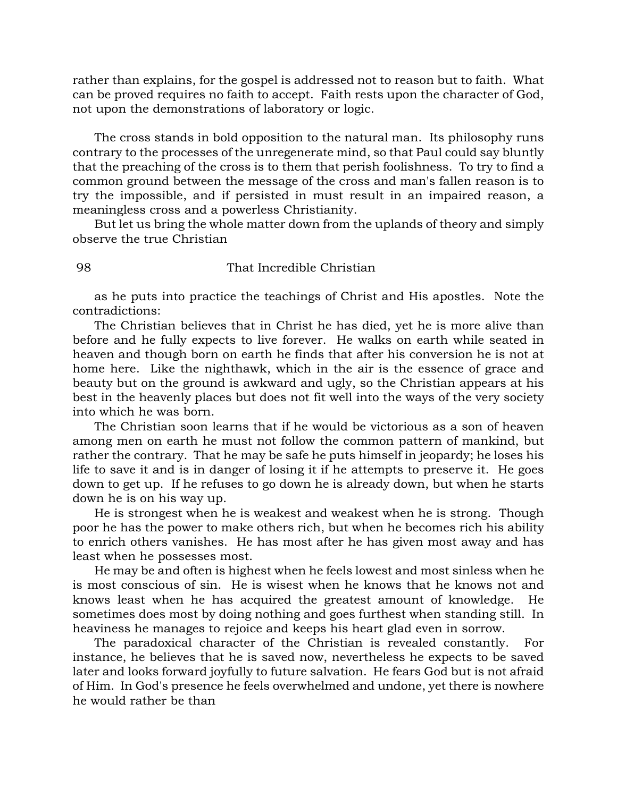rather than explains, for the gospel is addressed not to reason but to faith. What can be proved requires no faith to accept. Faith rests upon the character of God, not upon the demonstrations of laboratory or logic.

The cross stands in bold opposition to the natural man. Its philosophy runs contrary to the processes of the unregenerate mind, so that Paul could say bluntly that the preaching of the cross is to them that perish foolishness. To try to find a common ground between the message of the cross and man's fallen reason is to try the impossible, and if persisted in must result in an impaired reason, a meaningless cross and a powerless Christianity.

But let us bring the whole matter down from the uplands of theory and simply observe the true Christian

## 98 That Incredible Christian

as he puts into practice the teachings of Christ and His apostles. Note the contradictions:

The Christian believes that in Christ he has died, yet he is more alive than before and he fully expects to live forever. He walks on earth while seated in heaven and though born on earth he finds that after his conversion he is not at home here. Like the nighthawk, which in the air is the essence of grace and beauty but on the ground is awkward and ugly, so the Christian appears at his best in the heavenly places but does not fit well into the ways of the very society into which he was born.

The Christian soon learns that if he would be victorious as a son of heaven among men on earth he must not follow the common pattern of mankind, but rather the contrary. That he may be safe he puts himself in jeopardy; he loses his life to save it and is in danger of losing it if he attempts to preserve it. He goes down to get up. If he refuses to go down he is already down, but when he starts down he is on his way up.

He is strongest when he is weakest and weakest when he is strong. Though poor he has the power to make others rich, but when he becomes rich his ability to enrich others vanishes. He has most after he has given most away and has least when he possesses most.

He may be and often is highest when he feels lowest and most sinless when he is most conscious of sin. He is wisest when he knows that he knows not and knows least when he has acquired the greatest amount of knowledge. He sometimes does most by doing nothing and goes furthest when standing still. In heaviness he manages to rejoice and keeps his heart glad even in sorrow.

The paradoxical character of the Christian is revealed constantly. For instance, he believes that he is saved now, nevertheless he expects to be saved later and looks forward joyfully to future salvation. He fears God but is not afraid of Him. In God's presence he feels overwhelmed and undone, yet there is nowhere he would rather be than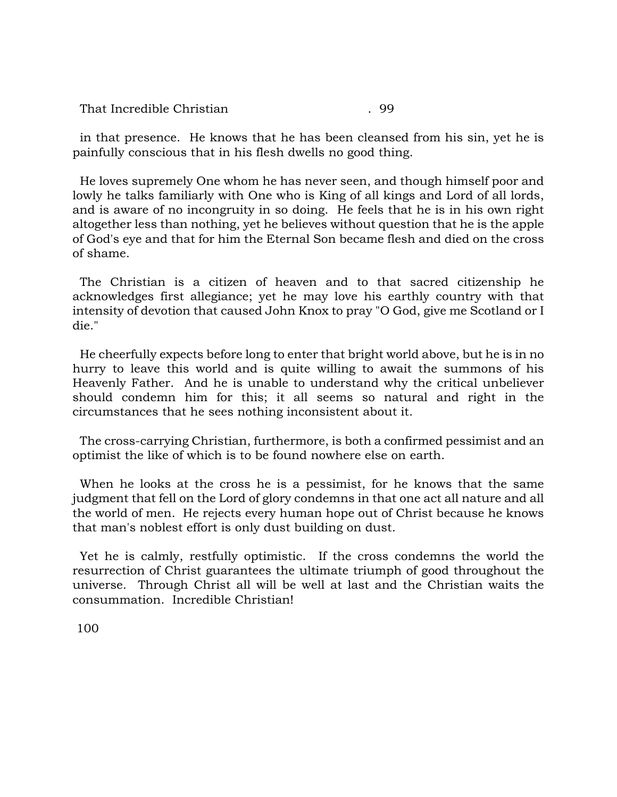That Incredible Christian . 99

in that presence. He knows that he has been cleansed from his sin, yet he is painfully conscious that in his flesh dwells no good thing.

He loves supremely One whom he has never seen, and though himself poor and lowly he talks familiarly with One who is King of all kings and Lord of all lords, and is aware of no incongruity in so doing. He feels that he is in his own right altogether less than nothing, yet he believes without question that he is the apple of God's eye and that for him the Eternal Son became flesh and died on the cross of shame.

The Christian is a citizen of heaven and to that sacred citizenship he acknowledges first allegiance; yet he may love his earthly country with that intensity of devotion that caused John Knox to pray "O God, give me Scotland or I die."

He cheerfully expects before long to enter that bright world above, but he is in no hurry to leave this world and is quite willing to await the summons of his Heavenly Father. And he is unable to understand why the critical unbeliever should condemn him for this; it all seems so natural and right in the circumstances that he sees nothing inconsistent about it.

The cross-carrying Christian, furthermore, is both a confirmed pessimist and an optimist the like of which is to be found nowhere else on earth.

When he looks at the cross he is a pessimist, for he knows that the same judgment that fell on the Lord of glory condemns in that one act all nature and all the world of men. He rejects every human hope out of Christ because he knows that man's noblest effort is only dust building on dust.

Yet he is calmly, restfully optimistic. If the cross condemns the world the resurrection of Christ guarantees the ultimate triumph of good throughout the universe. Through Christ all will be well at last and the Christian waits the consummation. Incredible Christian!

100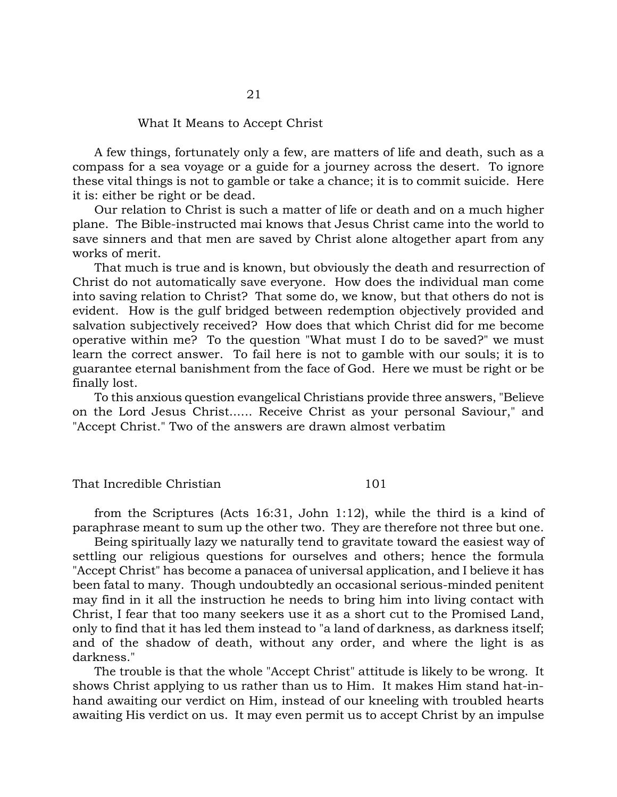#### What It Means to Accept Christ

A few things, fortunately only a few, are matters of life and death, such as a compass for a sea voyage or a guide for a journey across the desert. To ignore these vital things is not to gamble or take a chance; it is to commit suicide. Here it is: either be right or be dead.

Our relation to Christ is such a matter of life or death and on a much higher plane. The Bible-instructed mai knows that Jesus Christ came into the world to save sinners and that men are saved by Christ alone altogether apart from any works of merit.

That much is true and is known, but obviously the death and resurrection of Christ do not automatically save everyone. How does the individual man come into saving relation to Christ? That some do, we know, but that others do not is evident. How is the gulf bridged between redemption objectively provided and salvation subjectively received? How does that which Christ did for me become operative within me? To the question "What must I do to be saved?" we must learn the correct answer. To fail here is not to gamble with our souls; it is to guarantee eternal banishment from the face of God. Here we must be right or be finally lost.

To this anxious question evangelical Christians provide three answers, "Believe on the Lord Jesus Christ...... Receive Christ as your personal Saviour," and "Accept Christ." Two of the answers are drawn almost verbatim

That Incredible Christian 101

from the Scriptures (Acts 16:31, John 1:12), while the third is a kind of paraphrase meant to sum up the other two. They are therefore not three but one.

Being spiritually lazy we naturally tend to gravitate toward the easiest way of settling our religious questions for ourselves and others; hence the formula "Accept Christ" has become a panacea of universal application, and I believe it has been fatal to many. Though undoubtedly an occasional serious-minded penitent may find in it all the instruction he needs to bring him into living contact with Christ, I fear that too many seekers use it as a short cut to the Promised Land, only to find that it has led them instead to "a land of darkness, as darkness itself; and of the shadow of death, without any order, and where the light is as darkness."

The trouble is that the whole "Accept Christ" attitude is likely to be wrong. It shows Christ applying to us rather than us to Him. It makes Him stand hat-inhand awaiting our verdict on Him, instead of our kneeling with troubled hearts awaiting His verdict on us. It may even permit us to accept Christ by an impulse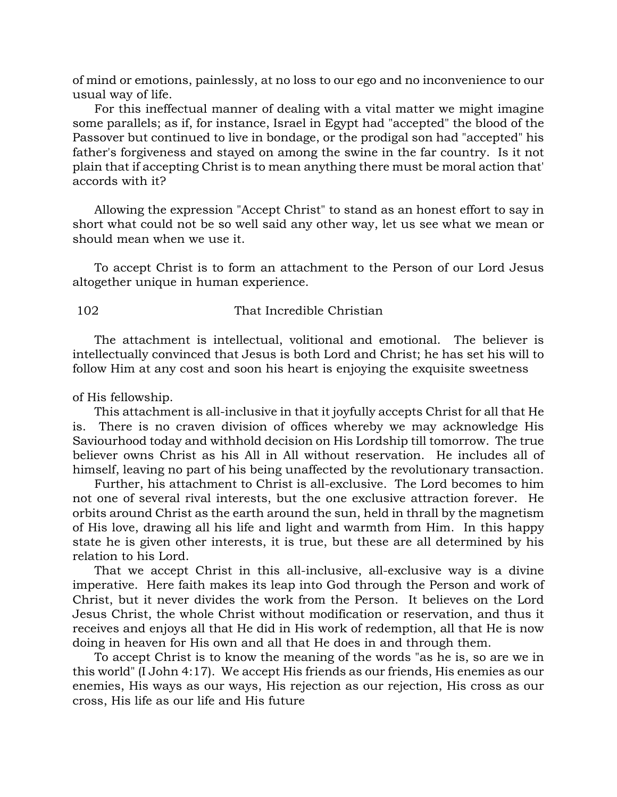of mind or emotions, painlessly, at no loss to our ego and no inconvenience to our usual way of life.

For this ineffectual manner of dealing with a vital matter we might imagine some parallels; as if, for instance, Israel in Egypt had "accepted" the blood of the Passover but continued to live in bondage, or the prodigal son had "accepted" his father's forgiveness and stayed on among the swine in the far country. Is it not plain that if accepting Christ is to mean anything there must be moral action that' accords with it?

Allowing the expression "Accept Christ" to stand as an honest effort to say in short what could not be so well said any other way, let us see what we mean or should mean when we use it.

To accept Christ is to form an attachment to the Person of our Lord Jesus altogether unique in human experience.

# 102 That Incredible Christian

The attachment is intellectual, volitional and emotional. The believer is intellectually convinced that Jesus is both Lord and Christ; he has set his will to follow Him at any cost and soon his heart is enjoying the exquisite sweetness

## of His fellowship.

This attachment is all-inclusive in that it joyfully accepts Christ for all that He is. There is no craven division of offices whereby we may acknowledge His Saviourhood today and withhold decision on His Lordship till tomorrow. The true believer owns Christ as his All in All without reservation. He includes all of himself, leaving no part of his being unaffected by the revolutionary transaction.

Further, his attachment to Christ is all-exclusive. The Lord becomes to him not one of several rival interests, but the one exclusive attraction forever. He orbits around Christ as the earth around the sun, held in thrall by the magnetism of His love, drawing all his life and light and warmth from Him. In this happy state he is given other interests, it is true, but these are all determined by his relation to his Lord.

That we accept Christ in this all-inclusive, all-exclusive way is a divine imperative. Here faith makes its leap into God through the Person and work of Christ, but it never divides the work from the Person. It believes on the Lord Jesus Christ, the whole Christ without modification or reservation, and thus it receives and enjoys all that He did in His work of redemption, all that He is now doing in heaven for His own and all that He does in and through them.

To accept Christ is to know the meaning of the words "as he is, so are we in this world" (I John 4:17). We accept His friends as our friends, His enemies as our enemies, His ways as our ways, His rejection as our rejection, His cross as our cross, His life as our life and His future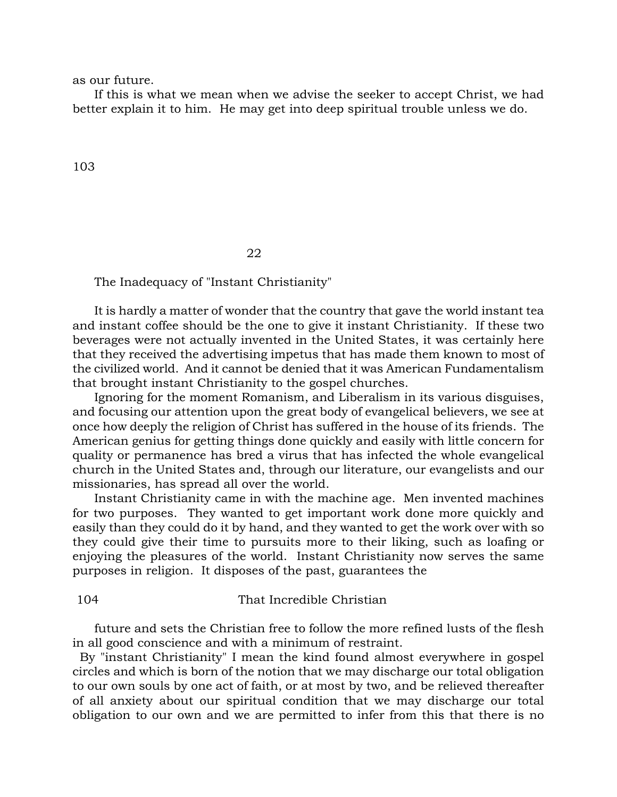as our future.

If this is what we mean when we advise the seeker to accept Christ, we had better explain it to him. He may get into deep spiritual trouble unless we do.

103

22

The Inadequacy of "Instant Christianity"

It is hardly a matter of wonder that the country that gave the world instant tea and instant coffee should be the one to give it instant Christianity. If these two beverages were not actually invented in the United States, it was certainly here that they received the advertising impetus that has made them known to most of the civilized world. And it cannot be denied that it was American Fundamentalism that brought instant Christianity to the gospel churches.

Ignoring for the moment Romanism, and Liberalism in its various disguises, and focusing our attention upon the great body of evangelical believers, we see at once how deeply the religion of Christ has suffered in the house of its friends. The American genius for getting things done quickly and easily with little concern for quality or permanence has bred a virus that has infected the whole evangelical church in the United States and, through our literature, our evangelists and our missionaries, has spread all over the world.

Instant Christianity came in with the machine age. Men invented machines for two purposes. They wanted to get important work done more quickly and easily than they could do it by hand, and they wanted to get the work over with so they could give their time to pursuits more to their liking, such as loafing or enjoying the pleasures of the world. Instant Christianity now serves the same purposes in religion. It disposes of the past, guarantees the

# 104 That Incredible Christian

future and sets the Christian free to follow the more refined lusts of the flesh in all good conscience and with a minimum of restraint.

By "instant Christianity" I mean the kind found almost everywhere in gospel circles and which is born of the notion that we may discharge our total obligation to our own souls by one act of faith, or at most by two, and be relieved thereafter of all anxiety about our spiritual condition that we may discharge our total obligation to our own and we are permitted to infer from this that there is no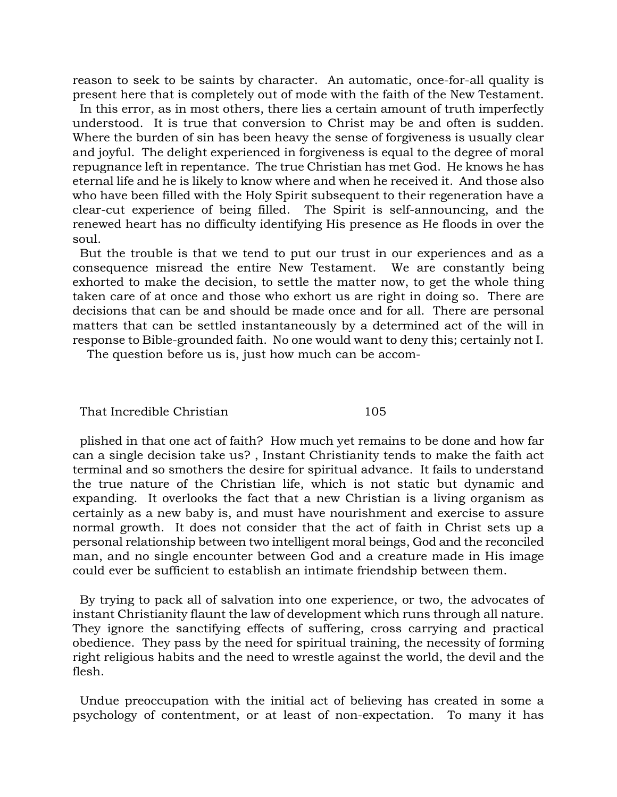reason to seek to be saints by character. An automatic, once-for-all quality is present here that is completely out of mode with the faith of the New Testament.

In this error, as in most others, there lies a certain amount of truth imperfectly understood. It is true that conversion to Christ may be and often is sudden. Where the burden of sin has been heavy the sense of forgiveness is usually clear and joyful. The delight experienced in forgiveness is equal to the degree of moral repugnance left in repentance. The true Christian has met God. He knows he has eternal life and he is likely to know where and when he received it. And those also who have been filled with the Holy Spirit subsequent to their regeneration have a clear-cut experience of being filled. The Spirit is self-announcing, and the renewed heart has no difficulty identifying His presence as He floods in over the soul.

But the trouble is that we tend to put our trust in our experiences and as a consequence misread the entire New Testament. We are constantly being exhorted to make the decision, to settle the matter now, to get the whole thing taken care of at once and those who exhort us are right in doing so. There are decisions that can be and should be made once and for all. There are personal matters that can be settled instantaneously by a determined act of the will in response to Bible-grounded faith. No one would want to deny this; certainly not I.

The question before us is, just how much can be accom-

#### That Incredible Christian 105

plished in that one act of faith? How much yet remains to be done and how far can a single decision take us? , Instant Christianity tends to make the faith act terminal and so smothers the desire for spiritual advance. It fails to understand the true nature of the Christian life, which is not static but dynamic and expanding. It overlooks the fact that a new Christian is a living organism as certainly as a new baby is, and must have nourishment and exercise to assure normal growth. It does not consider that the act of faith in Christ sets up a personal relationship between two intelligent moral beings, God and the reconciled man, and no single encounter between God and a creature made in His image could ever be sufficient to establish an intimate friendship between them.

By trying to pack all of salvation into one experience, or two, the advocates of instant Christianity flaunt the law of development which runs through all nature. They ignore the sanctifying effects of suffering, cross carrying and practical obedience. They pass by the need for spiritual training, the necessity of forming right religious habits and the need to wrestle against the world, the devil and the flesh.

Undue preoccupation with the initial act of believing has created in some a psychology of contentment, or at least of non-expectation. To many it has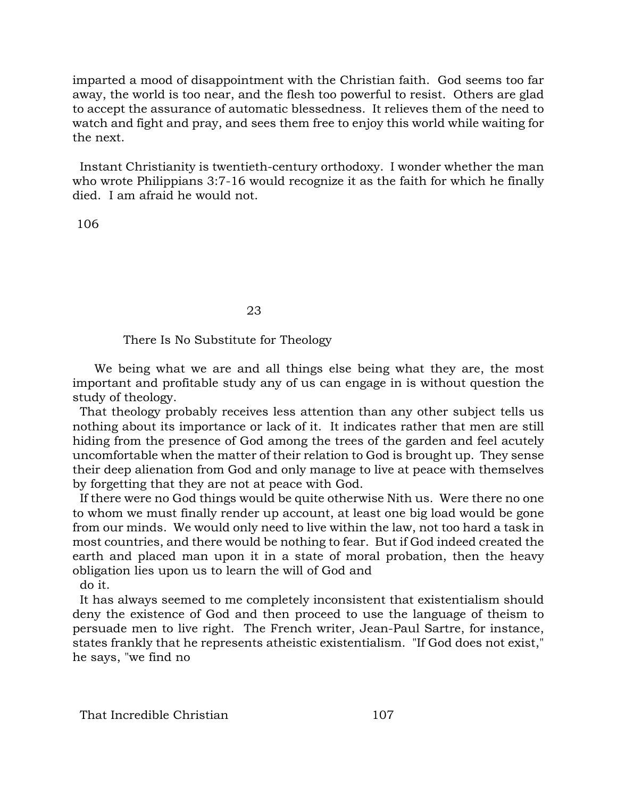imparted a mood of disappointment with the Christian faith. God seems too far away, the world is too near, and the flesh too powerful to resist. Others are glad to accept the assurance of automatic blessedness. It relieves them of the need to watch and fight and pray, and sees them free to enjoy this world while waiting for the next.

Instant Christianity is twentieth-century orthodoxy. I wonder whether the man who wrote Philippians 3:7-16 would recognize it as the faith for which he finally died. I am afraid he would not.

106

23

There Is No Substitute for Theology

We being what we are and all things else being what they are, the most important and profitable study any of us can engage in is without question the study of theology.

That theology probably receives less attention than any other subject tells us nothing about its importance or lack of it. It indicates rather that men are still hiding from the presence of God among the trees of the garden and feel acutely uncomfortable when the matter of their relation to God is brought up. They sense their deep alienation from God and only manage to live at peace with themselves by forgetting that they are not at peace with God.

If there were no God things would be quite otherwise Nith us. Were there no one to whom we must finally render up account, at least one big load would be gone from our minds. We would only need to live within the law, not too hard a task in most countries, and there would be nothing to fear. But if God indeed created the earth and placed man upon it in a state of moral probation, then the heavy obligation lies upon us to learn the will of God and

do it.

It has always seemed to me completely inconsistent that existentialism should deny the existence of God and then proceed to use the language of theism to persuade men to live right. The French writer, Jean-Paul Sartre, for instance, states frankly that he represents atheistic existentialism. "If God does not exist," he says, "we find no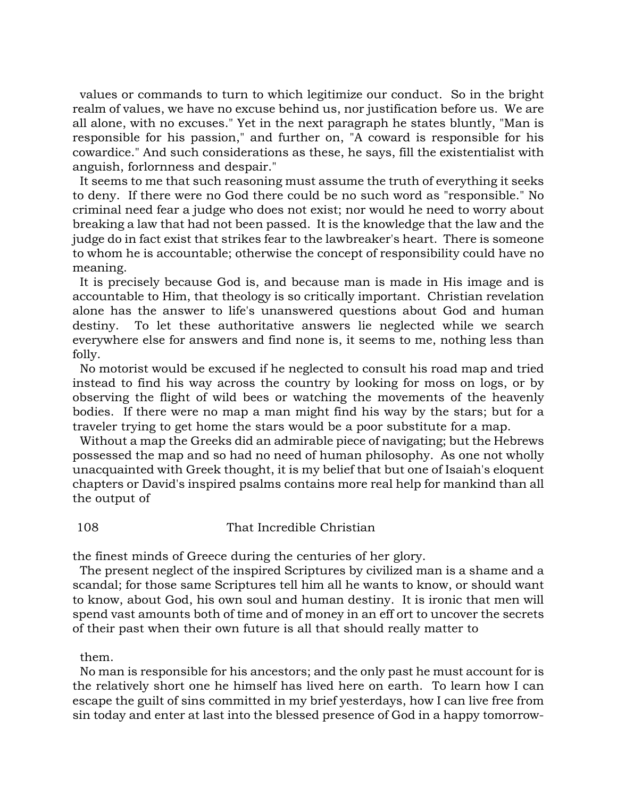values or commands to turn to which legitimize our conduct. So in the bright realm of values, we have no excuse behind us, nor justification before us. We are all alone, with no excuses." Yet in the next paragraph he states bluntly, "Man is responsible for his passion," and further on, "A coward is responsible for his cowardice." And such considerations as these, he says, fill the existentialist with anguish, forlornness and despair."

It seems to me that such reasoning must assume the truth of everything it seeks to deny. If there were no God there could be no such word as "responsible." No criminal need fear a judge who does not exist; nor would he need to worry about breaking a law that had not been passed. It is the knowledge that the law and the judge do in fact exist that strikes fear to the lawbreaker's heart. There is someone to whom he is accountable; otherwise the concept of responsibility could have no meaning.

It is precisely because God is, and because man is made in His image and is accountable to Him, that theology is so critically important. Christian revelation alone has the answer to life's unanswered questions about God and human destiny. To let these authoritative answers lie neglected while we search everywhere else for answers and find none is, it seems to me, nothing less than folly.

No motorist would be excused if he neglected to consult his road map and tried instead to find his way across the country by looking for moss on logs, or by observing the flight of wild bees or watching the movements of the heavenly bodies. If there were no map a man might find his way by the stars; but for a traveler trying to get home the stars would be a poor substitute for a map.

Without a map the Greeks did an admirable piece of navigating; but the Hebrews possessed the map and so had no need of human philosophy. As one not wholly unacquainted with Greek thought, it is my belief that but one of Isaiah's eloquent chapters or David's inspired psalms contains more real help for mankind than all the output of

# 108 That Incredible Christian

the finest minds of Greece during the centuries of her glory.

The present neglect of the inspired Scriptures by civilized man is a shame and a scandal; for those same Scriptures tell him all he wants to know, or should want to know, about God, his own soul and human destiny. It is ironic that men will spend vast amounts both of time and of money in an eff ort to uncover the secrets of their past when their own future is all that should really matter to

# them.

No man is responsible for his ancestors; and the only past he must account for is the relatively short one he himself has lived here on earth. To learn how I can escape the guilt of sins committed in my brief yesterdays, how I can live free from sin today and enter at last into the blessed presence of God in a happy tomorrow-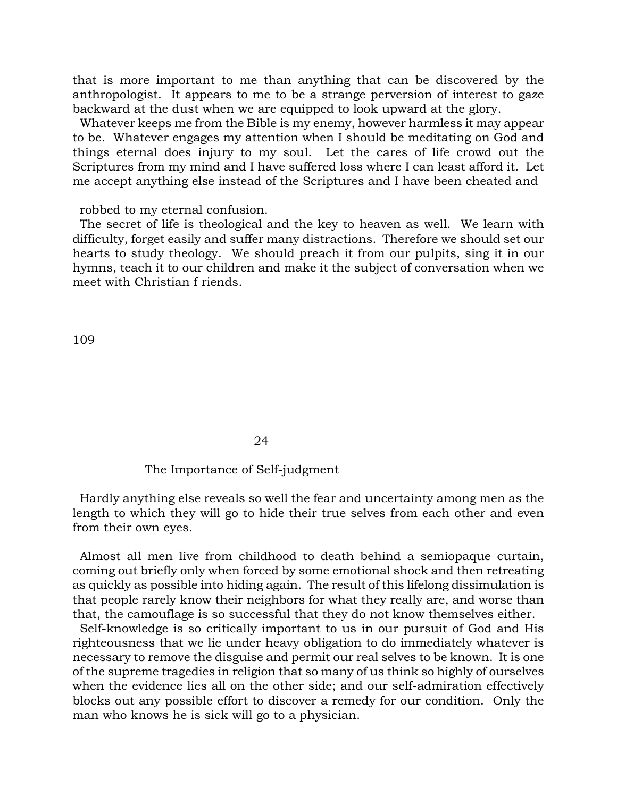that is more important to me than anything that can be discovered by the anthropologist. It appears to me to be a strange perversion of interest to gaze backward at the dust when we are equipped to look upward at the glory.

Whatever keeps me from the Bible is my enemy, however harmless it may appear to be. Whatever engages my attention when I should be meditating on God and things eternal does injury to my soul. Let the cares of life crowd out the Scriptures from my mind and I have suffered loss where I can least afford it. Let me accept anything else instead of the Scriptures and I have been cheated and

robbed to my eternal confusion.

The secret of life is theological and the key to heaven as well. We learn with difficulty, forget easily and suffer many distractions. Therefore we should set our hearts to study theology. We should preach it from our pulpits, sing it in our hymns, teach it to our children and make it the subject of conversation when we meet with Christian f riends.

109

#### 24

## The Importance of Self-judgment

Hardly anything else reveals so well the fear and uncertainty among men as the length to which they will go to hide their true selves from each other and even from their own eyes.

Almost all men live from childhood to death behind a semiopaque curtain, coming out briefly only when forced by some emotional shock and then retreating as quickly as possible into hiding again. The result of this lifelong dissimulation is that people rarely know their neighbors for what they really are, and worse than that, the camouflage is so successful that they do not know themselves either.

Self-knowledge is so critically important to us in our pursuit of God and His righteousness that we lie under heavy obligation to do immediately whatever is necessary to remove the disguise and permit our real selves to be known. It is one of the supreme tragedies in religion that so many of us think so highly of ourselves when the evidence lies all on the other side; and our self-admiration effectively blocks out any possible effort to discover a remedy for our condition. Only the man who knows he is sick will go to a physician.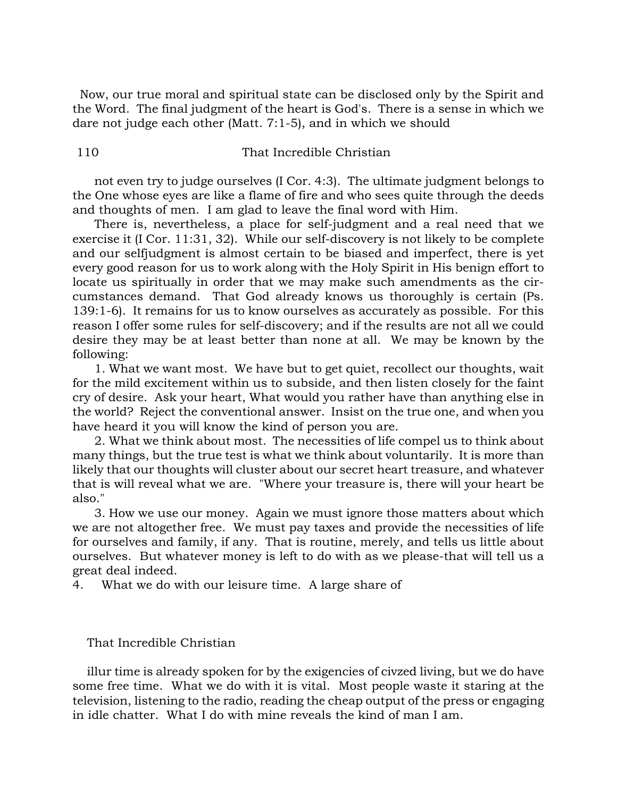Now, our true moral and spiritual state can be disclosed only by the Spirit and the Word. The final judgment of the heart is God's. There is a sense in which we dare not judge each other (Matt. 7:1-5), and in which we should

## 110 That Incredible Christian

not even try to judge ourselves (I Cor. 4:3). The ultimate judgment belongs to the One whose eyes are like a flame of fire and who sees quite through the deeds and thoughts of men. I am glad to leave the final word with Him.

There is, nevertheless, a place for self-judgment and a real need that we exercise it (I Cor. 11:31, 32). While our self-discovery is not likely to be complete and our selfjudgment is almost certain to be biased and imperfect, there is yet every good reason for us to work along with the Holy Spirit in His benign effort to locate us spiritually in order that we may make such amendments as the circumstances demand. That God already knows us thoroughly is certain (Ps. 139:1-6). It remains for us to know ourselves as accurately as possible. For this reason I offer some rules for self-discovery; and if the results are not all we could desire they may be at least better than none at all. We may be known by the following:

1. What we want most. We have but to get quiet, recollect our thoughts, wait for the mild excitement within us to subside, and then listen closely for the faint cry of desire. Ask your heart, What would you rather have than anything else in the world? Reject the conventional answer. Insist on the true one, and when you have heard it you will know the kind of person you are.

2. What we think about most. The necessities of life compel us to think about many things, but the true test is what we think about voluntarily. It is more than likely that our thoughts will cluster about our secret heart treasure, and whatever that is will reveal what we are. "Where your treasure is, there will your heart be also."

3. How we use our money. Again we must ignore those matters about which we are not altogether free. We must pay taxes and provide the necessities of life for ourselves and family, if any. That is routine, merely, and tells us little about ourselves. But whatever money is left to do with as we please-that will tell us a great deal indeed.

4. What we do with our leisure time. A large share of

# That Incredible Christian

illur time is already spoken for by the exigencies of civzed living, but we do have some free time. What we do with it is vital. Most people waste it staring at the television, listening to the radio, reading the cheap output of the press or engaging in idle chatter. What I do with mine reveals the kind of man I am.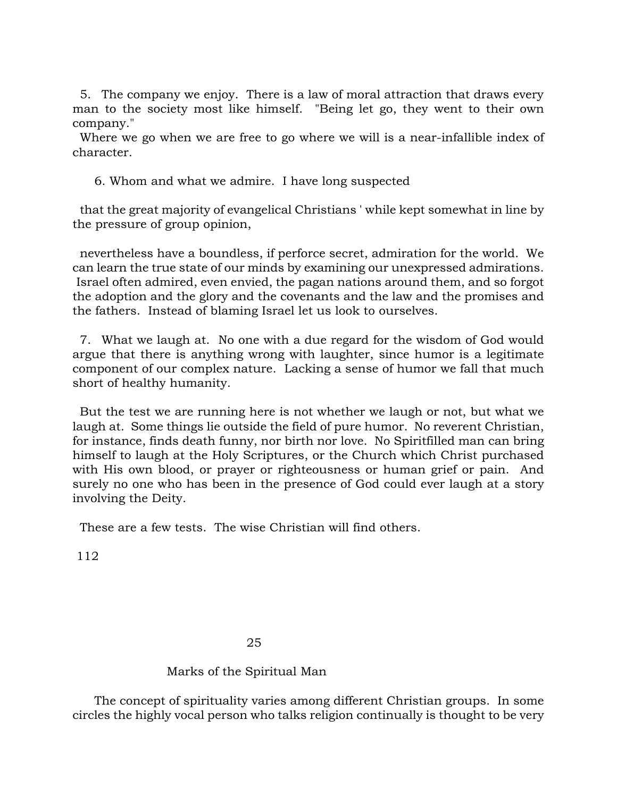5. The company we enjoy. There is a law of moral attraction that draws every man to the society most like himself. "Being let go, they went to their own company."

Where we go when we are free to go where we will is a near-infallible index of character.

6. Whom and what we admire. I have long suspected

that the great majority of evangelical Christians ' while kept somewhat in line by the pressure of group opinion,

nevertheless have a boundless, if perforce secret, admiration for the world. We can learn the true state of our minds by examining our unexpressed admirations. Israel often admired, even envied, the pagan nations around them, and so forgot the adoption and the glory and the covenants and the law and the promises and the fathers. Instead of blaming Israel let us look to ourselves.

7. What we laugh at. No one with a due regard for the wisdom of God would argue that there is anything wrong with laughter, since humor is a legitimate component of our complex nature. Lacking a sense of humor we fall that much short of healthy humanity.

But the test we are running here is not whether we laugh or not, but what we laugh at. Some things lie outside the field of pure humor. No reverent Christian, for instance, finds death funny, nor birth nor love. No Spiritfilled man can bring himself to laugh at the Holy Scriptures, or the Church which Christ purchased with His own blood, or prayer or righteousness or human grief or pain. And surely no one who has been in the presence of God could ever laugh at a story involving the Deity.

These are a few tests. The wise Christian will find others.

112

25

# Marks of the Spiritual Man

The concept of spirituality varies among different Christian groups. In some circles the highly vocal person who talks religion continually is thought to be very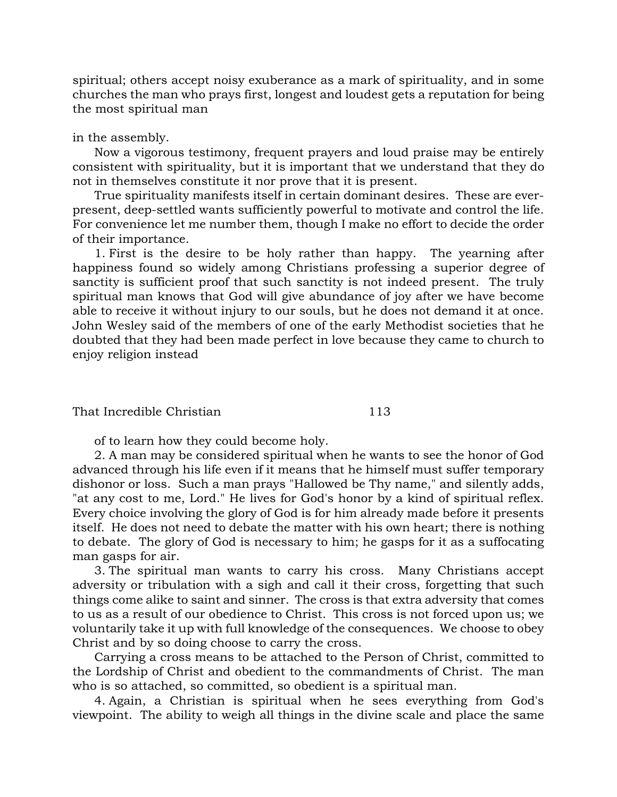spiritual; others accept noisy exuberance as a mark of spirituality, and in some churches the man who prays first, longest and loudest gets a reputation for being the most spiritual man

## in the assembly.

Now a vigorous testimony, frequent prayers and loud praise may be entirely consistent with spirituality, but it is important that we understand that they do not in themselves constitute it nor prove that it is present.

True spirituality manifests itself in certain dominant desires. These are everpresent, deep-settled wants sufficiently powerful to motivate and control the life. For convenience let me number them, though I make no effort to decide the order of their importance.

1. First is the desire to be holy rather than happy. The yearning after happiness found so widely among Christians professing a superior degree of sanctity is sufficient proof that such sanctity is not indeed present. The truly spiritual man knows that God will give abundance of joy after we have become able to receive it without injury to our souls, but he does not demand it at once. John Wesley said of the members of one of the early Methodist societies that he doubted that they had been made perfect in love because they came to church to enjoy religion instead

## That Incredible Christian 113

of to learn how they could become holy.

2. A man may be considered spiritual when he wants to see the honor of God advanced through his life even if it means that he himself must suffer temporary dishonor or loss. Such a man prays "Hallowed be Thy name," and silently adds, "at any cost to me, Lord." He lives for God's honor by a kind of spiritual reflex. Every choice involving the glory of God is for him already made before it presents itself. He does not need to debate the matter with his own heart; there is nothing to debate. The glory of God is necessary to him; he gasps for it as a suffocating man gasps for air.

3. The spiritual man wants to carry his cross. Many Christians accept adversity or tribulation with a sigh and call it their cross, forgetting that such things come alike to saint and sinner. The cross is that extra adversity that comes to us as a result of our obedience to Christ. This cross is not forced upon us; we voluntarily take it up with full knowledge of the consequences. We choose to obey Christ and by so doing choose to carry the cross.

Carrying a cross means to be attached to the Person of Christ, committed to the Lordship of Christ and obedient to the commandments of Christ. The man who is so attached, so committed, so obedient is a spiritual man.

4. Again, a Christian is spiritual when he sees everything from God's viewpoint. The ability to weigh all things in the divine scale and place the same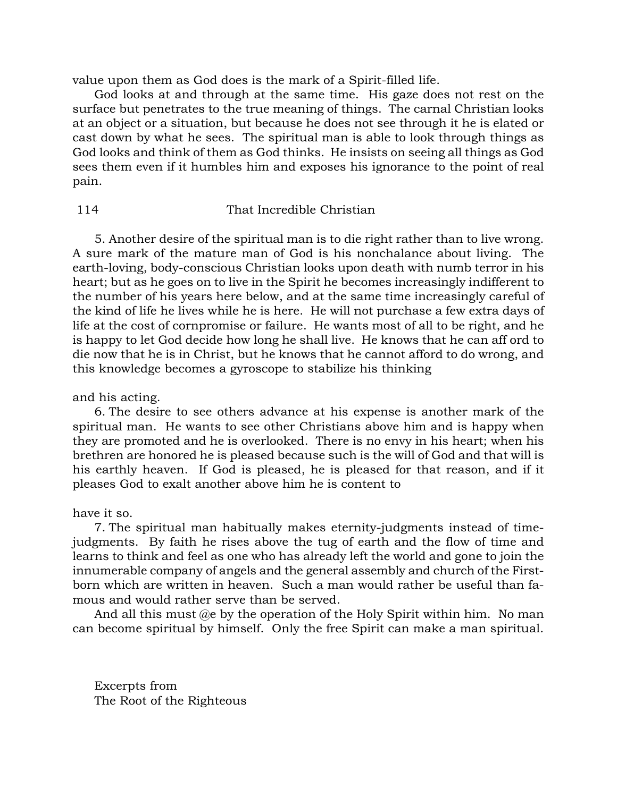value upon them as God does is the mark of a Spirit-filled life.

God looks at and through at the same time. His gaze does not rest on the surface but penetrates to the true meaning of things. The carnal Christian looks at an object or a situation, but because he does not see through it he is elated or cast down by what he sees. The spiritual man is able to look through things as God looks and think of them as God thinks. He insists on seeing all things as God sees them even if it humbles him and exposes his ignorance to the point of real pain.

# 114 That Incredible Christian

5. Another desire of the spiritual man is to die right rather than to live wrong. A sure mark of the mature man of God is his nonchalance about living. The earth-loving, body-conscious Christian looks upon death with numb terror in his heart; but as he goes on to live in the Spirit he becomes increasingly indifferent to the number of his years here below, and at the same time increasingly careful of the kind of life he lives while he is here. He will not purchase a few extra days of life at the cost of cornpromise or failure. He wants most of all to be right, and he is happy to let God decide how long he shall live. He knows that he can aff ord to die now that he is in Christ, but he knows that he cannot afford to do wrong, and this knowledge becomes a gyroscope to stabilize his thinking

and his acting.

6. The desire to see others advance at his expense is another mark of the spiritual man. He wants to see other Christians above him and is happy when they are promoted and he is overlooked. There is no envy in his heart; when his brethren are honored he is pleased because such is the will of God and that will is his earthly heaven. If God is pleased, he is pleased for that reason, and if it pleases God to exalt another above him he is content to

have it so.

7. The spiritual man habitually makes eternity-judgments instead of timejudgments. By faith he rises above the tug of earth and the flow of time and learns to think and feel as one who has already left the world and gone to join the innumerable company of angels and the general assembly and church of the Firstborn which are written in heaven. Such a man would rather be useful than famous and would rather serve than be served.

And all this must  $@e$  by the operation of the Holy Spirit within him. No man can become spiritual by himself. Only the free Spirit can make a man spiritual.

Excerpts from The Root of the Righteous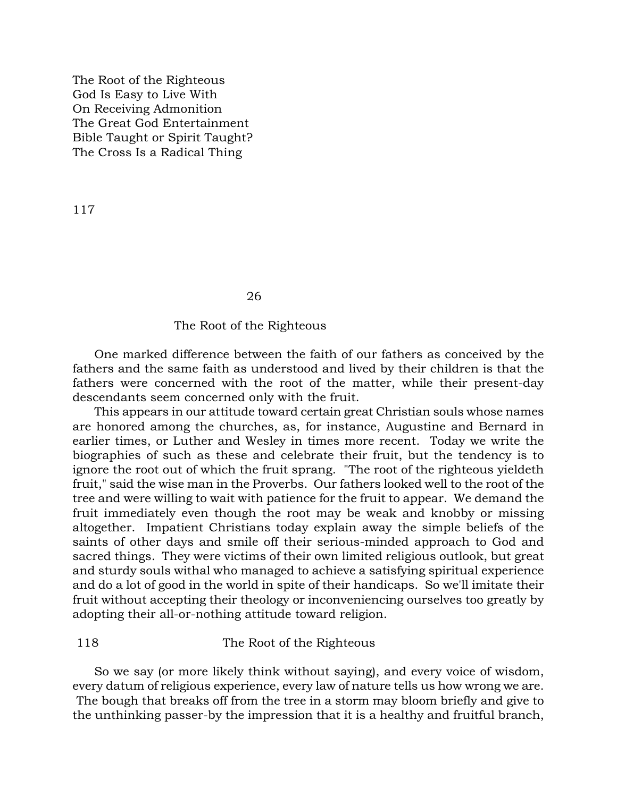The Root of the Righteous God Is Easy to Live With On Receiving Admonition The Great God Entertainment Bible Taught or Spirit Taught? The Cross Is a Radical Thing

117

#### 26

### The Root of the Righteous

One marked difference between the faith of our fathers as conceived by the fathers and the same faith as understood and lived by their children is that the fathers were concerned with the root of the matter, while their present-day descendants seem concerned only with the fruit.

This appears in our attitude toward certain great Christian souls whose names are honored among the churches, as, for instance, Augustine and Bernard in earlier times, or Luther and Wesley in times more recent. Today we write the biographies of such as these and celebrate their fruit, but the tendency is to ignore the root out of which the fruit sprang. "The root of the righteous yieldeth fruit," said the wise man in the Proverbs. Our fathers looked well to the root of the tree and were willing to wait with patience for the fruit to appear. We demand the fruit immediately even though the root may be weak and knobby or missing altogether. Impatient Christians today explain away the simple beliefs of the saints of other days and smile off their serious-minded approach to God and sacred things. They were victims of their own limited religious outlook, but great and sturdy souls withal who managed to achieve a satisfying spiritual experience and do a lot of good in the world in spite of their handicaps. So we'll imitate their fruit without accepting their theology or inconveniencing ourselves too greatly by adopting their all-or-nothing attitude toward religion.

118 The Root of the Righteous

So we say (or more likely think without saying), and every voice of wisdom, every datum of religious experience, every law of nature tells us how wrong we are. The bough that breaks off from the tree in a storm may bloom briefly and give to the unthinking passer-by the impression that it is a healthy and fruitful branch,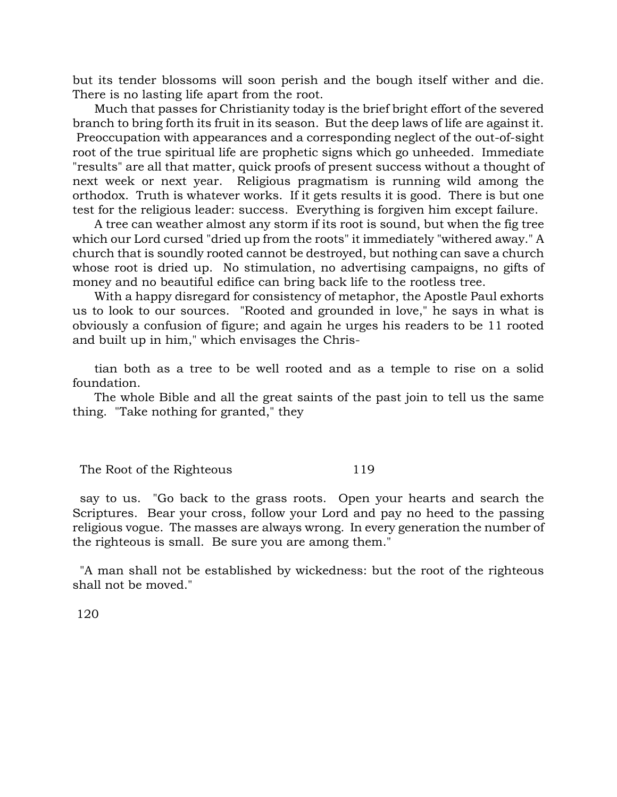but its tender blossoms will soon perish and the bough itself wither and die. There is no lasting life apart from the root.

Much that passes for Christianity today is the brief bright effort of the severed branch to bring forth its fruit in its season. But the deep laws of life are against it. Preoccupation with appearances and a corresponding neglect of the out-of-sight root of the true spiritual life are prophetic signs which go unheeded. Immediate "results" are all that matter, quick proofs of present success without a thought of next week or next year. Religious pragmatism is running wild among the orthodox. Truth is whatever works. If it gets results it is good. There is but one test for the religious leader: success. Everything is forgiven him except failure.

A tree can weather almost any storm if its root is sound, but when the fig tree which our Lord cursed "dried up from the roots" it immediately "withered away." A church that is soundly rooted cannot be destroyed, but nothing can save a church whose root is dried up. No stimulation, no advertising campaigns, no gifts of money and no beautiful edifice can bring back life to the rootless tree.

With a happy disregard for consistency of metaphor, the Apostle Paul exhorts us to look to our sources. "Rooted and grounded in love," he says in what is obviously a confusion of figure; and again he urges his readers to be 11 rooted and built up in him," which envisages the Chris-

tian both as a tree to be well rooted and as a temple to rise on a solid foundation.

The whole Bible and all the great saints of the past join to tell us the same thing. "Take nothing for granted," they

The Root of the Righteous 119

say to us. "Go back to the grass roots. Open your hearts and search the Scriptures. Bear your cross, follow your Lord and pay no heed to the passing religious vogue. The masses are always wrong. In every generation the number of the righteous is small. Be sure you are among them."

"A man shall not be established by wickedness: but the root of the righteous shall not be moved."

120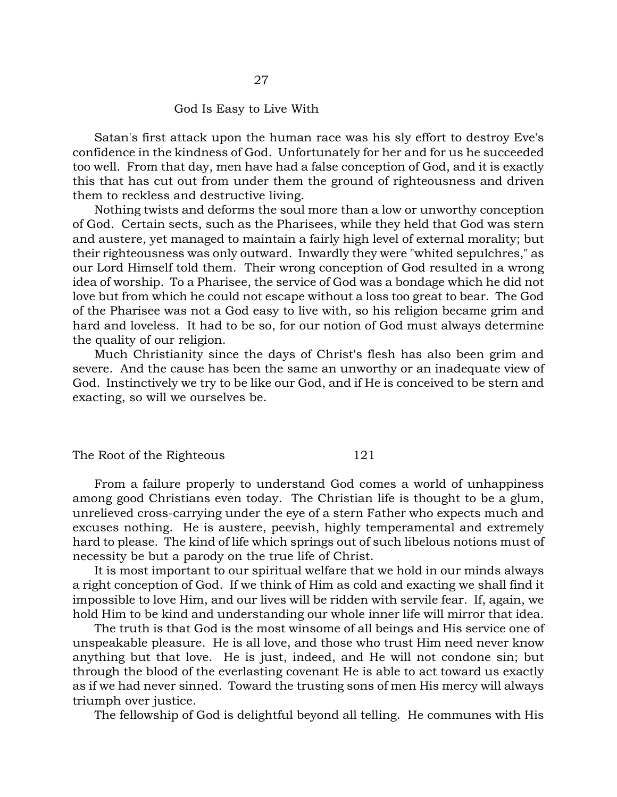#### God Is Easy to Live With

Satan's first attack upon the human race was his sly effort to destroy Eve's confidence in the kindness of God. Unfortunately for her and for us he succeeded too well. From that day, men have had a false conception of God, and it is exactly this that has cut out from under them the ground of righteousness and driven them to reckless and destructive living.

Nothing twists and deforms the soul more than a low or unworthy conception of God. Certain sects, such as the Pharisees, while they held that God was stern and austere, yet managed to maintain a fairly high level of external morality; but their righteousness was only outward. Inwardly they were "whited sepulchres," as our Lord Himself told them. Their wrong conception of God resulted in a wrong idea of worship. To a Pharisee, the service of God was a bondage which he did not love but from which he could not escape without a loss too great to bear. The God of the Pharisee was not a God easy to live with, so his religion became grim and hard and loveless. It had to be so, for our notion of God must always determine the quality of our religion.

Much Christianity since the days of Christ's flesh has also been grim and severe. And the cause has been the same an unworthy or an inadequate view of God. Instinctively we try to be like our God, and if He is conceived to be stern and exacting, so will we ourselves be.

#### The Root of the Righteous 121

From a failure properly to understand God comes a world of unhappiness among good Christians even today. The Christian life is thought to be a glum, unrelieved cross-carrying under the eye of a stern Father who expects much and excuses nothing. He is austere, peevish, highly temperamental and extremely hard to please. The kind of life which springs out of such libelous notions must of necessity be but a parody on the true life of Christ.

It is most important to our spiritual welfare that we hold in our minds always a right conception of God. If we think of Him as cold and exacting we shall find it impossible to love Him, and our lives will be ridden with servile fear. If, again, we hold Him to be kind and understanding our whole inner life will mirror that idea.

The truth is that God is the most winsome of all beings and His service one of unspeakable pleasure. He is all love, and those who trust Him need never know anything but that love. He is just, indeed, and He will not condone sin; but through the blood of the everlasting covenant He is able to act toward us exactly as if we had never sinned. Toward the trusting sons of men His mercy will always triumph over justice.

The fellowship of God is delightful beyond all telling. He communes with His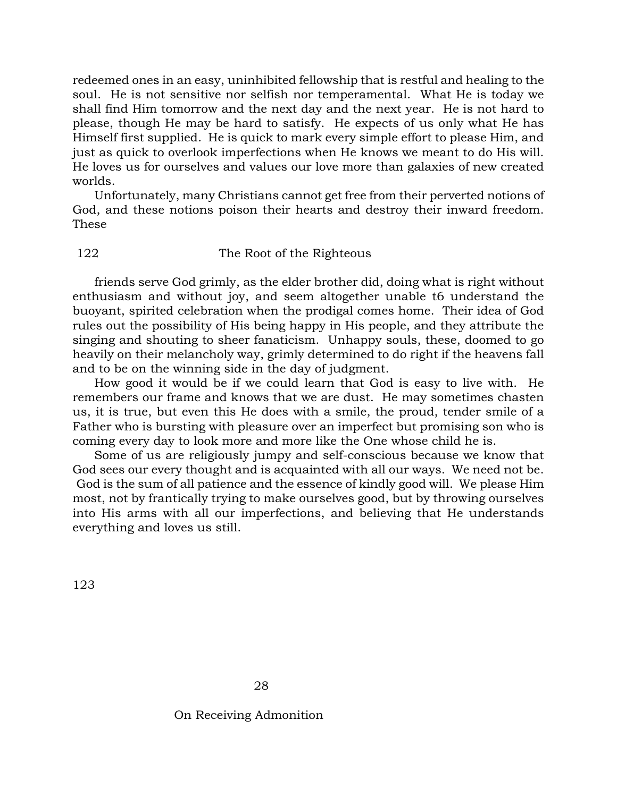redeemed ones in an easy, uninhibited fellowship that is restful and healing to the soul. He is not sensitive nor selfish nor temperamental. What He is today we shall find Him tomorrow and the next day and the next year. He is not hard to please, though He may be hard to satisfy. He expects of us only what He has Himself first supplied. He is quick to mark every simple effort to please Him, and just as quick to overlook imperfections when He knows we meant to do His will. He loves us for ourselves and values our love more than galaxies of new created worlds.

Unfortunately, many Christians cannot get free from their perverted notions of God, and these notions poison their hearts and destroy their inward freedom. These

# 122 The Root of the Righteous

friends serve God grimly, as the elder brother did, doing what is right without enthusiasm and without joy, and seem altogether unable t6 understand the buoyant, spirited celebration when the prodigal comes home. Their idea of God rules out the possibility of His being happy in His people, and they attribute the singing and shouting to sheer fanaticism. Unhappy souls, these, doomed to go heavily on their melancholy way, grimly determined to do right if the heavens fall and to be on the winning side in the day of judgment.

How good it would be if we could learn that God is easy to live with. He remembers our frame and knows that we are dust. He may sometimes chasten us, it is true, but even this He does with a smile, the proud, tender smile of a Father who is bursting with pleasure over an imperfect but promising son who is coming every day to look more and more like the One whose child he is.

Some of us are religiously jumpy and self-conscious because we know that God sees our every thought and is acquainted with all our ways. We need not be. God is the sum of all patience and the essence of kindly good will. We please Him most, not by frantically trying to make ourselves good, but by throwing ourselves into His arms with all our imperfections, and believing that He understands everything and loves us still.

123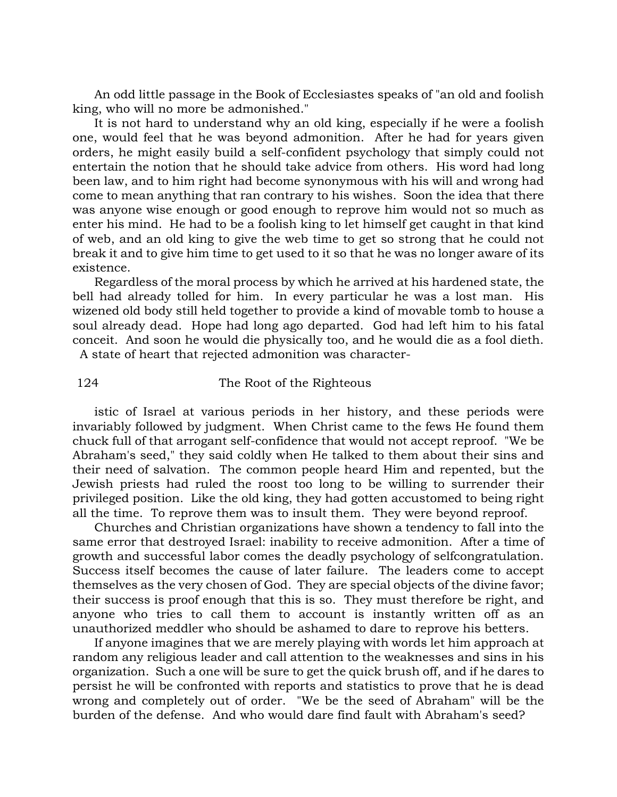An odd little passage in the Book of Ecclesiastes speaks of "an old and foolish king, who will no more be admonished."

It is not hard to understand why an old king, especially if he were a foolish one, would feel that he was beyond admonition. After he had for years given orders, he might easily build a self-confident psychology that simply could not entertain the notion that he should take advice from others. His word had long been law, and to him right had become synonymous with his will and wrong had come to mean anything that ran contrary to his wishes. Soon the idea that there was anyone wise enough or good enough to reprove him would not so much as enter his mind. He had to be a foolish king to let himself get caught in that kind of web, and an old king to give the web time to get so strong that he could not break it and to give him time to get used to it so that he was no longer aware of its existence.

Regardless of the moral process by which he arrived at his hardened state, the bell had already tolled for him. In every particular he was a lost man. His wizened old body still held together to provide a kind of movable tomb to house a soul already dead. Hope had long ago departed. God had left him to his fatal conceit. And soon he would die physically too, and he would die as a fool dieth.

A state of heart that rejected admonition was character-

# 124 The Root of the Righteous

istic of Israel at various periods in her history, and these periods were invariably followed by judgment. When Christ came to the fews He found them chuck full of that arrogant self-confidence that would not accept reproof. "We be Abraham's seed," they said coldly when He talked to them about their sins and their need of salvation. The common people heard Him and repented, but the Jewish priests had ruled the roost too long to be willing to surrender their privileged position. Like the old king, they had gotten accustomed to being right all the time. To reprove them was to insult them. They were beyond reproof.

Churches and Christian organizations have shown a tendency to fall into the same error that destroyed Israel: inability to receive admonition. After a time of growth and successful labor comes the deadly psychology of selfcongratulation. Success itself becomes the cause of later failure. The leaders come to accept themselves as the very chosen of God. They are special objects of the divine favor; their success is proof enough that this is so. They must therefore be right, and anyone who tries to call them to account is instantly written off as an unauthorized meddler who should be ashamed to dare to reprove his betters.

If anyone imagines that we are merely playing with words let him approach at random any religious leader and call attention to the weaknesses and sins in his organization. Such a one will be sure to get the quick brush off, and if he dares to persist he will be confronted with reports and statistics to prove that he is dead wrong and completely out of order. "We be the seed of Abraham" will be the burden of the defense. And who would dare find fault with Abraham's seed?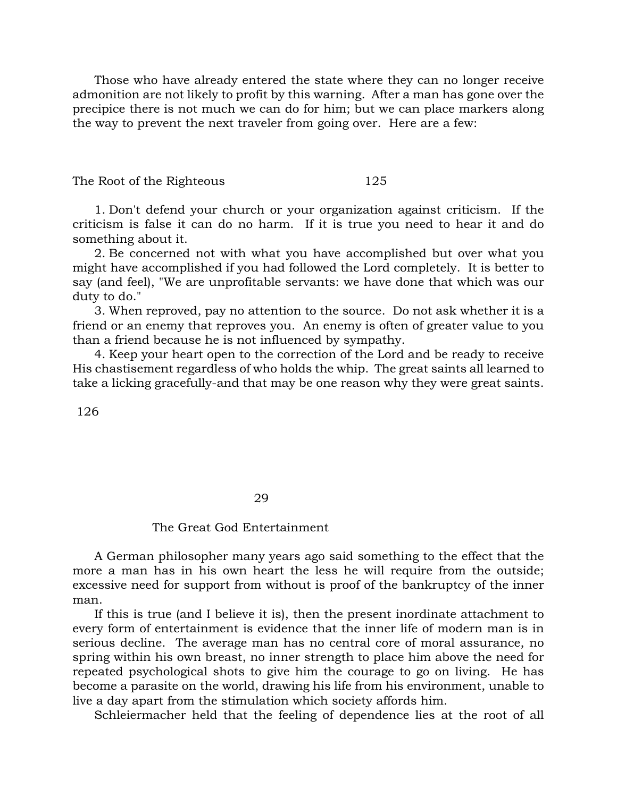Those who have already entered the state where they can no longer receive admonition are not likely to profit by this warning. After a man has gone over the precipice there is not much we can do for him; but we can place markers along the way to prevent the next traveler from going over. Here are a few:

The Root of the Righteous 125

1. Don't defend your church or your organization against criticism. If the criticism is false it can do no harm. If it is true you need to hear it and do something about it.

2. Be concerned not with what you have accomplished but over what you might have accomplished if you had followed the Lord completely. It is better to say (and feel), "We are unprofitable servants: we have done that which was our duty to do."

3. When reproved, pay no attention to the source. Do not ask whether it is a friend or an enemy that reproves you. An enemy is often of greater value to you than a friend because he is not influenced by sympathy.

4. Keep your heart open to the correction of the Lord and be ready to receive His chastisement regardless of who holds the whip. The great saints all learned to take a licking gracefully-and that may be one reason why they were great saints.

126

#### 29

# The Great God Entertainment

A German philosopher many years ago said something to the effect that the more a man has in his own heart the less he will require from the outside; excessive need for support from without is proof of the bankruptcy of the inner man.

If this is true (and I believe it is), then the present inordinate attachment to every form of entertainment is evidence that the inner life of modern man is in serious decline. The average man has no central core of moral assurance, no spring within his own breast, no inner strength to place him above the need for repeated psychological shots to give him the courage to go on living. He has become a parasite on the world, drawing his life from his environment, unable to live a day apart from the stimulation which society affords him.

Schleiermacher held that the feeling of dependence lies at the root of all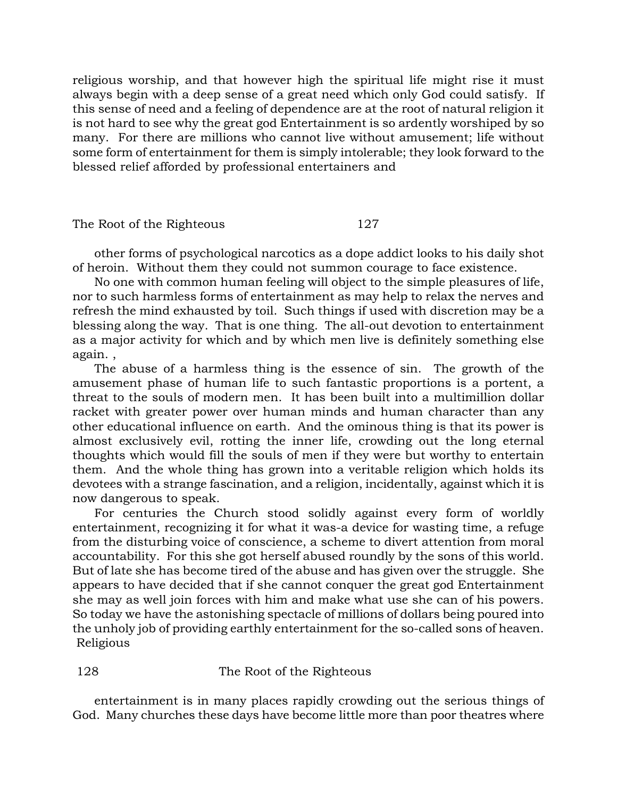religious worship, and that however high the spiritual life might rise it must always begin with a deep sense of a great need which only God could satisfy. If this sense of need and a feeling of dependence are at the root of natural religion it is not hard to see why the great god Entertainment is so ardently worshiped by so many. For there are millions who cannot live without amusement; life without some form of entertainment for them is simply intolerable; they look forward to the blessed relief afforded by professional entertainers and

The Root of the Righteous 127

other forms of psychological narcotics as a dope addict looks to his daily shot of heroin. Without them they could not summon courage to face existence.

No one with common human feeling will object to the simple pleasures of life, nor to such harmless forms of entertainment as may help to relax the nerves and refresh the mind exhausted by toil. Such things if used with discretion may be a blessing along the way. That is one thing. The all-out devotion to entertainment as a major activity for which and by which men live is definitely something else again. ,

The abuse of a harmless thing is the essence of sin. The growth of the amusement phase of human life to such fantastic proportions is a portent, a threat to the souls of modern men. It has been built into a multimillion dollar racket with greater power over human minds and human character than any other educational influence on earth. And the ominous thing is that its power is almost exclusively evil, rotting the inner life, crowding out the long eternal thoughts which would fill the souls of men if they were but worthy to entertain them. And the whole thing has grown into a veritable religion which holds its devotees with a strange fascination, and a religion, incidentally, against which it is now dangerous to speak.

For centuries the Church stood solidly against every form of worldly entertainment, recognizing it for what it was-a device for wasting time, a refuge from the disturbing voice of conscience, a scheme to divert attention from moral accountability. For this she got herself abused roundly by the sons of this world. But of late she has become tired of the abuse and has given over the struggle. She appears to have decided that if she cannot conquer the great god Entertainment she may as well join forces with him and make what use she can of his powers. So today we have the astonishing spectacle of millions of dollars being poured into the unholy job of providing earthly entertainment for the so-called sons of heaven. Religious

# 128 The Root of the Righteous

entertainment is in many places rapidly crowding out the serious things of God. Many churches these days have become little more than poor theatres where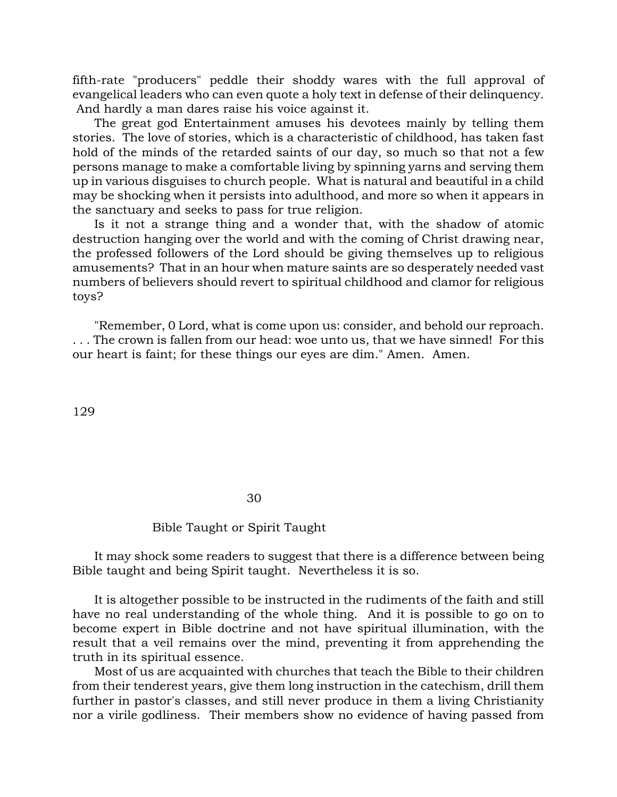fifth-rate "producers" peddle their shoddy wares with the full approval of evangelical leaders who can even quote a holy text in defense of their delinquency. And hardly a man dares raise his voice against it.

The great god Entertainment amuses his devotees mainly by telling them stories. The love of stories, which is a characteristic of childhood, has taken fast hold of the minds of the retarded saints of our day, so much so that not a few persons manage to make a comfortable living by spinning yarns and serving them up in various disguises to church people. What is natural and beautiful in a child may be shocking when it persists into adulthood, and more so when it appears in the sanctuary and seeks to pass for true religion.

Is it not a strange thing and a wonder that, with the shadow of atomic destruction hanging over the world and with the coming of Christ drawing near, the professed followers of the Lord should be giving themselves up to religious amusements? That in an hour when mature saints are so desperately needed vast numbers of believers should revert to spiritual childhood and clamor for religious toys?

"Remember, 0 Lord, what is come upon us: consider, and behold our reproach. . . . The crown is fallen from our head: woe unto us, that we have sinned! For this our heart is faint; for these things our eyes are dim." Amen. Amen.

129

# 30

# Bible Taught or Spirit Taught

It may shock some readers to suggest that there is a difference between being Bible taught and being Spirit taught. Nevertheless it is so.

It is altogether possible to be instructed in the rudiments of the faith and still have no real understanding of the whole thing. And it is possible to go on to become expert in Bible doctrine and not have spiritual illumination, with the result that a veil remains over the mind, preventing it from apprehending the truth in its spiritual essence.

Most of us are acquainted with churches that teach the Bible to their children from their tenderest years, give them long instruction in the catechism, drill them further in pastor's classes, and still never produce in them a living Christianity nor a virile godliness. Their members show no evidence of having passed from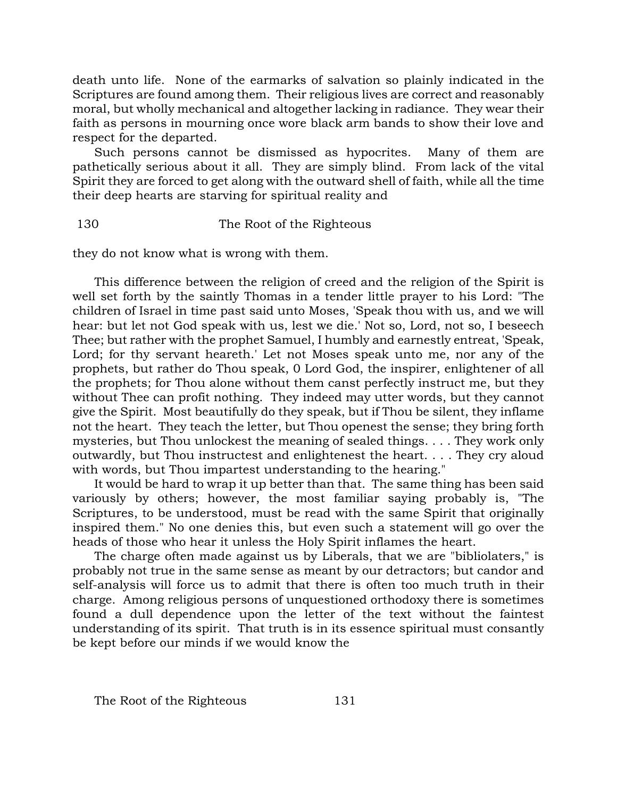death unto life. None of the earmarks of salvation so plainly indicated in the Scriptures are found among them. Their religious lives are correct and reasonably moral, but wholly mechanical and altogether lacking in radiance. They wear their faith as persons in mourning once wore black arm bands to show their love and respect for the departed.

Such persons cannot be dismissed as hypocrites. Many of them are pathetically serious about it all. They are simply blind. From lack of the vital Spirit they are forced to get along with the outward shell of faith, while all the time their deep hearts are starving for spiritual reality and

130 The Root of the Righteous

they do not know what is wrong with them.

This difference between the religion of creed and the religion of the Spirit is well set forth by the saintly Thomas in a tender little prayer to his Lord: "The children of Israel in time past said unto Moses, 'Speak thou with us, and we will hear: but let not God speak with us, lest we die.' Not so, Lord, not so, I beseech Thee; but rather with the prophet Samuel, I humbly and earnestly entreat, 'Speak, Lord; for thy servant heareth.' Let not Moses speak unto me, nor any of the prophets, but rather do Thou speak, 0 Lord God, the inspirer, enlightener of all the prophets; for Thou alone without them canst perfectly instruct me, but they without Thee can profit nothing. They indeed may utter words, but they cannot give the Spirit. Most beautifully do they speak, but if Thou be silent, they inflame not the heart. They teach the letter, but Thou openest the sense; they bring forth mysteries, but Thou unlockest the meaning of sealed things. . . . They work only outwardly, but Thou instructest and enlightenest the heart. . . . They cry aloud with words, but Thou impartest understanding to the hearing."

It would be hard to wrap it up better than that. The same thing has been said variously by others; however, the most familiar saying probably is, "The Scriptures, to be understood, must be read with the same Spirit that originally inspired them." No one denies this, but even such a statement will go over the heads of those who hear it unless the Holy Spirit inflames the heart.

The charge often made against us by Liberals, that we are "bibliolaters," is probably not true in the same sense as meant by our detractors; but candor and self-analysis will force us to admit that there is often too much truth in their charge. Among religious persons of unquestioned orthodoxy there is sometimes found a dull dependence upon the letter of the text without the faintest understanding of its spirit. That truth is in its essence spiritual must consantly be kept before our minds if we would know the

The Root of the Righteous 131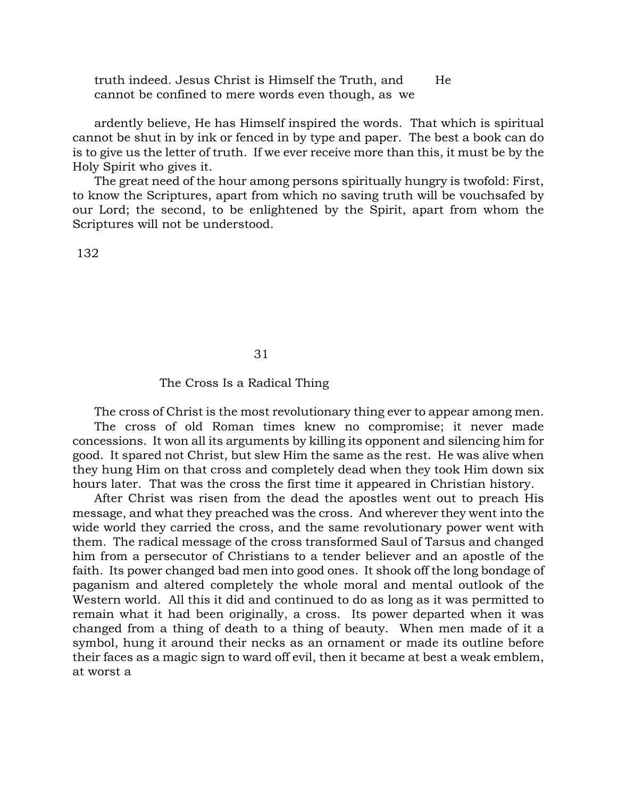truth indeed. Jesus Christ is Himself the Truth, and He cannot be confined to mere words even though, as we

ardently believe, He has Himself inspired the words. That which is spiritual cannot be shut in by ink or fenced in by type and paper. The best a book can do is to give us the letter of truth. If we ever receive more than this, it must be by the Holy Spirit who gives it.

The great need of the hour among persons spiritually hungry is twofold: First, to know the Scriptures, apart from which no saving truth will be vouchsafed by our Lord; the second, to be enlightened by the Spirit, apart from whom the Scriptures will not be understood.

132

31

### The Cross Is a Radical Thing

The cross of Christ is the most revolutionary thing ever to appear among men.

The cross of old Roman times knew no compromise; it never made concessions. It won all its arguments by killing its opponent and silencing him for good. It spared not Christ, but slew Him the same as the rest. He was alive when they hung Him on that cross and completely dead when they took Him down six hours later. That was the cross the first time it appeared in Christian history.

After Christ was risen from the dead the apostles went out to preach His message, and what they preached was the cross. And wherever they went into the wide world they carried the cross, and the same revolutionary power went with them. The radical message of the cross transformed Saul of Tarsus and changed him from a persecutor of Christians to a tender believer and an apostle of the faith. Its power changed bad men into good ones. It shook off the long bondage of paganism and altered completely the whole moral and mental outlook of the Western world. All this it did and continued to do as long as it was permitted to remain what it had been originally, a cross. Its power departed when it was changed from a thing of death to a thing of beauty. When men made of it a symbol, hung it around their necks as an ornament or made its outline before their faces as a magic sign to ward off evil, then it became at best a weak emblem, at worst a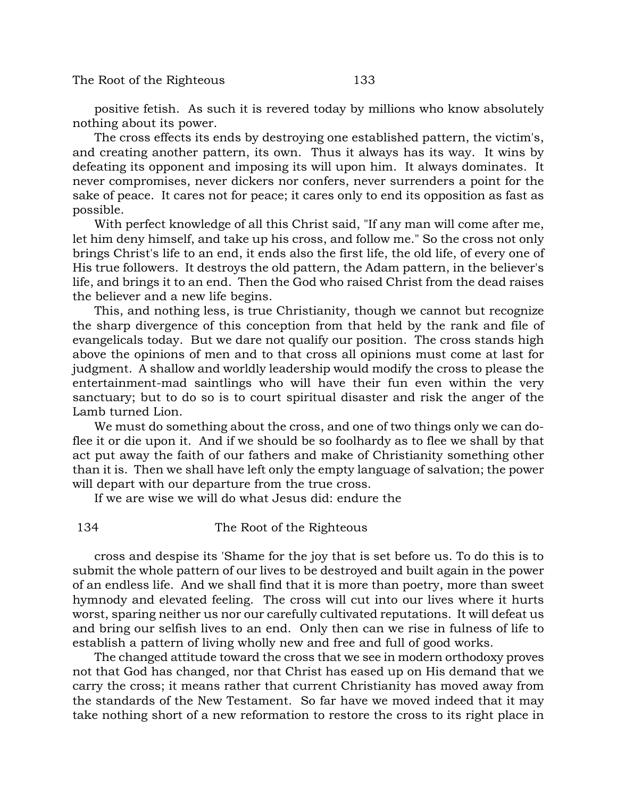positive fetish. As such it is revered today by millions who know absolutely nothing about its power.

The cross effects its ends by destroying one established pattern, the victim's, and creating another pattern, its own. Thus it always has its way. It wins by defeating its opponent and imposing its will upon him. It always dominates. It never compromises, never dickers nor confers, never surrenders a point for the sake of peace. It cares not for peace; it cares only to end its opposition as fast as possible.

With perfect knowledge of all this Christ said, "If any man will come after me, let him deny himself, and take up his cross, and follow me." So the cross not only brings Christ's life to an end, it ends also the first life, the old life, of every one of His true followers. It destroys the old pattern, the Adam pattern, in the believer's life, and brings it to an end. Then the God who raised Christ from the dead raises the believer and a new life begins.

This, and nothing less, is true Christianity, though we cannot but recognize the sharp divergence of this conception from that held by the rank and file of evangelicals today. But we dare not qualify our position. The cross stands high above the opinions of men and to that cross all opinions must come at last for judgment. A shallow and worldly leadership would modify the cross to please the entertainment-mad saintlings who will have their fun even within the very sanctuary; but to do so is to court spiritual disaster and risk the anger of the Lamb turned Lion.

We must do something about the cross, and one of two things only we can doflee it or die upon it. And if we should be so foolhardy as to flee we shall by that act put away the faith of our fathers and make of Christianity something other than it is. Then we shall have left only the empty language of salvation; the power will depart with our departure from the true cross.

If we are wise we will do what Jesus did: endure the

134 The Root of the Righteous

cross and despise its 'Shame for the joy that is set before us. To do this is to submit the whole pattern of our lives to be destroyed and built again in the power of an endless life. And we shall find that it is more than poetry, more than sweet hymnody and elevated feeling. The cross will cut into our lives where it hurts worst, sparing neither us nor our carefully cultivated reputations. It will defeat us and bring our selfish lives to an end. Only then can we rise in fulness of life to establish a pattern of living wholly new and free and full of good works.

The changed attitude toward the cross that we see in modern orthodoxy proves not that God has changed, nor that Christ has eased up on His demand that we carry the cross; it means rather that current Christianity has moved away from the standards of the New Testament. So far have we moved indeed that it may take nothing short of a new reformation to restore the cross to its right place in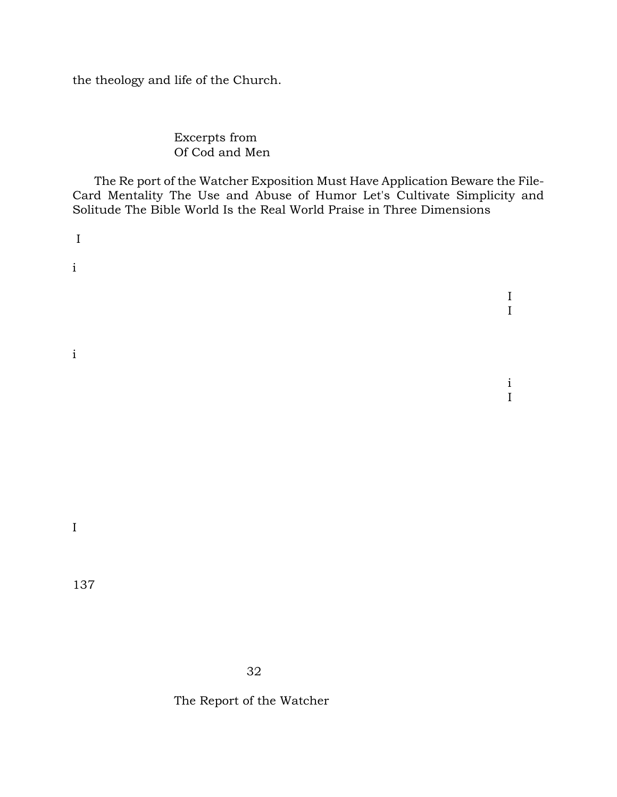the theology and life of the Church.

# Excerpts from Of Cod and Men

The Re port of the Watcher Exposition Must Have Application Beware the File-Card Mentality The Use and Abuse of Humor Let's Cultivate Simplicity and Solitude The Bible World Is the Real World Praise in Three Dimensions

| $\rm I$ |                                                     |
|---------|-----------------------------------------------------|
| $\rm i$ |                                                     |
|         |                                                     |
|         | $\begin{array}{c} \text{I} \\ \text{I} \end{array}$ |
|         |                                                     |
| $\,$ i  |                                                     |
|         | $\frac{\mathrm{i}}{\mathrm{I}}$                     |
|         |                                                     |
|         |                                                     |
|         |                                                     |
|         |                                                     |
|         |                                                     |
| $\rm I$ |                                                     |
|         |                                                     |
| 137     |                                                     |
|         |                                                     |
|         |                                                     |

32

The Report of the Watcher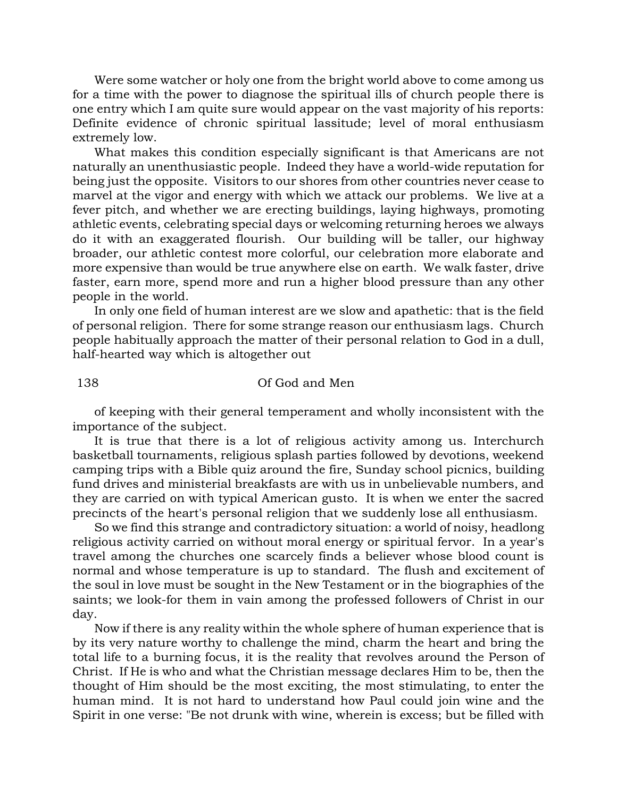Were some watcher or holy one from the bright world above to come among us for a time with the power to diagnose the spiritual ills of church people there is one entry which I am quite sure would appear on the vast majority of his reports: Definite evidence of chronic spiritual lassitude; level of moral enthusiasm extremely low.

What makes this condition especially significant is that Americans are not naturally an unenthusiastic people. Indeed they have a world-wide reputation for being just the opposite. Visitors to our shores from other countries never cease to marvel at the vigor and energy with which we attack our problems. We live at a fever pitch, and whether we are erecting buildings, laying highways, promoting athletic events, celebrating special days or welcoming returning heroes we always do it with an exaggerated flourish. Our building will be taller, our highway broader, our athletic contest more colorful, our celebration more elaborate and more expensive than would be true anywhere else on earth. We walk faster, drive faster, earn more, spend more and run a higher blood pressure than any other people in the world.

In only one field of human interest are we slow and apathetic: that is the field of personal religion. There for some strange reason our enthusiasm lags. Church people habitually approach the matter of their personal relation to God in a dull, half-hearted way which is altogether out

#### 138 Of God and Men

of keeping with their general temperament and wholly inconsistent with the importance of the subject.

It is true that there is a lot of religious activity among us. Interchurch basketball tournaments, religious splash parties followed by devotions, weekend camping trips with a Bible quiz around the fire, Sunday school picnics, building fund drives and ministerial breakfasts are with us in unbelievable numbers, and they are carried on with typical American gusto. It is when we enter the sacred precincts of the heart's personal religion that we suddenly lose all enthusiasm.

So we find this strange and contradictory situation: a world of noisy, headlong religious activity carried on without moral energy or spiritual fervor. In a year's travel among the churches one scarcely finds a believer whose blood count is normal and whose temperature is up to standard. The flush and excitement of the soul in love must be sought in the New Testament or in the biographies of the saints; we look-for them in vain among the professed followers of Christ in our day.

Now if there is any reality within the whole sphere of human experience that is by its very nature worthy to challenge the mind, charm the heart and bring the total life to a burning focus, it is the reality that revolves around the Person of Christ. If He is who and what the Christian message declares Him to be, then the thought of Him should be the most exciting, the most stimulating, to enter the human mind. It is not hard to understand how Paul could join wine and the Spirit in one verse: "Be not drunk with wine, wherein is excess; but be filled with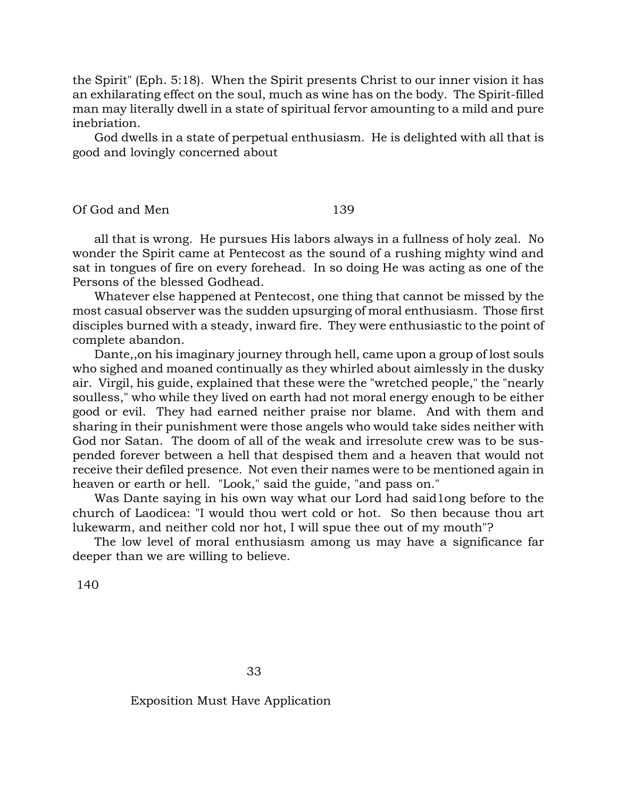the Spirit" (Eph. 5:18). When the Spirit presents Christ to our inner vision it has an exhilarating effect on the soul, much as wine has on the body. The Spirit-filled man may literally dwell in a state of spiritual fervor amounting to a mild and pure inebriation.

God dwells in a state of perpetual enthusiasm. He is delighted with all that is good and lovingly concerned about

#### Of God and Men 139

all that is wrong. He pursues His labors always in a fullness of holy zeal. No wonder the Spirit came at Pentecost as the sound of a rushing mighty wind and sat in tongues of fire on every forehead. In so doing He was acting as one of the Persons of the blessed Godhead.

Whatever else happened at Pentecost, one thing that cannot be missed by the most casual observer was the sudden upsurging of moral enthusiasm. Those first disciples burned with a steady, inward fire. They were enthusiastic to the point of complete abandon.

Dante,,on his imaginary journey through hell, came upon a group of lost souls who sighed and moaned continually as they whirled about aimlessly in the dusky air. Virgil, his guide, explained that these were the "wretched people," the "nearly soulless," who while they lived on earth had not moral energy enough to be either good or evil. They had earned neither praise nor blame. And with them and sharing in their punishment were those angels who would take sides neither with God nor Satan. The doom of all of the weak and irresolute crew was to be suspended forever between a hell that despised them and a heaven that would not receive their defiled presence. Not even their names were to be mentioned again in heaven or earth or hell. "Look," said the guide, "and pass on."

Was Dante saying in his own way what our Lord had said1ong before to the church of Laodicea: "I would thou wert cold or hot. So then because thou art lukewarm, and neither cold nor hot, I will spue thee out of my mouth"?

The low level of moral enthusiasm among us may have a significance far deeper than we are willing to believe.

140

Exposition Must Have Application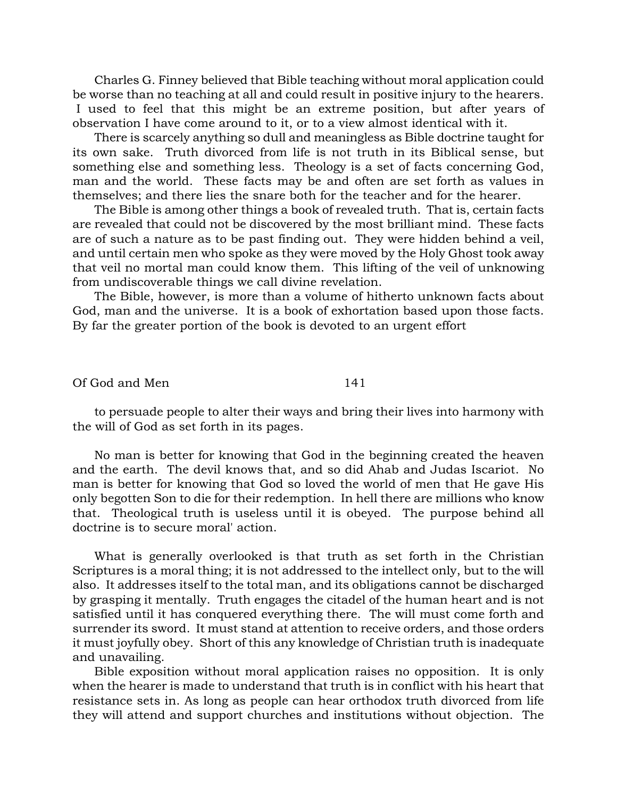Charles G. Finney believed that Bible teaching without moral application could be worse than no teaching at all and could result in positive injury to the hearers. I used to feel that this might be an extreme position, but after years of observation I have come around to it, or to a view almost identical with it.

There is scarcely anything so dull and meaningless as Bible doctrine taught for its own sake. Truth divorced from life is not truth in its Biblical sense, but something else and something less. Theology is a set of facts concerning God, man and the world. These facts may be and often are set forth as values in themselves; and there lies the snare both for the teacher and for the hearer.

The Bible is among other things a book of revealed truth. That is, certain facts are revealed that could not be discovered by the most brilliant mind. These facts are of such a nature as to be past finding out. They were hidden behind a veil, and until certain men who spoke as they were moved by the Holy Ghost took away that veil no mortal man could know them. This lifting of the veil of unknowing from undiscoverable things we call divine revelation.

The Bible, however, is more than a volume of hitherto unknown facts about God, man and the universe. It is a book of exhortation based upon those facts. By far the greater portion of the book is devoted to an urgent effort

Of God and Men 141

to persuade people to alter their ways and bring their lives into harmony with the will of God as set forth in its pages.

No man is better for knowing that God in the beginning created the heaven and the earth. The devil knows that, and so did Ahab and Judas Iscariot. No man is better for knowing that God so loved the world of men that He gave His only begotten Son to die for their redemption. In hell there are millions who know that. Theological truth is useless until it is obeyed. The purpose behind all doctrine is to secure moral' action.

What is generally overlooked is that truth as set forth in the Christian Scriptures is a moral thing; it is not addressed to the intellect only, but to the will also. It addresses itself to the total man, and its obligations cannot be discharged by grasping it mentally. Truth engages the citadel of the human heart and is not satisfied until it has conquered everything there. The will must come forth and surrender its sword. It must stand at attention to receive orders, and those orders it must joyfully obey. Short of this any knowledge of Christian truth is inadequate and unavailing.

Bible exposition without moral application raises no opposition. It is only when the hearer is made to understand that truth is in conflict with his heart that resistance sets in. As long as people can hear orthodox truth divorced from life they will attend and support churches and institutions without objection. The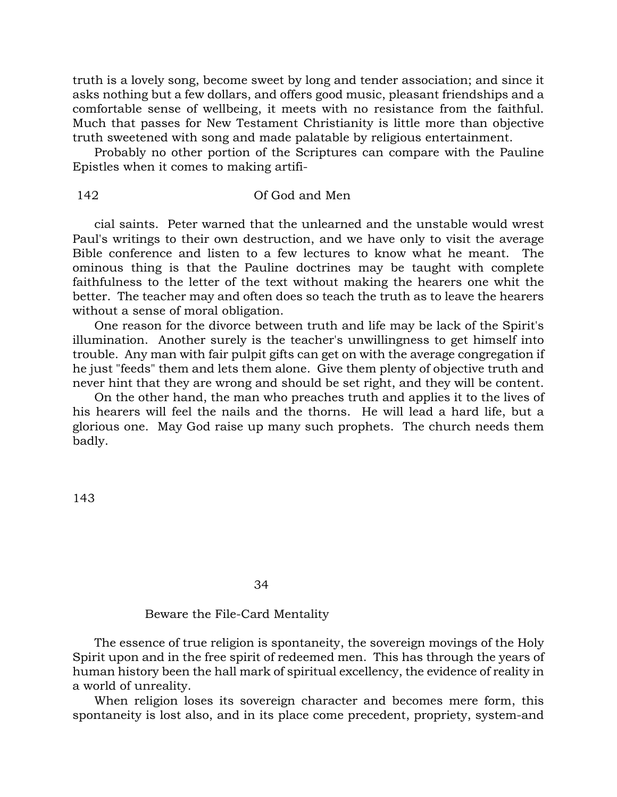truth is a lovely song, become sweet by long and tender association; and since it asks nothing but a few dollars, and offers good music, pleasant friendships and a comfortable sense of wellbeing, it meets with no resistance from the faithful. Much that passes for New Testament Christianity is little more than objective truth sweetened with song and made palatable by religious entertainment.

Probably no other portion of the Scriptures can compare with the Pauline Epistles when it comes to making artifi-

# 142 Of God and Men

cial saints. Peter warned that the unlearned and the unstable would wrest Paul's writings to their own destruction, and we have only to visit the average Bible conference and listen to a few lectures to know what he meant. The ominous thing is that the Pauline doctrines may be taught with complete faithfulness to the letter of the text without making the hearers one whit the better. The teacher may and often does so teach the truth as to leave the hearers without a sense of moral obligation.

One reason for the divorce between truth and life may be lack of the Spirit's illumination. Another surely is the teacher's unwillingness to get himself into trouble. Any man with fair pulpit gifts can get on with the average congregation if he just "feeds" them and lets them alone. Give them plenty of objective truth and never hint that they are wrong and should be set right, and they will be content.

On the other hand, the man who preaches truth and applies it to the lives of his hearers will feel the nails and the thorns. He will lead a hard life, but a glorious one. May God raise up many such prophets. The church needs them badly.

143

#### 34

# Beware the File-Card Mentality

The essence of true religion is spontaneity, the sovereign movings of the Holy Spirit upon and in the free spirit of redeemed men. This has through the years of human history been the hall mark of spiritual excellency, the evidence of reality in a world of unreality.

When religion loses its sovereign character and becomes mere form, this spontaneity is lost also, and in its place come precedent, propriety, system-and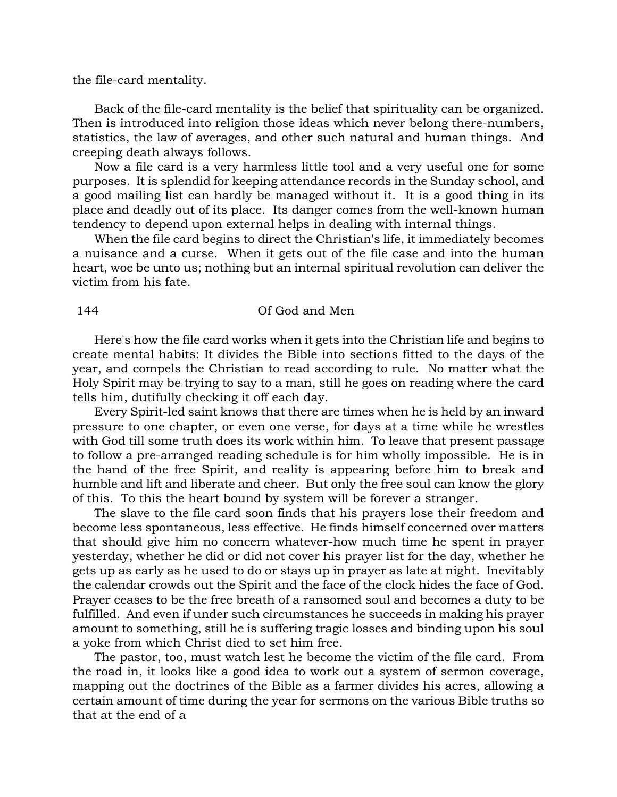the file-card mentality.

Back of the file-card mentality is the belief that spirituality can be organized. Then is introduced into religion those ideas which never belong there-numbers, statistics, the law of averages, and other such natural and human things. And creeping death always follows.

Now a file card is a very harmless little tool and a very useful one for some purposes. It is splendid for keeping attendance records in the Sunday school, and a good mailing list can hardly be managed without it. It is a good thing in its place and deadly out of its place. Its danger comes from the well-known human tendency to depend upon external helps in dealing with internal things.

When the file card begins to direct the Christian's life, it immediately becomes a nuisance and a curse. When it gets out of the file case and into the human heart, woe be unto us; nothing but an internal spiritual revolution can deliver the victim from his fate.

# 144 Of God and Men

Here's how the file card works when it gets into the Christian life and begins to create mental habits: It divides the Bible into sections fitted to the days of the year, and compels the Christian to read according to rule. No matter what the Holy Spirit may be trying to say to a man, still he goes on reading where the card tells him, dutifully checking it off each day.

Every Spirit-led saint knows that there are times when he is held by an inward pressure to one chapter, or even one verse, for days at a time while he wrestles with God till some truth does its work within him. To leave that present passage to follow a pre-arranged reading schedule is for him wholly impossible. He is in the hand of the free Spirit, and reality is appearing before him to break and humble and lift and liberate and cheer. But only the free soul can know the glory of this. To this the heart bound by system will be forever a stranger.

The slave to the file card soon finds that his prayers lose their freedom and become less spontaneous, less effective. He finds himself concerned over matters that should give him no concern whatever-how much time he spent in prayer yesterday, whether he did or did not cover his prayer list for the day, whether he gets up as early as he used to do or stays up in prayer as late at night. Inevitably the calendar crowds out the Spirit and the face of the clock hides the face of God. Prayer ceases to be the free breath of a ransomed soul and becomes a duty to be fulfilled. And even if under such circumstances he succeeds in making his prayer amount to something, still he is suffering tragic losses and binding upon his soul a yoke from which Christ died to set him free.

The pastor, too, must watch lest he become the victim of the file card. From the road in, it looks like a good idea to work out a system of sermon coverage, mapping out the doctrines of the Bible as a farmer divides his acres, allowing a certain amount of time during the year for sermons on the various Bible truths so that at the end of a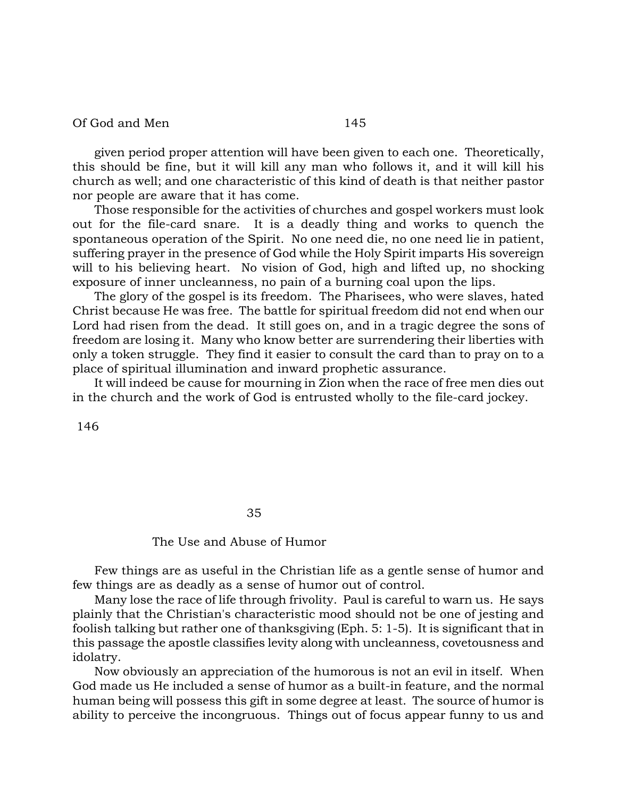### Of God and Men 145

given period proper attention will have been given to each one. Theoretically, this should be fine, but it will kill any man who follows it, and it will kill his church as well; and one characteristic of this kind of death is that neither pastor nor people are aware that it has come.

Those responsible for the activities of churches and gospel workers must look out for the file-card snare. It is a deadly thing and works to quench the spontaneous operation of the Spirit. No one need die, no one need lie in patient, suffering prayer in the presence of God while the Holy Spirit imparts His sovereign will to his believing heart. No vision of God, high and lifted up, no shocking exposure of inner uncleanness, no pain of a burning coal upon the lips.

The glory of the gospel is its freedom. The Pharisees, who were slaves, hated Christ because He was free. The battle for spiritual freedom did not end when our Lord had risen from the dead. It still goes on, and in a tragic degree the sons of freedom are losing it. Many who know better are surrendering their liberties with only a token struggle. They find it easier to consult the card than to pray on to a place of spiritual illumination and inward prophetic assurance.

It will indeed be cause for mourning in Zion when the race of free men dies out in the church and the work of God is entrusted wholly to the file-card jockey.

146

#### 35

#### The Use and Abuse of Humor

Few things are as useful in the Christian life as a gentle sense of humor and few things are as deadly as a sense of humor out of control.

Many lose the race of life through frivolity. Paul is careful to warn us. He says plainly that the Christian's characteristic mood should not be one of jesting and foolish talking but rather one of thanksgiving (Eph. 5: 1-5). It is significant that in this passage the apostle classifies levity along with uncleanness, covetousness and idolatry.

Now obviously an appreciation of the humorous is not an evil in itself. When God made us He included a sense of humor as a built-in feature, and the normal human being will possess this gift in some degree at least. The source of humor is ability to perceive the incongruous. Things out of focus appear funny to us and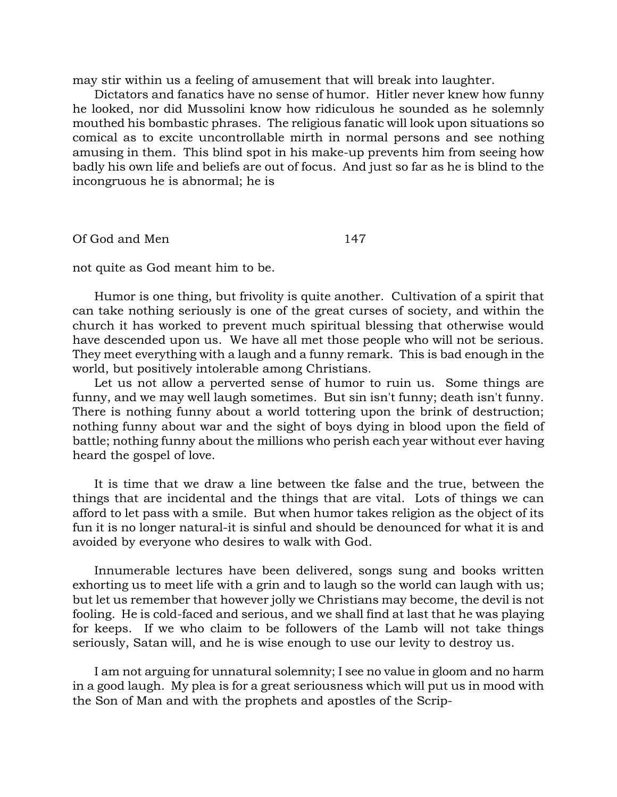may stir within us a feeling of amusement that will break into laughter.

Dictators and fanatics have no sense of humor. Hitler never knew how funny he looked, nor did Mussolini know how ridiculous he sounded as he solemnly mouthed his bombastic phrases. The religious fanatic will look upon situations so comical as to excite uncontrollable mirth in normal persons and see nothing amusing in them. This blind spot in his make-up prevents him from seeing how badly his own life and beliefs are out of focus. And just so far as he is blind to the incongruous he is abnormal; he is

Of God and Men 147

not quite as God meant him to be.

Humor is one thing, but frivolity is quite another. Cultivation of a spirit that can take nothing seriously is one of the great curses of society, and within the church it has worked to prevent much spiritual blessing that otherwise would have descended upon us. We have all met those people who will not be serious. They meet everything with a laugh and a funny remark. This is bad enough in the world, but positively intolerable among Christians.

Let us not allow a perverted sense of humor to ruin us. Some things are funny, and we may well laugh sometimes. But sin isn't funny; death isn't funny. There is nothing funny about a world tottering upon the brink of destruction; nothing funny about war and the sight of boys dying in blood upon the field of battle; nothing funny about the millions who perish each year without ever having heard the gospel of love.

It is time that we draw a line between tke false and the true, between the things that are incidental and the things that are vital. Lots of things we can afford to let pass with a smile. But when humor takes religion as the object of its fun it is no longer natural-it is sinful and should be denounced for what it is and avoided by everyone who desires to walk with God.

Innumerable lectures have been delivered, songs sung and books written exhorting us to meet life with a grin and to laugh so the world can laugh with us; but let us remember that however jolly we Christians may become, the devil is not fooling. He is cold-faced and serious, and we shall find at last that he was playing for keeps. If we who claim to be followers of the Lamb will not take things seriously, Satan will, and he is wise enough to use our levity to destroy us.

I am not arguing for unnatural solemnity; I see no value in gloom and no harm in a good laugh. My plea is for a great seriousness which will put us in mood with the Son of Man and with the prophets and apostles of the Scrip-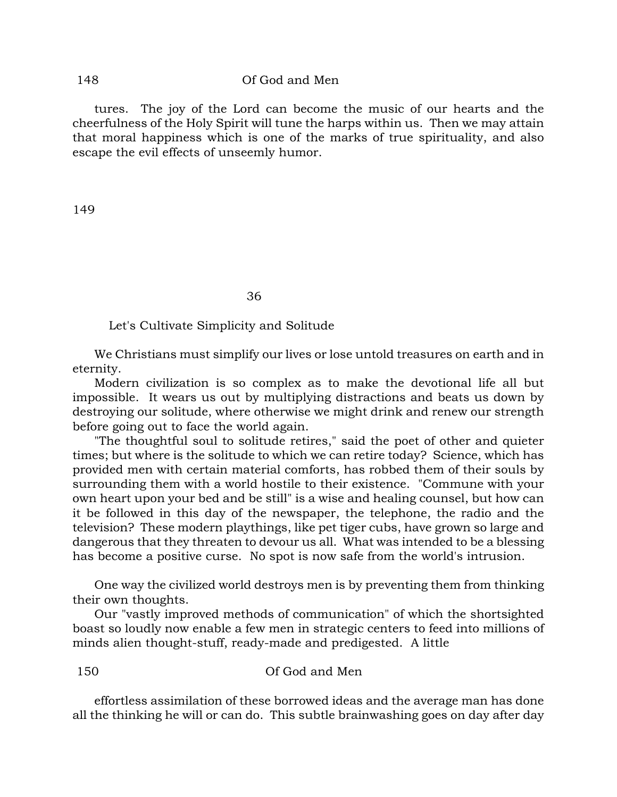tures. The joy of the Lord can become the music of our hearts and the cheerfulness of the Holy Spirit will tune the harps within us. Then we may attain that moral happiness which is one of the marks of true spirituality, and also escape the evil effects of unseemly humor.

149

36

Let's Cultivate Simplicity and Solitude

We Christians must simplify our lives or lose untold treasures on earth and in eternity.

Modern civilization is so complex as to make the devotional life all but impossible. It wears us out by multiplying distractions and beats us down by destroying our solitude, where otherwise we might drink and renew our strength before going out to face the world again.

"The thoughtful soul to solitude retires," said the poet of other and quieter times; but where is the solitude to which we can retire today? Science, which has provided men with certain material comforts, has robbed them of their souls by surrounding them with a world hostile to their existence. "Commune with your own heart upon your bed and be still" is a wise and healing counsel, but how can it be followed in this day of the newspaper, the telephone, the radio and the television? These modern playthings, like pet tiger cubs, have grown so large and dangerous that they threaten to devour us all. What was intended to be a blessing has become a positive curse. No spot is now safe from the world's intrusion.

One way the civilized world destroys men is by preventing them from thinking their own thoughts.

Our "vastly improved methods of communication" of which the shortsighted boast so loudly now enable a few men in strategic centers to feed into millions of minds alien thought-stuff, ready-made and predigested. A little

# 150 Of God and Men

effortless assimilation of these borrowed ideas and the average man has done all the thinking he will or can do. This subtle brainwashing goes on day after day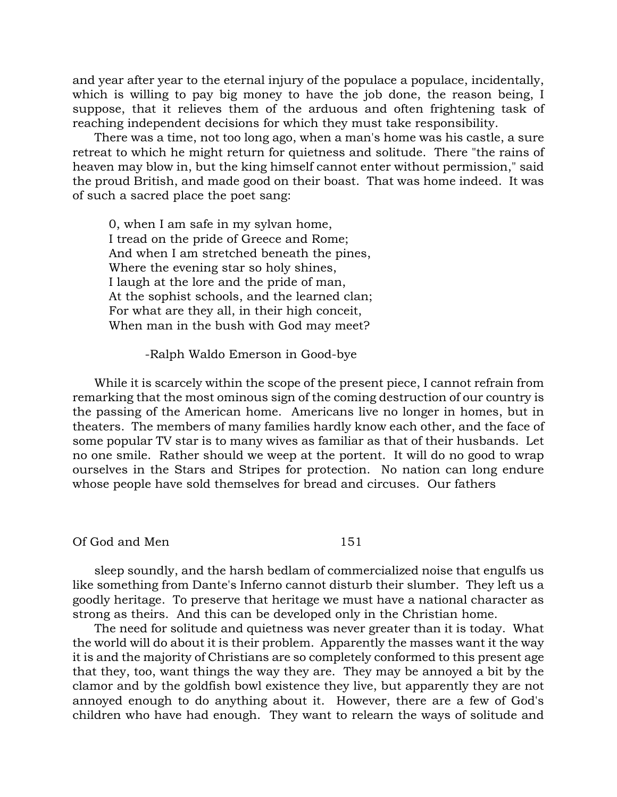and year after year to the eternal injury of the populace a populace, incidentally, which is willing to pay big money to have the job done, the reason being, I suppose, that it relieves them of the arduous and often frightening task of reaching independent decisions for which they must take responsibility.

There was a time, not too long ago, when a man's home was his castle, a sure retreat to which he might return for quietness and solitude. There "the rains of heaven may blow in, but the king himself cannot enter without permission," said the proud British, and made good on their boast. That was home indeed. It was of such a sacred place the poet sang:

0, when I am safe in my sylvan home, I tread on the pride of Greece and Rome; And when I am stretched beneath the pines, Where the evening star so holy shines, I laugh at the lore and the pride of man, At the sophist schools, and the learned clan; For what are they all, in their high conceit, When man in the bush with God may meet?

-Ralph Waldo Emerson in Good-bye

While it is scarcely within the scope of the present piece, I cannot refrain from remarking that the most ominous sign of the coming destruction of our country is the passing of the American home. Americans live no longer in homes, but in theaters. The members of many families hardly know each other, and the face of some popular TV star is to many wives as familiar as that of their husbands. Let no one smile. Rather should we weep at the portent. It will do no good to wrap ourselves in the Stars and Stripes for protection. No nation can long endure whose people have sold themselves for bread and circuses. Our fathers

Of God and Men 151

sleep soundly, and the harsh bedlam of commercialized noise that engulfs us like something from Dante's Inferno cannot disturb their slumber. They left us a goodly heritage. To preserve that heritage we must have a national character as strong as theirs. And this can be developed only in the Christian home.

The need for solitude and quietness was never greater than it is today. What the world will do about it is their problem. Apparently the masses want it the way it is and the majority of Christians are so completely conformed to this present age that they, too, want things the way they are. They may be annoyed a bit by the clamor and by the goldfish bowl existence they live, but apparently they are not annoyed enough to do anything about it. However, there are a few of God's children who have had enough. They want to relearn the ways of solitude and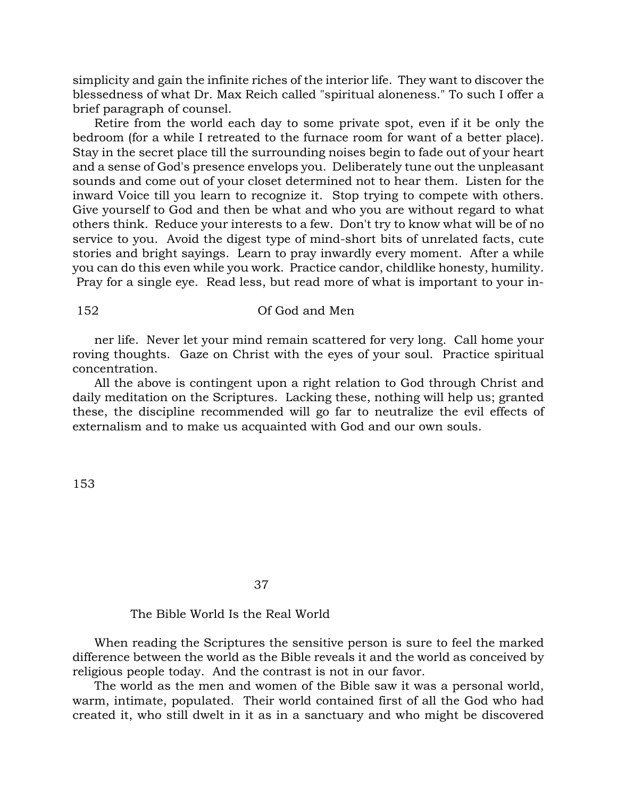simplicity and gain the infinite riches of the interior life. They want to discover the blessedness of what Dr. Max Reich called "spiritual aloneness." To such I offer a brief paragraph of counsel.

Retire from the world each day to some private spot, even if it be only the bedroom (for a while I retreated to the furnace room for want of a better place). Stay in the secret place till the surrounding noises begin to fade out of your heart and a sense of God's presence envelops you. Deliberately tune out the unpleasant sounds and come out of your closet determined not to hear them. Listen for the inward Voice till you learn to recognize it. Stop trying to compete with others. Give yourself to God and then be what and who you are without regard to what others think. Reduce your interests to a few. Don't try to know what will be of no service to you. Avoid the digest type of mind-short bits of unrelated facts, cute stories and bright sayings. Learn to pray inwardly every moment. After a while you can do this even while you work. Practice candor, childlike honesty, humility. Pray for a single eye. Read less, but read more of what is important to your in-

# 152 Of God and Men

ner life. Never let your mind remain scattered for very long. Call home your roving thoughts. Gaze on Christ with the eyes of your soul. Practice spiritual concentration.

All the above is contingent upon a right relation to God through Christ and daily meditation on the Scriptures. Lacking these, nothing will help us; granted these, the discipline recommended will go far to neutralize the evil effects of externalism and to make us acquainted with God and our own souls.

153

# 37

The Bible World Is the Real World

When reading the Scriptures the sensitive person is sure to feel the marked difference between the world as the Bible reveals it and the world as conceived by religious people today. And the contrast is not in our favor.

The world as the men and women of the Bible saw it was a personal world, warm, intimate, populated. Their world contained first of all the God who had created it, who still dwelt in it as in a sanctuary and who might be discovered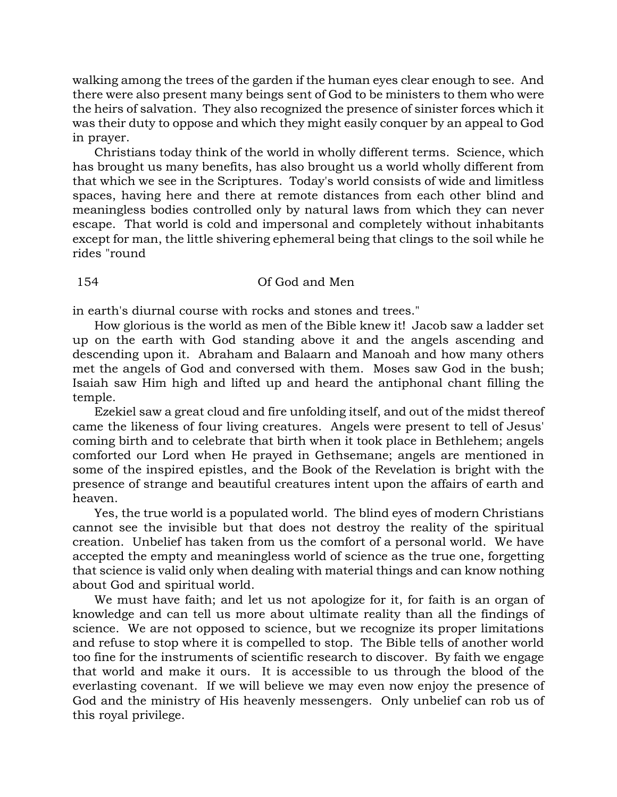walking among the trees of the garden if the human eyes clear enough to see. And there were also present many beings sent of God to be ministers to them who were the heirs of salvation. They also recognized the presence of sinister forces which it was their duty to oppose and which they might easily conquer by an appeal to God in prayer.

Christians today think of the world in wholly different terms. Science, which has brought us many benefits, has also brought us a world wholly different from that which we see in the Scriptures. Today's world consists of wide and limitless spaces, having here and there at remote distances from each other blind and meaningless bodies controlled only by natural laws from which they can never escape. That world is cold and impersonal and completely without inhabitants except for man, the little shivering ephemeral being that clings to the soil while he rides "round

# 154 Of God and Men

in earth's diurnal course with rocks and stones and trees."

How glorious is the world as men of the Bible knew it! Jacob saw a ladder set up on the earth with God standing above it and the angels ascending and descending upon it. Abraham and Balaarn and Manoah and how many others met the angels of God and conversed with them. Moses saw God in the bush; Isaiah saw Him high and lifted up and heard the antiphonal chant filling the temple.

Ezekiel saw a great cloud and fire unfolding itself, and out of the midst thereof came the likeness of four living creatures. Angels were present to tell of Jesus' coming birth and to celebrate that birth when it took place in Bethlehem; angels comforted our Lord when He prayed in Gethsemane; angels are mentioned in some of the inspired epistles, and the Book of the Revelation is bright with the presence of strange and beautiful creatures intent upon the affairs of earth and heaven.

Yes, the true world is a populated world. The blind eyes of modern Christians cannot see the invisible but that does not destroy the reality of the spiritual creation. Unbelief has taken from us the comfort of a personal world. We have accepted the empty and meaningless world of science as the true one, forgetting that science is valid only when dealing with material things and can know nothing about God and spiritual world.

We must have faith; and let us not apologize for it, for faith is an organ of knowledge and can tell us more about ultimate reality than all the findings of science. We are not opposed to science, but we recognize its proper limitations and refuse to stop where it is compelled to stop. The Bible tells of another world too fine for the instruments of scientific research to discover. By faith we engage that world and make it ours. It is accessible to us through the blood of the everlasting covenant. If we will believe we may even now enjoy the presence of God and the ministry of His heavenly messengers. Only unbelief can rob us of this royal privilege.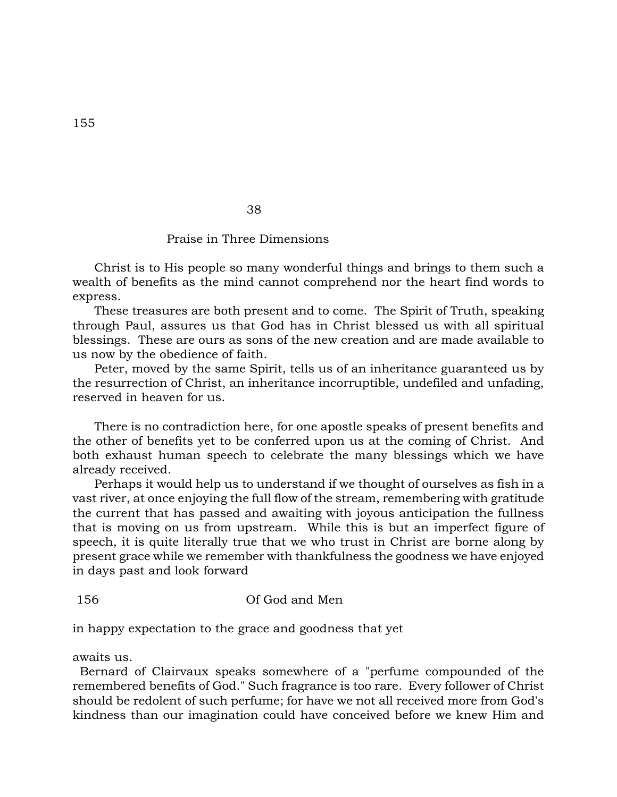# 38

# Praise in Three Dimensions

Christ is to His people so many wonderful things and brings to them such a wealth of benefits as the mind cannot comprehend nor the heart find words to express.

These treasures are both present and to come. The Spirit of Truth, speaking through Paul, assures us that God has in Christ blessed us with all spiritual blessings. These are ours as sons of the new creation and are made available to us now by the obedience of faith.

Peter, moved by the same Spirit, tells us of an inheritance guaranteed us by the resurrection of Christ, an inheritance incorruptible, undefiled and unfading, reserved in heaven for us.

There is no contradiction here, for one apostle speaks of present benefits and the other of benefits yet to be conferred upon us at the coming of Christ. And both exhaust human speech to celebrate the many blessings which we have already received.

Perhaps it would help us to understand if we thought of ourselves as fish in a vast river, at once enjoying the full flow of the stream, remembering with gratitude the current that has passed and awaiting with joyous anticipation the fullness that is moving on us from upstream. While this is but an imperfect figure of speech, it is quite literally true that we who trust in Christ are borne along by present grace while we remember with thankfulness the goodness we have enjoyed in days past and look forward

156 Of God and Men

in happy expectation to the grace and goodness that yet

awaits us.

Bernard of Clairvaux speaks somewhere of a "perfume compounded of the remembered benefits of God." Such fragrance is too rare. Every follower of Christ should be redolent of such perfume; for have we not all received more from God's kindness than our imagination could have conceived before we knew Him and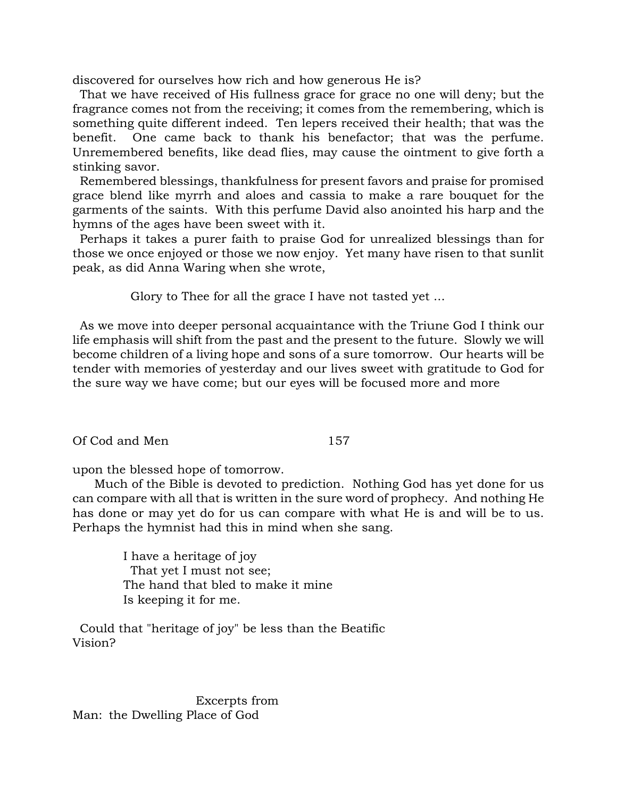discovered for ourselves how rich and how generous He is?

That we have received of His fullness grace for grace no one will deny; but the fragrance comes not from the receiving; it comes from the remembering, which is something quite different indeed. Ten lepers received their health; that was the benefit. One came back to thank his benefactor; that was the perfume. Unremembered benefits, like dead flies, may cause the ointment to give forth a stinking savor.

Remembered blessings, thankfulness for present favors and praise for promised grace blend like myrrh and aloes and cassia to make a rare bouquet for the garments of the saints. With this perfume David also anointed his harp and the hymns of the ages have been sweet with it.

Perhaps it takes a purer faith to praise God for unrealized blessings than for those we once enjoyed or those we now enjoy. Yet many have risen to that sunlit peak, as did Anna Waring when she wrote,

Glory to Thee for all the grace I have not tasted yet ...

As we move into deeper personal acquaintance with the Triune God I think our life emphasis will shift from the past and the present to the future. Slowly we will become children of a living hope and sons of a sure tomorrow. Our hearts will be tender with memories of yesterday and our lives sweet with gratitude to God for the sure way we have come; but our eyes will be focused more and more

Of Cod and Men 157

upon the blessed hope of tomorrow.

Much of the Bible is devoted to prediction. Nothing God has yet done for us can compare with all that is written in the sure word of prophecy. And nothing He has done or may yet do for us can compare with what He is and will be to us. Perhaps the hymnist had this in mind when she sang.

> I have a heritage of joy That yet I must not see; The hand that bled to make it mine Is keeping it for me.

Could that "heritage of joy" be less than the Beatific Vision?

Excerpts from Man: the Dwelling Place of God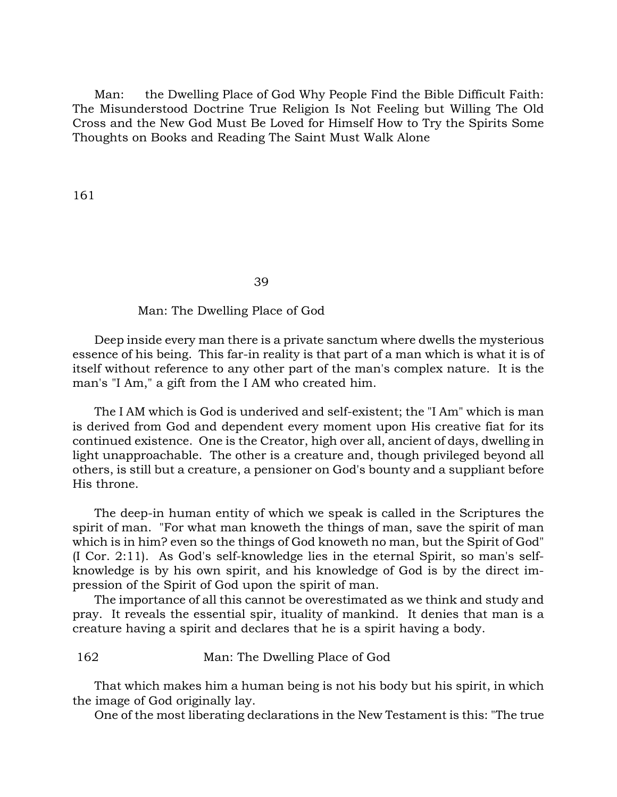Man: the Dwelling Place of God Why People Find the Bible Difficult Faith: The Misunderstood Doctrine True Religion Is Not Feeling but Willing The Old Cross and the New God Must Be Loved for Himself How to Try the Spirits Some Thoughts on Books and Reading The Saint Must Walk Alone

161

39

# Man: The Dwelling Place of God

Deep inside every man there is a private sanctum where dwells the mysterious essence of his being. This far-in reality is that part of a man which is what it is of itself without reference to any other part of the man's complex nature. It is the man's "I Am," a gift from the I AM who created him.

The I AM which is God is underived and self-existent; the "I Am" which is man is derived from God and dependent every moment upon His creative fiat for its continued existence. One is the Creator, high over all, ancient of days, dwelling in light unapproachable. The other is a creature and, though privileged beyond all others, is still but a creature, a pensioner on God's bounty and a suppliant before His throne.

The deep-in human entity of which we speak is called in the Scriptures the spirit of man. "For what man knoweth the things of man, save the spirit of man which is in him? even so the things of God knoweth no man, but the Spirit of God" (I Cor. 2:11). As God's self-knowledge lies in the eternal Spirit, so man's selfknowledge is by his own spirit, and his knowledge of God is by the direct impression of the Spirit of God upon the spirit of man.

The importance of all this cannot be overestimated as we think and study and pray. It reveals the essential spir, ituality of mankind. It denies that man is a creature having a spirit and declares that he is a spirit having a body.

162 Man: The Dwelling Place of God

That which makes him a human being is not his body but his spirit, in which the image of God originally lay.

One of the most liberating declarations in the New Testament is this: "The true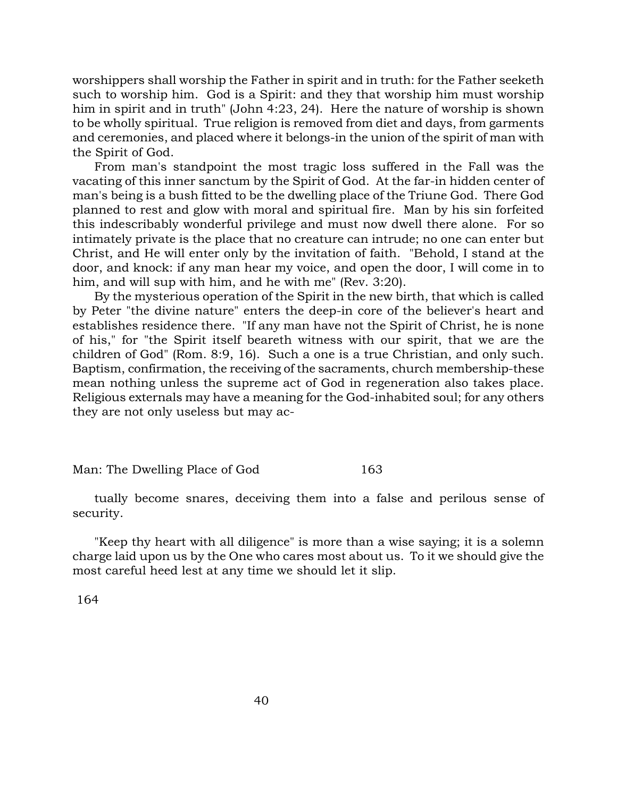worshippers shall worship the Father in spirit and in truth: for the Father seeketh such to worship him. God is a Spirit: and they that worship him must worship him in spirit and in truth" (John 4:23, 24). Here the nature of worship is shown to be wholly spiritual. True religion is removed from diet and days, from garments and ceremonies, and placed where it belongs-in the union of the spirit of man with the Spirit of God.

From man's standpoint the most tragic loss suffered in the Fall was the vacating of this inner sanctum by the Spirit of God. At the far-in hidden center of man's being is a bush fitted to be the dwelling place of the Triune God. There God planned to rest and glow with moral and spiritual fire. Man by his sin forfeited this indescribably wonderful privilege and must now dwell there alone. For so intimately private is the place that no creature can intrude; no one can enter but Christ, and He will enter only by the invitation of faith. "Behold, I stand at the door, and knock: if any man hear my voice, and open the door, I will come in to him, and will sup with him, and he with me" (Rev. 3:20).

By the mysterious operation of the Spirit in the new birth, that which is called by Peter "the divine nature" enters the deep-in core of the believer's heart and establishes residence there. "If any man have not the Spirit of Christ, he is none of his," for "the Spirit itself beareth witness with our spirit, that we are the children of God" (Rom. 8:9, 16). Such a one is a true Christian, and only such. Baptism, confirmation, the receiving of the sacraments, church membership-these mean nothing unless the supreme act of God in regeneration also takes place. Religious externals may have a meaning for the God-inhabited soul; for any others they are not only useless but may ac-

Man: The Dwelling Place of God 163

tually become snares, deceiving them into a false and perilous sense of security.

"Keep thy heart with all diligence" is more than a wise saying; it is a solemn charge laid upon us by the One who cares most about us. To it we should give the most careful heed lest at any time we should let it slip.

164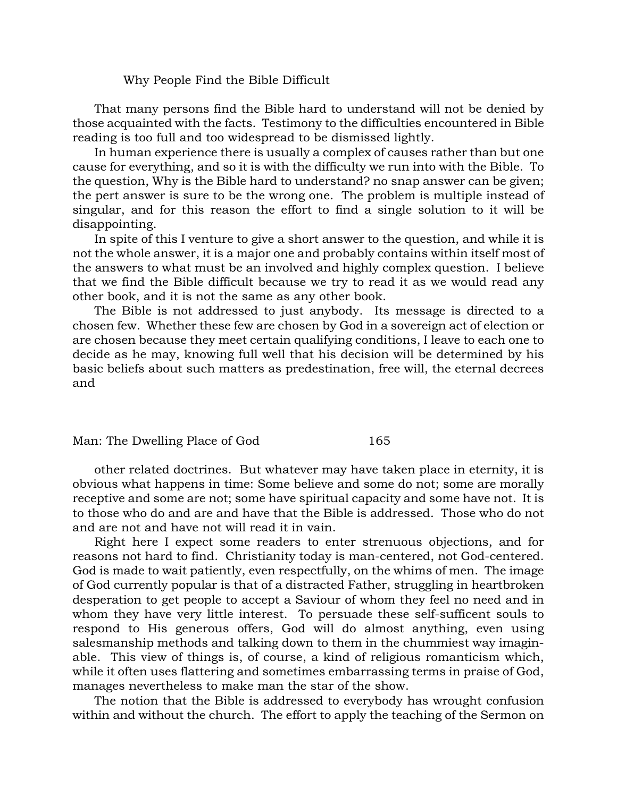#### Why People Find the Bible Difficult

That many persons find the Bible hard to understand will not be denied by those acquainted with the facts. Testimony to the difficulties encountered in Bible reading is too full and too widespread to be dismissed lightly.

In human experience there is usually a complex of causes rather than but one cause for everything, and so it is with the difficulty we run into with the Bible. To the question, Why is the Bible hard to understand? no snap answer can be given; the pert answer is sure to be the wrong one. The problem is multiple instead of singular, and for this reason the effort to find a single solution to it will be disappointing.

In spite of this I venture to give a short answer to the question, and while it is not the whole answer, it is a major one and probably contains within itself most of the answers to what must be an involved and highly complex question. I believe that we find the Bible difficult because we try to read it as we would read any other book, and it is not the same as any other book.

The Bible is not addressed to just anybody. Its message is directed to a chosen few. Whether these few are chosen by God in a sovereign act of election or are chosen because they meet certain qualifying conditions, I leave to each one to decide as he may, knowing full well that his decision will be determined by his basic beliefs about such matters as predestination, free will, the eternal decrees and

Man: The Dwelling Place of God 165

other related doctrines. But whatever may have taken place in eternity, it is obvious what happens in time: Some believe and some do not; some are morally receptive and some are not; some have spiritual capacity and some have not. It is to those who do and are and have that the Bible is addressed. Those who do not and are not and have not will read it in vain.

Right here I expect some readers to enter strenuous objections, and for reasons not hard to find. Christianity today is man-centered, not God-centered. God is made to wait patiently, even respectfully, on the whims of men. The image of God currently popular is that of a distracted Father, struggling in heartbroken desperation to get people to accept a Saviour of whom they feel no need and in whom they have very little interest. To persuade these self-sufficent souls to respond to His generous offers, God will do almost anything, even using salesmanship methods and talking down to them in the chummiest way imaginable. This view of things is, of course, a kind of religious romanticism which, while it often uses flattering and sometimes embarrassing terms in praise of God, manages nevertheless to make man the star of the show.

The notion that the Bible is addressed to everybody has wrought confusion within and without the church. The effort to apply the teaching of the Sermon on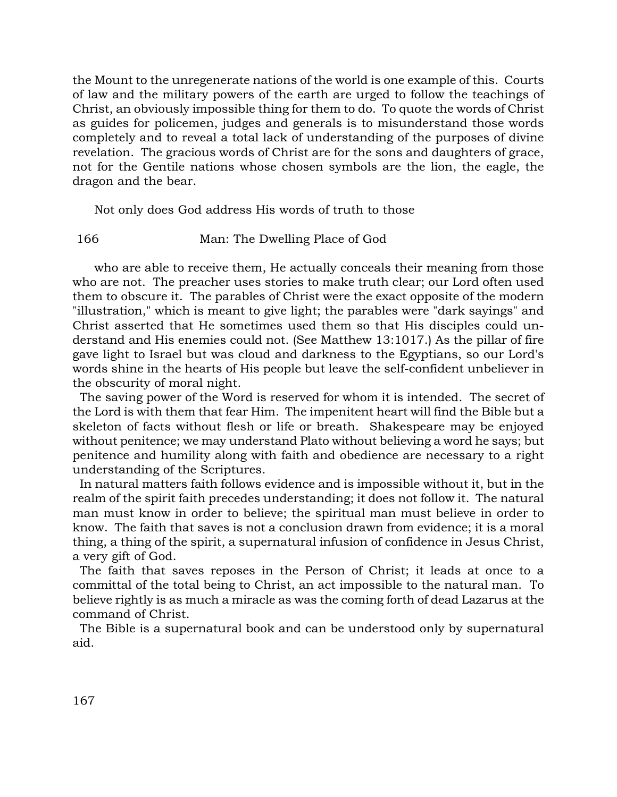the Mount to the unregenerate nations of the world is one example of this. Courts of law and the military powers of the earth are urged to follow the teachings of Christ, an obviously impossible thing for them to do. To quote the words of Christ as guides for policemen, judges and generals is to misunderstand those words completely and to reveal a total lack of understanding of the purposes of divine revelation. The gracious words of Christ are for the sons and daughters of grace, not for the Gentile nations whose chosen symbols are the lion, the eagle, the dragon and the bear.

Not only does God address His words of truth to those

# 166 Man: The Dwelling Place of God

who are able to receive them, He actually conceals their meaning from those who are not. The preacher uses stories to make truth clear; our Lord often used them to obscure it. The parables of Christ were the exact opposite of the modern "illustration," which is meant to give light; the parables were "dark sayings" and Christ asserted that He sometimes used them so that His disciples could understand and His enemies could not. (See Matthew 13:1017.) As the pillar of fire gave light to Israel but was cloud and darkness to the Egyptians, so our Lord's words shine in the hearts of His people but leave the self-confident unbeliever in the obscurity of moral night.

The saving power of the Word is reserved for whom it is intended. The secret of the Lord is with them that fear Him. The impenitent heart will find the Bible but a skeleton of facts without flesh or life or breath. Shakespeare may be enjoyed without penitence; we may understand Plato without believing a word he says; but penitence and humility along with faith and obedience are necessary to a right understanding of the Scriptures.

In natural matters faith follows evidence and is impossible without it, but in the realm of the spirit faith precedes understanding; it does not follow it. The natural man must know in order to believe; the spiritual man must believe in order to know. The faith that saves is not a conclusion drawn from evidence; it is a moral thing, a thing of the spirit, a supernatural infusion of confidence in Jesus Christ, a very gift of God.

The faith that saves reposes in the Person of Christ; it leads at once to a committal of the total being to Christ, an act impossible to the natural man. To believe rightly is as much a miracle as was the coming forth of dead Lazarus at the command of Christ.

The Bible is a supernatural book and can be understood only by supernatural aid.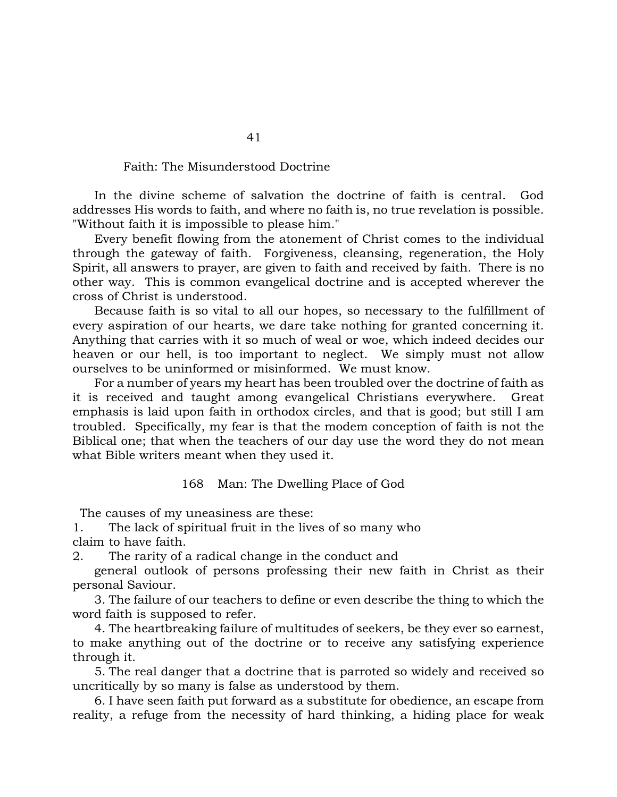# Faith: The Misunderstood Doctrine

In the divine scheme of salvation the doctrine of faith is central. God addresses His words to faith, and where no faith is, no true revelation is possible. "Without faith it is impossible to please him."

Every benefit flowing from the atonement of Christ comes to the individual through the gateway of faith. Forgiveness, cleansing, regeneration, the Holy Spirit, all answers to prayer, are given to faith and received by faith. There is no other way. This is common evangelical doctrine and is accepted wherever the cross of Christ is understood.

Because faith is so vital to all our hopes, so necessary to the fulfillment of every aspiration of our hearts, we dare take nothing for granted concerning it. Anything that carries with it so much of weal or woe, which indeed decides our heaven or our hell, is too important to neglect. We simply must not allow ourselves to be uninformed or misinformed. We must know.

For a number of years my heart has been troubled over the doctrine of faith as it is received and taught among evangelical Christians everywhere. Great emphasis is laid upon faith in orthodox circles, and that is good; but still I am troubled. Specifically, my fear is that the modem conception of faith is not the Biblical one; that when the teachers of our day use the word they do not mean what Bible writers meant when they used it.

# 168 Man: The Dwelling Place of God

The causes of my uneasiness are these:

1. The lack of spiritual fruit in the lives of so many who claim to have faith.

2. The rarity of a radical change in the conduct and

general outlook of persons professing their new faith in Christ as their personal Saviour.

3. The failure of our teachers to define or even describe the thing to which the word faith is supposed to refer.

4. The heartbreaking failure of multitudes of seekers, be they ever so earnest, to make anything out of the doctrine or to receive any satisfying experience through it.

5. The real danger that a doctrine that is parroted so widely and received so uncritically by so many is false as understood by them.

6. I have seen faith put forward as a substitute for obedience, an escape from reality, a refuge from the necessity of hard thinking, a hiding place for weak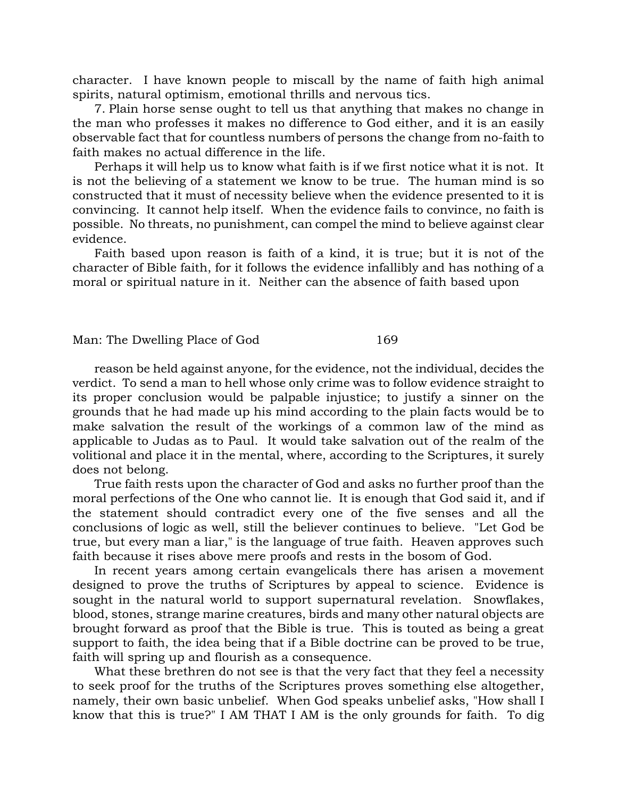character. I have known people to miscall by the name of faith high animal spirits, natural optimism, emotional thrills and nervous tics.

7. Plain horse sense ought to tell us that anything that makes no change in the man who professes it makes no difference to God either, and it is an easily observable fact that for countless numbers of persons the change from no-faith to faith makes no actual difference in the life.

Perhaps it will help us to know what faith is if we first notice what it is not. It is not the believing of a statement we know to be true. The human mind is so constructed that it must of necessity believe when the evidence presented to it is convincing. It cannot help itself. When the evidence fails to convince, no faith is possible. No threats, no punishment, can compel the mind to believe against clear evidence.

Faith based upon reason is faith of a kind, it is true; but it is not of the character of Bible faith, for it follows the evidence infallibly and has nothing of a moral or spiritual nature in it. Neither can the absence of faith based upon

### Man: The Dwelling Place of God 169

reason be held against anyone, for the evidence, not the individual, decides the verdict. To send a man to hell whose only crime was to follow evidence straight to its proper conclusion would be palpable injustice; to justify a sinner on the grounds that he had made up his mind according to the plain facts would be to make salvation the result of the workings of a common law of the mind as applicable to Judas as to Paul. It would take salvation out of the realm of the volitional and place it in the mental, where, according to the Scriptures, it surely does not belong.

True faith rests upon the character of God and asks no further proof than the moral perfections of the One who cannot lie. It is enough that God said it, and if the statement should contradict every one of the five senses and all the conclusions of logic as well, still the believer continues to believe. "Let God be true, but every man a liar," is the language of true faith. Heaven approves such faith because it rises above mere proofs and rests in the bosom of God.

In recent years among certain evangelicals there has arisen a movement designed to prove the truths of Scriptures by appeal to science. Evidence is sought in the natural world to support supernatural revelation. Snowflakes, blood, stones, strange marine creatures, birds and many other natural objects are brought forward as proof that the Bible is true. This is touted as being a great support to faith, the idea being that if a Bible doctrine can be proved to be true, faith will spring up and flourish as a consequence.

What these brethren do not see is that the very fact that they feel a necessity to seek proof for the truths of the Scriptures proves something else altogether, namely, their own basic unbelief. When God speaks unbelief asks, "How shall I know that this is true?" I AM THAT I AM is the only grounds for faith. To dig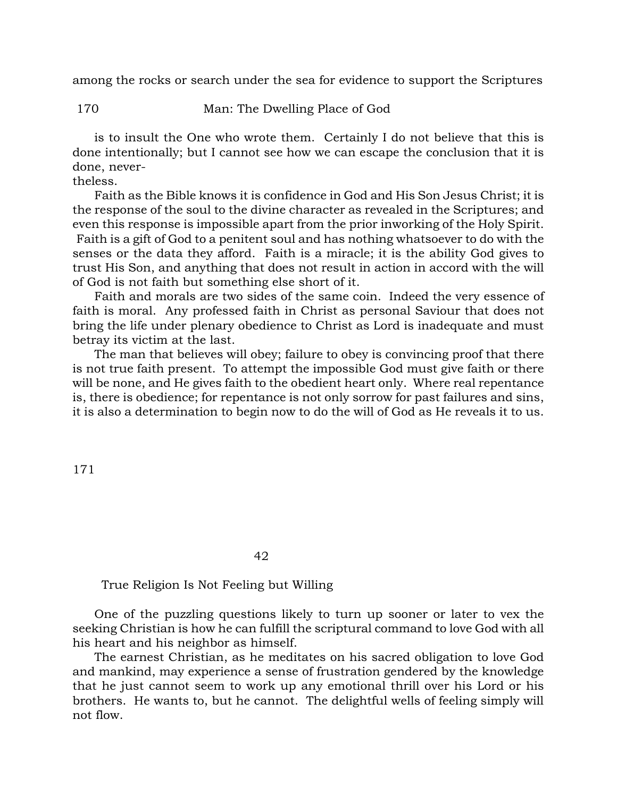among the rocks or search under the sea for evidence to support the Scriptures

170 Man: The Dwelling Place of God

is to insult the One who wrote them. Certainly I do not believe that this is done intentionally; but I cannot see how we can escape the conclusion that it is done, never-

theless.

Faith as the Bible knows it is confidence in God and His Son Jesus Christ; it is the response of the soul to the divine character as revealed in the Scriptures; and even this response is impossible apart from the prior inworking of the Holy Spirit. Faith is a gift of God to a penitent soul and has nothing whatsoever to do with the senses or the data they afford. Faith is a miracle; it is the ability God gives to trust His Son, and anything that does not result in action in accord with the will of God is not faith but something else short of it.

Faith and morals are two sides of the same coin. Indeed the very essence of faith is moral. Any professed faith in Christ as personal Saviour that does not bring the life under plenary obedience to Christ as Lord is inadequate and must betray its victim at the last.

The man that believes will obey; failure to obey is convincing proof that there is not true faith present. To attempt the impossible God must give faith or there will be none, and He gives faith to the obedient heart only. Where real repentance is, there is obedience; for repentance is not only sorrow for past failures and sins, it is also a determination to begin now to do the will of God as He reveals it to us.

171

#### 42

True Religion Is Not Feeling but Willing

One of the puzzling questions likely to turn up sooner or later to vex the seeking Christian is how he can fulfill the scriptural command to love God with all his heart and his neighbor as himself.

The earnest Christian, as he meditates on his sacred obligation to love God and mankind, may experience a sense of frustration gendered by the knowledge that he just cannot seem to work up any emotional thrill over his Lord or his brothers. He wants to, but he cannot. The delightful wells of feeling simply will not flow.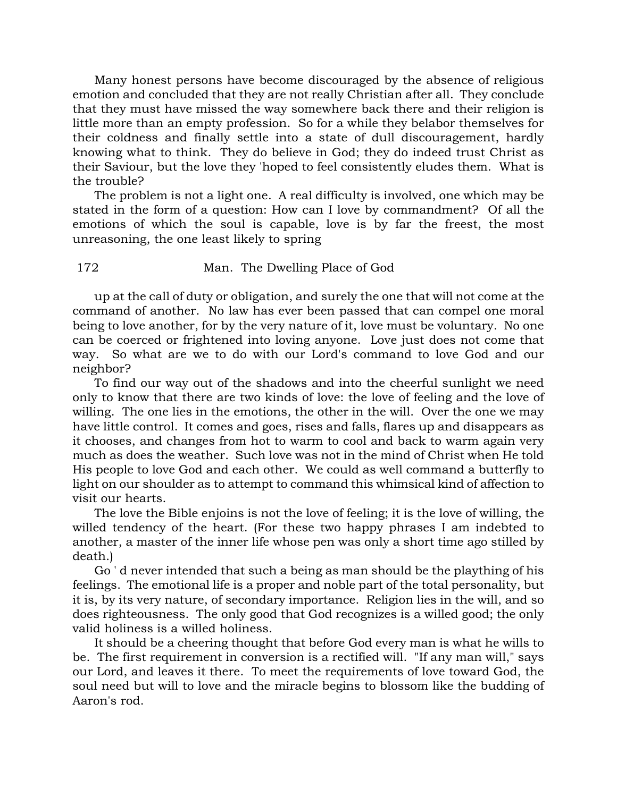Many honest persons have become discouraged by the absence of religious emotion and concluded that they are not really Christian after all. They conclude that they must have missed the way somewhere back there and their religion is little more than an empty profession. So for a while they belabor themselves for their coldness and finally settle into a state of dull discouragement, hardly knowing what to think. They do believe in God; they do indeed trust Christ as their Saviour, but the love they 'hoped to feel consistently eludes them. What is the trouble?

The problem is not a light one. A real difficulty is involved, one which may be stated in the form of a question: How can I love by commandment? Of all the emotions of which the soul is capable, love is by far the freest, the most unreasoning, the one least likely to spring

# 172 Man. The Dwelling Place of God

up at the call of duty or obligation, and surely the one that will not come at the command of another. No law has ever been passed that can compel one moral being to love another, for by the very nature of it, love must be voluntary. No one can be coerced or frightened into loving anyone. Love just does not come that way. So what are we to do with our Lord's command to love God and our neighbor?

To find our way out of the shadows and into the cheerful sunlight we need only to know that there are two kinds of love: the love of feeling and the love of willing. The one lies in the emotions, the other in the will. Over the one we may have little control. It comes and goes, rises and falls, flares up and disappears as it chooses, and changes from hot to warm to cool and back to warm again very much as does the weather. Such love was not in the mind of Christ when He told His people to love God and each other. We could as well command a butterfly to light on our shoulder as to attempt to command this whimsical kind of affection to visit our hearts.

The love the Bible enjoins is not the love of feeling; it is the love of willing, the willed tendency of the heart. (For these two happy phrases I am indebted to another, a master of the inner life whose pen was only a short time ago stilled by death.)

Go ' d never intended that such a being as man should be the plaything of his feelings. The emotional life is a proper and noble part of the total personality, but it is, by its very nature, of secondary importance. Religion lies in the will, and so does righteousness. The only good that God recognizes is a willed good; the only valid holiness is a willed holiness.

It should be a cheering thought that before God every man is what he wills to be. The first requirement in conversion is a rectified will. "If any man will," says our Lord, and leaves it there. To meet the requirements of love toward God, the soul need but will to love and the miracle begins to blossom like the budding of Aaron's rod.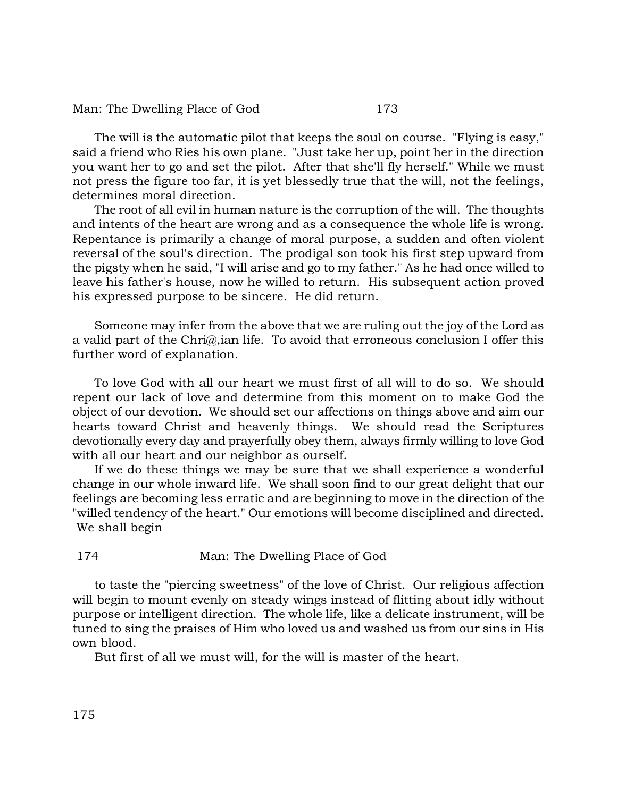The will is the automatic pilot that keeps the soul on course. "Flying is easy," said a friend who Ries his own plane. "Just take her up, point her in the direction you want her to go and set the pilot. After that she'll fly herself." While we must not press the figure too far, it is yet blessedly true that the will, not the feelings, determines moral direction.

The root of all evil in human nature is the corruption of the will. The thoughts and intents of the heart are wrong and as a consequence the whole life is wrong. Repentance is primarily a change of moral purpose, a sudden and often violent reversal of the soul's direction. The prodigal son took his first step upward from the pigsty when he said, "I will arise and go to my father." As he had once willed to leave his father's house, now he willed to return. His subsequent action proved his expressed purpose to be sincere. He did return.

Someone may infer from the above that we are ruling out the joy of the Lord as a valid part of the Chri@,ian life. To avoid that erroneous conclusion I offer this further word of explanation.

To love God with all our heart we must first of all will to do so. We should repent our lack of love and determine from this moment on to make God the object of our devotion. We should set our affections on things above and aim our hearts toward Christ and heavenly things. We should read the Scriptures devotionally every day and prayerfully obey them, always firmly willing to love God with all our heart and our neighbor as ourself.

If we do these things we may be sure that we shall experience a wonderful change in our whole inward life. We shall soon find to our great delight that our feelings are becoming less erratic and are beginning to move in the direction of the "willed tendency of the heart." Our emotions will become disciplined and directed. We shall begin

# 174 Man: The Dwelling Place of God

to taste the "piercing sweetness" of the love of Christ. Our religious affection will begin to mount evenly on steady wings instead of flitting about idly without purpose or intelligent direction. The whole life, like a delicate instrument, will be tuned to sing the praises of Him who loved us and washed us from our sins in His own blood.

But first of all we must will, for the will is master of the heart.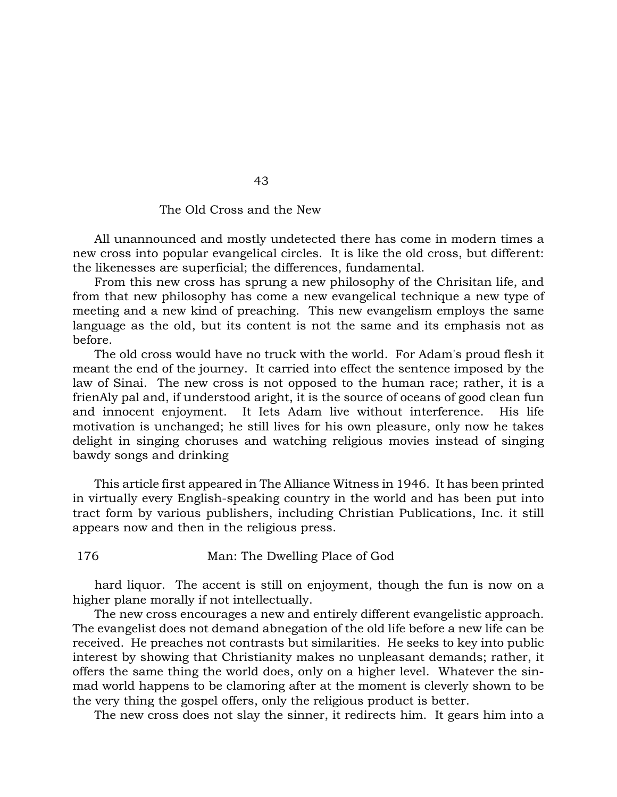### The Old Cross and the New

All unannounced and mostly undetected there has come in modern times a new cross into popular evangelical circles. It is like the old cross, but different: the likenesses are superficial; the differences, fundamental.

From this new cross has sprung a new philosophy of the Chrisitan life, and from that new philosophy has come a new evangelical technique a new type of meeting and a new kind of preaching. This new evangelism employs the same language as the old, but its content is not the same and its emphasis not as before.

The old cross would have no truck with the world. For Adam's proud flesh it meant the end of the journey. It carried into effect the sentence imposed by the law of Sinai. The new cross is not opposed to the human race; rather, it is a frienAly pal and, if understood aright, it is the source of oceans of good clean fun and innocent enjoyment. It Iets Adam live without interference. His life motivation is unchanged; he still lives for his own pleasure, only now he takes delight in singing choruses and watching religious movies instead of singing bawdy songs and drinking

This article first appeared in The Alliance Witness in 1946. It has been printed in virtually every English-speaking country in the world and has been put into tract form by various publishers, including Christian Publications, Inc. it still appears now and then in the religious press.

176 Man: The Dwelling Place of God

hard liquor. The accent is still on enjoyment, though the fun is now on a higher plane morally if not intellectually.

The new cross encourages a new and entirely different evangelistic approach. The evangelist does not demand abnegation of the old life before a new life can be received. He preaches not contrasts but similarities. He seeks to key into public interest by showing that Christianity makes no unpleasant demands; rather, it offers the same thing the world does, only on a higher level. Whatever the sinmad world happens to be clamoring after at the moment is cleverly shown to be the very thing the gospel offers, only the religious product is better.

The new cross does not slay the sinner, it redirects him. It gears him into a

#### 43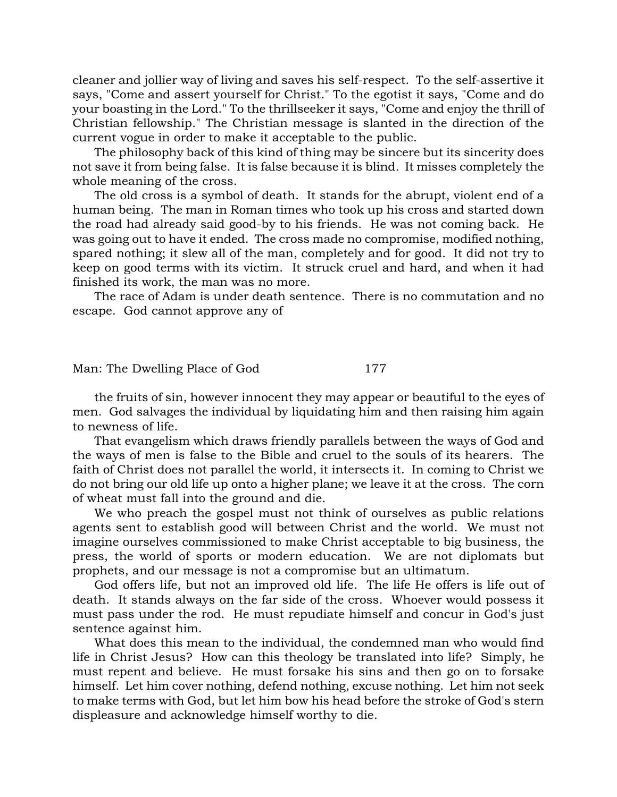cleaner and jollier way of living and saves his self-respect. To the self-assertive it says, "Come and assert yourself for Christ." To the egotist it says, "Come and do your boasting in the Lord." To the thrillseeker it says, "Come and enjoy the thrill of Christian fellowship." The Christian message is slanted in the direction of the current vogue in order to make it acceptable to the public.

The philosophy back of this kind of thing may be sincere but its sincerity does not save it from being false. It is false because it is blind. It misses completely the whole meaning of the cross.

The old cross is a symbol of death. It stands for the abrupt, violent end of a human being. The man in Roman times who took up his cross and started down the road had already said good-by to his friends. He was not coming back. He was going out to have it ended. The cross made no compromise, modified nothing, spared nothing; it slew all of the man, completely and for good. It did not try to keep on good terms with its victim. It struck cruel and hard, and when it had finished its work, the man was no more.

The race of Adam is under death sentence. There is no commutation and no escape. God cannot approve any of

Man: The Dwelling Place of God 177

the fruits of sin, however innocent they may appear or beautiful to the eyes of men. God salvages the individual by liquidating him and then raising him again to newness of life.

That evangelism which draws friendly parallels between the ways of God and the ways of men is false to the Bible and cruel to the souls of its hearers. The faith of Christ does not parallel the world, it intersects it. In coming to Christ we do not bring our old life up onto a higher plane; we leave it at the cross. The corn of wheat must fall into the ground and die.

We who preach the gospel must not think of ourselves as public relations agents sent to establish good will between Christ and the world. We must not imagine ourselves commissioned to make Christ acceptable to big business, the press, the world of sports or modern education. We are not diplomats but prophets, and our message is not a compromise but an ultimatum.

God offers life, but not an improved old life. The life He offers is life out of death. It stands always on the far side of the cross. Whoever would possess it must pass under the rod. He must repudiate himself and concur in God's just sentence against him.

What does this mean to the individual, the condemned man who would find life in Christ Jesus? How can this theology be translated into life? Simply, he must repent and believe. He must forsake his sins and then go on to forsake himself. Let him cover nothing, defend nothing, excuse nothing. Let him not seek to make terms with God, but let him bow his head before the stroke of God's stern displeasure and acknowledge himself worthy to die.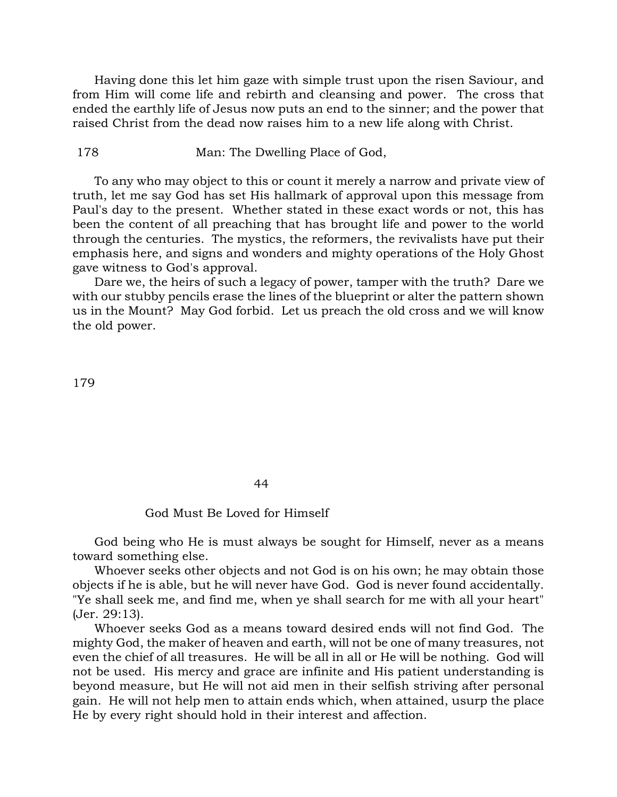Having done this let him gaze with simple trust upon the risen Saviour, and from Him will come life and rebirth and cleansing and power. The cross that ended the earthly life of Jesus now puts an end to the sinner; and the power that raised Christ from the dead now raises him to a new life along with Christ.

178 Man: The Dwelling Place of God,

To any who may object to this or count it merely a narrow and private view of truth, let me say God has set His hallmark of approval upon this message from Paul's day to the present. Whether stated in these exact words or not, this has been the content of all preaching that has brought life and power to the world through the centuries. The mystics, the reformers, the revivalists have put their emphasis here, and signs and wonders and mighty operations of the Holy Ghost gave witness to God's approval.

Dare we, the heirs of such a legacy of power, tamper with the truth? Dare we with our stubby pencils erase the lines of the blueprint or alter the pattern shown us in the Mount? May God forbid. Let us preach the old cross and we will know the old power.

179

#### 44

#### God Must Be Loved for Himself

God being who He is must always be sought for Himself, never as a means toward something else.

Whoever seeks other objects and not God is on his own; he may obtain those objects if he is able, but he will never have God. God is never found accidentally. "Ye shall seek me, and find me, when ye shall search for me with all your heart" (Jer. 29:13).

Whoever seeks God as a means toward desired ends will not find God. The mighty God, the maker of heaven and earth, will not be one of many treasures, not even the chief of all treasures. He will be all in all or He will be nothing. God will not be used. His mercy and grace are infinite and His patient understanding is beyond measure, but He will not aid men in their selfish striving after personal gain. He will not help men to attain ends which, when attained, usurp the place He by every right should hold in their interest and affection.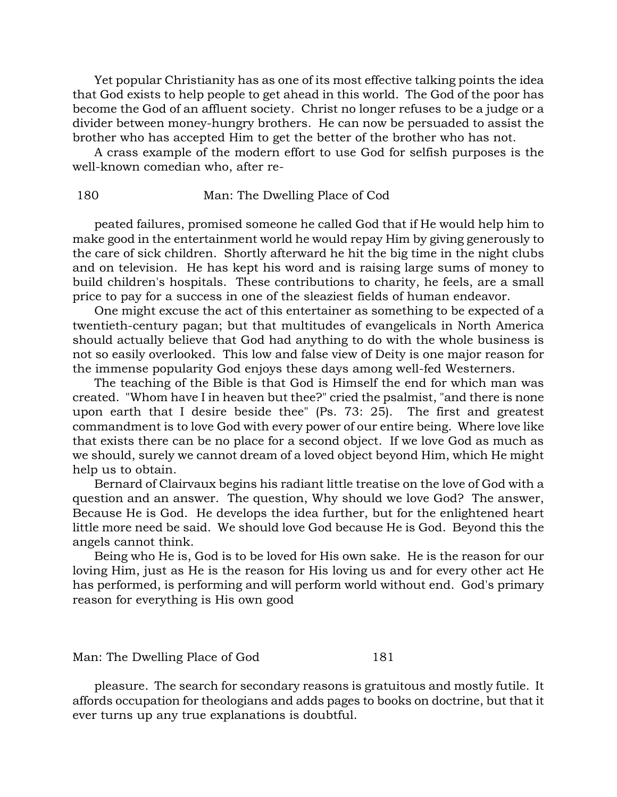Yet popular Christianity has as one of its most effective talking points the idea that God exists to help people to get ahead in this world. The God of the poor has become the God of an affluent society. Christ no longer refuses to be a judge or a divider between money-hungry brothers. He can now be persuaded to assist the brother who has accepted Him to get the better of the brother who has not.

A crass example of the modern effort to use God for selfish purposes is the well-known comedian who, after re-

## 180 Man: The Dwelling Place of Cod

peated failures, promised someone he called God that if He would help him to make good in the entertainment world he would repay Him by giving generously to the care of sick children. Shortly afterward he hit the big time in the night clubs and on television. He has kept his word and is raising large sums of money to build children's hospitals. These contributions to charity, he feels, are a small price to pay for a success in one of the sleaziest fields of human endeavor.

One might excuse the act of this entertainer as something to be expected of a twentieth-century pagan; but that multitudes of evangelicals in North America should actually believe that God had anything to do with the whole business is not so easily overlooked. This low and false view of Deity is one major reason for the immense popularity God enjoys these days among well-fed Westerners.

The teaching of the Bible is that God is Himself the end for which man was created. "Whom have I in heaven but thee?" cried the psalmist, "and there is none upon earth that I desire beside thee" (Ps. 73: 25). The first and greatest commandment is to love God with every power of our entire being. Where love like that exists there can be no place for a second object. If we love God as much as we should, surely we cannot dream of a loved object beyond Him, which He might help us to obtain.

Bernard of Clairvaux begins his radiant little treatise on the love of God with a question and an answer. The question, Why should we love God? The answer, Because He is God. He develops the idea further, but for the enlightened heart little more need be said. We should love God because He is God. Beyond this the angels cannot think.

Being who He is, God is to be loved for His own sake. He is the reason for our loving Him, just as He is the reason for His loving us and for every other act He has performed, is performing and will perform world without end. God's primary reason for everything is His own good

Man: The Dwelling Place of God 181

pleasure. The search for secondary reasons is gratuitous and mostly futile. It affords occupation for theologians and adds pages to books on doctrine, but that it ever turns up any true explanations is doubtful.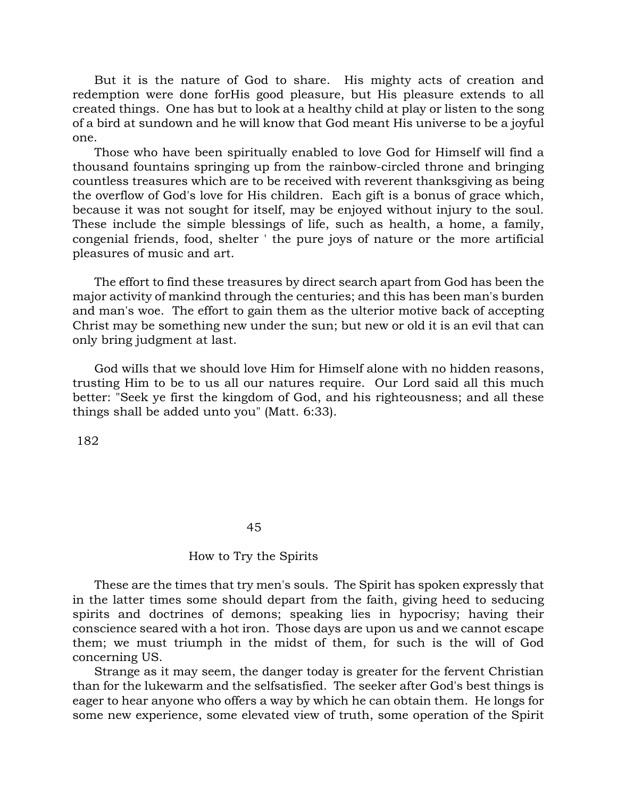But it is the nature of God to share. His mighty acts of creation and redemption were done forHis good pleasure, but His pleasure extends to all created things. One has but to look at a healthy child at play or listen to the song of a bird at sundown and he will know that God meant His universe to be a joyful one.

Those who have been spiritually enabled to love God for Himself will find a thousand fountains springing up from the rainbow-circled throne and bringing countless treasures which are to be received with reverent thanksgiving as being the overflow of God's love for His children. Each gift is a bonus of grace which, because it was not sought for itself, may be enjoyed without injury to the soul. These include the simple blessings of life, such as health, a home, a family, congenial friends, food, shelter ' the pure joys of nature or the more artificial pleasures of music and art.

The effort to find these treasures by direct search apart from God has been the major activity of mankind through the centuries; and this has been man's burden and man's woe. The effort to gain them as the ulterior motive back of accepting Christ may be something new under the sun; but new or old it is an evil that can only bring judgment at last.

God wiIls that we should love Him for Himself alone with no hidden reasons, trusting Him to be to us all our natures require. Our Lord said all this much better: "Seek ye first the kingdom of God, and his righteousness; and all these things shall be added unto you" (Matt. 6:33).

182

#### 45

#### How to Try the Spirits

These are the times that try men's souls. The Spirit has spoken expressly that in the latter times some should depart from the faith, giving heed to seducing spirits and doctrines of demons; speaking lies in hypocrisy; having their conscience seared with a hot iron. Those days are upon us and we cannot escape them; we must triumph in the midst of them, for such is the will of God concerning US.

Strange as it may seem, the danger today is greater for the fervent Christian than for the lukewarm and the selfsatisfied. The seeker after God's best things is eager to hear anyone who offers a way by which he can obtain them. He longs for some new experience, some elevated view of truth, some operation of the Spirit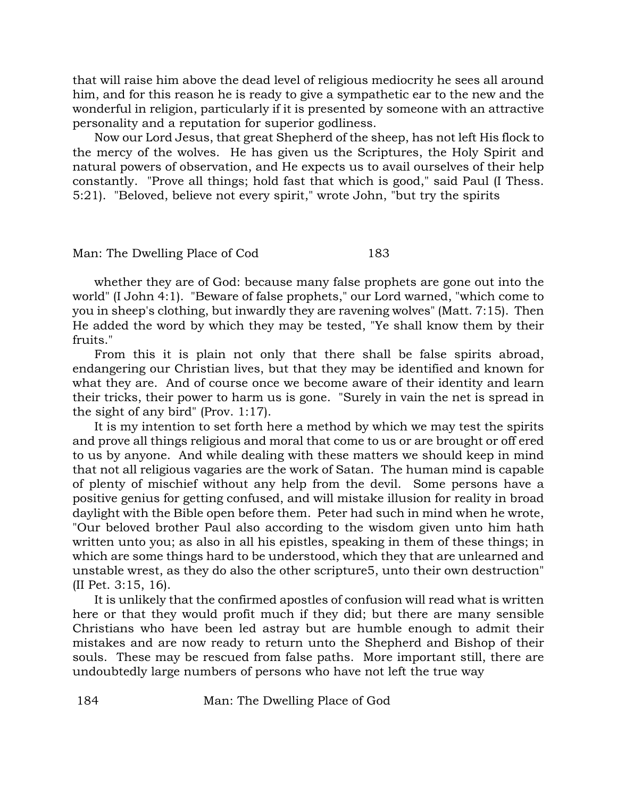that will raise him above the dead level of religious mediocrity he sees all around him, and for this reason he is ready to give a sympathetic ear to the new and the wonderful in religion, particularly if it is presented by someone with an attractive personality and a reputation for superior godliness.

Now our Lord Jesus, that great Shepherd of the sheep, has not left His flock to the mercy of the wolves. He has given us the Scriptures, the Holy Spirit and natural powers of observation, and He expects us to avail ourselves of their help constantly. "Prove all things; hold fast that which is good," said Paul (I Thess. 5:21). "Beloved, believe not every spirit," wrote John, "but try the spirits

## Man: The Dwelling Place of Cod 183

whether they are of God: because many false prophets are gone out into the world" (I John 4:1). "Beware of false prophets," our Lord warned, "which come to you in sheep's clothing, but inwardly they are ravening wolves" (Matt. 7:15). Then He added the word by which they may be tested, "Ye shall know them by their fruits."

From this it is plain not only that there shall be false spirits abroad, endangering our Christian lives, but that they may be identified and known for what they are. And of course once we become aware of their identity and learn their tricks, their power to harm us is gone. "Surely in vain the net is spread in the sight of any bird" (Prov. 1:17).

It is my intention to set forth here a method by which we may test the spirits and prove all things religious and moral that come to us or are brought or off ered to us by anyone. And while dealing with these matters we should keep in mind that not all religious vagaries are the work of Satan. The human mind is capable of plenty of mischief without any help from the devil. Some persons have a positive genius for getting confused, and will mistake illusion for reality in broad daylight with the Bible open before them. Peter had such in mind when he wrote, "Our beloved brother Paul also according to the wisdom given unto him hath written unto you; as also in all his epistles, speaking in them of these things; in which are some things hard to be understood, which they that are unlearned and unstable wrest, as they do also the other scripture5, unto their own destruction" (II Pet. 3:15, 16).

It is unlikely that the confirmed apostles of confusion will read what is written here or that they would profit much if they did; but there are many sensible Christians who have been led astray but are humble enough to admit their mistakes and are now ready to return unto the Shepherd and Bishop of their souls. These may be rescued from false paths. More important still, there are undoubtedly large numbers of persons who have not left the true way

184 Man: The Dwelling Place of God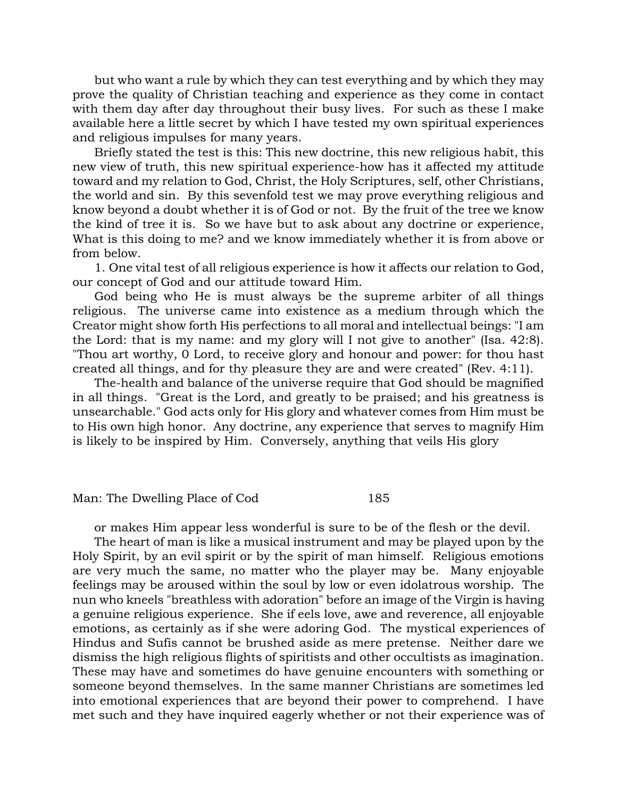but who want a rule by which they can test everything and by which they may prove the quality of Christian teaching and experience as they come in contact with them day after day throughout their busy lives. For such as these I make available here a little secret by which I have tested my own spiritual experiences and religious impulses for many years.

Briefly stated the test is this: This new doctrine, this new religious habit, this new view of truth, this new spiritual experience-how has it affected my attitude toward and my relation to God, Christ, the Holy Scriptures, self, other Christians, the world and sin. By this sevenfold test we may prove everything religious and know beyond a doubt whether it is of God or not. By the fruit of the tree we know the kind of tree it is. So we have but to ask about any doctrine or experience, What is this doing to me? and we know immediately whether it is from above or from below.

1. One vital test of all religious experience is how it affects our relation to God, our concept of God and our attitude toward Him.

God being who He is must always be the supreme arbiter of all things religious. The universe came into existence as a medium through which the Creator might show forth His perfections to all moral and intellectual beings: "I am the Lord: that is my name: and my glory will I not give to another" (Isa. 42:8). "Thou art worthy, 0 Lord, to receive glory and honour and power: for thou hast created all things, and for thy pleasure they are and were created" (Rev. 4:11).

The-health and balance of the universe require that God should be magnified in all things. "Great is the Lord, and greatly to be praised; and his greatness is unsearchable." God acts only for His glory and whatever comes from Him must be to His own high honor. Any doctrine, any experience that serves to magnify Him is likely to be inspired by Him. Conversely, anything that veils His glory

Man: The Dwelling Place of Cod 185

or makes Him appear less wonderful is sure to be of the flesh or the devil.

The heart of man is like a musical instrument and may be played upon by the Holy Spirit, by an evil spirit or by the spirit of man himself. Religious emotions are very much the same, no matter who the player may be. Many enjoyable feelings may be aroused within the soul by low or even idolatrous worship. The nun who kneels "breathless with adoration" before an image of the Virgin is having a genuine religious experience. She if eels love, awe and reverence, all enjoyable emotions, as certainly as if she were adoring God. The mystical experiences of Hindus and Sufis cannot be brushed aside as mere pretense. Neither dare we dismiss the high religious flights of spiritists and other occultists as imagination. These may have and sometimes do have genuine encounters with something or someone beyond themselves. In the same manner Christians are sometimes led into emotional experiences that are beyond their power to comprehend. I have met such and they have inquired eagerly whether or not their experience was of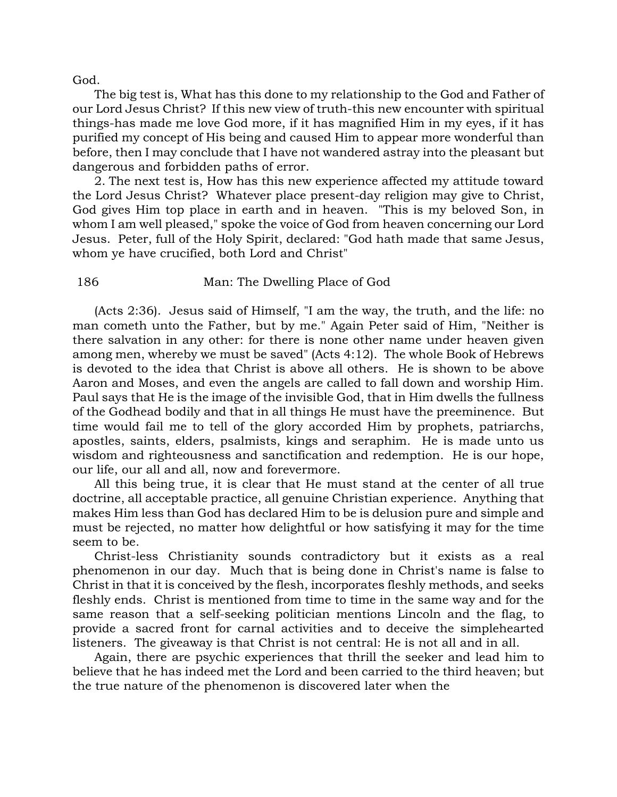God.

The big test is, What has this done to my relationship to the God and Father of our Lord Jesus Christ? If this new view of truth-this new encounter with spiritual things-has made me love God more, if it has magnified Him in my eyes, if it has purified my concept of His being and caused Him to appear more wonderful than before, then I may conclude that I have not wandered astray into the pleasant but dangerous and forbidden paths of error.

2. The next test is, How has this new experience affected my attitude toward the Lord Jesus Christ? Whatever place present-day religion may give to Christ, God gives Him top place in earth and in heaven. "This is my beloved Son, in whom I am well pleased," spoke the voice of God from heaven concerning our Lord Jesus. Peter, full of the Holy Spirit, declared: "God hath made that same Jesus, whom ye have crucified, both Lord and Christ"

#### 186 Man: The Dwelling Place of God

(Acts 2:36). Jesus said of Himself, "I am the way, the truth, and the life: no man cometh unto the Father, but by me." Again Peter said of Him, "Neither is there salvation in any other: for there is none other name under heaven given among men, whereby we must be saved" (Acts 4:12). The whole Book of Hebrews is devoted to the idea that Christ is above all others. He is shown to be above Aaron and Moses, and even the angels are called to fall down and worship Him. Paul says that He is the image of the invisible God, that in Him dwells the fullness of the Godhead bodily and that in all things He must have the preeminence. But time would fail me to tell of the glory accorded Him by prophets, patriarchs, apostles, saints, elders, psalmists, kings and seraphim. He is made unto us wisdom and righteousness and sanctification and redemption. He is our hope, our life, our all and all, now and forevermore.

All this being true, it is clear that He must stand at the center of all true doctrine, all acceptable practice, all genuine Christian experience. Anything that makes Him less than God has declared Him to be is delusion pure and simple and must be rejected, no matter how delightful or how satisfying it may for the time seem to be.

Christ-less Christianity sounds contradictory but it exists as a real phenomenon in our day. Much that is being done in Christ's name is false to Christ in that it is conceived by the flesh, incorporates fleshly methods, and seeks fleshly ends. Christ is mentioned from time to time in the same way and for the same reason that a self-seeking politician mentions Lincoln and the flag, to provide a sacred front for carnal activities and to deceive the simplehearted listeners. The giveaway is that Christ is not central: He is not all and in all.

Again, there are psychic experiences that thrill the seeker and lead him to believe that he has indeed met the Lord and been carried to the third heaven; but the true nature of the phenomenon is discovered later when the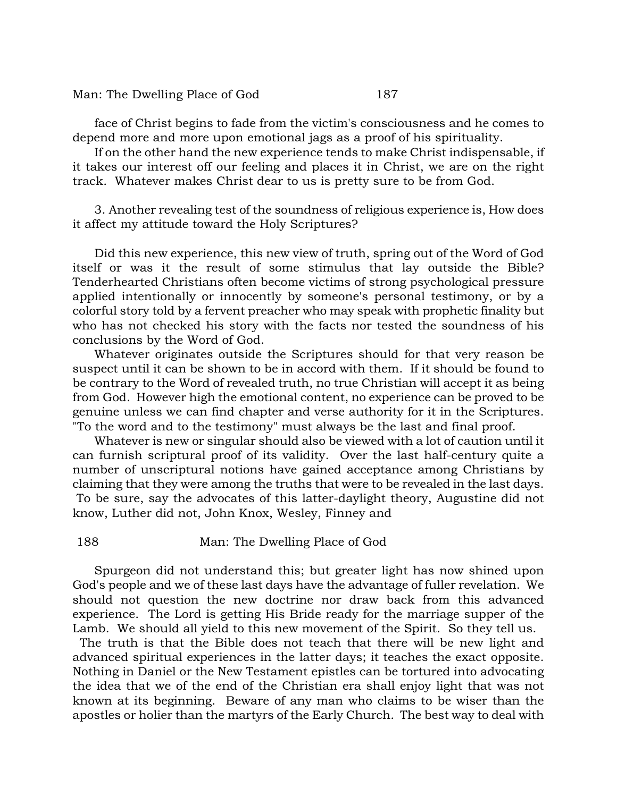face of Christ begins to fade from the victim's consciousness and he comes to depend more and more upon emotional jags as a proof of his spirituality.

If on the other hand the new experience tends to make Christ indispensable, if it takes our interest off our feeling and places it in Christ, we are on the right track. Whatever makes Christ dear to us is pretty sure to be from God.

3. Another revealing test of the soundness of religious experience is, How does it affect my attitude toward the Holy Scriptures?

Did this new experience, this new view of truth, spring out of the Word of God itself or was it the result of some stimulus that lay outside the Bible? Tenderhearted Christians often become victims of strong psychological pressure applied intentionally or innocently by someone's personal testimony, or by a colorful story told by a fervent preacher who may speak with prophetic finality but who has not checked his story with the facts nor tested the soundness of his conclusions by the Word of God.

Whatever originates outside the Scriptures should for that very reason be suspect until it can be shown to be in accord with them. If it should be found to be contrary to the Word of revealed truth, no true Christian will accept it as being from God. However high the emotional content, no experience can be proved to be genuine unless we can find chapter and verse authority for it in the Scriptures. "To the word and to the testimony" must always be the last and final proof.

Whatever is new or singular should also be viewed with a lot of caution until it can furnish scriptural proof of its validity. Over the last half-century quite a number of unscriptural notions have gained acceptance among Christians by claiming that they were among the truths that were to be revealed in the last days. To be sure, say the advocates of this latter-daylight theory, Augustine did not know, Luther did not, John Knox, Wesley, Finney and

188 Man: The Dwelling Place of God

Spurgeon did not understand this; but greater light has now shined upon God's people and we of these last days have the advantage of fuller revelation. We should not question the new doctrine nor draw back from this advanced experience. The Lord is getting His Bride ready for the marriage supper of the Lamb. We should all yield to this new movement of the Spirit. So they tell us.

The truth is that the Bible does not teach that there will be new light and advanced spiritual experiences in the latter days; it teaches the exact opposite. Nothing in Daniel or the New Testament epistles can be tortured into advocating the idea that we of the end of the Christian era shall enjoy light that was not known at its beginning. Beware of any man who claims to be wiser than the apostles or holier than the martyrs of the Early Church. The best way to deal with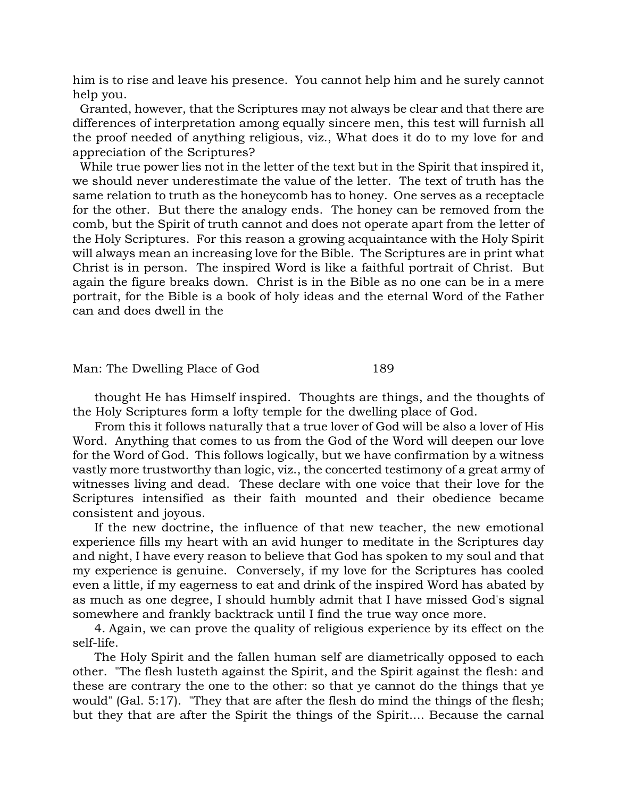him is to rise and leave his presence. You cannot help him and he surely cannot help you.

Granted, however, that the Scriptures may not always be clear and that there are differences of interpretation among equally sincere men, this test will furnish all the proof needed of anything religious, viz., What does it do to my love for and appreciation of the Scriptures?

While true power lies not in the letter of the text but in the Spirit that inspired it, we should never underestimate the value of the letter. The text of truth has the same relation to truth as the honeycomb has to honey. One serves as a receptacle for the other. But there the analogy ends. The honey can be removed from the comb, but the Spirit of truth cannot and does not operate apart from the letter of the Holy Scriptures. For this reason a growing acquaintance with the Holy Spirit will always mean an increasing love for the Bible. The Scriptures are in print what Christ is in person. The inspired Word is like a faithful portrait of Christ. But again the figure breaks down. Christ is in the Bible as no one can be in a mere portrait, for the Bible is a book of holy ideas and the eternal Word of the Father can and does dwell in the

Man: The Dwelling Place of God 189

thought He has Himself inspired. Thoughts are things, and the thoughts of the Holy Scriptures form a lofty temple for the dwelling place of God.

From this it follows naturally that a true lover of God will be also a lover of His Word. Anything that comes to us from the God of the Word will deepen our love for the Word of God. This follows logically, but we have confirmation by a witness vastly more trustworthy than logic, viz., the concerted testimony of a great army of witnesses living and dead. These declare with one voice that their love for the Scriptures intensified as their faith mounted and their obedience became consistent and joyous.

If the new doctrine, the influence of that new teacher, the new emotional experience fills my heart with an avid hunger to meditate in the Scriptures day and night, I have every reason to believe that God has spoken to my soul and that my experience is genuine. Conversely, if my love for the Scriptures has cooled even a little, if my eagerness to eat and drink of the inspired Word has abated by as much as one degree, I should humbly admit that I have missed God's signal somewhere and frankly backtrack until I find the true way once more.

4. Again, we can prove the quality of religious experience by its effect on the self-life.

The Holy Spirit and the fallen human self are diametrically opposed to each other. "The flesh lusteth against the Spirit, and the Spirit against the flesh: and these are contrary the one to the other: so that ye cannot do the things that ye would" (Gal. 5:17). "They that are after the flesh do mind the things of the flesh; but they that are after the Spirit the things of the Spirit.... Because the carnal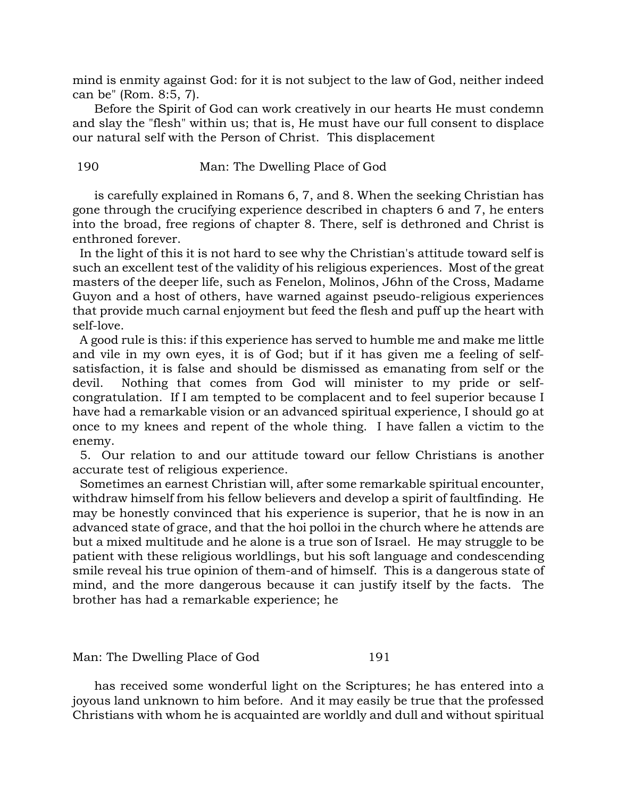mind is enmity against God: for it is not subject to the law of God, neither indeed can be" (Rom. 8:5, 7).

Before the Spirit of God can work creatively in our hearts He must condemn and slay the "flesh" within us; that is, He must have our full consent to displace our natural self with the Person of Christ. This displacement

190 Man: The Dwelling Place of God

is carefully explained in Romans 6, 7, and 8. When the seeking Christian has gone through the crucifying experience described in chapters 6 and 7, he enters into the broad, free regions of chapter 8. There, self is dethroned and Christ is enthroned forever.

In the light of this it is not hard to see why the Christian's attitude toward self is such an excellent test of the validity of his religious experiences. Most of the great masters of the deeper life, such as Fenelon, Molinos, J6hn of the Cross, Madame Guyon and a host of others, have warned against pseudo-religious experiences that provide much carnal enjoyment but feed the flesh and puff up the heart with self-love.

A good rule is this: if this experience has served to humble me and make me little and vile in my own eyes, it is of God; but if it has given me a feeling of selfsatisfaction, it is false and should be dismissed as emanating from self or the devil. Nothing that comes from God will minister to my pride or selfcongratulation. If I am tempted to be complacent and to feel superior because I have had a remarkable vision or an advanced spiritual experience, I should go at once to my knees and repent of the whole thing. I have fallen a victim to the enemy.

5. Our relation to and our attitude toward our fellow Christians is another accurate test of religious experience.

Sometimes an earnest Christian will, after some remarkable spiritual encounter, withdraw himself from his fellow believers and develop a spirit of faultfinding. He may be honestly convinced that his experience is superior, that he is now in an advanced state of grace, and that the hoi polloi in the church where he attends are but a mixed multitude and he alone is a true son of Israel. He may struggle to be patient with these religious worldlings, but his soft language and condescending smile reveal his true opinion of them-and of himself. This is a dangerous state of mind, and the more dangerous because it can justify itself by the facts. The brother has had a remarkable experience; he

Man: The Dwelling Place of God 191

has received some wonderful light on the Scriptures; he has entered into a joyous land unknown to him before. And it may easily be true that the professed Christians with whom he is acquainted are worldly and dull and without spiritual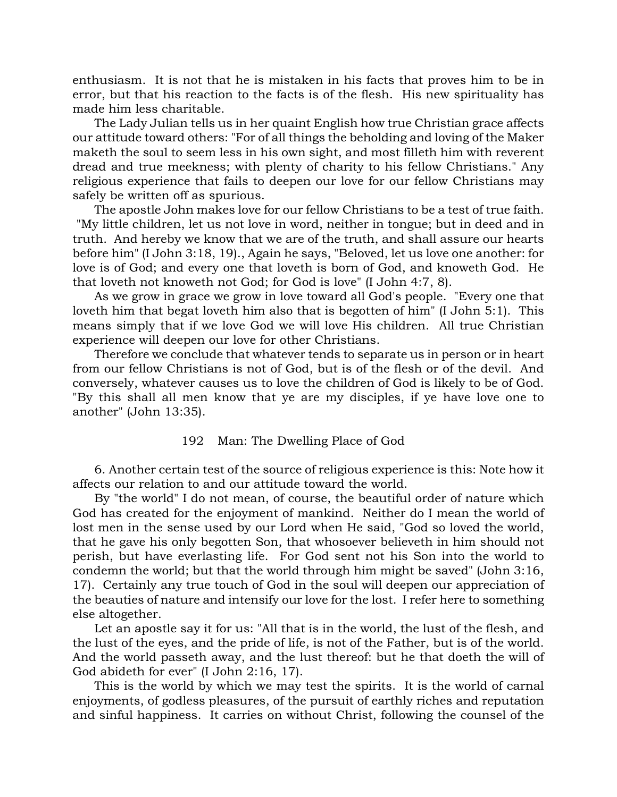enthusiasm. It is not that he is mistaken in his facts that proves him to be in error, but that his reaction to the facts is of the flesh. His new spirituality has made him less charitable.

The Lady Julian tells us in her quaint English how true Christian grace affects our attitude toward others: "For of all things the beholding and loving of the Maker maketh the soul to seem less in his own sight, and most filleth him with reverent dread and true meekness; with plenty of charity to his fellow Christians." Any religious experience that fails to deepen our love for our fellow Christians may safely be written off as spurious.

The apostle John makes love for our fellow Christians to be a test of true faith. "My little children, let us not love in word, neither in tongue; but in deed and in truth. And hereby we know that we are of the truth, and shall assure our hearts before him" (I John 3:18, 19)., Again he says, "Beloved, let us love one another: for love is of God; and every one that loveth is born of God, and knoweth God. He that loveth not knoweth not God; for God is love" (I John 4:7, 8).

As we grow in grace we grow in love toward all God's people. "Every one that loveth him that begat loveth him also that is begotten of him" (I John 5:1). This means simply that if we love God we will love His children. All true Christian experience will deepen our love for other Christians.

Therefore we conclude that whatever tends to separate us in person or in heart from our fellow Christians is not of God, but is of the flesh or of the devil. And conversely, whatever causes us to love the children of God is likely to be of God. "By this shall all men know that ye are my disciples, if ye have love one to another" (John 13:35).

#### 192 Man: The Dwelling Place of God

6. Another certain test of the source of religious experience is this: Note how it affects our relation to and our attitude toward the world.

By "the world" I do not mean, of course, the beautiful order of nature which God has created for the enjoyment of mankind. Neither do I mean the world of lost men in the sense used by our Lord when He said, "God so loved the world, that he gave his only begotten Son, that whosoever believeth in him should not perish, but have everlasting life. For God sent not his Son into the world to condemn the world; but that the world through him might be saved" (John 3:16, 17). Certainly any true touch of God in the soul will deepen our appreciation of the beauties of nature and intensify our love for the lost. I refer here to something else altogether.

Let an apostle say it for us: "All that is in the world, the lust of the flesh, and the lust of the eyes, and the pride of life, is not of the Father, but is of the world. And the world passeth away, and the lust thereof: but he that doeth the will of God abideth for ever" (I John 2:16, 17).

This is the world by which we may test the spirits. It is the world of carnal enjoyments, of godless pleasures, of the pursuit of earthly riches and reputation and sinful happiness. It carries on without Christ, following the counsel of the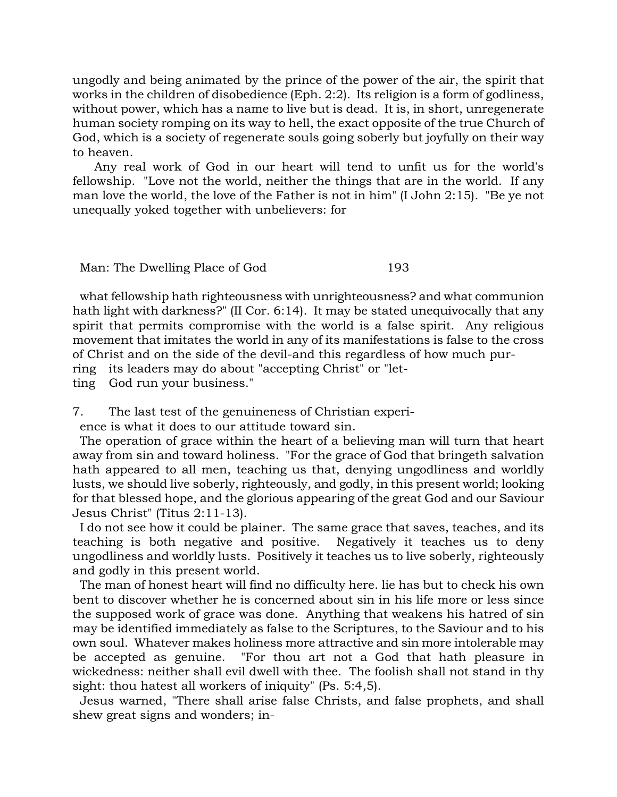ungodly and being animated by the prince of the power of the air, the spirit that works in the children of disobedience (Eph. 2:2). Its religion is a form of godliness, without power, which has a name to live but is dead. It is, in short, unregenerate human society romping on its way to hell, the exact opposite of the true Church of God, which is a society of regenerate souls going soberly but joyfully on their way to heaven.

Any real work of God in our heart will tend to unfit us for the world's fellowship. "Love not the world, neither the things that are in the world. If any man love the world, the love of the Father is not in him" (I John 2:15). "Be ye not unequally yoked together with unbelievers: for

Man: The Dwelling Place of God 193

what fellowship hath righteousness with unrighteousness? and what communion hath light with darkness?" (II Cor. 6:14). It may be stated unequivocally that any spirit that permits compromise with the world is a false spirit. Any religious movement that imitates the world in any of its manifestations is false to the cross of Christ and on the side of the devil-and this regardless of how much pur-

ring its leaders may do about "accepting Christ" or "let-

ting God run your business."

7. The last test of the genuineness of Christian experi-

ence is what it does to our attitude toward sin.

The operation of grace within the heart of a believing man will turn that heart away from sin and toward holiness. "For the grace of God that bringeth salvation hath appeared to all men, teaching us that, denying ungodliness and worldly lusts, we should live soberly, righteously, and godly, in this present world; looking for that blessed hope, and the glorious appearing of the great God and our Saviour Jesus Christ" (Titus 2:11-13).

I do not see how it could be plainer. The same grace that saves, teaches, and its teaching is both negative and positive. Negatively it teaches us to deny ungodliness and worldly lusts. Positively it teaches us to live soberly, righteously and godly in this present world.

The man of honest heart will find no difficulty here. lie has but to check his own bent to discover whether he is concerned about sin in his life more or less since the supposed work of grace was done. Anything that weakens his hatred of sin may be identified immediately as false to the Scriptures, to the Saviour and to his own soul. Whatever makes holiness more attractive and sin more intolerable may be accepted as genuine. "For thou art not a God that hath pleasure in wickedness: neither shall evil dwell with thee. The foolish shall not stand in thy sight: thou hatest all workers of iniquity" (Ps. 5:4,5).

Jesus warned, "There shall arise false Christs, and false prophets, and shall shew great signs and wonders; in-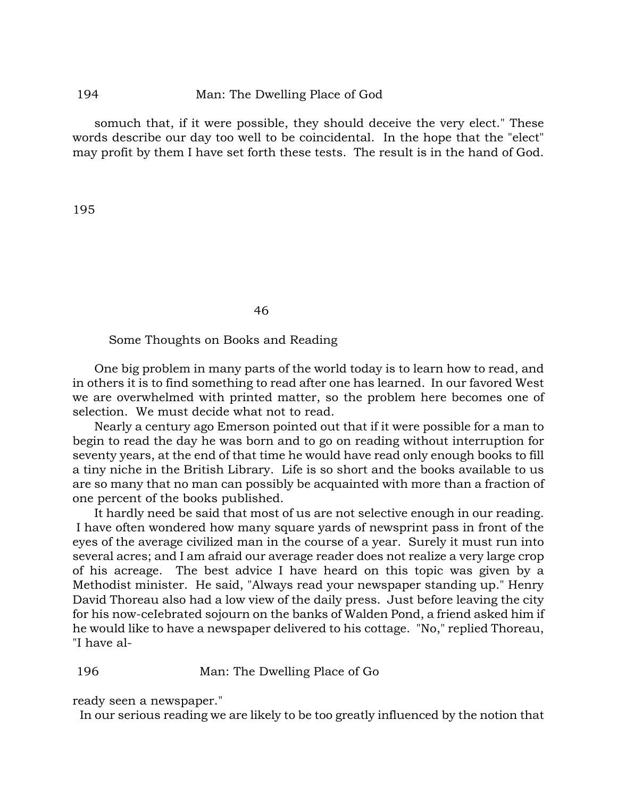## 194 Man: The Dwelling Place of God

somuch that, if it were possible, they should deceive the very elect." These words describe our day too well to be coincidental. In the hope that the "elect" may profit by them I have set forth these tests. The result is in the hand of God.

195

46

Some Thoughts on Books and Reading

One big problem in many parts of the world today is to learn how to read, and in others it is to find something to read after one has learned. In our favored West we are overwhelmed with printed matter, so the problem here becomes one of selection. We must decide what not to read.

Nearly a century ago Emerson pointed out that if it were possible for a man to begin to read the day he was born and to go on reading without interruption for seventy years, at the end of that time he would have read only enough books to fill a tiny niche in the British Library. Life is so short and the books available to us are so many that no man can possibly be acquainted with more than a fraction of one percent of the books published.

It hardly need be said that most of us are not selective enough in our reading. I have often wondered how many square yards of newsprint pass in front of the eyes of the average civilized man in the course of a year. Surely it must run into several acres; and I am afraid our average reader does not realize a very large crop of his acreage. The best advice I have heard on this topic was given by a Methodist minister. He said, "Always read your newspaper standing up." Henry David Thoreau also had a low view of the daily press. Just before leaving the city for his now-ceIebrated sojourn on the banks of Walden Pond, a friend asked him if he would like to have a newspaper delivered to his cottage. "No," replied Thoreau, "I have al-

196 Man: The Dwelling Place of Go

ready seen a newspaper."

In our serious reading we are likely to be too greatly influenced by the notion that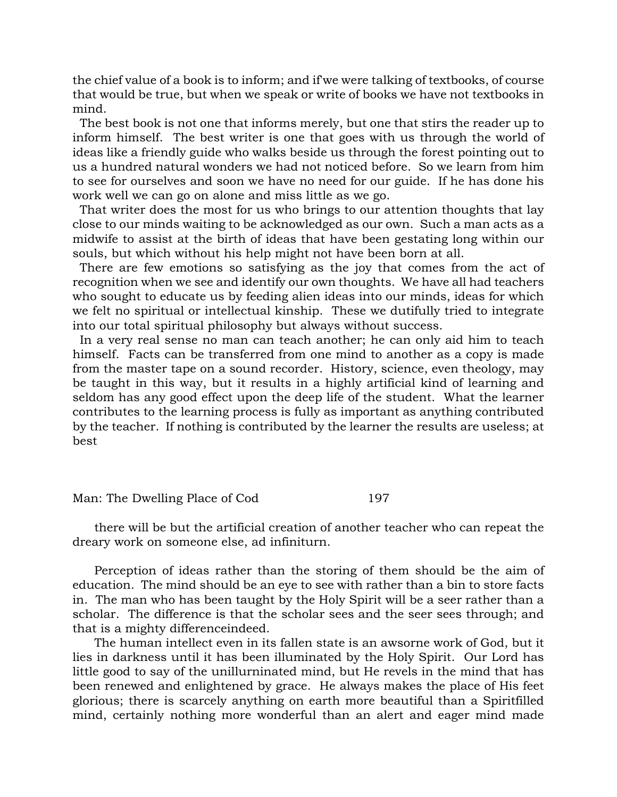the chief value of a book is to inform; and if'we were talking of textbooks, of course that would be true, but when we speak or write of books we have not textbooks in mind.

The best book is not one that informs merely, but one that stirs the reader up to inform himself. The best writer is one that goes with us through the world of ideas like a friendly guide who walks beside us through the forest pointing out to us a hundred natural wonders we had not noticed before. So we learn from him to see for ourselves and soon we have no need for our guide. If he has done his work well we can go on alone and miss little as we go.

That writer does the most for us who brings to our attention thoughts that lay close to our minds waiting to be acknowledged as our own. Such a man acts as a midwife to assist at the birth of ideas that have been gestating long within our souls, but which without his help might not have been born at all.

There are few emotions so satisfying as the joy that comes from the act of recognition when we see and identify our own thoughts. We have all had teachers who sought to educate us by feeding alien ideas into our minds, ideas for which we felt no spiritual or intellectual kinship. These we dutifully tried to integrate into our total spiritual philosophy but always without success.

In a very real sense no man can teach another; he can only aid him to teach himself. Facts can be transferred from one mind to another as a copy is made from the master tape on a sound recorder. History, science, even theology, may be taught in this way, but it results in a highly artificial kind of learning and seldom has any good effect upon the deep life of the student. What the learner contributes to the learning process is fully as important as anything contributed by the teacher. If nothing is contributed by the learner the results are useless; at best

Man: The Dwelling Place of Cod 197

there will be but the artificial creation of another teacher who can repeat the dreary work on someone else, ad infiniturn.

Perception of ideas rather than the storing of them should be the aim of education. The mind should be an eye to see with rather than a bin to store facts in. The man who has been taught by the Holy Spirit will be a seer rather than a scholar. The difference is that the scholar sees and the seer sees through; and that is a mighty differenceindeed.

The human intellect even in its fallen state is an awsorne work of God, but it lies in darkness until it has been illuminated by the Holy Spirit. Our Lord has little good to say of the unillurninated mind, but He revels in the mind that has been renewed and enlightened by grace. He always makes the place of His feet glorious; there is scarcely anything on earth more beautiful than a Spiritfilled mind, certainly nothing more wonderful than an alert and eager mind made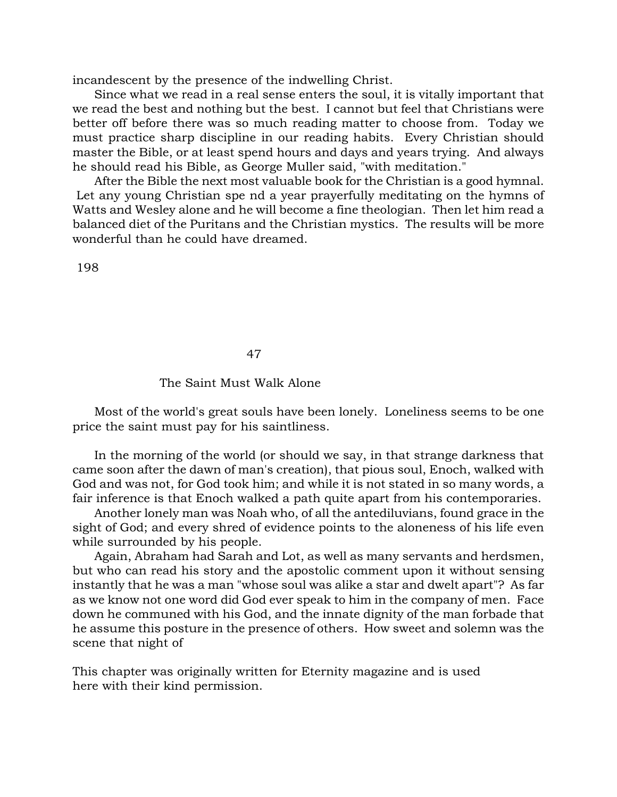incandescent by the presence of the indwelling Christ.

Since what we read in a real sense enters the soul, it is vitally important that we read the best and nothing but the best. I cannot but feel that Christians were better off before there was so much reading matter to choose from. Today we must practice sharp discipline in our reading habits. Every Christian should master the Bible, or at least spend hours and days and years trying. And always he should read his Bible, as George Muller said, "with meditation."

After the Bible the next most valuable book for the Christian is a good hymnal. Let any young Christian spe nd a year prayerfully meditating on the hymns of Watts and Wesley alone and he will become a fine theologian. Then let him read a balanced diet of the Puritans and the Christian mystics. The results will be more wonderful than he could have dreamed.

198

#### 47

#### The Saint Must Walk Alone

Most of the world's great souls have been lonely. Loneliness seems to be one price the saint must pay for his saintliness.

In the morning of the world (or should we say, in that strange darkness that came soon after the dawn of man's creation), that pious soul, Enoch, walked with God and was not, for God took him; and while it is not stated in so many words, a fair inference is that Enoch walked a path quite apart from his contemporaries.

Another lonely man was Noah who, of all the antediluvians, found grace in the sight of God; and every shred of evidence points to the aloneness of his life even while surrounded by his people.

Again, Abraham had Sarah and Lot, as well as many servants and herdsmen, but who can read his story and the apostolic comment upon it without sensing instantly that he was a man "whose soul was alike a star and dwelt apart"? As far as we know not one word did God ever speak to him in the company of men. Face down he communed with his God, and the innate dignity of the man forbade that he assume this posture in the presence of others. How sweet and solemn was the scene that night of

This chapter was originally written for Eternity magazine and is used here with their kind permission.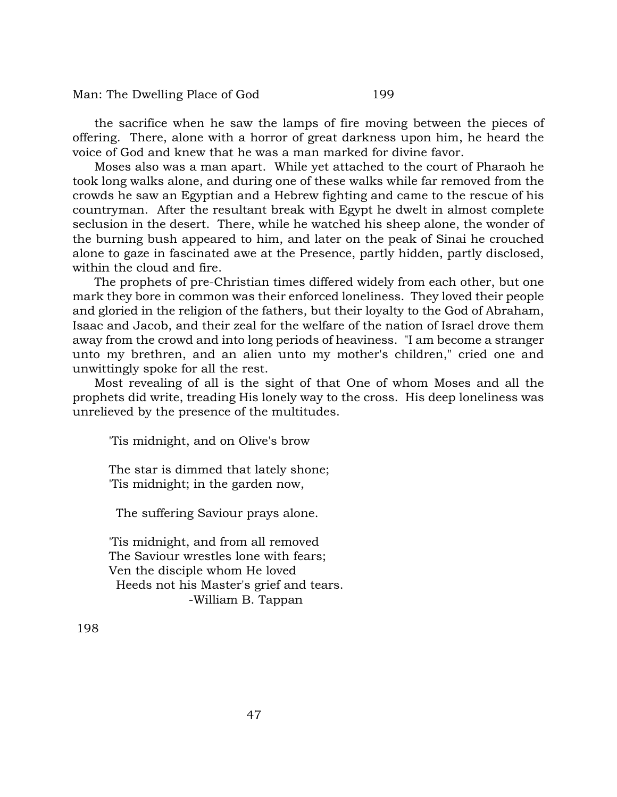Man: The Dwelling Place of God 199

the sacrifice when he saw the lamps of fire moving between the pieces of offering. There, alone with a horror of great darkness upon him, he heard the voice of God and knew that he was a man marked for divine favor.

Moses also was a man apart. While yet attached to the court of Pharaoh he took long walks alone, and during one of these walks while far removed from the crowds he saw an Egyptian and a Hebrew fighting and came to the rescue of his countryman. After the resultant break with Egypt he dwelt in almost complete seclusion in the desert. There, while he watched his sheep alone, the wonder of the burning bush appeared to him, and later on the peak of Sinai he crouched alone to gaze in fascinated awe at the Presence, partly hidden, partly disclosed, within the cloud and fire.

The prophets of pre-Christian times differed widely from each other, but one mark they bore in common was their enforced loneliness. They loved their people and gloried in the religion of the fathers, but their loyalty to the God of Abraham, Isaac and Jacob, and their zeal for the welfare of the nation of Israel drove them away from the crowd and into long periods of heaviness. "I am become a stranger unto my brethren, and an alien unto my mother's children," cried one and unwittingly spoke for all the rest.

Most revealing of all is the sight of that One of whom Moses and all the prophets did write, treading His lonely way to the cross. His deep loneliness was unrelieved by the presence of the multitudes.

'Tis midnight, and on Olive's brow

The star is dimmed that lately shone; 'Tis midnight; in the garden now,

The suffering Saviour prays alone.

'Tis midnight, and from all removed The Saviour wrestles lone with fears; Ven the disciple whom He loved Heeds not his Master's grief and tears. -William B. Tappan

198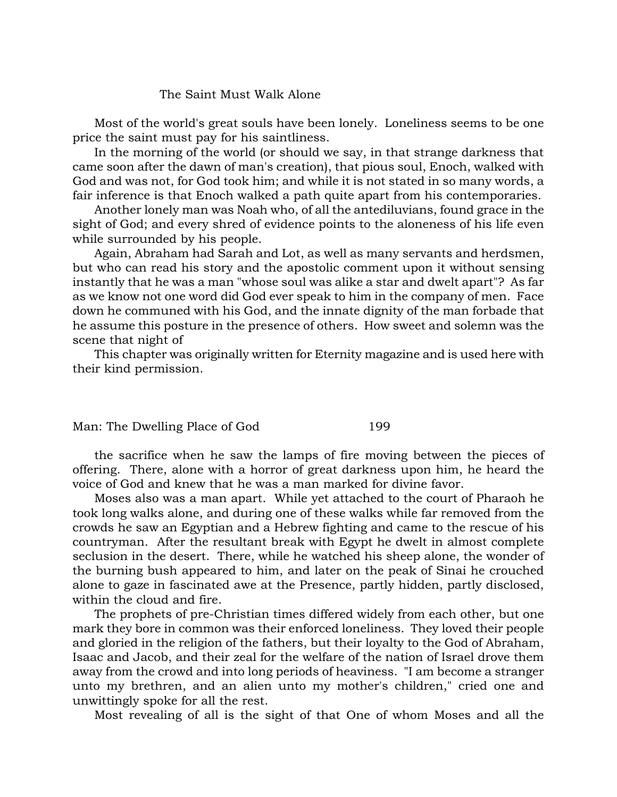## The Saint Must Walk Alone

Most of the world's great souls have been lonely. Loneliness seems to be one price the saint must pay for his saintliness.

In the morning of the world (or should we say, in that strange darkness that came soon after the dawn of man's creation), that pious soul, Enoch, walked with God and was not, for God took him; and while it is not stated in so many words, a fair inference is that Enoch walked a path quite apart from his contemporaries.

Another lonely man was Noah who, of all the antediluvians, found grace in the sight of God; and every shred of evidence points to the aloneness of his life even while surrounded by his people.

Again, Abraham had Sarah and Lot, as well as many servants and herdsmen, but who can read his story and the apostolic comment upon it without sensing instantly that he was a man "whose soul was alike a star and dwelt apart"? As far as we know not one word did God ever speak to him in the company of men. Face down he communed with his God, and the innate dignity of the man forbade that he assume this posture in the presence of others. How sweet and solemn was the scene that night of

This chapter was originally written for Eternity magazine and is used here with their kind permission.

Man: The Dwelling Place of God 199

the sacrifice when he saw the lamps of fire moving between the pieces of offering. There, alone with a horror of great darkness upon him, he heard the voice of God and knew that he was a man marked for divine favor.

Moses also was a man apart. While yet attached to the court of Pharaoh he took long walks alone, and during one of these walks while far removed from the crowds he saw an Egyptian and a Hebrew fighting and came to the rescue of his countryman. After the resultant break with Egypt he dwelt in almost complete seclusion in the desert. There, while he watched his sheep alone, the wonder of the burning bush appeared to him, and later on the peak of Sinai he crouched alone to gaze in fascinated awe at the Presence, partly hidden, partly disclosed, within the cloud and fire.

The prophets of pre-Christian times differed widely from each other, but one mark they bore in common was their enforced loneliness. They loved their people and gloried in the religion of the fathers, but their loyalty to the God of Abraham, Isaac and Jacob, and their zeal for the welfare of the nation of Israel drove them away from the crowd and into long periods of heaviness. "I am become a stranger unto my brethren, and an alien unto my mother's children," cried one and unwittingly spoke for all the rest.

Most revealing of all is the sight of that One of whom Moses and all the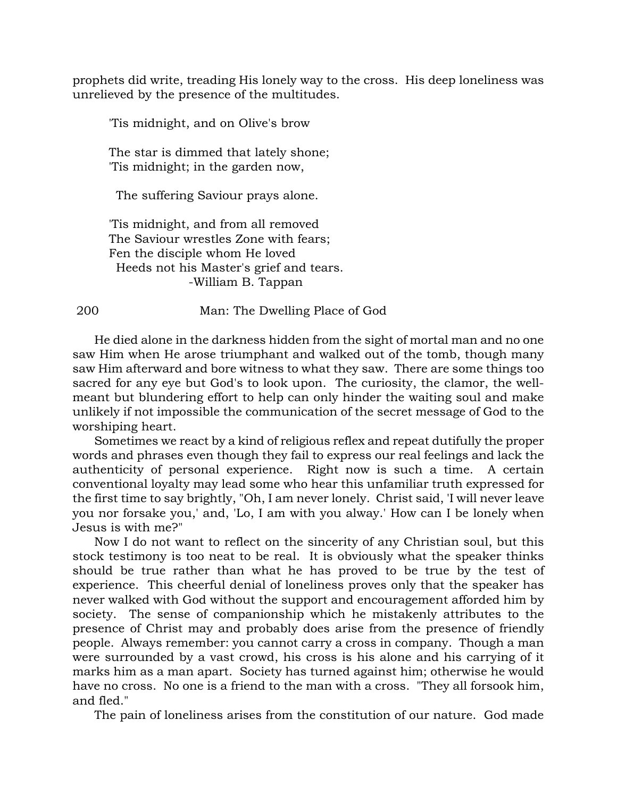prophets did write, treading His lonely way to the cross. His deep loneliness was unrelieved by the presence of the multitudes.

'Tis midnight, and on Olive's brow

The star is dimmed that lately shone; 'Tis midnight; in the garden now,

The suffering Saviour prays alone.

'Tis midnight, and from all removed The Saviour wrestles Zone with fears; Fen the disciple whom He loved Heeds not his Master's grief and tears. -William B. Tappan

200 Man: The Dwelling Place of God

He died alone in the darkness hidden from the sight of mortal man and no one saw Him when He arose triumphant and walked out of the tomb, though many saw Him afterward and bore witness to what they saw. There are some things too sacred for any eye but God's to look upon. The curiosity, the clamor, the wellmeant but blundering effort to help can only hinder the waiting soul and make unlikely if not impossible the communication of the secret message of God to the worshiping heart.

Sometimes we react by a kind of religious reflex and repeat dutifully the proper words and phrases even though they fail to express our real feelings and lack the authenticity of personal experience. Right now is such a time. A certain conventional loyalty may lead some who hear this unfamiliar truth expressed for the first time to say brightly, "Oh, I am never lonely. Christ said, 'I will never leave you nor forsake you,' and, 'Lo, I am with you alway.' How can I be lonely when Jesus is with me?"

Now I do not want to reflect on the sincerity of any Christian soul, but this stock testimony is too neat to be real. It is obviously what the speaker thinks should be true rather than what he has proved to be true by the test of experience. This cheerful denial of loneliness proves only that the speaker has never walked with God without the support and encouragement afforded him by society. The sense of companionship which he mistakenly attributes to the presence of Christ may and probably does arise from the presence of friendly people. Always remember: you cannot carry a cross in company. Though a man were surrounded by a vast crowd, his cross is his alone and his carrying of it marks him as a man apart. Society has turned against him; otherwise he would have no cross. No one is a friend to the man with a cross. "They all forsook him, and fled."

The pain of loneliness arises from the constitution of our nature. God made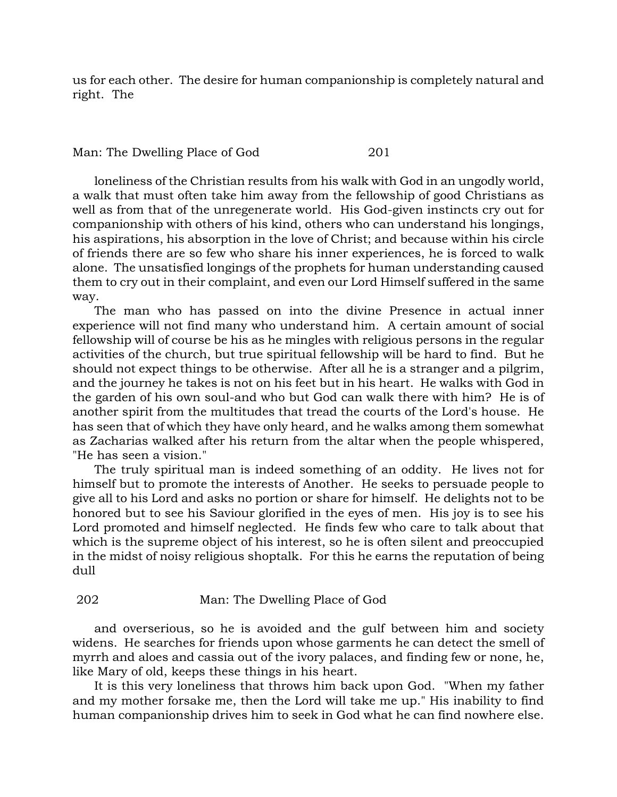us for each other. The desire for human companionship is completely natural and right. The

Man: The Dwelling Place of God 201

loneliness of the Christian results from his walk with God in an ungodly world, a walk that must often take him away from the fellowship of good Christians as well as from that of the unregenerate world. His God-given instincts cry out for companionship with others of his kind, others who can understand his longings, his aspirations, his absorption in the love of Christ; and because within his circle of friends there are so few who share his inner experiences, he is forced to walk alone. The unsatisfied longings of the prophets for human understanding caused them to cry out in their complaint, and even our Lord Himself suffered in the same way.

The man who has passed on into the divine Presence in actual inner experience will not find many who understand him. A certain amount of social fellowship will of course be his as he mingles with religious persons in the regular activities of the church, but true spiritual fellowship will be hard to find. But he should not expect things to be otherwise. After all he is a stranger and a pilgrim, and the journey he takes is not on his feet but in his heart. He walks with God in the garden of his own soul-and who but God can walk there with him? He is of another spirit from the multitudes that tread the courts of the Lord's house. He has seen that of which they have only heard, and he walks among them somewhat as Zacharias walked after his return from the altar when the people whispered, "He has seen a vision."

The truly spiritual man is indeed something of an oddity. He lives not for himself but to promote the interests of Another. He seeks to persuade people to give all to his Lord and asks no portion or share for himself. He delights not to be honored but to see his Saviour glorified in the eyes of men. His joy is to see his Lord promoted and himself neglected. He finds few who care to talk about that which is the supreme object of his interest, so he is often silent and preoccupied in the midst of noisy religious shoptalk. For this he earns the reputation of being dull

## 202 Man: The Dwelling Place of God

and overserious, so he is avoided and the gulf between him and society widens. He searches for friends upon whose garments he can detect the smell of myrrh and aloes and cassia out of the ivory palaces, and finding few or none, he, like Mary of old, keeps these things in his heart.

It is this very loneliness that throws him back upon God. "When my father and my mother forsake me, then the Lord will take me up." His inability to find human companionship drives him to seek in God what he can find nowhere else.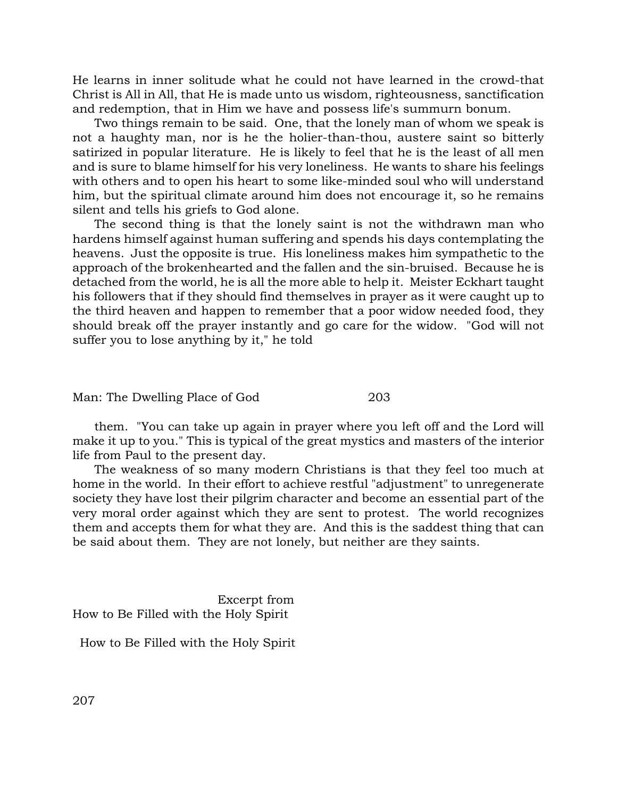He learns in inner solitude what he could not have learned in the crowd-that Christ is All in All, that He is made unto us wisdom, righteousness, sanctification and redemption, that in Him we have and possess life's summurn bonum.

Two things remain to be said. One, that the lonely man of whom we speak is not a haughty man, nor is he the holier-than-thou, austere saint so bitterly satirized in popular literature. He is likely to feel that he is the least of all men and is sure to blame himself for his very loneliness. He wants to share his feelings with others and to open his heart to some like-minded soul who will understand him, but the spiritual climate around him does not encourage it, so he remains silent and tells his griefs to God alone.

The second thing is that the lonely saint is not the withdrawn man who hardens himself against human suffering and spends his days contemplating the heavens. Just the opposite is true. His loneliness makes him sympathetic to the approach of the brokenhearted and the fallen and the sin-bruised. Because he is detached from the world, he is all the more able to help it. Meister Eckhart taught his followers that if they should find themselves in prayer as it were caught up to the third heaven and happen to remember that a poor widow needed food, they should break off the prayer instantly and go care for the widow. "God will not suffer you to lose anything by it," he told

Man: The Dwelling Place of God 203

them. "You can take up again in prayer where you left off and the Lord will make it up to you." This is typical of the great mystics and masters of the interior life from Paul to the present day.

The weakness of so many modern Christians is that they feel too much at home in the world. In their effort to achieve restful "adjustment" to unregenerate society they have lost their pilgrim character and become an essential part of the very moral order against which they are sent to protest. The world recognizes them and accepts them for what they are. And this is the saddest thing that can be said about them. They are not lonely, but neither are they saints.

Excerpt from How to Be Filled with the Holy Spirit

How to Be Filled with the Holy Spirit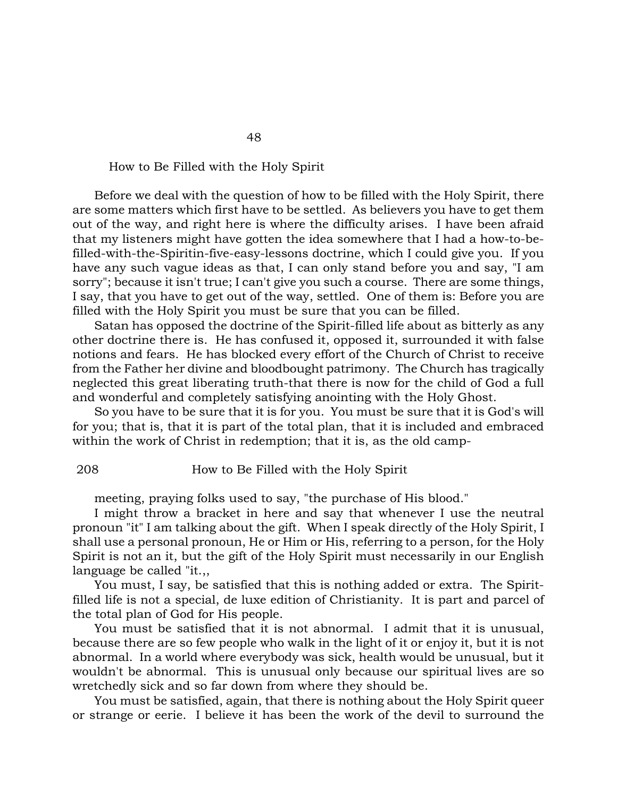How to Be Filled with the Holy Spirit

Before we deal with the question of how to be filled with the Holy Spirit, there are some matters which first have to be settled. As believers you have to get them out of the way, and right here is where the difficulty arises. I have been afraid that my listeners might have gotten the idea somewhere that I had a how-to-befilled-with-the-Spiritin-five-easy-lessons doctrine, which I could give you. If you have any such vague ideas as that, I can only stand before you and say, "I am sorry"; because it isn't true; I can't give you such a course. There are some things, I say, that you have to get out of the way, settled. One of them is: Before you are filled with the Holy Spirit you must be sure that you can be filled.

Satan has opposed the doctrine of the Spirit-filled life about as bitterly as any other doctrine there is. He has confused it, opposed it, surrounded it with false notions and fears. He has blocked every effort of the Church of Christ to receive from the Father her divine and bloodbought patrimony. The Church has tragically neglected this great liberating truth-that there is now for the child of God a full and wonderful and completely satisfying anointing with the Holy Ghost.

So you have to be sure that it is for you. You must be sure that it is God's will for you; that is, that it is part of the total plan, that it is included and embraced within the work of Christ in redemption; that it is, as the old camp-

### 208 How to Be Filled with the Holy Spirit

meeting, praying folks used to say, "the purchase of His blood."

I might throw a bracket in here and say that whenever I use the neutral pronoun "it" I am talking about the gift. When I speak directly of the Holy Spirit, I shall use a personal pronoun, He or Him or His, referring to a person, for the Holy Spirit is not an it, but the gift of the Holy Spirit must necessarily in our English language be called "it.,,

You must, I say, be satisfied that this is nothing added or extra. The Spiritfilled life is not a special, de luxe edition of Christianity. It is part and parcel of the total plan of God for His people.

You must be satisfied that it is not abnormal. I admit that it is unusual, because there are so few people who walk in the light of it or enjoy it, but it is not abnormal. In a world where everybody was sick, health would be unusual, but it wouldn't be abnormal. This is unusual only because our spiritual lives are so wretchedly sick and so far down from where they should be.

You must be satisfied, again, that there is nothing about the Holy Spirit queer or strange or eerie. I believe it has been the work of the devil to surround the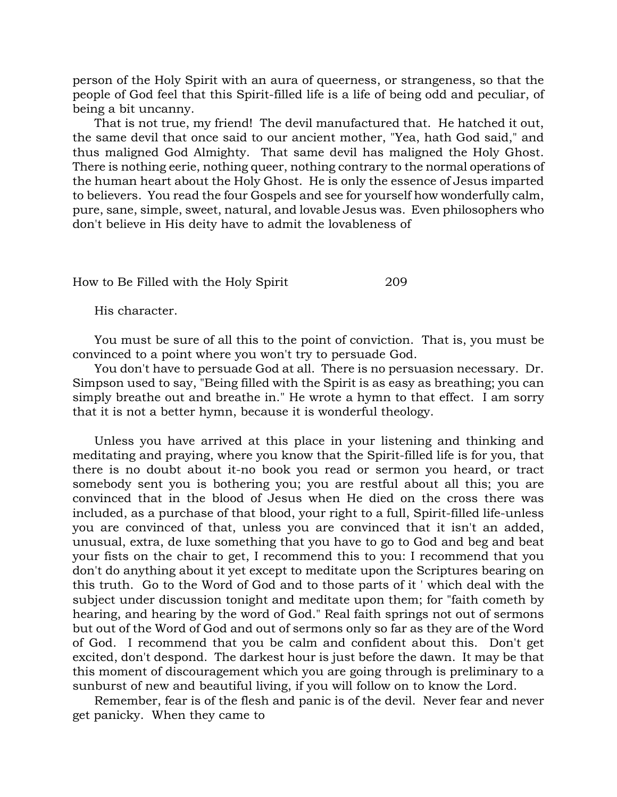person of the Holy Spirit with an aura of queerness, or strangeness, so that the people of God feel that this Spirit-filled life is a life of being odd and peculiar, of being a bit uncanny.

That is not true, my friend! The devil manufactured that. He hatched it out, the same devil that once said to our ancient mother, "Yea, hath God said," and thus maligned God Almighty. That same devil has maligned the Holy Ghost. There is nothing eerie, nothing queer, nothing contrary to the normal operations of the human heart about the Holy Ghost. He is only the essence of Jesus imparted to believers. You read the four Gospels and see for yourself how wonderfully calm, pure, sane, simple, sweet, natural, and lovable Jesus was. Even philosophers who don't believe in His deity have to admit the lovableness of

How to Be Filled with the Holy Spirit 209

His character.

You must be sure of all this to the point of conviction. That is, you must be convinced to a point where you won't try to persuade God.

You don't have to persuade God at all. There is no persuasion necessary. Dr. Simpson used to say, "Being filled with the Spirit is as easy as breathing; you can simply breathe out and breathe in." He wrote a hymn to that effect. I am sorry that it is not a better hymn, because it is wonderful theology.

Unless you have arrived at this place in your listening and thinking and meditating and praying, where you know that the Spirit-filled life is for you, that there is no doubt about it-no book you read or sermon you heard, or tract somebody sent you is bothering you; you are restful about all this; you are convinced that in the blood of Jesus when He died on the cross there was included, as a purchase of that blood, your right to a full, Spirit-filled life-unless you are convinced of that, unless you are convinced that it isn't an added, unusual, extra, de luxe something that you have to go to God and beg and beat your fists on the chair to get, I recommend this to you: I recommend that you don't do anything about it yet except to meditate upon the Scriptures bearing on this truth. Go to the Word of God and to those parts of it ' which deal with the subject under discussion tonight and meditate upon them; for "faith cometh by hearing, and hearing by the word of God." Real faith springs not out of sermons but out of the Word of God and out of sermons only so far as they are of the Word of God. I recommend that you be calm and confident about this. Don't get excited, don't despond. The darkest hour is just before the dawn. It may be that this moment of discouragement which you are going through is preliminary to a sunburst of new and beautiful living, if you will follow on to know the Lord.

Remember, fear is of the flesh and panic is of the devil. Never fear and never get panicky. When they came to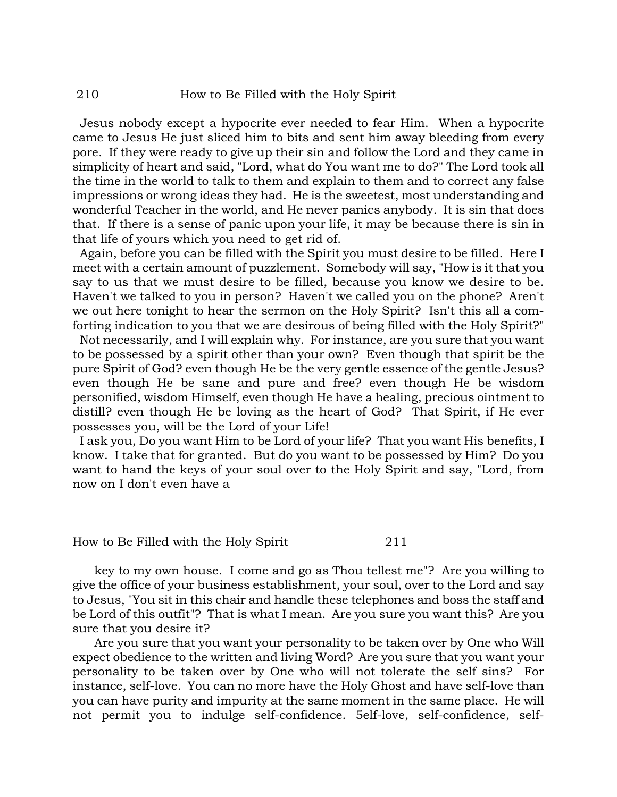Jesus nobody except a hypocrite ever needed to fear Him. When a hypocrite came to Jesus He just sliced him to bits and sent him away bleeding from every pore. If they were ready to give up their sin and follow the Lord and they came in simplicity of heart and said, "Lord, what do You want me to do?" The Lord took all the time in the world to talk to them and explain to them and to correct any false impressions or wrong ideas they had. He is the sweetest, most understanding and wonderful Teacher in the world, and He never panics anybody. It is sin that does that. If there is a sense of panic upon your life, it may be because there is sin in that life of yours which you need to get rid of.

Again, before you can be filled with the Spirit you must desire to be filled. Here I meet with a certain amount of puzzlement. Somebody will say, "How is it that you say to us that we must desire to be filled, because you know we desire to be. Haven't we talked to you in person? Haven't we called you on the phone? Aren't we out here tonight to hear the sermon on the Holy Spirit? Isn't this all a comforting indication to you that we are desirous of being filled with the Holy Spirit?"

Not necessarily, and I will explain why. For instance, are you sure that you want to be possessed by a spirit other than your own? Even though that spirit be the pure Spirit of God? even though He be the very gentle essence of the gentle Jesus? even though He be sane and pure and free? even though He be wisdom personified, wisdom Himself, even though He have a healing, precious ointment to distill? even though He be loving as the heart of God? That Spirit, if He ever possesses you, will be the Lord of your Life!

I ask you, Do you want Him to be Lord of your life? That you want His benefits, I know. I take that for granted. But do you want to be possessed by Him? Do you want to hand the keys of your soul over to the Holy Spirit and say, "Lord, from now on I don't even have a

How to Be Filled with the Holy Spirit 211

key to my own house. I come and go as Thou tellest me"? Are you willing to give the office of your business establishment, your soul, over to the Lord and say to Jesus, "You sit in this chair and handle these telephones and boss the staff and be Lord of this outfit"? That is what I mean. Are you sure you want this? Are you sure that you desire it?

Are you sure that you want your personality to be taken over by One who Will expect obedience to the written and living Word? Are you sure that you want your personality to be taken over by One who will not tolerate the self sins? For instance, self-love. You can no more have the Holy Ghost and have self-love than you can have purity and impurity at the same moment in the same place. He will not permit you to indulge self-confidence. 5elf-love, self-confidence, self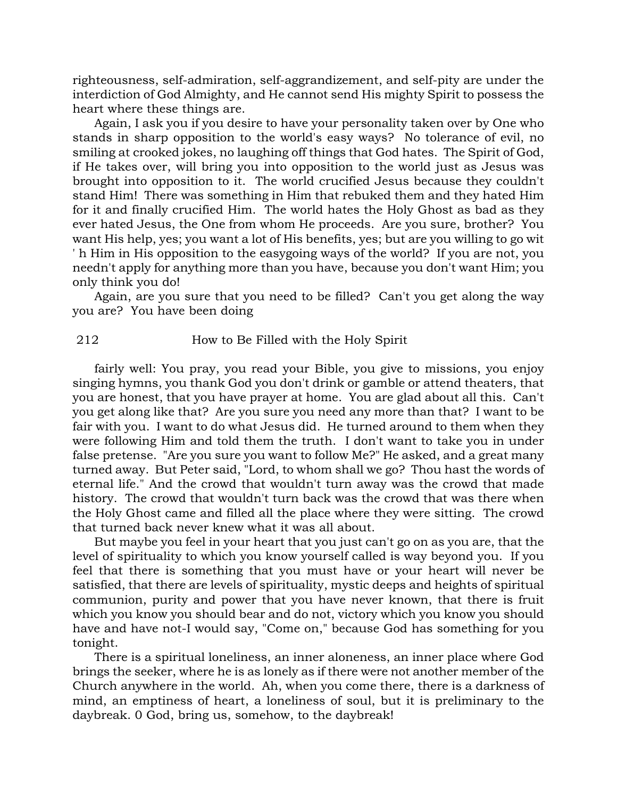righteousness, self-admiration, self-aggrandizement, and self-pity are under the interdiction of God Almighty, and He cannot send His mighty Spirit to possess the heart where these things are.

Again, I ask you if you desire to have your personality taken over by One who stands in sharp opposition to the world's easy ways? No tolerance of evil, no smiling at crooked jokes, no laughing off things that God hates. The Spirit of God, if He takes over, will bring you into opposition to the world just as Jesus was brought into opposition to it. The world crucified Jesus because they couldn't stand Him! There was something in Him that rebuked them and they hated Him for it and finally crucified Him. The world hates the Holy Ghost as bad as they ever hated Jesus, the One from whom He proceeds. Are you sure, brother? You want His help, yes; you want a lot of His benefits, yes; but are you willing to go wit ' h Him in His opposition to the easygoing ways of the world? If you are not, you needn't apply for anything more than you have, because you don't want Him; you only think you do!

Again, are you sure that you need to be filled? Can't you get along the way you are? You have been doing

# 212 How to Be Filled with the Holy Spirit

fairly well: You pray, you read your Bible, you give to missions, you enjoy singing hymns, you thank God you don't drink or gamble or attend theaters, that you are honest, that you have prayer at home. You are glad about all this. Can't you get along like that? Are you sure you need any more than that? I want to be fair with you. I want to do what Jesus did. He turned around to them when they were following Him and told them the truth. I don't want to take you in under false pretense. "Are you sure you want to follow Me?" He asked, and a great many turned away. But Peter said, "Lord, to whom shall we go? Thou hast the words of eternal life." And the crowd that wouldn't turn away was the crowd that made history. The crowd that wouldn't turn back was the crowd that was there when the Holy Ghost came and filled all the place where they were sitting. The crowd that turned back never knew what it was all about.

But maybe you feel in your heart that you just can't go on as you are, that the level of spirituality to which you know yourself called is way beyond you. If you feel that there is something that you must have or your heart will never be satisfied, that there are levels of spirituality, mystic deeps and heights of spiritual communion, purity and power that you have never known, that there is fruit which you know you should bear and do not, victory which you know you should have and have not-I would say, "Come on," because God has something for you tonight.

There is a spiritual loneliness, an inner aloneness, an inner place where God brings the seeker, where he is as lonely as if there were not another member of the Church anywhere in the world. Ah, when you come there, there is a darkness of mind, an emptiness of heart, a loneliness of soul, but it is preliminary to the daybreak. 0 God, bring us, somehow, to the daybreak!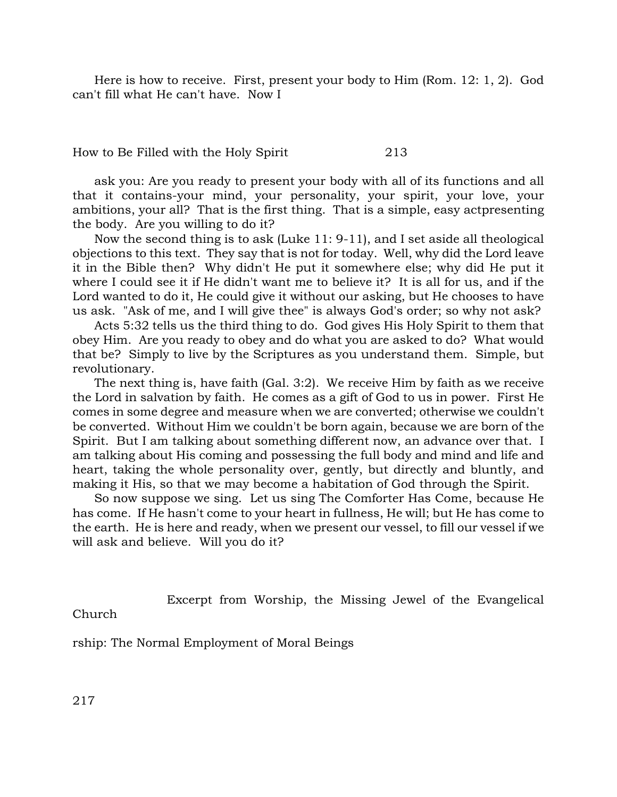Here is how to receive. First, present your body to Him (Rom. 12: 1, 2). God can't fill what He can't have. Now I

How to Be Filled with the Holy Spirit 213

ask you: Are you ready to present your body with all of its functions and all that it contains-your mind, your personality, your spirit, your love, your ambitions, your all? That is the first thing. That is a simple, easy actpresenting the body. Are you willing to do it?

Now the second thing is to ask (Luke 11: 9-11), and I set aside all theological objections to this text. They say that is not for today. Well, why did the Lord leave it in the Bible then? Why didn't He put it somewhere else; why did He put it where I could see it if He didn't want me to believe it? It is all for us, and if the Lord wanted to do it, He could give it without our asking, but He chooses to have us ask. "Ask of me, and I will give thee" is always God's order; so why not ask?

Acts 5:32 tells us the third thing to do. God gives His Holy Spirit to them that obey Him. Are you ready to obey and do what you are asked to do? What would that be? Simply to live by the Scriptures as you understand them. Simple, but revolutionary.

The next thing is, have faith (Gal. 3:2). We receive Him by faith as we receive the Lord in salvation by faith. He comes as a gift of God to us in power. First He comes in some degree and measure when we are converted; otherwise we couldn't be converted. Without Him we couldn't be born again, because we are born of the Spirit. But I am talking about something different now, an advance over that. I am talking about His coming and possessing the full body and mind and life and heart, taking the whole personality over, gently, but directly and bluntly, and making it His, so that we may become a habitation of God through the Spirit.

So now suppose we sing. Let us sing The Comforter Has Come, because He has come. If He hasn't come to your heart in fullness, He will; but He has come to the earth. He is here and ready, when we present our vessel, to fill our vessel if we will ask and believe. Will you do it?

Excerpt from Worship, the Missing Jewel of the Evangelical

Church

rship: The Normal Employment of Moral Beings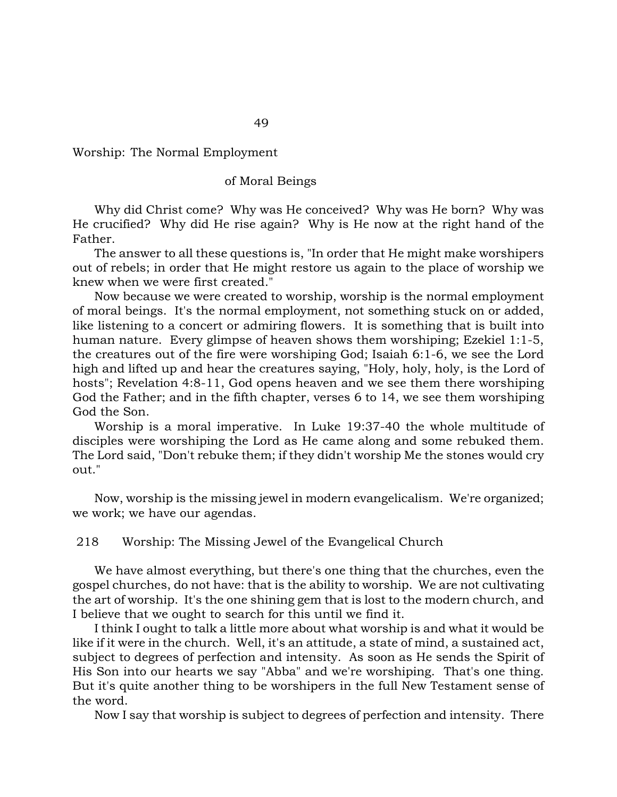Worship: The Normal Employment

#### of Moral Beings

Why did Christ come? Why was He conceived? Why was He born? Why was He crucified? Why did He rise again? Why is He now at the right hand of the Father.

The answer to all these questions is, "In order that He might make worshipers out of rebels; in order that He might restore us again to the place of worship we knew when we were first created."

Now because we were created to worship, worship is the normal employment of moral beings. It's the normal employment, not something stuck on or added, like listening to a concert or admiring flowers. It is something that is built into human nature. Every glimpse of heaven shows them worshiping; Ezekiel 1:1-5, the creatures out of the fire were worshiping God; Isaiah 6:1-6, we see the Lord high and lifted up and hear the creatures saying, "Holy, holy, holy, is the Lord of hosts"; Revelation 4:8-11, God opens heaven and we see them there worshiping God the Father; and in the fifth chapter, verses 6 to 14, we see them worshiping God the Son.

Worship is a moral imperative. In Luke 19:37-40 the whole multitude of disciples were worshiping the Lord as He came along and some rebuked them. The Lord said, "Don't rebuke them; if they didn't worship Me the stones would cry out."

Now, worship is the missing jewel in modern evangelicalism. We're organized; we work; we have our agendas.

218 Worship: The Missing Jewel of the Evangelical Church

We have almost everything, but there's one thing that the churches, even the gospel churches, do not have: that is the ability to worship. We are not cultivating the art of worship. It's the one shining gem that is lost to the modern church, and I believe that we ought to search for this until we find it.

I think I ought to talk a little more about what worship is and what it would be like if it were in the church. Well, it's an attitude, a state of mind, a sustained act, subject to degrees of perfection and intensity. As soon as He sends the Spirit of His Son into our hearts we say "Abba" and we're worshiping. That's one thing. But it's quite another thing to be worshipers in the full New Testament sense of the word.

Now I say that worship is subject to degrees of perfection and intensity. There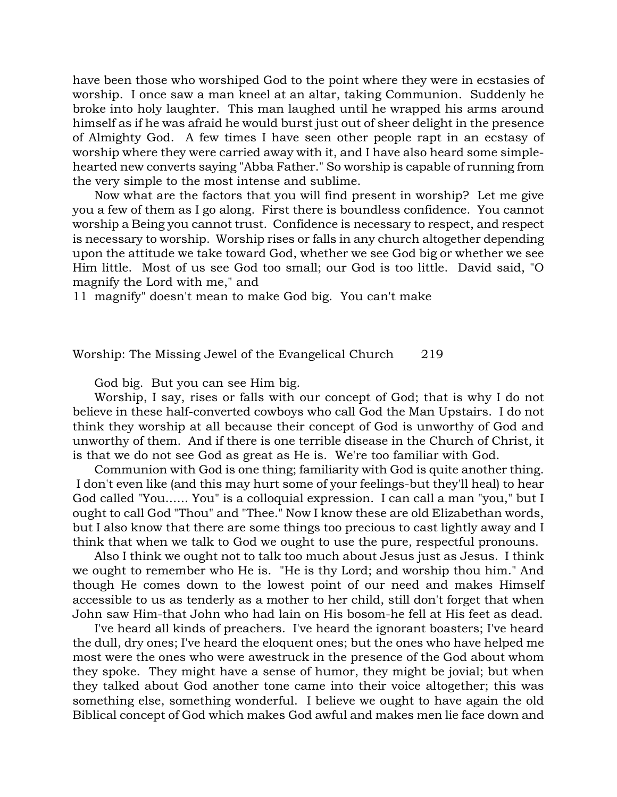have been those who worshiped God to the point where they were in ecstasies of worship. I once saw a man kneel at an altar, taking Communion. Suddenly he broke into holy laughter. This man laughed until he wrapped his arms around himself as if he was afraid he would burst just out of sheer delight in the presence of Almighty God. A few times I have seen other people rapt in an ecstasy of worship where they were carried away with it, and I have also heard some simplehearted new converts saying "Abba Father." So worship is capable of running from the very simple to the most intense and sublime.

Now what are the factors that you will find present in worship? Let me give you a few of them as I go along. First there is boundless confidence. You cannot worship a Being you cannot trust. Confidence is necessary to respect, and respect is necessary to worship. Worship rises or falls in any church altogether depending upon the attitude we take toward God, whether we see God big or whether we see Him little. Most of us see God too small; our God is too little. David said, "O magnify the Lord with me," and

11 magnify" doesn't mean to make God big. You can't make

Worship: The Missing Jewel of the Evangelical Church 219

God big. But you can see Him big.

Worship, I say, rises or falls with our concept of God; that is why I do not believe in these half-converted cowboys who call God the Man Upstairs. I do not think they worship at all because their concept of God is unworthy of God and unworthy of them. And if there is one terrible disease in the Church of Christ, it is that we do not see God as great as He is. We're too familiar with God.

Communion with God is one thing; familiarity with God is quite another thing. I don't even like (and this may hurt some of your feelings-but they'll heal) to hear God called "You...... You" is a colloquial expression. I can call a man "you," but I ought to call God "Thou" and "Thee." Now I know these are old Elizabethan words, but I also know that there are some things too precious to cast lightly away and I think that when we talk to God we ought to use the pure, respectful pronouns.

Also I think we ought not to talk too much about Jesus just as Jesus. I think we ought to remember who He is. "He is thy Lord; and worship thou him." And though He comes down to the lowest point of our need and makes Himself accessible to us as tenderly as a mother to her child, still don't forget that when John saw Him-that John who had lain on His bosom-he fell at His feet as dead.

I've heard all kinds of preachers. I've heard the ignorant boasters; I've heard the dull, dry ones; I've heard the eloquent ones; but the ones who have helped me most were the ones who were awestruck in the presence of the God about whom they spoke. They might have a sense of humor, they might be jovial; but when they talked about God another tone came into their voice altogether; this was something else, something wonderful. I believe we ought to have again the old Biblical concept of God which makes God awful and makes men lie face down and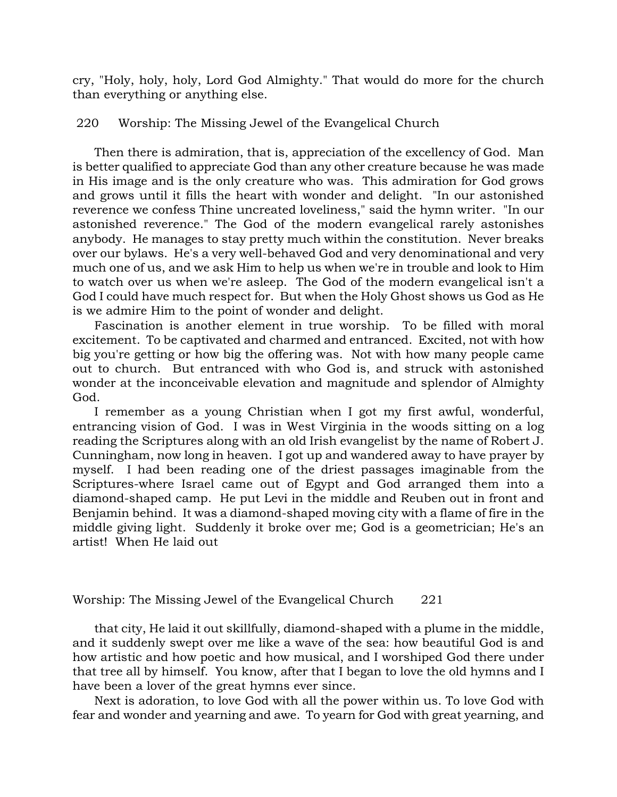cry, "Holy, holy, holy, Lord God Almighty." That would do more for the church than everything or anything else.

# 220 Worship: The Missing Jewel of the Evangelical Church

Then there is admiration, that is, appreciation of the excellency of God. Man is better qualified to appreciate God than any other creature because he was made in His image and is the only creature who was. This admiration for God grows and grows until it fills the heart with wonder and delight. "In our astonished reverence we confess Thine uncreated loveliness," said the hymn writer. "In our astonished reverence." The God of the modern evangelical rarely astonishes anybody. He manages to stay pretty much within the constitution. Never breaks over our bylaws. He's a very well-behaved God and very denominational and very much one of us, and we ask Him to help us when we're in trouble and look to Him to watch over us when we're asleep. The God of the modern evangelical isn't a God I could have much respect for. But when the Holy Ghost shows us God as He is we admire Him to the point of wonder and delight.

Fascination is another element in true worship. To be filled with moral excitement. To be captivated and charmed and entranced. Excited, not with how big you're getting or how big the offering was. Not with how many people came out to church. But entranced with who God is, and struck with astonished wonder at the inconceivable elevation and magnitude and splendor of Almighty God.

I remember as a young Christian when I got my first awful, wonderful, entrancing vision of God. I was in West Virginia in the woods sitting on a log reading the Scriptures along with an old Irish evangelist by the name of Robert J. Cunningham, now long in heaven. I got up and wandered away to have prayer by myself. I had been reading one of the driest passages imaginable from the Scriptures-where Israel came out of Egypt and God arranged them into a diamond-shaped camp. He put Levi in the middle and Reuben out in front and Benjamin behind. It was a diamond-shaped moving city with a flame of fire in the middle giving light. Suddenly it broke over me; God is a geometrician; He's an artist! When He laid out

## Worship: The Missing Jewel of the Evangelical Church 221

that city, He laid it out skillfully, diamond-shaped with a plume in the middle, and it suddenly swept over me like a wave of the sea: how beautiful God is and how artistic and how poetic and how musical, and I worshiped God there under that tree all by himself. You know, after that I began to love the old hymns and I have been a lover of the great hymns ever since.

Next is adoration, to love God with all the power within us. To love God with fear and wonder and yearning and awe. To yearn for God with great yearning, and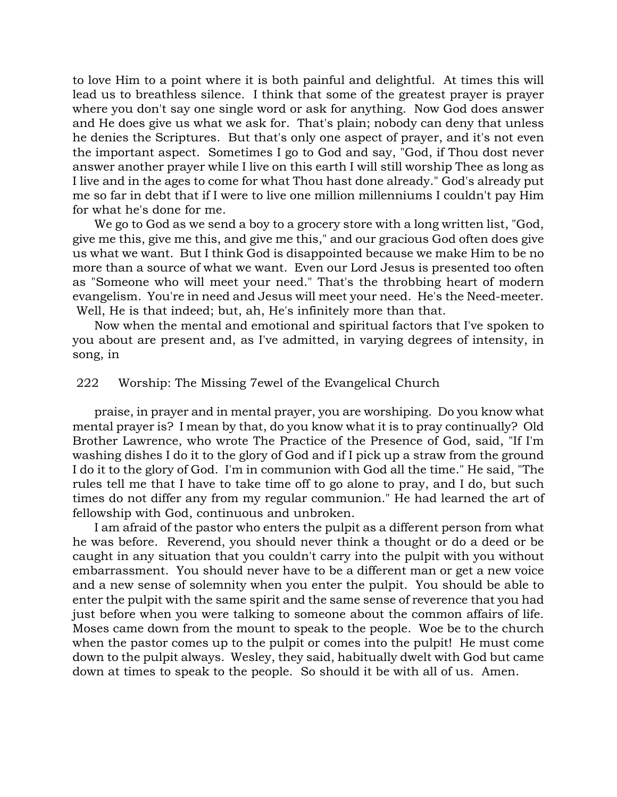to love Him to a point where it is both painful and delightful. At times this will lead us to breathless silence. I think that some of the greatest prayer is prayer where you don't say one single word or ask for anything. Now God does answer and He does give us what we ask for. That's plain; nobody can deny that unless he denies the Scriptures. But that's only one aspect of prayer, and it's not even the important aspect. Sometimes I go to God and say, "God, if Thou dost never answer another prayer while I live on this earth I will still worship Thee as long as I live and in the ages to come for what Thou hast done already." God's already put me so far in debt that if I were to live one million millenniums I couldn't pay Him for what he's done for me.

We go to God as we send a boy to a grocery store with a long written list, "God, give me this, give me this, and give me this," and our gracious God often does give us what we want. But I think God is disappointed because we make Him to be no more than a source of what we want. Even our Lord Jesus is presented too often as "Someone who will meet your need." That's the throbbing heart of modern evangelism. You're in need and Jesus will meet your need. He's the Need-meeter. Well, He is that indeed; but, ah, He's infinitely more than that.

Now when the mental and emotional and spiritual factors that I've spoken to you about are present and, as I've admitted, in varying degrees of intensity, in song, in

## 222 Worship: The Missing 7ewel of the Evangelical Church

praise, in prayer and in mental prayer, you are worshiping. Do you know what mental prayer is? I mean by that, do you know what it is to pray continually? Old Brother Lawrence, who wrote The Practice of the Presence of God, said, "If I'm washing dishes I do it to the glory of God and if I pick up a straw from the ground I do it to the glory of God. I'm in communion with God all the time." He said, "The rules tell me that I have to take time off to go alone to pray, and I do, but such times do not differ any from my regular communion." He had learned the art of fellowship with God, continuous and unbroken.

I am afraid of the pastor who enters the pulpit as a different person from what he was before. Reverend, you should never think a thought or do a deed or be caught in any situation that you couldn't carry into the pulpit with you without embarrassment. You should never have to be a different man or get a new voice and a new sense of solemnity when you enter the pulpit. You should be able to enter the pulpit with the same spirit and the same sense of reverence that you had just before when you were talking to someone about the common affairs of life. Moses came down from the mount to speak to the people. Woe be to the church when the pastor comes up to the pulpit or comes into the pulpit! He must come down to the pulpit always. Wesley, they said, habitually dwelt with God but came down at times to speak to the people. So should it be with all of us. Amen.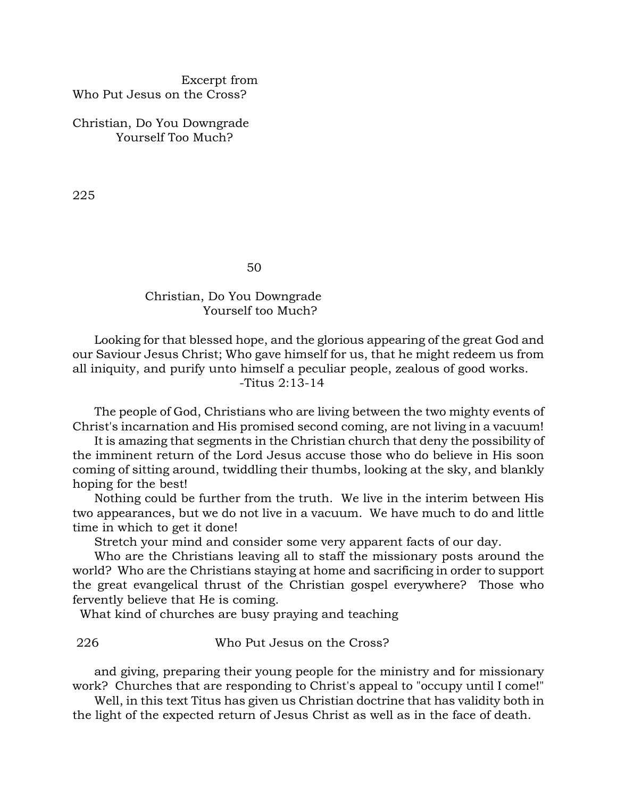Excerpt from Who Put Jesus on the Cross?

Christian, Do You Downgrade Yourself Too Much?

225

50

# Christian, Do You Downgrade Yourself too Much?

Looking for that blessed hope, and the glorious appearing of the great God and our Saviour Jesus Christ; Who gave himself for us, that he might redeem us from all iniquity, and purify unto himself a peculiar people, zealous of good works. -Titus 2:13-14

The people of God, Christians who are living between the two mighty events of Christ's incarnation and His promised second coming, are not living in a vacuum!

It is amazing that segments in the Christian church that deny the possibility of the imminent return of the Lord Jesus accuse those who do believe in His soon coming of sitting around, twiddling their thumbs, looking at the sky, and blankly hoping for the best!

Nothing could be further from the truth. We live in the interim between His two appearances, but we do not live in a vacuum. We have much to do and little time in which to get it done!

Stretch your mind and consider some very apparent facts of our day.

Who are the Christians leaving all to staff the missionary posts around the world? Who are the Christians staying at home and sacrificing in order to support the great evangelical thrust of the Christian gospel everywhere? Those who fervently believe that He is coming.

What kind of churches are busy praying and teaching

226 Who Put Jesus on the Cross?

and giving, preparing their young people for the ministry and for missionary work? Churches that are responding to Christ's appeal to "occupy until I come!"

Well, in this text Titus has given us Christian doctrine that has validity both in the light of the expected return of Jesus Christ as well as in the face of death.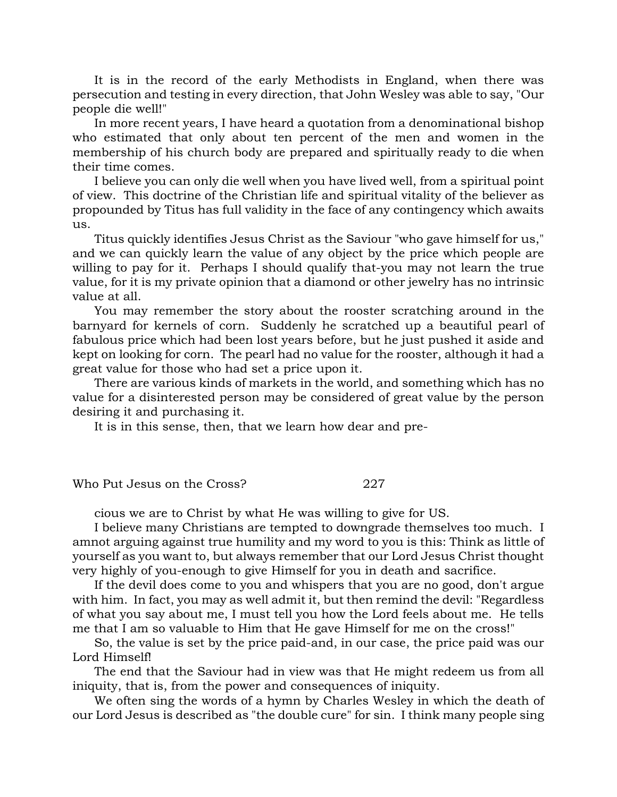It is in the record of the early Methodists in England, when there was persecution and testing in every direction, that John Wesley was able to say, "Our people die well!"

In more recent years, I have heard a quotation from a denominational bishop who estimated that only about ten percent of the men and women in the membership of his church body are prepared and spiritually ready to die when their time comes.

I believe you can only die well when you have lived well, from a spiritual point of view. This doctrine of the Christian life and spiritual vitality of the believer as propounded by Titus has full validity in the face of any contingency which awaits us.

Titus quickly identifies Jesus Christ as the Saviour "who gave himself for us," and we can quickly learn the value of any object by the price which people are willing to pay for it. Perhaps I should qualify that-you may not learn the true value, for it is my private opinion that a diamond or other jewelry has no intrinsic value at all.

You may remember the story about the rooster scratching around in the barnyard for kernels of corn. Suddenly he scratched up a beautiful pearl of fabulous price which had been lost years before, but he just pushed it aside and kept on looking for corn. The pearl had no value for the rooster, although it had a great value for those who had set a price upon it.

There are various kinds of markets in the world, and something which has no value for a disinterested person may be considered of great value by the person desiring it and purchasing it.

It is in this sense, then, that we learn how dear and pre-

Who Put Jesus on the Cross? 227

cious we are to Christ by what He was willing to give for US.

I believe many Christians are tempted to downgrade themselves too much. I amnot arguing against true humility and my word to you is this: Think as little of yourself as you want to, but always remember that our Lord Jesus Christ thought very highly of you-enough to give Himself for you in death and sacrifice.

If the devil does come to you and whispers that you are no good, don't argue with him. In fact, you may as well admit it, but then remind the devil: "Regardless of what you say about me, I must tell you how the Lord feels about me. He tells me that I am so valuable to Him that He gave Himself for me on the cross!"

So, the value is set by the price paid-and, in our case, the price paid was our Lord Himself!

The end that the Saviour had in view was that He might redeem us from all iniquity, that is, from the power and consequences of iniquity.

We often sing the words of a hymn by Charles Wesley in which the death of our Lord Jesus is described as "the double cure" for sin. I think many people sing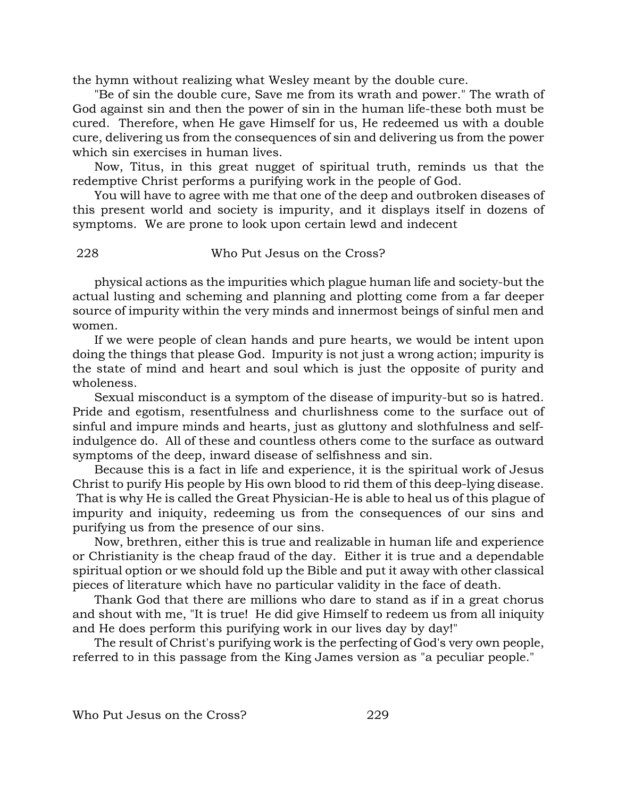the hymn without realizing what Wesley meant by the double cure.

"Be of sin the double cure, Save me from its wrath and power." The wrath of God against sin and then the power of sin in the human life-these both must be cured. Therefore, when He gave Himself for us, He redeemed us with a double cure, delivering us from the consequences of sin and delivering us from the power which sin exercises in human lives.

Now, Titus, in this great nugget of spiritual truth, reminds us that the redemptive Christ performs a purifying work in the people of God.

You will have to agree with me that one of the deep and outbroken diseases of this present world and society is impurity, and it displays itself in dozens of symptoms. We are prone to look upon certain lewd and indecent

228 Who Put Jesus on the Cross?

physical actions as the impurities which plague human life and society-but the actual lusting and scheming and planning and plotting come from a far deeper source of impurity within the very minds and innermost beings of sinful men and women.

If we were people of clean hands and pure hearts, we would be intent upon doing the things that please God. Impurity is not just a wrong action; impurity is the state of mind and heart and soul which is just the opposite of purity and wholeness.

Sexual misconduct is a symptom of the disease of impurity-but so is hatred. Pride and egotism, resentfulness and churlishness come to the surface out of sinful and impure minds and hearts, just as gluttony and slothfulness and selfindulgence do. All of these and countless others come to the surface as outward symptoms of the deep, inward disease of selfishness and sin.

Because this is a fact in life and experience, it is the spiritual work of Jesus Christ to purify His people by His own blood to rid them of this deep-lying disease. That is why He is called the Great Physician-He is able to heal us of this plague of impurity and iniquity, redeeming us from the consequences of our sins and purifying us from the presence of our sins.

Now, brethren, either this is true and realizable in human life and experience or Christianity is the cheap fraud of the day. Either it is true and a dependable spiritual option or we should fold up the Bible and put it away with other classical pieces of literature which have no particular validity in the face of death.

Thank God that there are millions who dare to stand as if in a great chorus and shout with me, "It is true! He did give Himself to redeem us from all iniquity and He does perform this purifying work in our lives day by day!"

The result of Christ's purifying work is the perfecting of God's very own people, referred to in this passage from the King James version as "a peculiar people."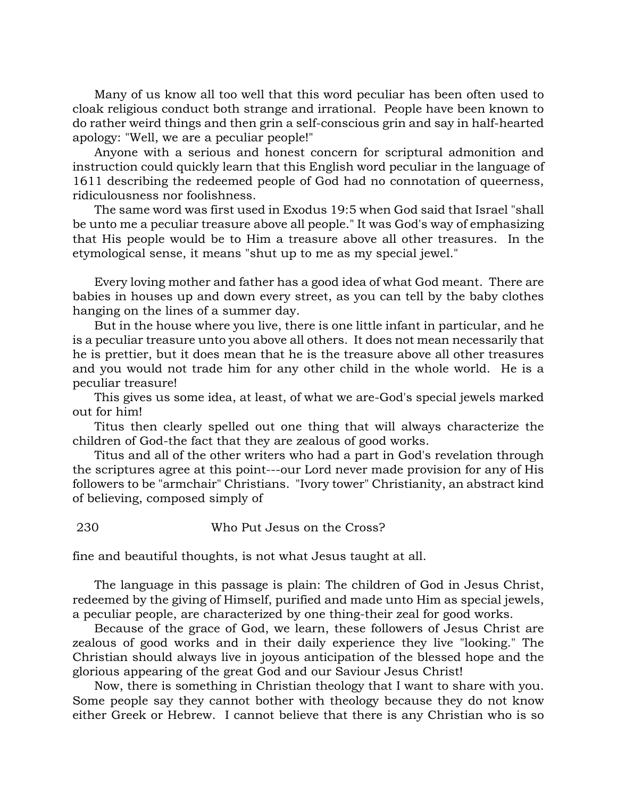Many of us know all too well that this word peculiar has been often used to cloak religious conduct both strange and irrational. People have been known to do rather weird things and then grin a self-conscious grin and say in half-hearted apology: "Well, we are a peculiar people!"

Anyone with a serious and honest concern for scriptural admonition and instruction could quickly learn that this English word peculiar in the language of 1611 describing the redeemed people of God had no connotation of queerness, ridiculousness nor foolishness.

The same word was first used in Exodus 19:5 when God said that Israel "shall be unto me a peculiar treasure above all people." It was God's way of emphasizing that His people would be to Him a treasure above all other treasures. In the etymological sense, it means "shut up to me as my special jewel."

Every loving mother and father has a good idea of what God meant. There are babies in houses up and down every street, as you can tell by the baby clothes hanging on the lines of a summer day.

But in the house where you live, there is one little infant in particular, and he is a peculiar treasure unto you above all others. It does not mean necessarily that he is prettier, but it does mean that he is the treasure above all other treasures and you would not trade him for any other child in the whole world. He is a peculiar treasure!

This gives us some idea, at least, of what we are-God's special jewels marked out for him!

Titus then clearly spelled out one thing that will always characterize the children of God-the fact that they are zealous of good works.

Titus and all of the other writers who had a part in God's revelation through the scriptures agree at this point---our Lord never made provision for any of His followers to be "armchair" Christians. "Ivory tower" Christianity, an abstract kind of believing, composed simply of

230 Who Put Jesus on the Cross?

fine and beautiful thoughts, is not what Jesus taught at all.

The language in this passage is plain: The children of God in Jesus Christ, redeemed by the giving of Himself, purified and made unto Him as special jewels, a peculiar people, are characterized by one thing-their zeal for good works.

Because of the grace of God, we learn, these followers of Jesus Christ are zealous of good works and in their daily experience they live "looking." The Christian should always live in joyous anticipation of the blessed hope and the glorious appearing of the great God and our Saviour Jesus Christ!

Now, there is something in Christian theology that I want to share with you. Some people say they cannot bother with theology because they do not know either Greek or Hebrew. I cannot believe that there is any Christian who is so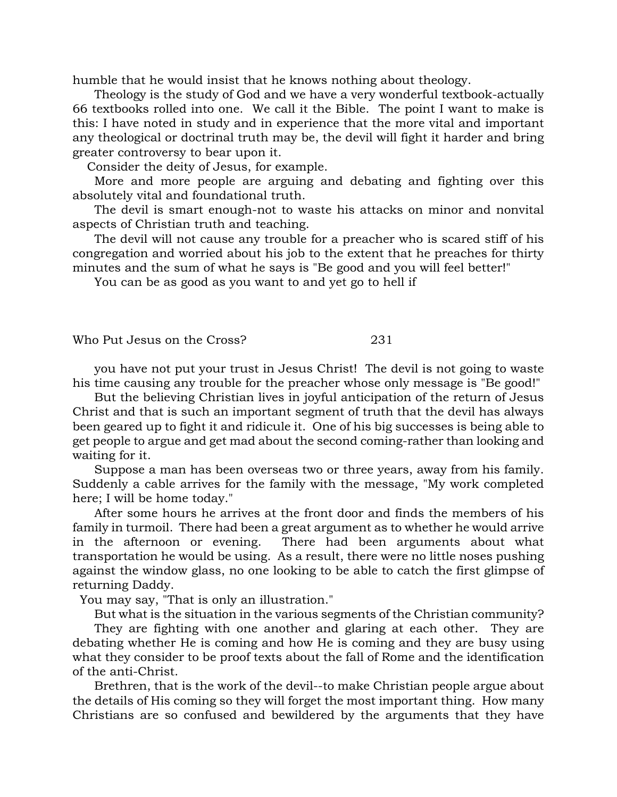humble that he would insist that he knows nothing about theology.

Theology is the study of God and we have a very wonderful textbook-actually 66 textbooks rolled into one. We call it the Bible. The point I want to make is this: I have noted in study and in experience that the more vital and important any theological or doctrinal truth may be, the devil will fight it harder and bring greater controversy to bear upon it.

Consider the deity of Jesus, for example.

More and more people are arguing and debating and fighting over this absolutely vital and foundational truth.

The devil is smart enough-not to waste his attacks on minor and nonvital aspects of Christian truth and teaching.

The devil will not cause any trouble for a preacher who is scared stiff of his congregation and worried about his job to the extent that he preaches for thirty minutes and the sum of what he says is "Be good and you will feel better!"

You can be as good as you want to and yet go to hell if

Who Put Jesus on the Cross? 231

you have not put your trust in Jesus Christ! The devil is not going to waste his time causing any trouble for the preacher whose only message is "Be good!"

But the believing Christian lives in joyful anticipation of the return of Jesus Christ and that is such an important segment of truth that the devil has always been geared up to fight it and ridicule it. One of his big successes is being able to get people to argue and get mad about the second coming-rather than looking and waiting for it.

Suppose a man has been overseas two or three years, away from his family. Suddenly a cable arrives for the family with the message, "My work completed here; I will be home today."

After some hours he arrives at the front door and finds the members of his family in turmoil. There had been a great argument as to whether he would arrive in the afternoon or evening. There had been arguments about what transportation he would be using. As a result, there were no little noses pushing against the window glass, no one looking to be able to catch the first glimpse of returning Daddy.

You may say, "That is only an illustration."

But what is the situation in the various segments of the Christian community?

They are fighting with one another and glaring at each other. They are debating whether He is coming and how He is coming and they are busy using what they consider to be proof texts about the fall of Rome and the identification of the anti-Christ.

Brethren, that is the work of the devil--to make Christian people argue about the details of His coming so they will forget the most important thing. How many Christians are so confused and bewildered by the arguments that they have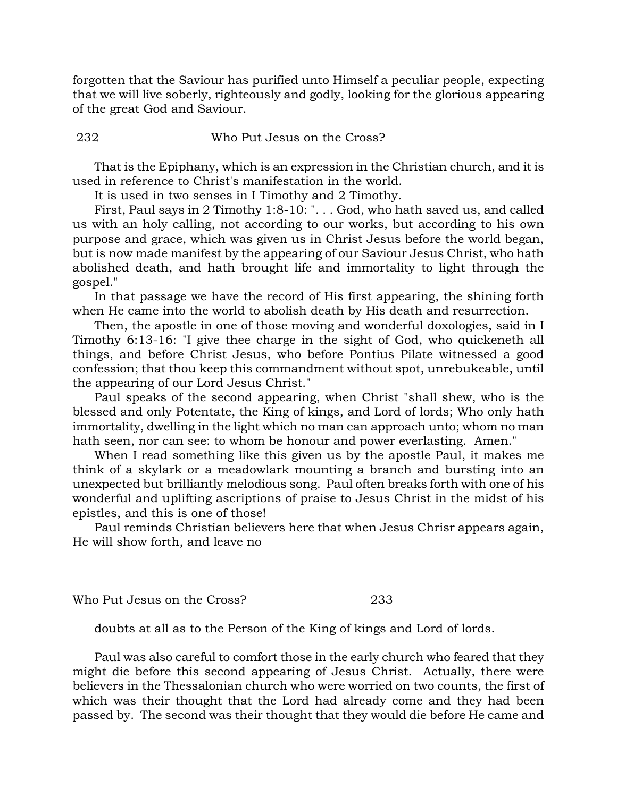forgotten that the Saviour has purified unto Himself a peculiar people, expecting that we will live soberly, righteously and godly, looking for the glorious appearing of the great God and Saviour.

232 Who Put Jesus on the Cross?

That is the Epiphany, which is an expression in the Christian church, and it is used in reference to Christ's manifestation in the world.

It is used in two senses in I Timothy and 2 Timothy.

First, Paul says in 2 Timothy 1:8-10: ". . . God, who hath saved us, and called us with an holy calling, not according to our works, but according to his own purpose and grace, which was given us in Christ Jesus before the world began, but is now made manifest by the appearing of our Saviour Jesus Christ, who hath abolished death, and hath brought life and immortality to light through the gospel."

In that passage we have the record of His first appearing, the shining forth when He came into the world to abolish death by His death and resurrection.

Then, the apostle in one of those moving and wonderful doxologies, said in I Timothy 6:13-16: "I give thee charge in the sight of God, who quickeneth all things, and before Christ Jesus, who before Pontius Pilate witnessed a good confession; that thou keep this commandment without spot, unrebukeable, until the appearing of our Lord Jesus Christ."

Paul speaks of the second appearing, when Christ "shall shew, who is the blessed and only Potentate, the King of kings, and Lord of lords; Who only hath immortality, dwelling in the light which no man can approach unto; whom no man hath seen, nor can see: to whom be honour and power everlasting. Amen."

When I read something like this given us by the apostle Paul, it makes me think of a skylark or a meadowlark mounting a branch and bursting into an unexpected but brilliantly melodious song. Paul often breaks forth with one of his wonderful and uplifting ascriptions of praise to Jesus Christ in the midst of his epistles, and this is one of those!

Paul reminds Christian believers here that when Jesus Chrisr appears again, He will show forth, and leave no

Who Put Jesus on the Cross? 233

doubts at all as to the Person of the King of kings and Lord of lords.

Paul was also careful to comfort those in the early church who feared that they might die before this second appearing of Jesus Christ. Actually, there were believers in the Thessalonian church who were worried on two counts, the first of which was their thought that the Lord had already come and they had been passed by. The second was their thought that they would die before He came and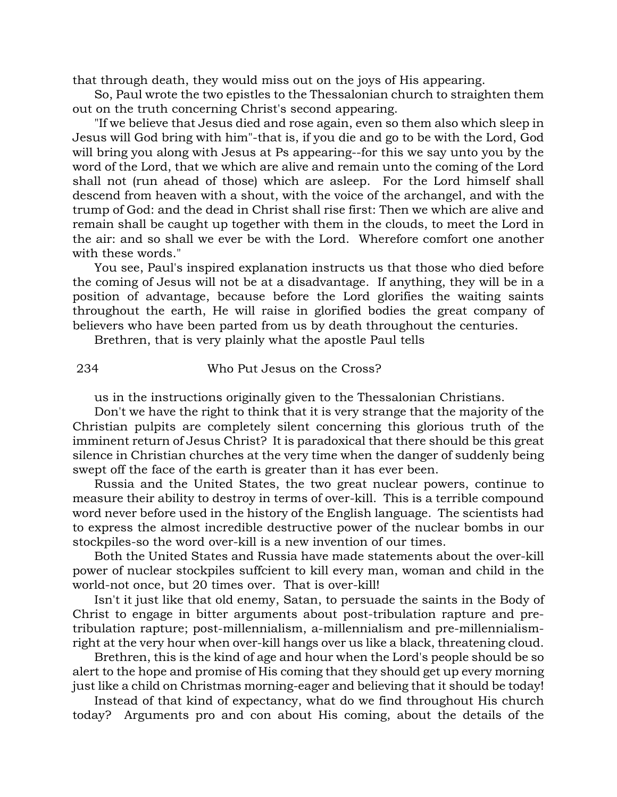that through death, they would miss out on the joys of His appearing.

So, Paul wrote the two epistles to the Thessalonian church to straighten them out on the truth concerning Christ's second appearing.

"If we believe that Jesus died and rose again, even so them also which sleep in Jesus will God bring with him"-that is, if you die and go to be with the Lord, God will bring you along with Jesus at Ps appearing--for this we say unto you by the word of the Lord, that we which are alive and remain unto the coming of the Lord shall not (run ahead of those) which are asleep. For the Lord himself shall descend from heaven with a shout, with the voice of the archangel, and with the trump of God: and the dead in Christ shall rise first: Then we which are alive and remain shall be caught up together with them in the clouds, to meet the Lord in the air: and so shall we ever be with the Lord. Wherefore comfort one another with these words."

You see, Paul's inspired explanation instructs us that those who died before the coming of Jesus will not be at a disadvantage. If anything, they will be in a position of advantage, because before the Lord glorifies the waiting saints throughout the earth, He will raise in glorified bodies the great company of believers who have been parted from us by death throughout the centuries.

Brethren, that is very plainly what the apostle Paul tells

## 234 Who Put Jesus on the Cross?

us in the instructions originally given to the Thessalonian Christians.

Don't we have the right to think that it is very strange that the majority of the Christian pulpits are completely silent concerning this glorious truth of the imminent return of Jesus Christ? It is paradoxical that there should be this great silence in Christian churches at the very time when the danger of suddenly being swept off the face of the earth is greater than it has ever been.

Russia and the United States, the two great nuclear powers, continue to measure their ability to destroy in terms of over-kill. This is a terrible compound word never before used in the history of the English language. The scientists had to express the almost incredible destructive power of the nuclear bombs in our stockpiles-so the word over-kill is a new invention of our times.

Both the United States and Russia have made statements about the over-kill power of nuclear stockpiles suffcient to kill every man, woman and child in the world-not once, but 20 times over. That is over-kill!

Isn't it just like that old enemy, Satan, to persuade the saints in the Body of Christ to engage in bitter arguments about post-tribulation rapture and pretribulation rapture; post-millennialism, a-millennialism and pre-millennialismright at the very hour when over-kill hangs over us like a black, threatening cloud.

Brethren, this is the kind of age and hour when the Lord's people should be so alert to the hope and promise of His coming that they should get up every morning just like a child on Christmas morning-eager and believing that it should be today!

Instead of that kind of expectancy, what do we find throughout His church today? Arguments pro and con about His coming, about the details of the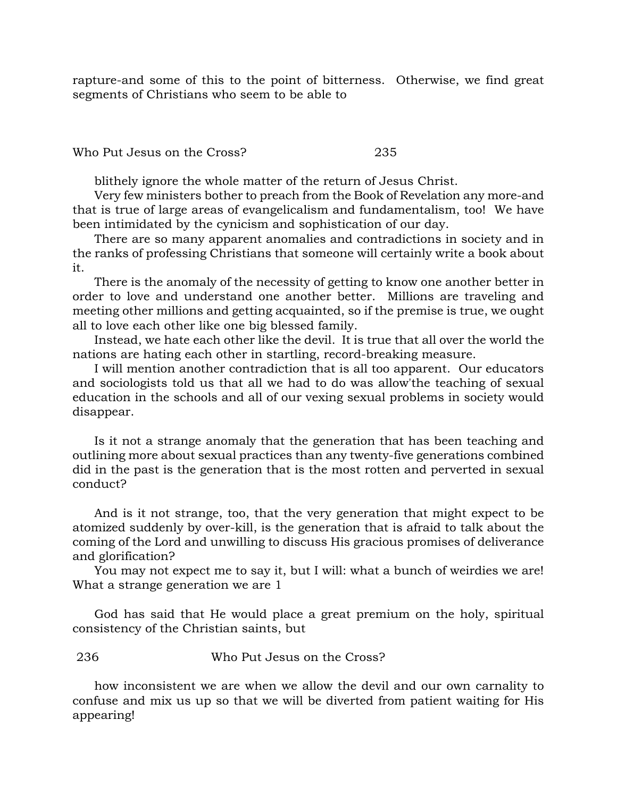rapture-and some of this to the point of bitterness. Otherwise, we find great segments of Christians who seem to be able to

Who Put Jesus on the Cross? 235

blithely ignore the whole matter of the return of Jesus Christ.

Very few ministers bother to preach from the Book of Revelation any more-and that is true of large areas of evangelicalism and fundamentalism, too! We have been intimidated by the cynicism and sophistication of our day.

There are so many apparent anomalies and contradictions in society and in the ranks of professing Christians that someone will certainly write a book about it.

There is the anomaly of the necessity of getting to know one another better in order to love and understand one another better. Millions are traveling and meeting other millions and getting acquainted, so if the premise is true, we ought all to love each other like one big blessed family.

Instead, we hate each other like the devil. It is true that all over the world the nations are hating each other in startling, record-breaking measure.

I will mention another contradiction that is all too apparent. Our educators and sociologists told us that all we had to do was allow'the teaching of sexual education in the schools and all of our vexing sexual problems in society would disappear.

Is it not a strange anomaly that the generation that has been teaching and outlining more about sexual practices than any twenty-five generations combined did in the past is the generation that is the most rotten and perverted in sexual conduct?

And is it not strange, too, that the very generation that might expect to be atomized suddenly by over-kill, is the generation that is afraid to talk about the coming of the Lord and unwilling to discuss His gracious promises of deliverance and glorification?

You may not expect me to say it, but I will: what a bunch of weirdies we are! What a strange generation we are 1

God has said that He would place a great premium on the holy, spiritual consistency of the Christian saints, but

236 Who Put Jesus on the Cross?

how inconsistent we are when we allow the devil and our own carnality to confuse and mix us up so that we will be diverted from patient waiting for His appearing!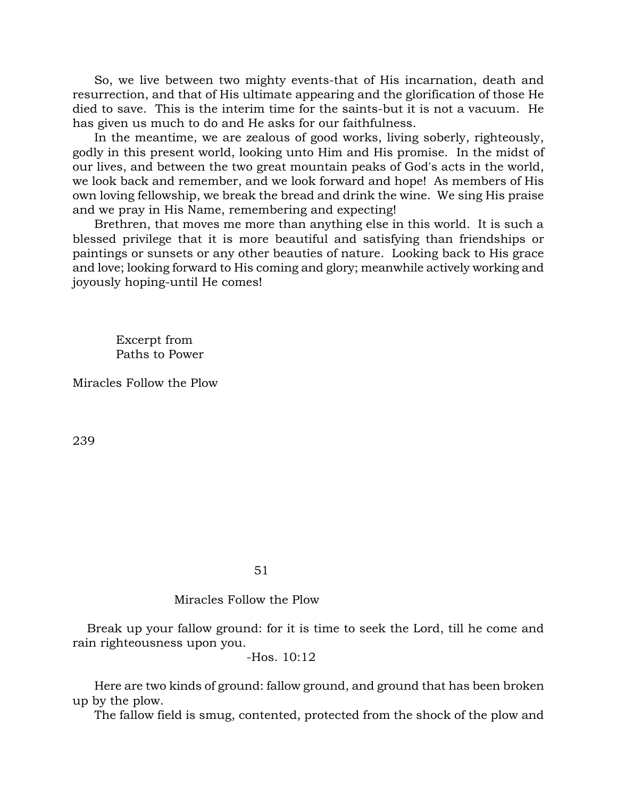So, we live between two mighty events-that of His incarnation, death and resurrection, and that of His ultimate appearing and the glorification of those He died to save. This is the interim time for the saints-but it is not a vacuum. He has given us much to do and He asks for our faithfulness.

In the meantime, we are zealous of good works, living soberly, righteously, godly in this present world, looking unto Him and His promise. In the midst of our lives, and between the two great mountain peaks of God's acts in the world, we look back and remember, and we look forward and hope! As members of His own loving fellowship, we break the bread and drink the wine. We sing His praise and we pray in His Name, remembering and expecting!

Brethren, that moves me more than anything else in this world. It is such a blessed privilege that it is more beautiful and satisfying than friendships or paintings or sunsets or any other beauties of nature. Looking back to His grace and love; looking forward to His coming and glory; meanwhile actively working and joyously hoping-until He comes!

Excerpt from Paths to Power

Miracles Follow the Plow

239

51

# Miracles Follow the Plow

Break up your fallow ground: for it is time to seek the Lord, till he come and rain righteousness upon you.

-Hos. 10:12

Here are two kinds of ground: fallow ground, and ground that has been broken up by the plow.

The fallow field is smug, contented, protected from the shock of the plow and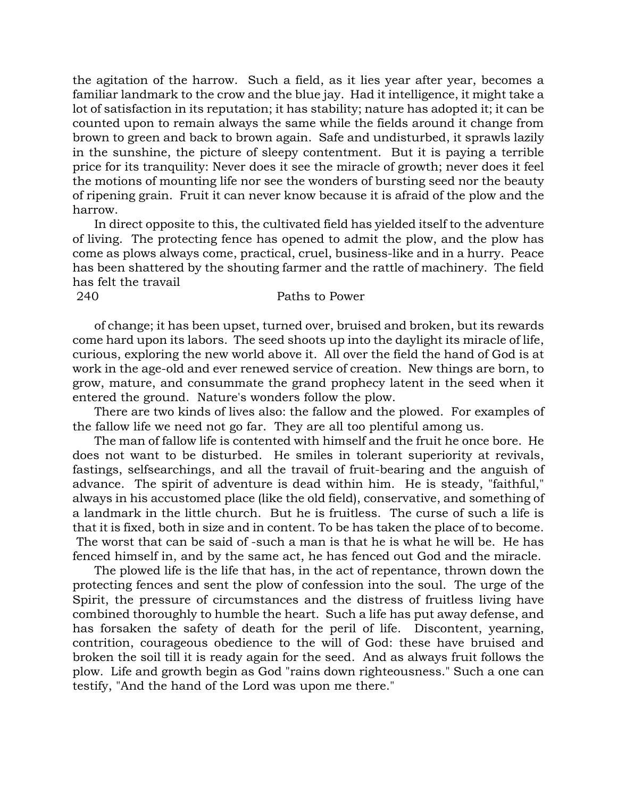the agitation of the harrow. Such a field, as it lies year after year, becomes a familiar landmark to the crow and the blue jay. Had it intelligence, it might take a lot of satisfaction in its reputation; it has stability; nature has adopted it; it can be counted upon to remain always the same while the fields around it change from brown to green and back to brown again. Safe and undisturbed, it sprawls lazily in the sunshine, the picture of sleepy contentment. But it is paying a terrible price for its tranquility: Never does it see the miracle of growth; never does it feel the motions of mounting life nor see the wonders of bursting seed nor the beauty of ripening grain. Fruit it can never know because it is afraid of the plow and the harrow.

In direct opposite to this, the cultivated field has yielded itself to the adventure of living. The protecting fence has opened to admit the plow, and the plow has come as plows always come, practical, cruel, business-like and in a hurry. Peace has been shattered by the shouting farmer and the rattle of machinery. The field has felt the travail

#### 240 Paths to Power

of change; it has been upset, turned over, bruised and broken, but its rewards come hard upon its labors. The seed shoots up into the daylight its miracle of life, curious, exploring the new world above it. All over the field the hand of God is at work in the age-old and ever renewed service of creation. New things are born, to grow, mature, and consummate the grand prophecy latent in the seed when it entered the ground. Nature's wonders follow the plow.

There are two kinds of lives also: the fallow and the plowed. For examples of the fallow life we need not go far. They are all too plentiful among us.

The man of fallow life is contented with himself and the fruit he once bore. He does not want to be disturbed. He smiles in tolerant superiority at revivals, fastings, selfsearchings, and all the travail of fruit-bearing and the anguish of advance. The spirit of adventure is dead within him. He is steady, "faithful," always in his accustomed place (like the old field), conservative, and something of a landmark in the little church. But he is fruitless. The curse of such a life is that it is fixed, both in size and in content. To be has taken the place of to become. The worst that can be said of -such a man is that he is what he will be. He has fenced himself in, and by the same act, he has fenced out God and the miracle.

The plowed life is the life that has, in the act of repentance, thrown down the protecting fences and sent the plow of confession into the soul. The urge of the Spirit, the pressure of circumstances and the distress of fruitless living have combined thoroughly to humble the heart. Such a life has put away defense, and has forsaken the safety of death for the peril of life. Discontent, yearning, contrition, courageous obedience to the will of God: these have bruised and broken the soil till it is ready again for the seed. And as always fruit follows the plow. Life and growth begin as God "rains down righteousness." Such a one can testify, "And the hand of the Lord was upon me there."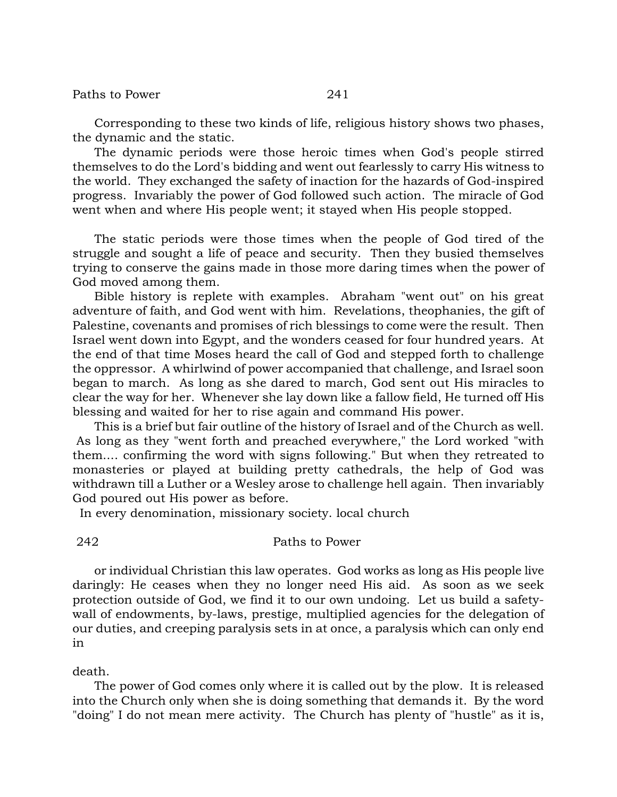### Paths to Power 241

Corresponding to these two kinds of life, religious history shows two phases, the dynamic and the static.

The dynamic periods were those heroic times when God's people stirred themselves to do the Lord's bidding and went out fearlessly to carry His witness to the world. They exchanged the safety of inaction for the hazards of God-inspired progress. Invariably the power of God followed such action. The miracle of God went when and where His people went; it stayed when His people stopped.

The static periods were those times when the people of God tired of the struggle and sought a life of peace and security. Then they busied themselves trying to conserve the gains made in those more daring times when the power of God moved among them.

Bible history is replete with examples. Abraham "went out" on his great adventure of faith, and God went with him. Revelations, theophanies, the gift of Palestine, covenants and promises of rich blessings to come were the result. Then Israel went down into Egypt, and the wonders ceased for four hundred years. At the end of that time Moses heard the call of God and stepped forth to challenge the oppressor. A whirlwind of power accompanied that challenge, and Israel soon began to march. As long as she dared to march, God sent out His miracles to clear the way for her. Whenever she lay down like a fallow field, He turned off His blessing and waited for her to rise again and command His power.

This is a brief but fair outline of the history of Israel and of the Church as well. As long as they "went forth and preached everywhere," the Lord worked "with them.... confirming the word with signs following." But when they retreated to monasteries or played at building pretty cathedrals, the help of God was withdrawn till a Luther or a Wesley arose to challenge hell again. Then invariably God poured out His power as before.

In every denomination, missionary society. local church

### 242 Paths to Power

or individual Christian this law operates. God works as long as His people live daringly: He ceases when they no longer need His aid. As soon as we seek protection outside of God, we find it to our own undoing. Let us build a safetywall of endowments, by-laws, prestige, multiplied agencies for the delegation of our duties, and creeping paralysis sets in at once, a paralysis which can only end in

### death.

The power of God comes only where it is called out by the plow. It is released into the Church only when she is doing something that demands it. By the word "doing" I do not mean mere activity. The Church has plenty of "hustle" as it is,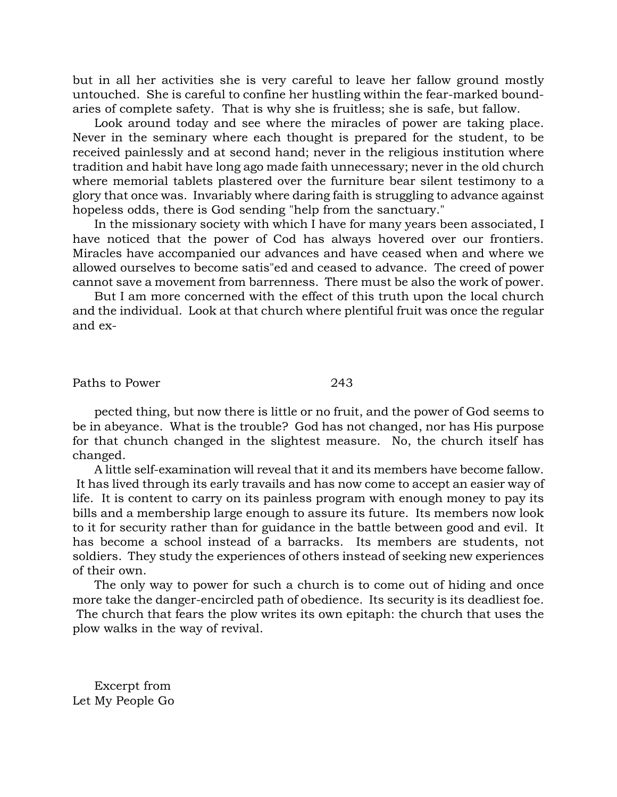but in all her activities she is very careful to leave her fallow ground mostly untouched. She is careful to confine her hustling within the fear-marked boundaries of complete safety. That is why she is fruitless; she is safe, but fallow.

Look around today and see where the miracles of power are taking place. Never in the seminary where each thought is prepared for the student, to be received painlessly and at second hand; never in the religious institution where tradition and habit have long ago made faith unnecessary; never in the old church where memorial tablets plastered over the furniture bear silent testimony to a glory that once was. Invariably where daring faith is struggling to advance against hopeless odds, there is God sending "help from the sanctuary."

In the missionary society with which I have for many years been associated, I have noticed that the power of Cod has always hovered over our frontiers. Miracles have accompanied our advances and have ceased when and where we allowed ourselves to become satis"ed and ceased to advance. The creed of power cannot save a movement from barrenness. There must be also the work of power.

But I am more concerned with the effect of this truth upon the local church and the individual. Look at that church where plentiful fruit was once the regular and ex-

### Paths to Power 243

pected thing, but now there is little or no fruit, and the power of God seems to be in abeyance. What is the trouble? God has not changed, nor has His purpose for that chunch changed in the slightest measure. No, the church itself has changed.

A little self-examination will reveal that it and its members have become fallow. It has lived through its early travails and has now come to accept an easier way of life. It is content to carry on its painless program with enough money to pay its bills and a membership large enough to assure its future. Its members now look to it for security rather than for guidance in the battle between good and evil. It has become a school instead of a barracks. Its members are students, not soldiers. They study the experiences of others instead of seeking new experiences of their own.

The only way to power for such a church is to come out of hiding and once more take the danger-encircled path of obedience. Its security is its deadliest foe. The church that fears the plow writes its own epitaph: the church that uses the plow walks in the way of revival.

Excerpt from Let My People Go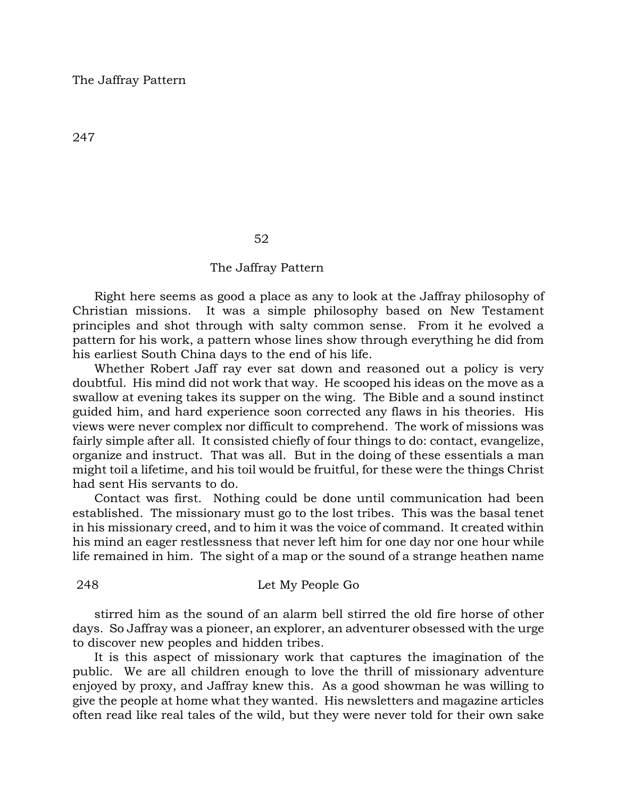The Jaffray Pattern

247

## 52

### The Jaffray Pattern

Right here seems as good a place as any to look at the Jaffray philosophy of Christian missions. It was a simple philosophy based on New Testament principles and shot through with salty common sense. From it he evolved a pattern for his work, a pattern whose lines show through everything he did from his earliest South China days to the end of his life.

Whether Robert Jaff ray ever sat down and reasoned out a policy is very doubtful. His mind did not work that way. He scooped his ideas on the move as a swallow at evening takes its supper on the wing. The Bible and a sound instinct guided him, and hard experience soon corrected any flaws in his theories. His views were never complex nor difficult to comprehend. The work of missions was fairly simple after all. It consisted chiefly of four things to do: contact, evangelize, organize and instruct. That was all. But in the doing of these essentials a man might toil a lifetime, and his toil would be fruitful, for these were the things Christ had sent His servants to do.

Contact was first. Nothing could be done until communication had been established. The missionary must go to the lost tribes. This was the basal tenet in his missionary creed, and to him it was the voice of command. It created within his mind an eager restlessness that never left him for one day nor one hour while life remained in him. The sight of a map or the sound of a strange heathen name

## 248 Let My People Go

stirred him as the sound of an alarm bell stirred the old fire horse of other days. So Jaffray was a pioneer, an explorer, an adventurer obsessed with the urge to discover new peoples and hidden tribes.

It is this aspect of missionary work that captures the imagination of the public. We are all children enough to love the thrill of missionary adventure enjoyed by proxy, and Jaffray knew this. As a good showman he was willing to give the people at home what they wanted. His newsletters and magazine articles often read like real tales of the wild, but they were never told for their own sake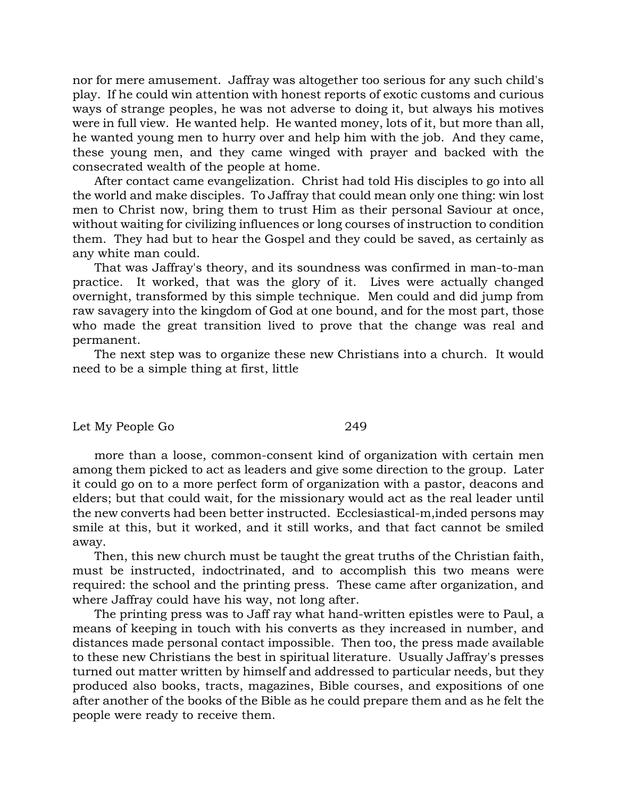nor for mere amusement. Jaffray was altogether too serious for any such child's play. If he could win attention with honest reports of exotic customs and curious ways of strange peoples, he was not adverse to doing it, but always his motives were in full view. He wanted help. He wanted money, lots of it, but more than all, he wanted young men to hurry over and help him with the job. And they came, these young men, and they came winged with prayer and backed with the consecrated wealth of the people at home.

After contact came evangelization. Christ had told His disciples to go into all the world and make disciples. To Jaffray that could mean only one thing: win lost men to Christ now, bring them to trust Him as their personal Saviour at once, without waiting for civilizing influences or long courses of instruction to condition them. They had but to hear the Gospel and they could be saved, as certainly as any white man could.

That was Jaffray's theory, and its soundness was confirmed in man-to-man practice. It worked, that was the glory of it. Lives were actually changed overnight, transformed by this simple technique. Men could and did jump from raw savagery into the kingdom of God at one bound, and for the most part, those who made the great transition lived to prove that the change was real and permanent.

The next step was to organize these new Christians into a church. It would need to be a simple thing at first, little

Let My People Go 249

more than a loose, common-consent kind of organization with certain men among them picked to act as leaders and give some direction to the group. Later it could go on to a more perfect form of organization with a pastor, deacons and elders; but that could wait, for the missionary would act as the real leader until the new converts had been better instructed. Ecclesiastical-m,inded persons may smile at this, but it worked, and it still works, and that fact cannot be smiled away.

Then, this new church must be taught the great truths of the Christian faith, must be instructed, indoctrinated, and to accomplish this two means were required: the school and the printing press. These came after organization, and where Jaffray could have his way, not long after.

The printing press was to Jaff ray what hand-written epistles were to Paul, a means of keeping in touch with his converts as they increased in number, and distances made personal contact impossible. Then too, the press made available to these new Christians the best in spiritual literature. Usually Jaffray's presses turned out matter written by himself and addressed to particular needs, but they produced also books, tracts, magazines, Bible courses, and expositions of one after another of the books of the Bible as he could prepare them and as he felt the people were ready to receive them.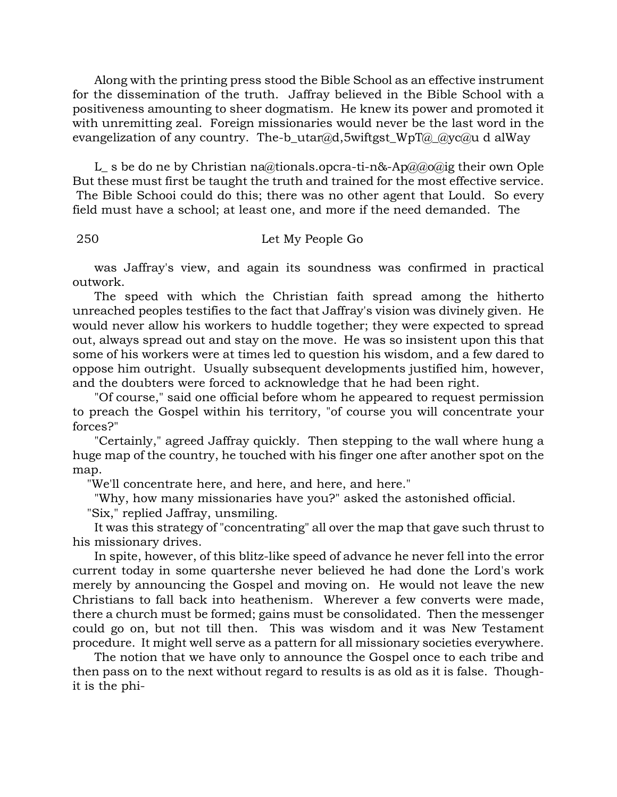Along with the printing press stood the Bible School as an effective instrument for the dissemination of the truth. Jaffray believed in the Bible School with a positiveness amounting to sheer dogmatism. He knew its power and promoted it with unremitting zeal. Foreign missionaries would never be the last word in the evangelization of any country. The-b\_utar@d,5wiftgst\_WpT@\_@yc@u d alWay

L s be do ne by Christian na@tionals.opcra-ti-n&-Ap $\alpha$ @ $\alpha$ g their own Ople But these must first be taught the truth and trained for the most effective service. The Bible Schooi could do this; there was no other agent that Lould. So every field must have a school; at least one, and more if the need demanded. The

# 250 Let My People Go

was Jaffray's view, and again its soundness was confirmed in practical outwork.

The speed with which the Christian faith spread among the hitherto unreached peoples testifies to the fact that Jaffray's vision was divinely given. He would never allow his workers to huddle together; they were expected to spread out, always spread out and stay on the move. He was so insistent upon this that some of his workers were at times led to question his wisdom, and a few dared to oppose him outright. Usually subsequent developments justified him, however, and the doubters were forced to acknowledge that he had been right.

"Of course," said one official before whom he appeared to request permission to preach the Gospel within his territory, "of course you will concentrate your forces?"

"Certainly," agreed Jaffray quickly. Then stepping to the wall where hung a huge map of the country, he touched with his finger one after another spot on the map.

"We'll concentrate here, and here, and here, and here."

"Why, how many missionaries have you?" asked the astonished official.

"Six," replied Jaffray, unsmiling.

It was this strategy of "concentrating" all over the map that gave such thrust to his missionary drives.

In spite, however, of this blitz-like speed of advance he never fell into the error current today in some quartershe never believed he had done the Lord's work merely by announcing the Gospel and moving on. He would not leave the new Christians to fall back into heathenism. Wherever a few converts were made, there a church must be formed; gains must be consolidated. Then the messenger could go on, but not till then. This was wisdom and it was New Testament procedure. It might well serve as a pattern for all missionary societies everywhere.

The notion that we have only to announce the Gospel once to each tribe and then pass on to the next without regard to results is as old as it is false. Thoughit is the phi-